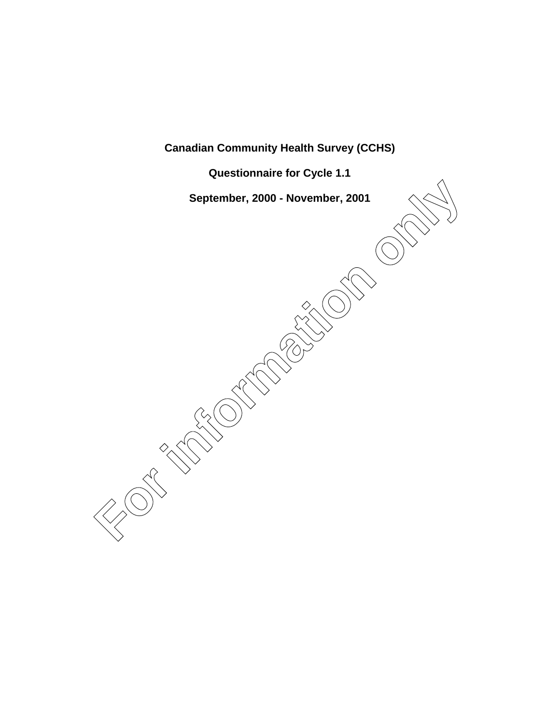**Canadian Community Health Survey (CCHS)**

**Questionnaire for Cycle 1.1**

**September, 2000 - November, 2001**

**Feptember, 2000 - November, 2001**<br> **For all the conduction of the conduction of the conduction of the conduction of the conduction of the conduction of the conduction of the conduction of the conduction of the conduction**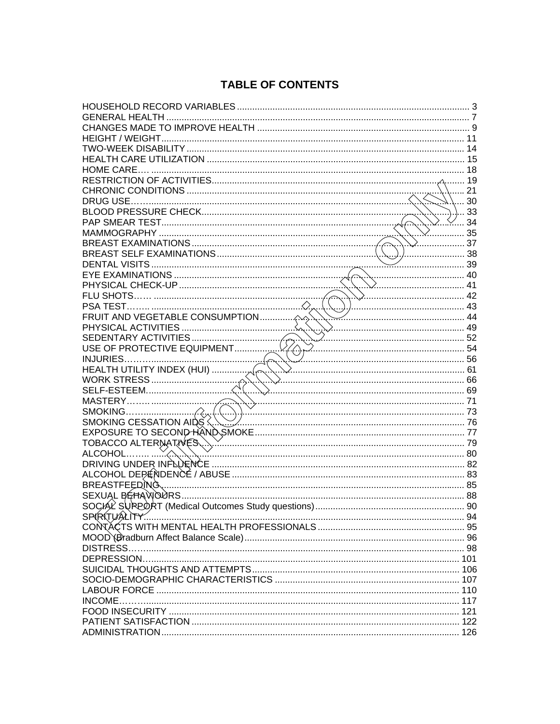# **TABLE OF CONTENTS**

| <b>A.com</b> 21                                                                                          |      |
|----------------------------------------------------------------------------------------------------------|------|
|                                                                                                          | 30   |
|                                                                                                          | ) 33 |
| <del>∶…</del> ∕∕…. 34                                                                                    |      |
|                                                                                                          | 35   |
| . 37                                                                                                     |      |
| 38                                                                                                       |      |
|                                                                                                          |      |
|                                                                                                          |      |
|                                                                                                          |      |
|                                                                                                          |      |
|                                                                                                          |      |
| $\sim$ 44                                                                                                |      |
|                                                                                                          |      |
|                                                                                                          |      |
|                                                                                                          |      |
| EXERCISE ACTIVITIES<br>SEDENTARY ACTIVITIES<br>USE OF PROTECTIVE EQUIPMENT<br>INJURIES<br>INJURIES<br>56 |      |
|                                                                                                          |      |
|                                                                                                          |      |
|                                                                                                          |      |
|                                                                                                          |      |
|                                                                                                          |      |
|                                                                                                          |      |
|                                                                                                          |      |
|                                                                                                          |      |
|                                                                                                          |      |
|                                                                                                          |      |
|                                                                                                          |      |
|                                                                                                          |      |
|                                                                                                          |      |
| SEXUAL BÉHAVOURS.                                                                                        |      |
|                                                                                                          | 90   |
| SPIRITUALITY                                                                                             |      |
|                                                                                                          |      |
|                                                                                                          |      |
|                                                                                                          |      |
|                                                                                                          |      |
|                                                                                                          |      |
|                                                                                                          |      |
|                                                                                                          |      |
|                                                                                                          |      |
|                                                                                                          |      |
|                                                                                                          |      |
|                                                                                                          |      |
|                                                                                                          |      |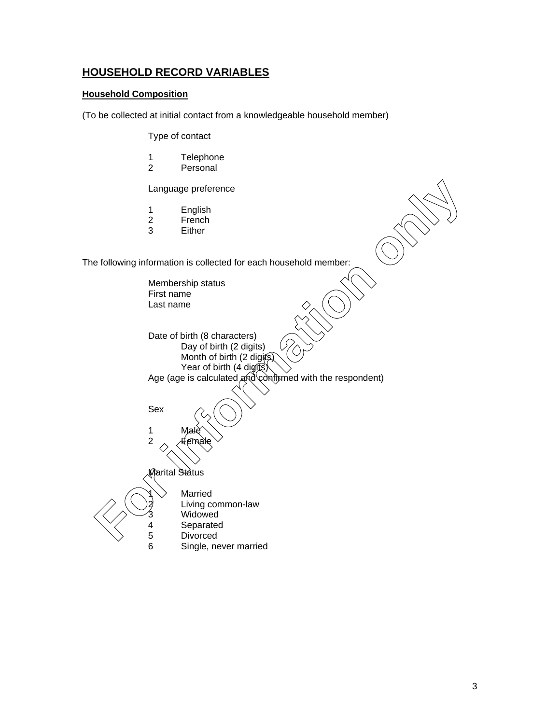## **HOUSEHOLD RECORD VARIABLES**

#### **Household Composition**

(To be collected at initial contact from a knowledgeable household member)

Type of contact

- 1 Telephone<br>2 Personal
- Personal

Language preference

- 1 English
- 2 French<br>3 Either
- **Either**

The following information is collected for each household member:

Membership status First name Last name Date of birth (8 characters) Day of birth (2 digits) Month of birth (2 digits) Year of birth (4 digits) Age (age is calculated and confirmed with the respondent) Sex 1 Male 2  $\lambda$  Female Marital Status **Married** Living common-law **Widowed** 4 Separated<br>5 Divorced Eiving co<br>
France Company<br>
France Company<br>
France Company<br>
France Company<br>
France Company<br>
France Company<br>
France Company<br>
France Company<br>
France Company<br>
France Company<br>
France Company<br>
France Company<br>
France Company<br>
Fra 6 Single, never married Language preference<br>
1 English<br>
2 French<br>
3 Either<br>
wing information is collected for each household member:<br>
Membership status<br>
First name<br>
Last name<br>
Last name<br>
Date of birth (8 characters)<br>
Day of birth (4 digits)<br>
Year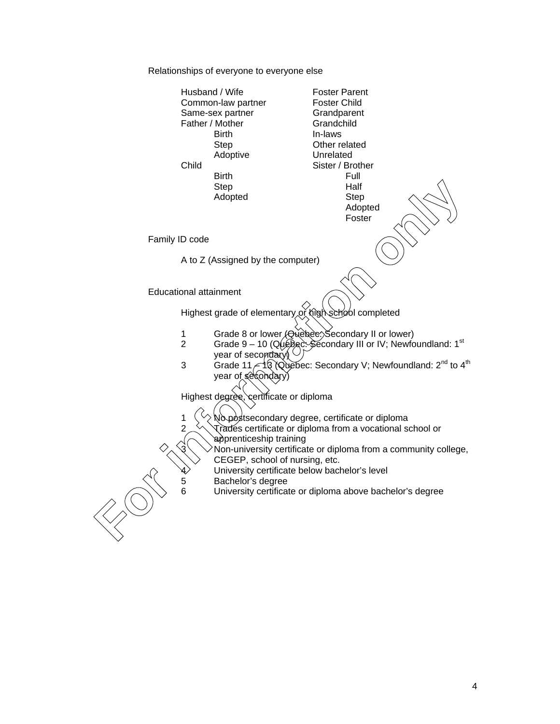Relationships of everyone to everyone else

Husband / Wife Foster Parent<br>Common-law partner Foster Child Common-law partner Same-sex partner Grandparent Father / Mother Grandchild Birth In-laws Step **Other related** Adoptive Unrelated Child Sister / Brother Birth Full<br>Step Half Step Half<br>Adopted Step Adopted Adopted Foster Family ID code A to Z (Assigned by the computer) Educational attainment Highest grade of elementary or high school completed 1 Grade 8 or lower (Quebec: Secondary II or lower)<br>2 Grade 9 – 10 (Quebec: Secondary III or IV: Newfo Grade 9 – 10 (Quebec: Secondary III or IV; Newfoundland:  $1<sup>st</sup>$ year of secondary)  $\cup$ 3 Grade 11  $\approx$  13 (Quebec: Secondary V; Newfoundland: 2<sup>nd</sup> to 4<sup>th</sup> year of secondary) Highest degree, certificate or diploma 1  $\left\langle \right\rangle$  No postsecondary degree, certificate or diploma  $2 \leq \sqrt{\sqrt{r}}$  and  $\sqrt{r}$  certificate or diploma from a vocational school or apprenticeship training Non-university certificate or diploma from a community college, CEGEP, school of nursing, etc. University certificate below bachelor's level 5 Bachelor's degree University certificate or diploma above bachelor's degree Step<br> **For information**<br> **For information**<br> **For information**<br> **For information**<br> **For information**<br> **For information**<br> **For information**<br> **For information**<br> **For information**<br> **For information**<br> **For information**<br> **For in**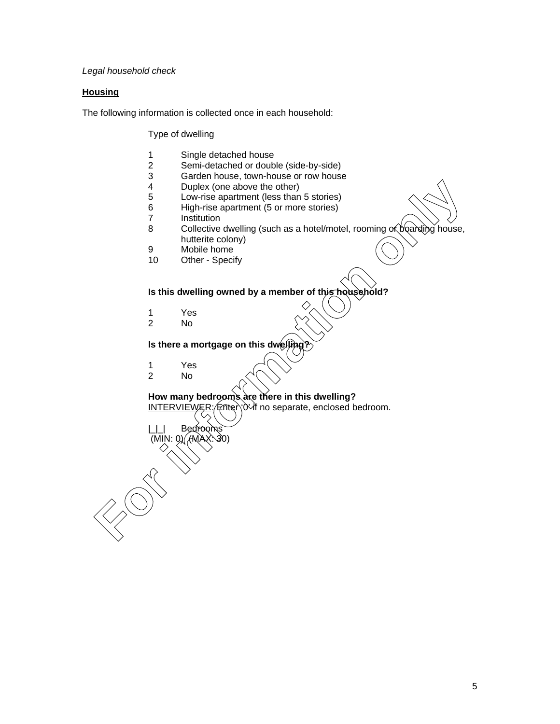*Legal household check*

#### **Housing**

The following information is collected once in each household:

Type of dwelling

- 1 Single detached house<br>2 Semi-detached or doub
- Semi-detached or double (side-by-side)
- 3 Garden house, town-house or row house<br>4 Duplex (one above the other)
- 4 Duplex (one above the other)<br>5 Low-rise apartment (less than
- Low-rise apartment (less than 5 stories)
- 6 High-rise apartment (5 or more stories)
- 7 Institution<br>8 Collective
- Collective dwelling (such as a hotel/motel, rooming or boarding house, hutterite colony) For Low-rise apartment (less than 5 stories)<br>
For Low-rise apartment (less than 5 stories)<br>
For information operations of Sciences)<br>
7 Institution operations (S or more stories)<br>
7 Collective dwelling (such as a hotel/mote
	- 9 Mobile home
	- 10 Other Specify

#### **Is this dwelling owned by a member of this household?**

- 1 Yes<br>2 No
- No.

#### **Is there a mortgage on this dwelling?**

1 Yes<br>2 No 2 No

 $(MIN:$ 

Bed

**How many bedrooms are there in this dwelling?** INTERVIEWER: Enter '0' if no separate, enclosed bedroom.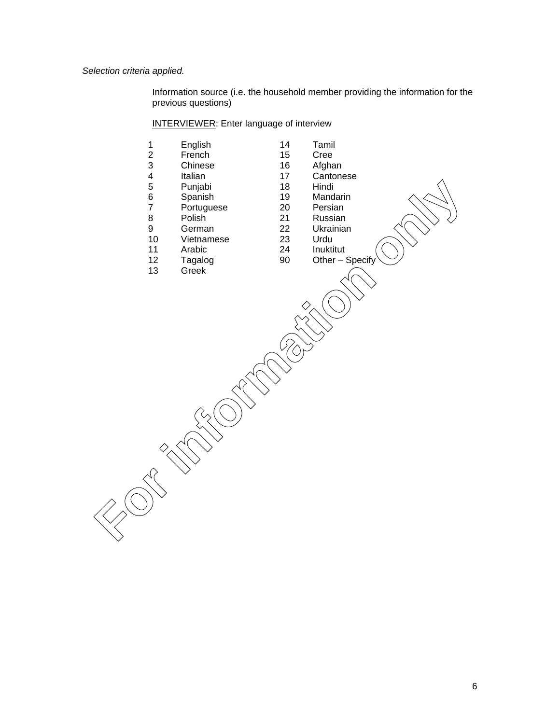*Selection criteria applied.*

Information source (i.e. the household member providing the information for the previous questions)

## INTERVIEWER: Enter language of interview

| $\mathbf 1$<br>$\overline{c}$<br>$\mathbf{3}$<br>$\overline{\mathbf{4}}$<br>5<br>$\,6$<br>$\overline{7}$<br>8<br>9<br>10<br>11<br>12<br>13 | English<br>French<br>Chinese<br>Italian<br>Punjabi<br>Spanish<br>Portuguese<br>Polish<br>German<br>Vietnamese<br>Arabic<br>Tagalog<br>Greek | 14<br>15<br>16<br>17<br>18<br>19<br>20<br>21<br>22<br>23<br>24<br>90 | Tamil<br>Cree<br>Afghan<br>Cantonese<br>Hindi<br>Mandarin<br>Persian<br>Russian<br>Ukrainian<br>Urdu<br>Inuktitut<br>Other - Specify |  |
|--------------------------------------------------------------------------------------------------------------------------------------------|---------------------------------------------------------------------------------------------------------------------------------------------|----------------------------------------------------------------------|--------------------------------------------------------------------------------------------------------------------------------------|--|
|                                                                                                                                            |                                                                                                                                             |                                                                      |                                                                                                                                      |  |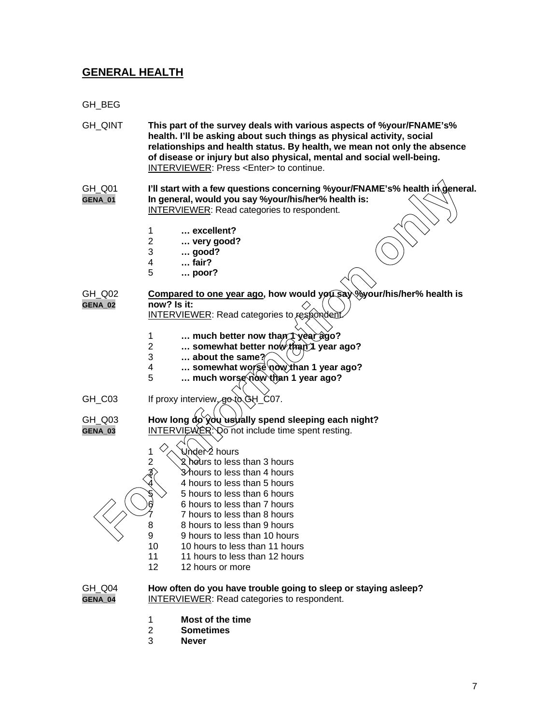# **GENERAL HEALTH**

GH\_BEG

| GH_QINT                  | This part of the survey deals with various aspects of %your/FNAME's%<br>health. I'll be asking about such things as physical activity, social<br>relationships and health status. By health, we mean not only the absence<br>of disease or injury but also physical, mental and social well-being.<br><b>INTERVIEWER: Press <enter> to continue.</enter></b> |
|--------------------------|--------------------------------------------------------------------------------------------------------------------------------------------------------------------------------------------------------------------------------------------------------------------------------------------------------------------------------------------------------------|
| GH_Q01<br><b>GENA_01</b> | I'll start with a few questions concerning %your/FNAME's% health in general.<br>In general, would you say %your/his/her% health is:<br><b>INTERVIEWER:</b> Read categories to respondent.                                                                                                                                                                    |
|                          | 1<br>$\ldots$ excellent?                                                                                                                                                                                                                                                                                                                                     |
|                          | $\overline{2}$<br>very good?                                                                                                                                                                                                                                                                                                                                 |
|                          | 3<br>good?                                                                                                                                                                                                                                                                                                                                                   |
|                          | $\ldots$ fair?<br>4                                                                                                                                                                                                                                                                                                                                          |
|                          | 5<br>$\ldots$ poor?                                                                                                                                                                                                                                                                                                                                          |
| GH_Q02                   | Compared to one year ago, how would you say Wyour/his/her% health is                                                                                                                                                                                                                                                                                         |
| GENA_02                  | now? Is it:                                                                                                                                                                                                                                                                                                                                                  |
|                          | <b>INTERVIEWER:</b> Read categories to respondent.                                                                                                                                                                                                                                                                                                           |
|                          | much better now than 1 year ago?<br>1                                                                                                                                                                                                                                                                                                                        |
|                          | $\overline{2}$<br>somewhat better now than i year ago?                                                                                                                                                                                                                                                                                                       |
|                          | 3<br>about the same $\gamma$                                                                                                                                                                                                                                                                                                                                 |
|                          | somewhat worse now than 1 year ago?<br>4<br>5<br>much worse now than 1 year ago?                                                                                                                                                                                                                                                                             |
|                          |                                                                                                                                                                                                                                                                                                                                                              |
| GH_C03                   | If proxy interview, go to GH_C07.                                                                                                                                                                                                                                                                                                                            |
| GH_Q03                   | How long do you usually spend sleeping each night?                                                                                                                                                                                                                                                                                                           |
| GENA_03                  | <b>INTERVIEWER: Do not include time spent resting.</b>                                                                                                                                                                                                                                                                                                       |
|                          |                                                                                                                                                                                                                                                                                                                                                              |
|                          | Under∕2 hours                                                                                                                                                                                                                                                                                                                                                |
|                          | 2<br>2 hours to less than 3 hours                                                                                                                                                                                                                                                                                                                            |
|                          | $\beta$<br>3∕hours to less than 4 hours                                                                                                                                                                                                                                                                                                                      |
|                          | 4 hours to less than 5 hours                                                                                                                                                                                                                                                                                                                                 |
|                          | 5 hours to less than 6 hours<br>6 hours to less than 7 hours                                                                                                                                                                                                                                                                                                 |
|                          | 7 hours to less than 8 hours                                                                                                                                                                                                                                                                                                                                 |
|                          | 8 hours to less than 9 hours                                                                                                                                                                                                                                                                                                                                 |
|                          | 9<br>9 hours to less than 10 hours                                                                                                                                                                                                                                                                                                                           |
|                          | 10<br>10 hours to less than 11 hours                                                                                                                                                                                                                                                                                                                         |
|                          | 11<br>11 hours to less than 12 hours                                                                                                                                                                                                                                                                                                                         |
|                          | $12 \,$<br>12 hours or more                                                                                                                                                                                                                                                                                                                                  |
| GH_Q04                   | How often do you have trouble going to sleep or staying asleep?                                                                                                                                                                                                                                                                                              |
| GENA_04                  | <b>INTERVIEWER:</b> Read categories to respondent.                                                                                                                                                                                                                                                                                                           |
|                          | 1<br>Most of the time<br>$\overline{2}$<br><b>Sometimes</b>                                                                                                                                                                                                                                                                                                  |
|                          |                                                                                                                                                                                                                                                                                                                                                              |

3 **Never**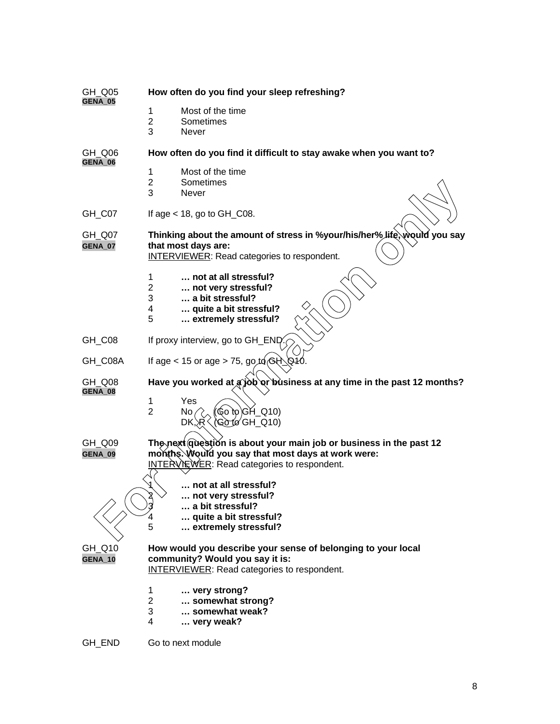| GH_Q05<br>GENA 05        | How often do you find your sleep refreshing?                                                                                                                             |
|--------------------------|--------------------------------------------------------------------------------------------------------------------------------------------------------------------------|
|                          | Most of the time<br>1<br>$\overline{2}$<br>Sometimes<br>3<br><b>Never</b>                                                                                                |
| GH Q06<br>GENA_06        | How often do you find it difficult to stay awake when you want to?                                                                                                       |
|                          | 1<br>Most of the time<br>$\overline{2}$<br>Sometimes<br>3<br>Never                                                                                                       |
| GH_C07                   | If age $<$ 18, go to GH_C08.                                                                                                                                             |
| GH_Q07<br><b>GENA_07</b> | Thinking about the amount of stress in %your/his/her% life, would you say<br>that most days are:<br>INTERVIEWER: Read categories to respondent.                          |
|                          | not at all stressful?<br>1<br>2<br>not very stressful?<br>3<br>a bit stressful?<br>quite a bit stressful?<br>4<br>5<br>extremely stressful?                              |
| GH_C08                   | If proxy interview, go to GH_END                                                                                                                                         |
| GH_C08A                  | If age < 15 or age > 75, go to $\left( \frac{1}{2} \right)$                                                                                                              |
| GH_Q08<br>GENA_08        | Have you worked at a job or business at any time in the past 12 months?<br>Yes<br>1<br>$60$ to $ GH_Q$ (10)<br>$\overline{2}$<br>No.<br>(Go tø GH_Q10)<br>DK, R          |
| GH_Q09<br>GENA_09        | The next question is about your main job or business in the past 12<br>months. Would you say that most days at work were:<br>INTERVIEWER: Read categories to respondent. |
|                          | not at all stressful?<br>እ<br>not very stressful?<br>a bit stressful?<br>quite a bit stressful?<br>5<br>extremely stressful?                                             |
| GH_Q10<br><b>GENA_10</b> | How would you describe your sense of belonging to your local<br>community? Would you say it is:<br><b>INTERVIEWER:</b> Read categories to respondent.                    |
|                          | very strong?<br>1<br>$\overline{2}$<br>somewhat strong?<br>somewhat weak?<br>3<br>4<br>very weak?                                                                        |
| GH_END                   | Go to next module                                                                                                                                                        |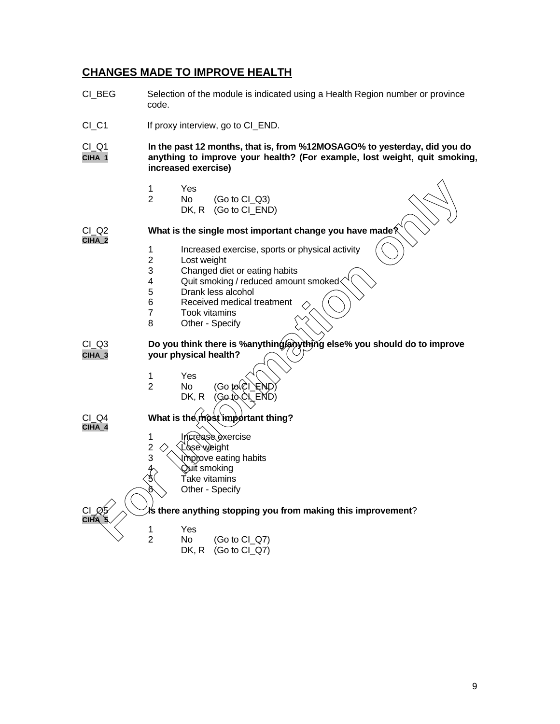## **CHANGES MADE TO IMPROVE HEALTH**

CI BEG Selection of the module is indicated using a Health Region number or province code. CI\_C1 If proxy interview, go to CI\_END. CI\_Q1 **In the past 12 months, that is, from %12MOSAGO% to yesterday, did you do CIHA\_1 anything to improve your health? (For example, lost weight, quit smoking, increased exercise)** 1 Yes 2 No (Go to CI\_Q3) DK, R (Go to CI\_END) CI\_Q2 **What is the single most important change you have made? CIHA\_2** 1 Increased exercise, sports or physical activity<br>2 Lost weight Lost weight 3 Changed diet or eating habits<br>4 Quit smoking / reduced amour 4 Quit smoking / reduced amount smoked<br>5 Drank less alcohol Drank less alcohol 6 Received medical treatment<br>7 Took vitamins 7 Took vitamins<br>8 Other - Specify Other - Specify CI\_Q3 **Do you think there is %anything/anything else% you should do to improve CIHA\_3 your physical health?** 1 Yes 2 No (Go to DK, R $(Got$ CI\_Q4 **What is the most important thing? CIHA\_4** 1 Increase exercise  $2 <$ Lose weight<br>3  $\longrightarrow$  Improve eatir Improve eating habits Quit smoking Take vitamins Other - Specify CI\_Q5 **Is there anything stopping you from making this improvement**? **CIHA\_5** 1 Yes<br>2 No 2 **S**<br>2 No (Go to CI\_Q7)<br>2 No (Go to CI\_Q7) DK, R (Go to CI\_Q7) <sup>2</sup> No. (Go to Cl\_G3)<br>
What is the single most important change you have made?<br>
1 Increased exercise, sports or physical activity<br>
2 Lost weight<br>
3 Changed die or eating habits<br>
4 Quit smoking / reduced amount smoked<br>
5 Dr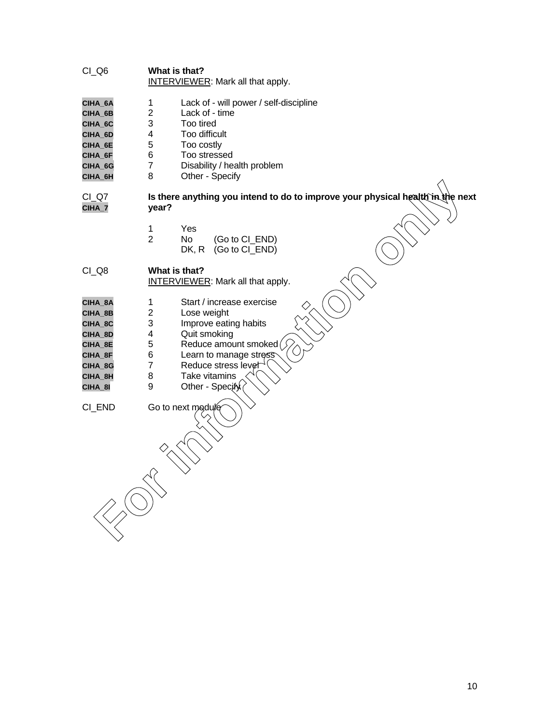#### CI\_Q6 **What is that?** INTERVIEWER: Mark all that apply.

- CIHA\_6A 1 Lack of will power / self-discipline<br>
CIHA 6B 2 Lack of time
- CIHA\_6B 2 Lack of time<br>CIHA\_6C 3 Too tired
- **CIHA\_6C** 3 Too tired<br>**CIHA\_6D** 4 Too diffici
- **CIHA\_6D** 4 Too difficult<br>**CIHA\_6E** 5 Too costly
- **CIHA\_6E** 5 Too costly
- **CIHA\_6F** 6 Too stressed<br>**CIHA\_6G** 7 Disability / he
- **CIHA\_6G** 7 Disability / health problem
- **CIHA\_6H** 8 Other Specify

# CI\_Q7 **Is there anything you intend to do to improve your physical health in the next CIHA\_7 year? For information** of the energy of the energy of the state of the state of the state of the state of the state of the state of the state of the state of the state of the state of the state of the state of the state of the

1 Yes

| 2 | No. | (Go to CI_END)           |
|---|-----|--------------------------|
|   |     | $DK, R$ (Go to $CI$ END) |

#### CI\_Q8 **What is that?** INTERVIEWER: Mark all that apply.

- CIHA\_8A 1 Start / increase exercise<br>
CIHA\_8B 2 Lose weight
- 2 Lose weight<br>3 Improve eatir
- **CIHA\_8C** 3 Improve eating habits
- **CIHA\_8D** 4 Quit smoking<br> **CIHA\_8E** 5 Reduce amou
- **CIHA\_8E** 5 Reduce amount smoked  $\bigcirc$ <br>**CIHA\_8F** 6 Learn to manage stress
- **CIHA\_8F** 6 Learn to manage stres
- **CIHA\_8G** 7 Reduce stress level
- **CIHA\_8H** 8 Take vitamins
- **CIHA\_8I** 9 Other Specify

CI\_END Go to next modu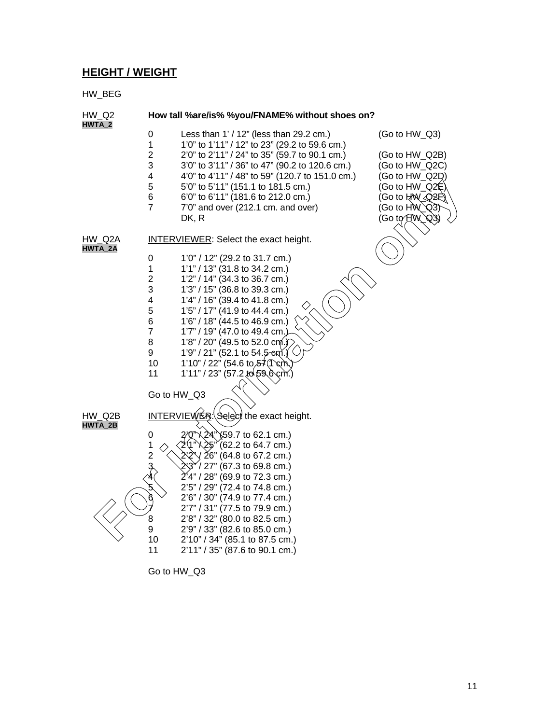## **HEIGHT / WEIGHT**

HW\_BEG



Go to HW\_Q3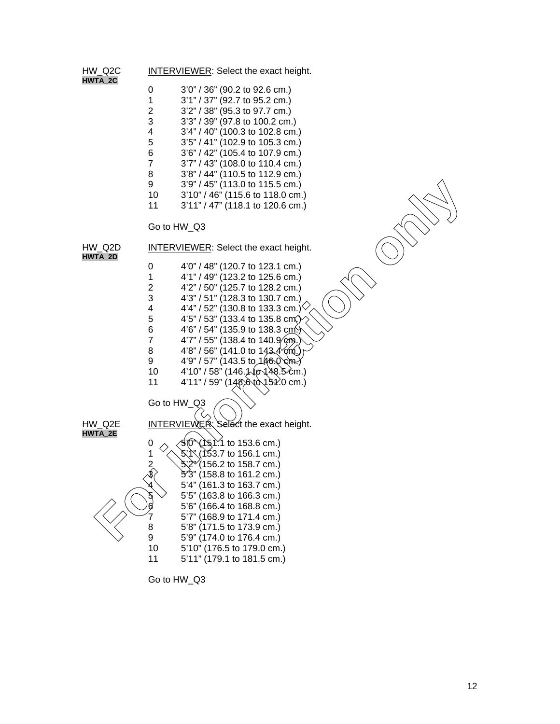

Go to HW\_Q3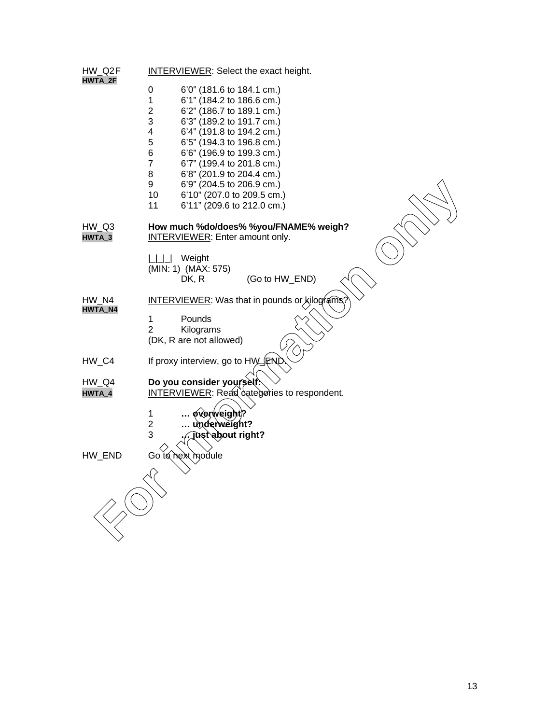| HW Q2F<br><b>HWTA 2F</b> | <b>INTERVIEWER:</b> Select the exact height.                                  |
|--------------------------|-------------------------------------------------------------------------------|
|                          | $\pmb{0}$<br>6'0" (181.6 to 184.1 cm.)                                        |
|                          | $\mathbf{1}$<br>6'1" (184.2 to 186.6 cm.)                                     |
|                          | $\overline{c}$<br>6'2" (186.7 to 189.1 cm.)<br>3<br>6'3" (189.2 to 191.7 cm.) |
|                          | $\overline{\mathbf{4}}$<br>6'4" (191.8 to 194.2 cm.)                          |
|                          | 5<br>6'5" (194.3 to 196.8 cm.)                                                |
|                          | 6<br>6'6" (196.9 to 199.3 cm.)                                                |
|                          | $\overline{7}$<br>6'7" (199.4 to 201.8 cm.)<br>8<br>6'8" (201.9 to 204.4 cm.) |
|                          | 9<br>6'9" (204.5 to 206.9 cm.)                                                |
|                          | 10<br>6'10" (207.0 to 209.5 cm.)                                              |
|                          | 11<br>6'11" (209.6 to 212.0 cm.)                                              |
| HW Q3                    | How much %do/does% %you/FNAME% weigh?                                         |
| HWTA_3                   | <b>INTERVIEWER:</b> Enter amount only.                                        |
|                          | Weight                                                                        |
|                          | (MIN: 1) (MAX: 575)                                                           |
|                          | (Go to HW_END)<br>DK, R                                                       |
| HW N4<br><b>HWTA_N4</b>  | <b>INTERVIEWER:</b> Was that in pounds or kilograms                           |
|                          | 1<br>Pounds                                                                   |
|                          | $\overline{2}$<br>Kilograms                                                   |
|                          | (DK, R are not allowed)                                                       |
| HW_C4                    | If proxy interview, go to HW_FNI                                              |
| HW_Q4                    | Do you consider yourself.                                                     |
| HWTA_4                   | <b>INTERVIEWER:</b> Read categories to respondent.                            |
|                          | $\mathbf{1}$<br>overweight?                                                   |
|                          | $\overline{2}$<br>underweight?                                                |
|                          | 3<br>iustabout right?                                                         |
| HW_END                   | Go to hext module                                                             |
|                          |                                                                               |
|                          |                                                                               |
|                          |                                                                               |
|                          |                                                                               |
|                          |                                                                               |
|                          |                                                                               |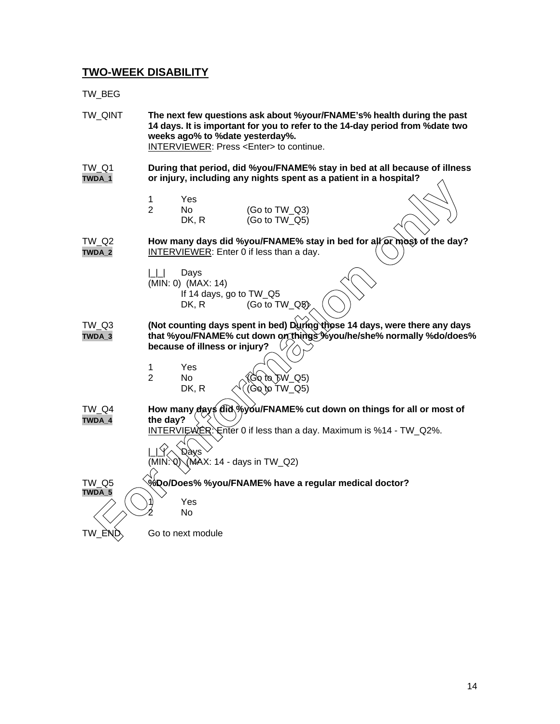## **TWO-WEEK DISABILITY**

TW\_BEG

TW\_QINT **The next few questions ask about %your/FNAME's% health during the past 14 days. It is important for you to refer to the 14-day period from %date two weeks ago% to %date yesterday%.** INTERVIEWER: Press <Enter> to continue.

TW\_Q1 **During that period, did %you/FNAME% stay in bed at all because of illness TWDA\_1 or injury, including any nights spent as a patient in a hospital?**

| -1 | Yes   |                  |
|----|-------|------------------|
| 2  | No.   | (Go to TW_Q3)    |
|    | DK, R | (Go to $TW_Q5$ ) |

TW\_Q2 **How many days did %you/FNAME% stay in bed for all axit of the day? TWDA\_2** INTERVIEWER: Enter 0 if less than a day.

- $|L|$  Days (MIN: 0) (MAX: 14)
	- If 14 days, go to TW\_Q5 DK, R  $(Go to TW_Q5)$
- TW\_Q3 **(Not counting days spent in bed) During those 14 days, were there any days TWDA\_3 that %you/FNAME% cut down on things %you/he/she% normally %do/does% because of illness or injury?**

| Yes   |                                |
|-------|--------------------------------|
| N٥    |                                |
| DK, R | (Go to TW_Q5)<br>(Go to TW_Q5) |

TW\_Q4 **How many days did %you/FNAME% cut down on things for all or most of TWDA\_4 the day?**

INTERVIEWER: Enter 0 if less than a day. Maximum is %14 - TW\_Q2%.

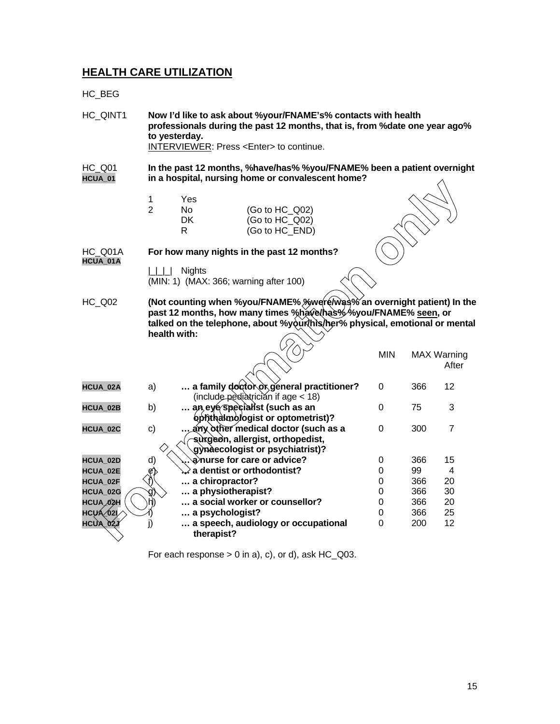# **HEALTH CARE UTILIZATION**

HC\_BEG

| HC QINT1            | Now I'd like to ask about %your/FNAME's% contacts with health<br>professionals during the past 12 months, that is, from % date one year ago%<br>to yesterday.<br>INTERVIEWER: Press <enter> to continue.</enter> |                                     |                                                                                                                                                                                                                        |            |     |                             |
|---------------------|------------------------------------------------------------------------------------------------------------------------------------------------------------------------------------------------------------------|-------------------------------------|------------------------------------------------------------------------------------------------------------------------------------------------------------------------------------------------------------------------|------------|-----|-----------------------------|
| HC Q01<br>HCUA_01   | In the past 12 months, %have/has% %you/FNAME% been a patient overnight<br>in a hospital, nursing home or convalescent home?                                                                                      |                                     |                                                                                                                                                                                                                        |            |     |                             |
|                     | 1<br>$\overline{2}$                                                                                                                                                                                              | Yes<br><b>No</b><br><b>DK</b><br>R. | (Go to HC Q02)<br>(Go to HC Q02)<br>(Go to HC_END)                                                                                                                                                                     |            |     |                             |
| HC Q01A<br>HCUA_01A |                                                                                                                                                                                                                  |                                     | For how many nights in the past 12 months?                                                                                                                                                                             |            |     |                             |
|                     | $\lfloor \lfloor \rfloor \rfloor$                                                                                                                                                                                | <b>Nights</b>                       | (MIN: 1) (MAX: 366; warning after 100)                                                                                                                                                                                 |            |     |                             |
| HC Q02              | health with:                                                                                                                                                                                                     |                                     | (Not counting when %you/FNAME% %were Was% an overnight patient) In the<br>past 12 months, how many times %have/has%%you/FNAME% seen, or<br>talked on the telephone, about %yourthis/her% physical, emotional or mental |            |     |                             |
|                     |                                                                                                                                                                                                                  |                                     |                                                                                                                                                                                                                        | <b>MIN</b> |     | <b>MAX Warning</b><br>After |
| HCUA_02A            | a)                                                                                                                                                                                                               |                                     | a family doctor or general practitioner?<br>(include pediatricián if age < 18)                                                                                                                                         | 0          | 366 | 12                          |
| HCUA_02B            | b)                                                                                                                                                                                                               |                                     | an eye specialist (such as an<br>ophthalmologist or optometrist)?                                                                                                                                                      | 0          | 75  | 3                           |
| HCUA_02C            | c)                                                                                                                                                                                                               |                                     | any other medical doctor (such as a<br>∕ sùrgeon, allergist, orthopedist,<br>gynaecologist or psychiatrist)?                                                                                                           | 0          | 300 | $\overline{7}$              |
| HCUA_02D            | d)                                                                                                                                                                                                               |                                     | anurse for care or advice?                                                                                                                                                                                             | 0          | 366 | 15                          |
| HCUA_02E            | e                                                                                                                                                                                                                |                                     | $\downarrow$ a dentist or orthodontist?                                                                                                                                                                                | 0          | 99  | 4                           |
| HCUA_02F            |                                                                                                                                                                                                                  | a chiropractor?                     |                                                                                                                                                                                                                        | 0          | 366 | 20                          |
| HCUA_02G            |                                                                                                                                                                                                                  | a physiotherapist?                  |                                                                                                                                                                                                                        | 0          | 366 | 30                          |
| HCUA <i>_</i> 02H   | h                                                                                                                                                                                                                |                                     | a social worker or counsellor?                                                                                                                                                                                         | 0          | 366 | 20                          |
| HCUA 021            |                                                                                                                                                                                                                  | a psychologist?                     |                                                                                                                                                                                                                        | 0          | 366 | 25                          |
| HCUA_02J            | j)                                                                                                                                                                                                               | therapist?                          | a speech, audiology or occupational                                                                                                                                                                                    | 0          | 200 | 12                          |

For each response  $> 0$  in a), c), or d), ask  $HC_Q03$ .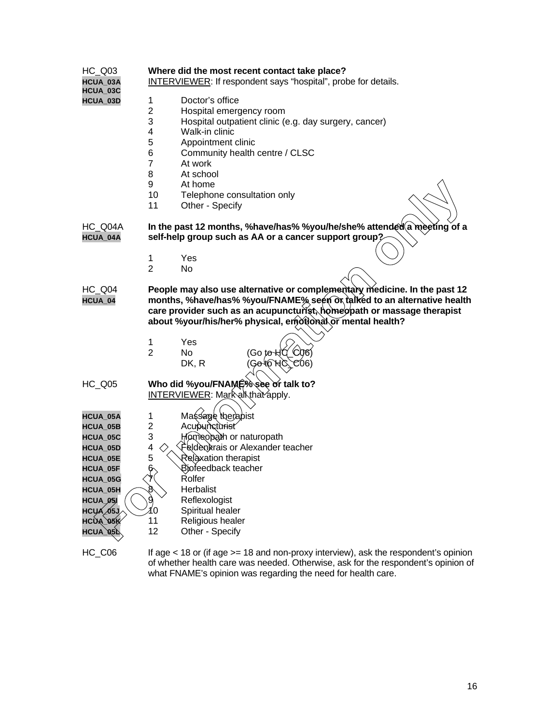#### HC\_Q03 **Where did the most recent contact take place?**

**HCUA\_03A** INTERVIEWER: If respondent says "hospital", probe for details.

- **HCUA\_03C**
- 1 Doctor's office<br>2 Hospital emerc
- 2 Hospital emergency room<br>3 Hospital outpatient clinic (
- 3 Hospital outpatient clinic (e.g. day surgery, cancer)
- 4 Walk-in clinic<br>5 Appointment
- 5 Appointment clinic<br>6 Community health
- 6 Community health centre / CLSC
- At work
- 8 At school
- 9 At home
- 10 Telephone consultation only
- 11 Other Specify

- 1 Yes
- 2 No
- HC\_Q04 **People may also use alternative or complementary medicine. In the past 12 HCUA\_04 months, %have/has% %you/FNAME% seen or talked to an alternative health** care provider such as an acupuncturist, homeopath or massage therapist **about %your/his/her% physical, emotional or mental health?**
	- 1 Yes
	- 2 No (Go t<del>o H</del>C\_C06)  $DK, R$
- HC\_Q05 **Who did %you/FNAME% see or talk to?** INTERVIEWER: Mark all that apply.

|                      | 9<br>10<br>11       | At home<br>Telephone consultation only<br>Other - Specify |                                                                                                                                                                                                                                                                                             |  |
|----------------------|---------------------|-----------------------------------------------------------|---------------------------------------------------------------------------------------------------------------------------------------------------------------------------------------------------------------------------------------------------------------------------------------------|--|
| HC_Q04A<br>HCUA_04A  |                     |                                                           | In the past 12 months, %have/has% %you/he/she% attended a meeting of a<br>self-help group such as AA or a cancer support group?                                                                                                                                                             |  |
|                      | 1<br>$\overline{2}$ | Yes<br>No.                                                |                                                                                                                                                                                                                                                                                             |  |
| HC_Q04<br>HCUA_04    |                     |                                                           | People may also use alternative or complementary medicine. In the past 12<br>months, %have/has% %you/FNAME% seem or talked to an alternative health<br>care provider such as an acupuncturist, homeopath or massage therapist<br>about %your/his/her% physical, emotional or mental health? |  |
|                      | 1<br>$\overline{2}$ | Yes<br><b>No</b><br>DK, R                                 | CO <sub>6</sub><br>(Go t <del>o ∖l</del> ĭ<br>Go <sup>i</sup> t©`HC`<br>CO6)                                                                                                                                                                                                                |  |
| <b>HC_Q05</b>        |                     | <b>INTERVIEWER: Mark all that apply.</b>                  | Who did %you/FNAME% see or talk to?                                                                                                                                                                                                                                                         |  |
| HCUA_05A             | 1                   | Massage the apist                                         |                                                                                                                                                                                                                                                                                             |  |
| <b>HCUA 05B</b>      | $\overline{c}$      | Acupuncturist                                             |                                                                                                                                                                                                                                                                                             |  |
| HCUA_05C             | 3                   | Homeopath or naturopath                                   |                                                                                                                                                                                                                                                                                             |  |
| HCUA_05D             | 4<br>5              |                                                           | Feldenkrais or Alexander teacher                                                                                                                                                                                                                                                            |  |
| HCUA 05E             |                     | Relaxation therapist                                      |                                                                                                                                                                                                                                                                                             |  |
| <b>HCUA 05F</b>      | Ģ                   | Biofeedback teacher<br>Rolfer                             |                                                                                                                                                                                                                                                                                             |  |
| HCUA_05G<br>HCUA_05H | 8                   | Herbalist                                                 |                                                                                                                                                                                                                                                                                             |  |
| HCUA_05I             | 9                   | Reflexologist                                             |                                                                                                                                                                                                                                                                                             |  |
| HCUÁ <i>∠</i> 05J    | ľ٥                  | Spiritual healer                                          |                                                                                                                                                                                                                                                                                             |  |
| HCUA 05K             | 11                  | Religious healer                                          |                                                                                                                                                                                                                                                                                             |  |
| HCUA_05L             | 12                  | Other - Specify                                           |                                                                                                                                                                                                                                                                                             |  |

HC C06 If age < 18 or (if age > = 18 and non-proxy interview), ask the respondent's opinion of whether health care was needed. Otherwise, ask for the respondent's opinion of what FNAME's opinion was regarding the need for health care.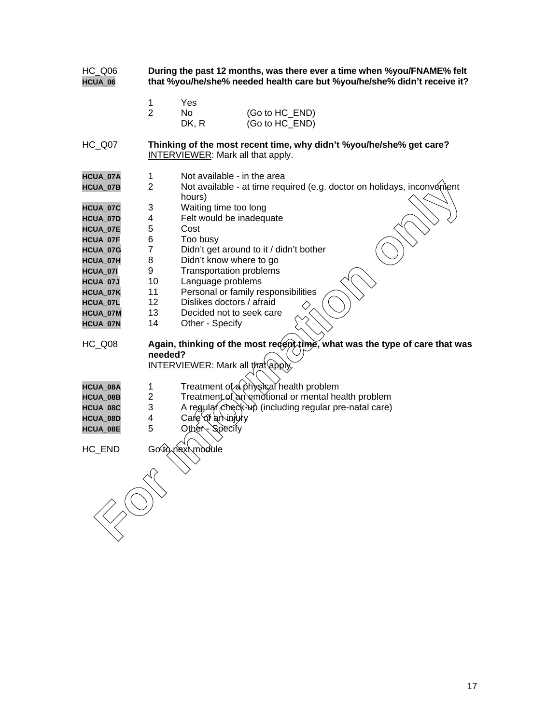| <b>HC_Q06</b><br>HCUA_06 | During the past 12 months, was there ever a time when %you/FNAME% felt<br>that %you/he/she% needed health care but %you/he/she% didn't receive it? |  |  |  |
|--------------------------|----------------------------------------------------------------------------------------------------------------------------------------------------|--|--|--|
|                          | 1<br>Yes                                                                                                                                           |  |  |  |
|                          | $\overline{2}$<br><b>No</b><br>(Go to HC_END)                                                                                                      |  |  |  |
|                          | (Go to HC_END)<br>DK, R                                                                                                                            |  |  |  |
|                          |                                                                                                                                                    |  |  |  |
| <b>HC_Q07</b>            | Thinking of the most recent time, why didn't %you/he/she% get care?<br>INTERVIEWER: Mark all that apply.                                           |  |  |  |
| HCUA_07A                 | $\mathbf{1}$<br>Not available - in the area                                                                                                        |  |  |  |
| HCUA_07B                 | $\overline{2}$<br>Not available - at time required (e.g. doctor on holidays, inconvenient                                                          |  |  |  |
|                          | hours)                                                                                                                                             |  |  |  |
| HCUA_07C                 | 3<br>Waiting time too long                                                                                                                         |  |  |  |
| <b>HCUA_07D</b>          | 4<br>Felt would be inadequate                                                                                                                      |  |  |  |
| HCUA_07E                 | 5<br>Cost                                                                                                                                          |  |  |  |
| HCUA_07F                 | 6<br>Too busy                                                                                                                                      |  |  |  |
| HCUA_07G                 | $\overline{7}$<br>Didn't get around to it / didn't bother                                                                                          |  |  |  |
| HCUA_07H                 | 8<br>Didn't know where to go                                                                                                                       |  |  |  |
| HCUA_07I                 | 9<br><b>Transportation problems</b>                                                                                                                |  |  |  |
| HCUA_07J                 | 10<br>Language problems                                                                                                                            |  |  |  |
| HCUA_07K                 | Personal or family responsibilities<br>11                                                                                                          |  |  |  |
| HCUA_07L                 | 12<br>Dislikes doctors / afraid                                                                                                                    |  |  |  |
| HCUA_07M                 | 13<br>Decided not to seek care                                                                                                                     |  |  |  |
| HCUA_07N                 | 14<br>Other - Specify                                                                                                                              |  |  |  |
|                          |                                                                                                                                                    |  |  |  |
| <b>HC_Q08</b>            | Again, thinking of the most recent time, what was the type of care that was                                                                        |  |  |  |
|                          | needed?                                                                                                                                            |  |  |  |
|                          | <b>INTERVIEWER:</b> Mark all that apply.                                                                                                           |  |  |  |
| HCUA_08A                 | Treatment of a physical health problem<br>$\mathbf{1}$                                                                                             |  |  |  |
| HCUA_08B                 | $\overline{2}$<br>Treatment of an emotional or mental health problem                                                                               |  |  |  |
| HCUA_08C                 | 3<br>A regular check-up (including regular pre-natal care)                                                                                         |  |  |  |
| HCUA_08D                 | 4<br>Care of a hinjury                                                                                                                             |  |  |  |
| HCUA_08E                 | 5<br>Other Specify                                                                                                                                 |  |  |  |
|                          |                                                                                                                                                    |  |  |  |
| HC_END                   | Go to next module                                                                                                                                  |  |  |  |
|                          |                                                                                                                                                    |  |  |  |
|                          |                                                                                                                                                    |  |  |  |
|                          |                                                                                                                                                    |  |  |  |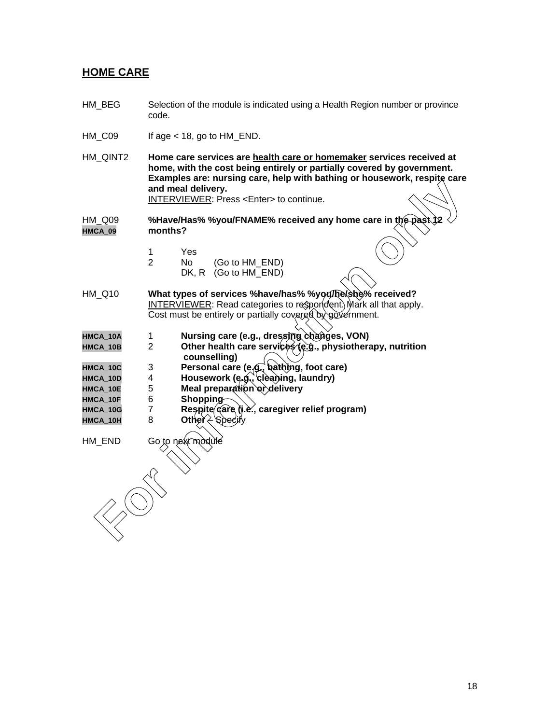## **HOME CARE**

- HM\_BEG Selection of the module is indicated using a Health Region number or province code.
- $HM\_CO9$  If age < 18, go to  $HM\_END$ .
- HM\_QINT2 **Home care services are health care or homemaker services received at home, with the cost being entirely or partially covered by government. Examples are: nursing care, help with bathing or housework, respite care and meal delivery.** INTERVIEWER: Press <Enter> to continue.

HM\_Q09 **%Have/Has% %you/FNAME% received any home care in the past 12 HMCA\_09 months?**

- 1 Yes<br>2 No
- No (Go to HM\_END) DK, R (Go to HM\_END)
- HM\_Q10 **What types of services %have/has% %you/he/she% received?** INTERVIEWER: Read categories to respondent) Mark all that apply. Cost must be entirely or partially covered by government. and meal delivery.<br>
INTERVIEWER: Press <Enters to continue.<br> **FORMATEX SECTIONS** Systems and meal delivery.<br> **FORMATEX received any home care in the pass.<br>
FORMATEX (Go to HM\_END)<br>
1.010 What types of services %have/has% %**
- HMCA\_10A 1 **Nursing care (e.g., dressing changes, VON)**<br>HMCA\_10B 2 Other health care services (e.g., physiothera
- Other health care services (e.g., physiotherapy, nutrition  **counselling)**
- **HMCA\_10C** 3 **Personal care (e.g., bathing, foot care)**
- HMCA\_10D 4 **Housework (e.g., cleaning, laundry)**<br>HMCA\_10E 5 Meal preparation or delivery
- **HMCA\_10E** 5 **Meal preparation or delivery**
- **HMCA\_10F** 6 **Shopping**
- HMCA\_10G 7 **Respite** care (i.e., caregiver relief program)
- $HMCA_10H$  8 Other  $\geq$  Spec

 $HM$  END Go to next model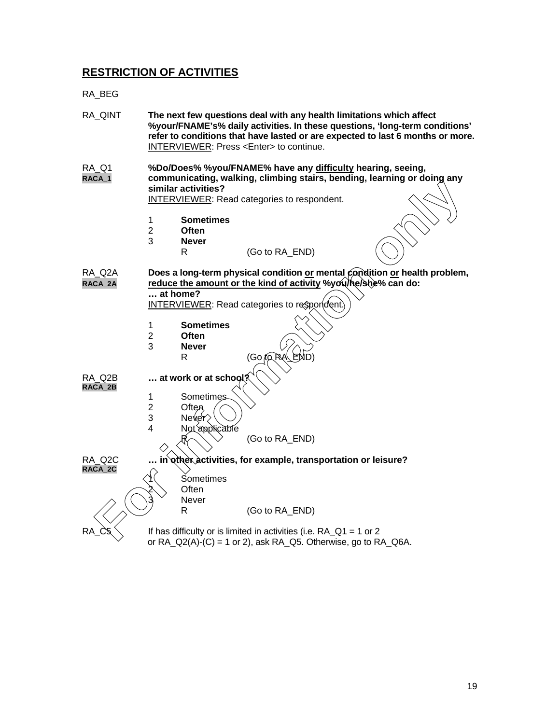# **RESTRICTION OF ACTIVITIES**

RA\_BEG

| RA_QINT                |                                     |                                                       | The next few questions deal with any health limitations which affect<br>INTERVIEWER: Press <enter> to continue.</enter>                                                                     | %your/FNAME's% daily activities. In these questions, 'long-term conditions'<br>refer to conditions that have lasted or are expected to last 6 months or more. |
|------------------------|-------------------------------------|-------------------------------------------------------|---------------------------------------------------------------------------------------------------------------------------------------------------------------------------------------------|---------------------------------------------------------------------------------------------------------------------------------------------------------------|
| <b>RA_Q1</b><br>RACA_1 |                                     | similar activities?                                   | %Do/Does% %you/FNAME% have any difficulty hearing, seeing,<br>communicating, walking, climbing stairs, bending, learning or doing any<br><b>INTERVIEWER:</b> Read categories to respondent. |                                                                                                                                                               |
|                        | $\mathbf{1}$<br>$\overline{2}$<br>3 | <b>Sometimes</b><br><b>Often</b><br><b>Never</b><br>R | (Go to RA_END)                                                                                                                                                                              |                                                                                                                                                               |
| RA_Q2A<br>RACA_2A      | $$ at home?                         |                                                       | Does a long-term physical condition or mental condition or health problem,<br>reduce the amount or the kind of activity %you/he/she% can do:                                                |                                                                                                                                                               |
|                        | $\mathbf{1}$                        | <b>Sometimes</b>                                      | <b>INTERVIEWER:</b> Read categories to respondent.                                                                                                                                          |                                                                                                                                                               |
|                        | $\overline{c}$<br>3                 | Often<br><b>Never</b><br>R                            | (Go to RA<br>END)                                                                                                                                                                           |                                                                                                                                                               |
| RA Q2B<br>RACA_2B      |                                     | at work or at school?                                 |                                                                                                                                                                                             |                                                                                                                                                               |
|                        | $\mathbf{1}$<br>$\overline{2}$<br>3 | <b>Sometimes</b><br>Often<br>Never                    |                                                                                                                                                                                             |                                                                                                                                                               |
|                        | 4                                   | Not applicable                                        | (Go to RA_END)                                                                                                                                                                              |                                                                                                                                                               |
| RA Q2C<br>RACA_2C      |                                     |                                                       | in other activities, for example, transportation or leisure?                                                                                                                                |                                                                                                                                                               |
|                        |                                     | Sometimes<br>Often<br>Never<br>R                      | (Go to RA_END)                                                                                                                                                                              |                                                                                                                                                               |
| RА                     |                                     |                                                       | If has difficulty or is limited in activities (i.e. $RA_Q1 = 1$ or 2<br>or RA_Q2(A)-(C) = 1 or 2), ask RA_Q5. Otherwise, go to RA_Q6A.                                                      |                                                                                                                                                               |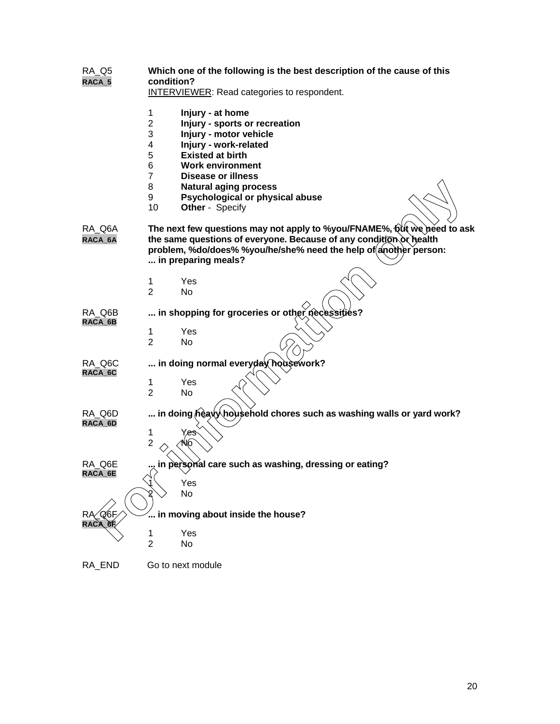### RA\_Q5 **Which one of the following is the best description of the cause of this RACA\_5 condition?**

| <b>INTERVIEWER:</b> Read categories to respondent. |  |  |
|----------------------------------------------------|--|--|
|----------------------------------------------------|--|--|

|                   | 1<br>$\overline{2}$<br>3<br>4<br>5<br>6<br>7<br>8<br>9<br>10 | Injury - at home<br>Injury - sports or recreation<br>Injury - motor vehicle<br>Injury - work-related<br><b>Existed at birth</b><br><b>Work environment</b><br>Disease or illness<br><b>Natural aging process</b><br>Psychological or physical abuse<br>Other - Specify |
|-------------------|--------------------------------------------------------------|------------------------------------------------------------------------------------------------------------------------------------------------------------------------------------------------------------------------------------------------------------------------|
| RA_Q6A<br>RACA_6A |                                                              | The next few questions may not apply to %you/FNAME%, Qut we peed to ask<br>the same questions of everyone. Because of any condition or health<br>problem, %do/does% %you/he/she% need the help of another person:<br>in preparing meals?                               |
|                   | 1                                                            | Yes                                                                                                                                                                                                                                                                    |
|                   | $\mathcal{P}$                                                | No.                                                                                                                                                                                                                                                                    |
| RA Q6B            |                                                              | in shopping for groceries or other necessities?                                                                                                                                                                                                                        |
| RACA_6B           | 1                                                            | Yes                                                                                                                                                                                                                                                                    |
|                   | $\overline{2}$                                               | No                                                                                                                                                                                                                                                                     |
| RA_Q6C<br>RACA_6C |                                                              | in doing normal everyday housework?                                                                                                                                                                                                                                    |
|                   | 1<br>$\overline{2}$                                          | Yes<br>No                                                                                                                                                                                                                                                              |
| RA_Q6D            |                                                              | in doing neavy household chores such as washing walls or yard work?                                                                                                                                                                                                    |
| RACA_6D           | 1                                                            | Yes                                                                                                                                                                                                                                                                    |
|                   | $\overline{2}$                                               | VО                                                                                                                                                                                                                                                                     |
| RA Q6E            |                                                              | in persorial care such as washing, dressing or eating?                                                                                                                                                                                                                 |
| RACA_6E           |                                                              | Yes                                                                                                                                                                                                                                                                    |
|                   |                                                              | No                                                                                                                                                                                                                                                                     |
| $R\alpha$ Q6F     |                                                              | $\mathrel{\ldots}$ in moving about inside the house?                                                                                                                                                                                                                   |
| RACA 6F           | 1                                                            | Yes                                                                                                                                                                                                                                                                    |
|                   | $\overline{2}$                                               | No                                                                                                                                                                                                                                                                     |
| RA_END            |                                                              | Go to next module                                                                                                                                                                                                                                                      |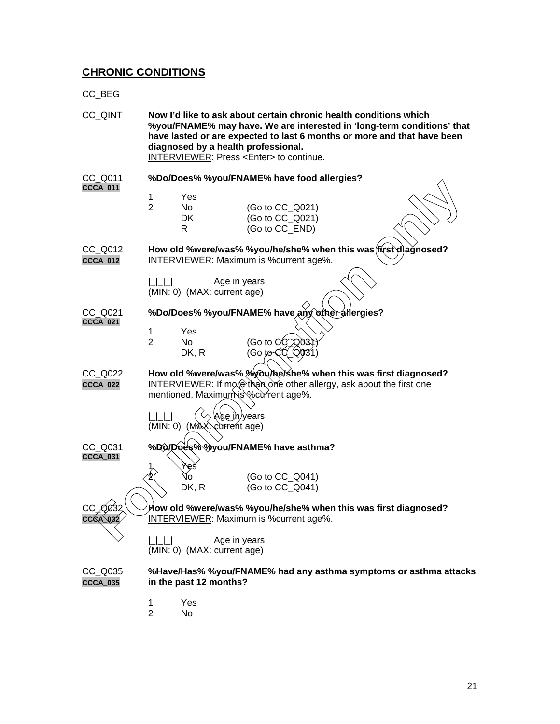## **CHRONIC CONDITIONS**

CC\_BEG

CC\_QINT **Now I'd like to ask about certain chronic health conditions which %you/FNAME% may have. We are interested in 'long-term conditions' that have lasted or are expected to last 6 months or more and that have been diagnosed by a health professional.** INTERVIEWER: Press <Enter> to continue. %Do/Does% %you/FNAME% have food allergies? CC\_Q011<br>**CCCA\_011** 1 Yes 2 No (Go to CC\_Q021) DK (Go to CC\_Q021)<br>R (Go to CC\_END)  $(Go \text{ to CC END})$ CC\_Q012 **How old %were/was% %you/he/she% when this was first diagnosed? CCCA\_012** INTERVIEWER: Maximum is %current age%. |\_|\_|\_| Age in years (MIN: 0) (MAX: current age) CC\_Q021 **%Do/Does% %you/FNAME% have any other allergies? CCCA\_021** 1 Yes<br>2 No No  $\qquad \qquad$  (Go to  $\alpha \infty$ )  $DK, R$  (Go to C CC\_Q022 **How old %were/was% %you/he/she% when this was first diagnosed? CCCA\_022** INTERVIEWER: If more than one other allergy, ask about the first one mentioned. Maximum is %current age%.  $|L|L|$   $(\Diamond \Diamond \text{Age } h)$ years (MIN: 0) (MAX: current age) CC\_Q031 **%Do/Does% %you/FNAME% have asthma? CCCA\_031** 1 \Yes  $\text{No}$  (Go to CC\_Q041) DK, R (Go to CC\_Q041) CC\_Q032 **How old %were/was% %you/he/she% when this was first diagnosed? CCCA\_032** INTERVIEWER: Maximum is %current age%. | | | | Age in years (MIN: 0) (MAX: current age) CC\_Q035 **%Have/Has% %you/FNAME% had any asthma symptoms or asthma attacks CCCA\_035 in the past 12 months?** 1 Yes<br>2 No  $No$ **Example 1998**<br>
The model of the CG to CC G021)<br>
IN (Go to CC G021)<br>
IN (Go to CC G021)<br>
IN (Go to CC G021)<br>
IN How old "werelwas" is "woulfhelshe" when this was first diagnosed?<br>
INTERVIEWER Maximum is "scurrent age".<br>
2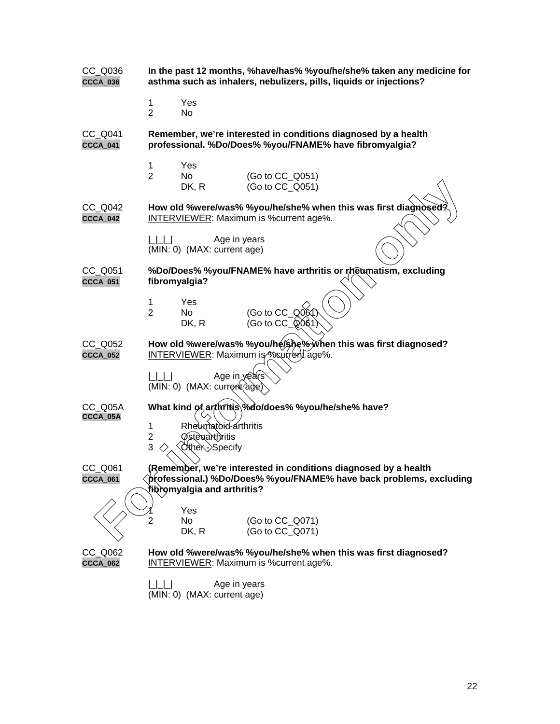| $CC_$ Q036<br>CCCA_036        | In the past 12 months, %have/has% %you/he/she% taken any medicine for<br>asthma such as inhalers, nebulizers, pills, liquids or injections?                           |
|-------------------------------|-----------------------------------------------------------------------------------------------------------------------------------------------------------------------|
|                               | Yes<br>1<br>$\overline{2}$<br>No                                                                                                                                      |
| CC_Q041<br>CCCA_041           | Remember, we're interested in conditions diagnosed by a health<br>professional. %Do/Does% %you/FNAME% have fibromyalgia?                                              |
|                               | Yes<br>1<br>$\overline{2}$<br>No<br>(Go to CC_Q051)<br>(Go to CC_Q051)<br>DK, R                                                                                       |
| CC_Q042<br>CCCA_042           | How old %were/was% %you/he/she% when this was first diagnosed?<br><b>INTERVIEWER:</b> Maximum is % current age%.                                                      |
|                               | Age in years<br>(MIN: 0) (MAX: current age)                                                                                                                           |
| $CC_$ Q051<br><b>CCCA_051</b> | %Do/Does% %you/FNAME% have arthritis or rheumatism, excluding<br>fibromyalgia?                                                                                        |
|                               | Yes<br>1<br>$\overline{2}$<br>$(Go \text{ to } CC_Q 06)$<br>No<br>(Go to CC_Q0@1)<br>DK, R                                                                            |
| CC_Q052<br>CCCA_052           | How old %were/was% %you/he/she%, when this was first diagnosed?<br><b>INTERVIEWER:</b> Maximum is <i>coultent</i> age%.                                               |
|                               | Age in years<br>(MIN: 0) (MAX: current age)                                                                                                                           |
| CC_Q05A<br>CCCA_05A           | What kind of arthritis %do/does% %you/he/she% have?<br>Rheumatoid arthritis<br>1<br><b>Østeoarthritis</b><br>$\overline{\mathbf{c}}$<br>3<br>Other-Specify            |
| CC_Q061<br>CCCA_061           | (Remember, we're interested in conditions diagnosed by a health<br>)professional.) %Do/Does% %you/FNAME% have back problems, excluding<br>tibromyalgia and arthritis? |
|                               | Yes<br>No<br>(Go to CC_Q071)<br>2<br>(Go to CC_Q071)<br>DK, R                                                                                                         |
| CC_Q062<br>CCCA_062           | How old %were/was% %you/he/she% when this was first diagnosed?<br><b>INTERVIEWER:</b> Maximum is % current age%.                                                      |
|                               | Age in years<br>(MIN: 0) (MAX: current age)                                                                                                                           |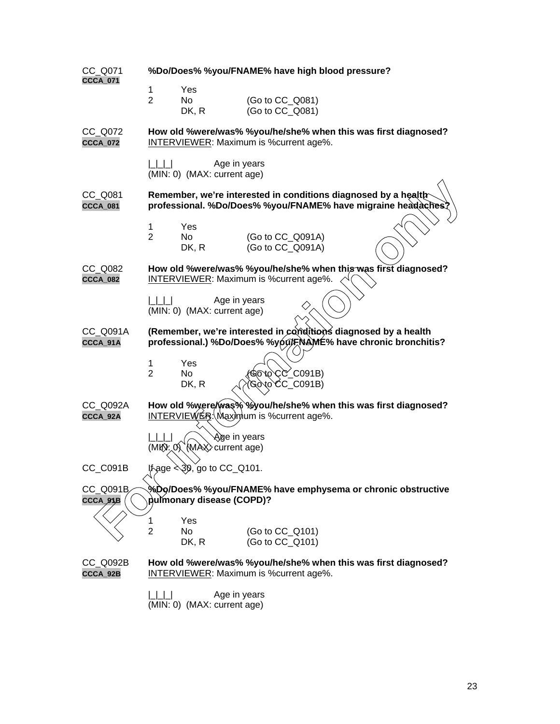| CC_Q071<br><b>CCCA_071</b>    | %Do/Does% %you/FNAME% have high blood pressure?                                                                                |
|-------------------------------|--------------------------------------------------------------------------------------------------------------------------------|
|                               | Yes<br>1                                                                                                                       |
|                               | $\overline{2}$<br>No<br>(Go to CC_Q081)                                                                                        |
|                               | (Go to CC_Q081)<br>DK, R                                                                                                       |
| CC Q072<br><b>CCCA_072</b>    | How old %were/was% %you/he/she% when this was first diagnosed?<br><b>INTERVIEWER:</b> Maximum is %current age%.                |
|                               | Age in years<br>(MIN: 0) (MAX: current age)                                                                                    |
| CC_Q081<br>CCCA_081           | Remember, we're interested in conditions diagnosed by a health<br>professional. %Do/Does% %you/FNAME% have migraine headaches? |
|                               | Yes<br>1                                                                                                                       |
|                               | $\overline{2}$<br>(Go to CC_Q091A)<br>No                                                                                       |
|                               | (Go to CC_Q091A)<br>DK, R                                                                                                      |
| $CC_$ Q082<br><b>CCCA_082</b> | How old %were/was% %you/he/she% when this was first diagnosed?<br><b>INTERVIEWER:</b> Maximum is %current age%.                |
|                               | Age in years<br>(MIN: 0) (MAX: current age)                                                                                    |
| CC_Q091A                      | (Remember, we're interested in conditions diagnosed by a health                                                                |
| CCCA_91A                      | professional.) %Do/Does% %you/FNAME% have chronic bronchitis?                                                                  |
|                               | Yes<br>1                                                                                                                       |
|                               | $\overline{2}$<br>GOto CC_C091B)<br>No                                                                                         |
|                               | Gòto CC_C091B)<br>DK, R                                                                                                        |
| CC_Q092A<br>CCCA_92A          | How old %were/was% %you/he/she% when this was first diagnosed?<br><b>INTERVIEWER: Maximum is % current age%.</b>               |
|                               | Age in years<br>(MK): 0 (MAX) current age)                                                                                     |
| CC_C091B                      |                                                                                                                                |
| CC_Q091B<br>CCCA_9}B          | %Do/Does% %you/FNAME% have emphysema or chronic obstructive<br>pulmonary disease (COPD)?                                       |
|                               | Yes<br>1                                                                                                                       |
|                               | $\overline{2}$<br>(Go to CC_Q101)<br>No.                                                                                       |
|                               | (Go to CC_Q101)<br>DK, R                                                                                                       |
| CC_Q092B<br>CCCA_92B          | How old %were/was% %you/he/she% when this was first diagnosed?<br><b>INTERVIEWER:</b> Maximum is % current age%.               |
|                               | Age in years<br>(MIN: 0) (MAX: current age)                                                                                    |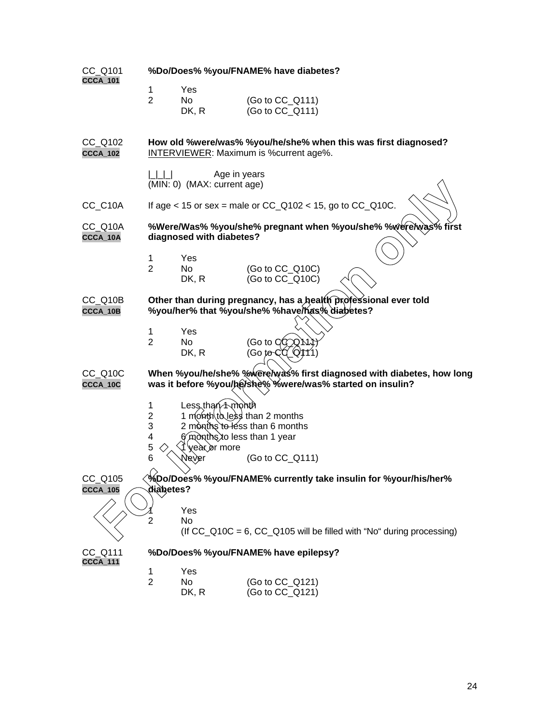| CC_Q101<br><b>CCCA_101</b> | %Do/Does% %you/FNAME% have diabetes? |                                              |                                                                 |                                                                             |
|----------------------------|--------------------------------------|----------------------------------------------|-----------------------------------------------------------------|-----------------------------------------------------------------------------|
|                            | 1                                    | Yes                                          |                                                                 |                                                                             |
|                            | $\overline{2}$                       | No                                           | (Go to CC_Q111)                                                 |                                                                             |
|                            |                                      | DK, R                                        | (Go to CC_Q111)                                                 |                                                                             |
| CC_Q102<br><b>CCCA_102</b> |                                      |                                              | <b>INTERVIEWER:</b> Maximum is % current age%.                  | How old %were/was% %you/he/she% when this was first diagnosed?              |
|                            | $\Box$                               | Age in years<br>(MIN: 0) (MAX: current age)  |                                                                 |                                                                             |
| CC_C10A                    |                                      |                                              | If age < 15 or sex = male or $CC_Q$ 102 < 15, go to $CC_Q$ 10C. |                                                                             |
| CC_Q10A<br>CCCA_10A        |                                      | diagnosed with diabetes?                     |                                                                 | %Were/Was% %you/she% pregnant when %you/she% %were/was% first               |
|                            |                                      |                                              |                                                                 |                                                                             |
|                            | 1<br>$\overline{2}$                  | Yes<br>No                                    | (Go to CC_Q10C)                                                 |                                                                             |
|                            |                                      | DK, R                                        | (Go to CC_Q10C)                                                 |                                                                             |
| CC Q10B<br>CCCA_10B        |                                      |                                              | %you/her% that %you/she% %have/has% diabetes?                   | Other than during pregnancy, has a health professional ever told            |
|                            | 1                                    | Yes                                          |                                                                 |                                                                             |
|                            | $\overline{2}$                       | No.<br>DK, R                                 | (Go to ClC Q N ነ<br>(Go to CO_Q/111)                            |                                                                             |
| CC_Q10C<br>CCCA_10C        |                                      |                                              | was it before %you/he/she% %were/was% started on insulin?       | When %you/he/she% %were/was% first diagnosed with diabetes, how long        |
|                            | 1                                    | Less than A month                            |                                                                 |                                                                             |
|                            | $\overline{2}$                       | 1 month to less than 2 months                |                                                                 |                                                                             |
|                            | 3                                    |                                              | 2 months to less than 6 months                                  |                                                                             |
|                            | 4                                    | 6 months to less than 1 year<br>year or more |                                                                 |                                                                             |
|                            | 5<br>6                               | Ņever                                        | (Go to CC_Q111)                                                 |                                                                             |
| CC_Q105<br><b>CCCA_105</b> | diabetes?                            |                                              |                                                                 | %Do/Does% %you/FNAME% currently take insulin for %your/his/her%             |
|                            |                                      |                                              |                                                                 |                                                                             |
|                            | 2                                    | Yes<br>No                                    |                                                                 |                                                                             |
|                            |                                      |                                              |                                                                 | (If $CC\_Q10C = 6$ , $CC\_Q105$ will be filled with "No" during processing) |
| CC_Q111<br><b>CCCA_111</b> |                                      |                                              | %Do/Does% %you/FNAME% have epilepsy?                            |                                                                             |
|                            | 1                                    | Yes                                          |                                                                 |                                                                             |
|                            | $\overline{2}$                       | No                                           | (Go to CC_Q121)                                                 |                                                                             |
|                            |                                      | DK, R                                        | (Go to CC_Q121)                                                 |                                                                             |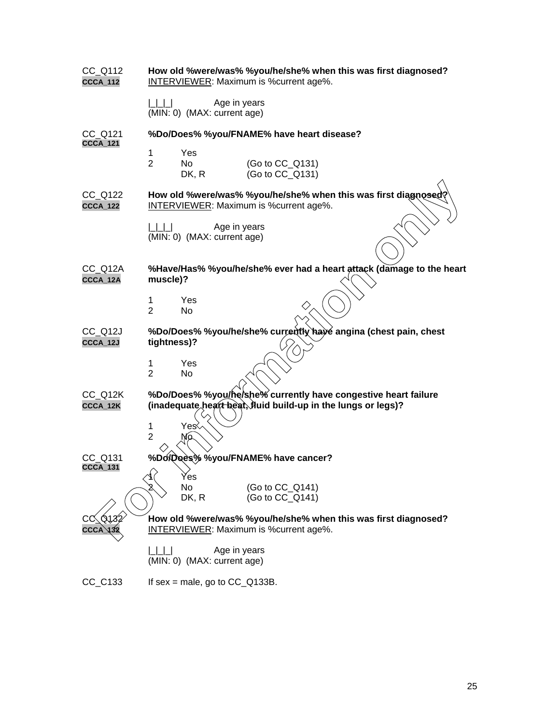| $CC_$ Q112<br><b>CCCA_112</b> | How old %were/was% %you/he/she% when this was first diagnosed?<br><b>INTERVIEWER:</b> Maximum is % current age%.                |
|-------------------------------|---------------------------------------------------------------------------------------------------------------------------------|
|                               | Age in years<br>(MIN: 0) (MAX: current age)                                                                                     |
| CC Q121                       | %Do/Does% %you/FNAME% have heart disease?                                                                                       |
| <b>CCCA_121</b>               | 1<br>Yes<br>$\overline{2}$<br>No<br>(Go to CC Q131)<br>(Go to CC_Q131)<br>DK, R                                                 |
| CC_Q122<br><b>CCCA_122</b>    | How old %were/was% %you/he/she% when this was first diagnosed?<br><b>INTERVIEWER:</b> Maximum is % current age%.                |
|                               | Age in years<br>(MIN: 0) (MAX: current age)                                                                                     |
| CC_Q12A<br>CCCA_12A           | %Have/Has% %you/he/she% ever had a heart attack (damage to the heart<br>muscle)?                                                |
|                               | 1<br>Yes<br>$\overline{2}$<br>No                                                                                                |
| CC_Q12J<br>CCCA_12J           | %Do/Does% %you/he/she% currently have angina (chest pain, chest<br>tightness)?                                                  |
|                               | Yes<br>1<br>$\overline{2}$<br>No                                                                                                |
| CC_Q12K<br>CCCA_12K           | %Do/Does% %you/he/she% currently have congestive heart failure<br>(inadequate heart beat, fluid build-up in the lungs or legs)? |
|                               | Yes≷<br>1<br>$\overline{2}$<br>Mо                                                                                               |
| CC Q131<br><b>CCCA_131</b>    | %Do/Does% %you/FNAME% have cancer?                                                                                              |
|                               | ନ><br>r es<br>No<br>(Go to CC_Q141)<br>(Go to CC_Q141)<br>DK, R                                                                 |
| . Q132                        | How old %were/was% %you/he/she% when this was first diagnosed?<br><b>INTERVIEWER:</b> Maximum is % current age%.                |
|                               | Age in years<br>(MIN: 0) (MAX: current age)                                                                                     |
| $CC_C133$                     | If sex = male, go to $CC$ $Q$ 133B.                                                                                             |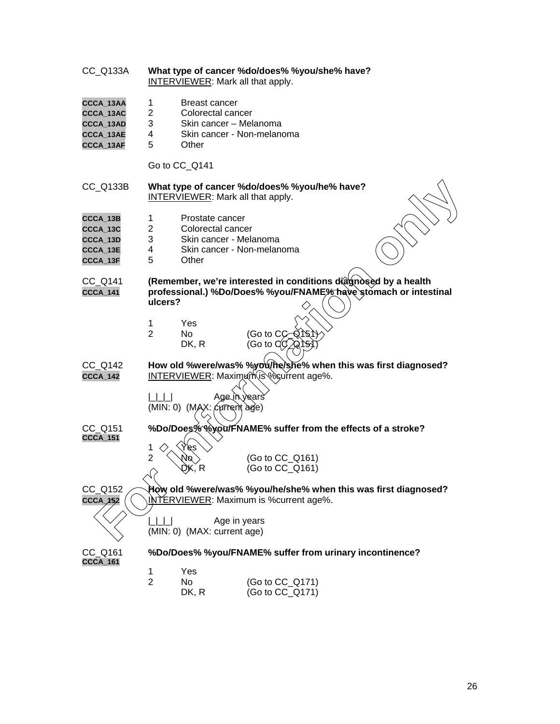| CC_Q133A                                                      |                                                                                                                                               |                                                    | What type of cancer %do/does% %you/she% have?<br><b>INTERVIEWER:</b> Mark all that apply.                        |
|---------------------------------------------------------------|-----------------------------------------------------------------------------------------------------------------------------------------------|----------------------------------------------------|------------------------------------------------------------------------------------------------------------------|
| CCCA_13AA<br>CCCA_13AC<br>CCCA_13AD<br>CCCA_13AE<br>CCCA_13AF | 1<br>2<br>3<br>4<br>5                                                                                                                         | <b>Breast cancer</b><br>Colorectal cancer<br>Other | Skin cancer - Melanoma<br>Skin cancer - Non-melanoma                                                             |
|                                                               |                                                                                                                                               | Go to CC_Q141                                      |                                                                                                                  |
| CC_Q133B                                                      |                                                                                                                                               |                                                    | What type of cancer %do/does% %you/he% have?<br><b>INTERVIEWER:</b> Mark all that apply.                         |
| CCCA_13B<br>CCCA_13C<br>CCCA_13D<br>CCCA_13E<br>CCCA_13F      | 1<br>2<br>3<br>4<br>5                                                                                                                         | Prostate cancer<br>Colorectal cancer<br>Other      | Skin cancer - Melanoma<br>Skin cancer - Non-melanoma                                                             |
| CC_Q141<br>CCCA_141                                           | (Remember, we're interested in conditions diagnosed by a health<br>professional.) %Do/Does% %you/FNAME% have stomach or intestinal<br>ulcers? |                                                    |                                                                                                                  |
|                                                               | 1<br>$\overline{2}$                                                                                                                           | Yes<br><b>No</b><br>DK, R                          | (Go to CC Q15TY<br>(Go to QC∕Q15                                                                                 |
| CC Q142<br>CCCA_142                                           |                                                                                                                                               |                                                    | How old %were/was% %you/he/she% when this was first diagnosed?<br>INTERVIEWER: Maximum is locurrent age%.        |
|                                                               |                                                                                                                                               | (MIN: 0) (MAX: current age)                        | <b>Age in years</b>                                                                                              |
| CC Q151<br>CCCA_151                                           | 1                                                                                                                                             | уg                                                 | %Do/Does%%you/FNAME% suffer from the effects of a stroke?                                                        |
|                                                               | $\overline{2}$                                                                                                                                | K, R                                               | (Go to CC_Q161)<br>(Go to CC_Q161)                                                                               |
| CC_Q152<br>CCCA <sub>452</sub>                                |                                                                                                                                               |                                                    | How old %were/was% %you/he/she% when this was first diagnosed?<br><b>INTERVIEWER:</b> Maximum is % current age%. |
|                                                               |                                                                                                                                               | (MIN: 0) (MAX: current age)                        | Age in years                                                                                                     |
| CC_Q161<br>CCCA_161                                           |                                                                                                                                               |                                                    | %Do/Does% %you/FNAME% suffer from urinary incontinence?                                                          |
|                                                               | 1<br>$\overline{2}$                                                                                                                           | Yes<br>No<br>DK, R                                 | (Go to CC_Q171)<br>(Go to CC_Q171)                                                                               |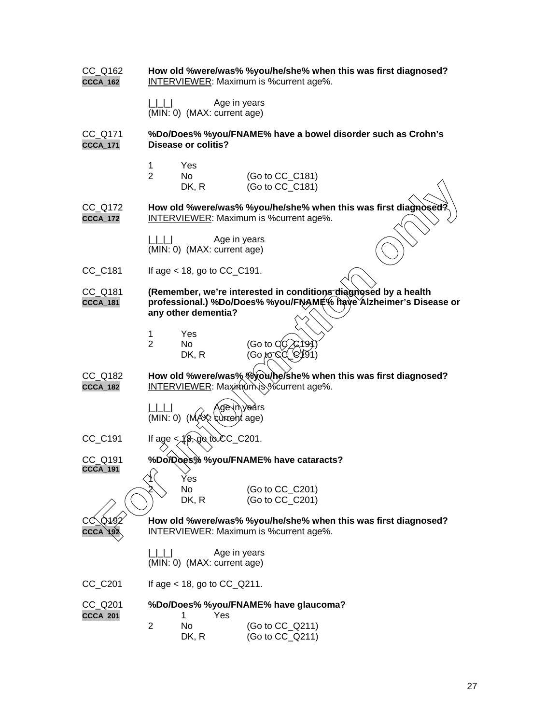CC\_Q162 **How old %were/was% %you/he/she% when this was first diagnosed? CCCA\_162** INTERVIEWER: Maximum is %current age%. | | | | Age in years (MIN: 0) (MAX: current age) CC\_Q171 **%Do/Does% %you/FNAME% have a bowel disorder such as Crohn's CCCA\_171 Disease or colitis?** 1 Yes 2 No (Go to CC\_C181)<br>DK. R (Go to CC\_C181)  $(Go to CC C181)$ CC\_Q172 **How old %were/was% %you/he/she% when this was first diagnose CCCA\_172** INTERVIEWER: Maximum is %current age%.  $| \_| \_$  Age in years (MIN: 0) (MAX: current age)  $CC_C181$  If age < 18, go to  $CC_C191$ . CC\_Q181 (Remember, we're interested in conditions diagnosed by a health **CCCA\_181 professional.) %Do/Does% %you/FNAME% have Alzheimer's Disease or any other dementia?** 1 Yes No (Go to Q DK, R (Go to C CC\_Q182 **How old %were/was% %you/he/she% when this was first diagnosed?** CCCA\_182 **INTERVIEWER:** Μαχιτήλιτη is %current age%. ge in years  $(MIN: 0)$   $(MA X; \text{curv} \text{and} \text{age})$  $CC\_C191$  If age  $\leq \sqrt{8}$ , go to  $CC\_C201$ . %Do/Does% %you/FNAME% have cataracts? **CCCA\_191** Yes No (Go to CC\_C201) DK, R (Go to CC\_C201) How old %were/was% %you/he/she% when this was first diagnosed? **CCCA\_192** INTERVIEWER: Maximum is %current age%. | | | | Age in years (MIN: 0) (MAX: current age)  $CC\_C201$  If age < 18, go to  $CC\_Q211$ . CC\_Q201 **%Do/Does% %you/FNAME% have glaucoma? CCCA\_201** 1 Yes 2 No (Go to CC\_Q211) DK, R (Go to CC\_Q211) DK, R (Go to CC\_C181)<br> **FOR INTERVIEWER:** Maximum is %current age%.<br> **FOR INTERVIEWER:** Maximum is were considered as the set of the set of the set of the set of the set of the set of the set of the set of the set of the s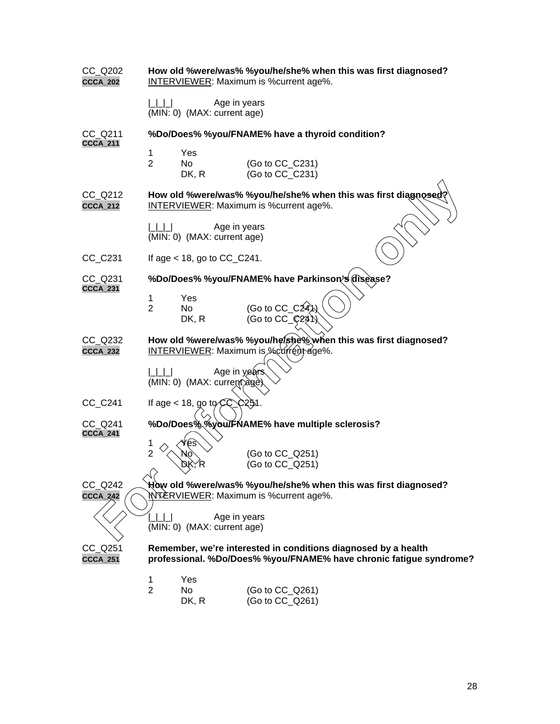| $CC_$ Q202<br><b>CCCA_202</b> | How old %were/was% %you/he/she% when this was first diagnosed?<br>INTERVIEWER: Maximum is %current age%.                             |
|-------------------------------|--------------------------------------------------------------------------------------------------------------------------------------|
|                               | Age in years<br>(MIN: 0) (MAX: current age)                                                                                          |
| CC Q211<br><b>CCCA_211</b>    | %Do/Does% %you/FNAME% have a thyroid condition?                                                                                      |
|                               | 1<br>Yes<br>$\overline{2}$<br>(Go to CC_C231)<br>No.<br>DK, R<br>(Go to CC C231)                                                     |
| CC_Q212<br><b>CCCA_212</b>    | How old %were/was% %you/he/she% when this was first diagnosed?<br><b>INTERVIEWER:</b> Maximum is % current age%.                     |
|                               | Age in years<br>$\begin{array}{c} \begin{array}{c} \end{array}$<br>(MIN: 0) (MAX: current age)                                       |
| $CC_C231$                     | If age $<$ 18, go to CC_C241.                                                                                                        |
| $CC_$ Q231<br><b>CCCA_231</b> | %Do/Does% %you/FNAME% have Parkinson's disease?                                                                                      |
|                               | Yes<br>1<br>(Go to $CC_C24A)$ )<br>$\overline{2}$<br>No<br>(Go to CC $\binom{24}{1}$<br>DK, R                                        |
| $CC_$ Q232<br><b>CCCA_232</b> | How old %were/was% %you/he/she% when this was first diagnosed?<br>INTERVIEWER: Maximum is %current age%.                             |
|                               | Age in years.<br>(MIN: 0) (MAX: current)age)                                                                                         |
| CC_C241                       | <b>C251.</b><br>If age < 18, go to $CC$                                                                                              |
| CC_Q241<br>CCCA_241           | %Do/Does% %you/FNAME% have multiple sclerosis?                                                                                       |
|                               | 1<br>$\overline{2}$<br>(Go to CC_Q251)<br>(Go to CC_Q251)                                                                            |
| CC Q242<br><b>CCCA_242</b>    | How old %were/was% %you/he/she% when this was first diagnosed?<br><b>NYERVIEWER: Maximum is %current age%.</b>                       |
|                               | Age in years<br>(MIN: 0) (MAX: current age)                                                                                          |
| CC_Q251<br>CCCA_251           | Remember, we're interested in conditions diagnosed by a health<br>professional. %Do/Does% %you/FNAME% have chronic fatigue syndrome? |
|                               | Yes<br>1<br>$\overline{2}$<br>No<br>(Go to CC_Q261)<br>(Go to CC_Q261)<br>DK, R                                                      |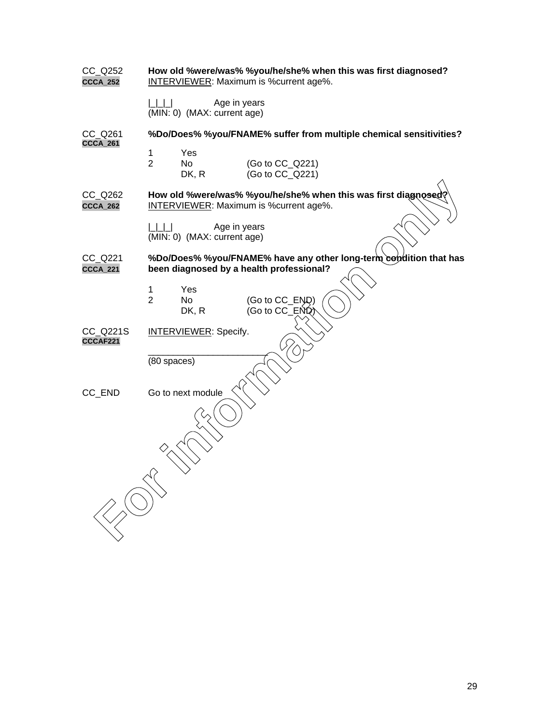| CC_Q252<br>CCCA_252        | How old %were/was% %you/he/she% when this was first diagnosed?<br><b>INTERVIEWER: Maximum is %current age%.</b> |
|----------------------------|-----------------------------------------------------------------------------------------------------------------|
|                            | Age in years<br>1 1 1 1<br>(MIN: 0) (MAX: current age)                                                          |
| CC Q261<br><b>CCCA_261</b> | %Do/Does% %you/FNAME% suffer from multiple chemical sensitivities?                                              |
|                            | 1<br>Yes<br>$\overline{2}$<br>No<br>(Go to CC_Q221)<br>(Go to CC_Q221)<br>DK, R                                 |
| CC_Q262<br><b>CCCA_262</b> | How old %were/was% %you/he/she% when this was first diagnosed?<br><b>INTERVIEWER: Maximum is %current age%.</b> |
|                            | Age in years<br>   1  1  1<br>(MIN: 0) (MAX: current age)                                                       |
| CC_Q221<br><b>CCCA_221</b> | %Do/Does% %you/FNAME% have any other long-term condition that has<br>been diagnosed by a health professional?   |
|                            | 1<br>Yes<br>$\overline{2}$<br>No<br>(Go to CC_END)<br>(Go to CC_END)<br>DK, R                                   |
| CC_Q221S<br>CCCAF221       | <b>INTERVIEWER: Specify.</b>                                                                                    |
|                            | (80 spaces)                                                                                                     |
| CC_END                     | Go to next module                                                                                               |
|                            |                                                                                                                 |
|                            |                                                                                                                 |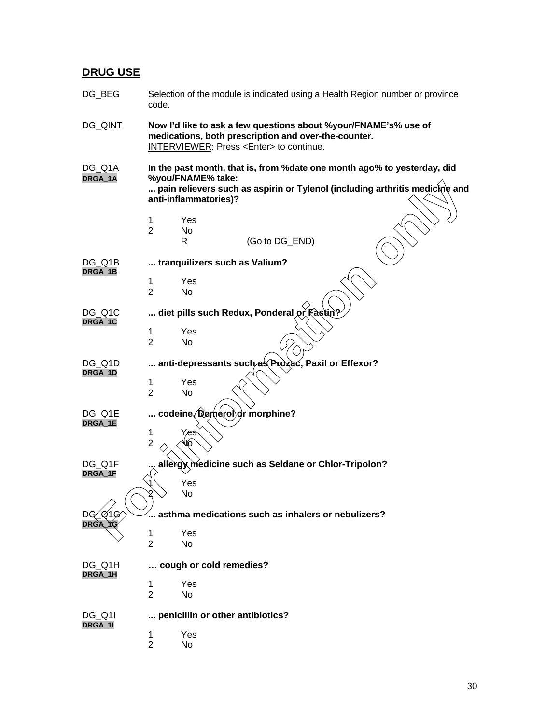# **DRUG USE**

| DG_BEG                 | Selection of the module is indicated using a Health Region number or province<br>code.                                                                                                                |
|------------------------|-------------------------------------------------------------------------------------------------------------------------------------------------------------------------------------------------------|
| DG_QINT                | Now I'd like to ask a few questions about %your/FNAME's% use of<br>medications, both prescription and over-the-counter.<br><b>INTERVIEWER: Press <enter> to continue.</enter></b>                     |
| DG_Q1A<br>DRGA_1A      | In the past month, that is, from % date one month ago% to yesterday, did<br>%you/FNAME% take:<br>pain relievers such as aspirin or Tylenol (including arthritis medictne and<br>anti-inflammatories)? |
|                        | Yes<br>1                                                                                                                                                                                              |
|                        | $\overline{2}$<br>No                                                                                                                                                                                  |
|                        | (Go to DG_END)<br>R                                                                                                                                                                                   |
| DG Q1B<br>DRGA_1B      | tranquilizers such as Valium?                                                                                                                                                                         |
|                        | Yes<br>1                                                                                                                                                                                              |
|                        | $\overline{2}$<br>No                                                                                                                                                                                  |
| DG_Q1C<br>DRGA_1C      | diet pills such Redux, Ponderal or Fastin?                                                                                                                                                            |
|                        | Yes<br>1                                                                                                                                                                                              |
|                        | $\overline{2}$<br><b>No</b>                                                                                                                                                                           |
| DG Q1D<br>DRGA_1D      | anti-depressants such as Prozac, Paxil or Effexor?                                                                                                                                                    |
|                        | Yes<br>1                                                                                                                                                                                              |
|                        | $\overline{2}$<br><b>No</b>                                                                                                                                                                           |
| DG Q1E                 | codeine (Qemerol)or morphine?                                                                                                                                                                         |
| DRGA_1E                | 1<br>Yes                                                                                                                                                                                              |
|                        | $\overline{2}$<br>Vo                                                                                                                                                                                  |
| DG_Q1F                 | allergy medicine such as Seldane or Chlor-Tripolon?                                                                                                                                                   |
| DRGA_1F                |                                                                                                                                                                                                       |
|                        | Yes<br>No                                                                                                                                                                                             |
|                        |                                                                                                                                                                                                       |
| Q1G)<br>DG.<br>DRGA 1G | $\mathrel{\ldots}$ asthma medications such as inhalers or nebulizers?                                                                                                                                 |
|                        | Yes<br>1                                                                                                                                                                                              |
|                        | $\overline{2}$<br>No.                                                                                                                                                                                 |
| DG_Q1H<br>DRGA_1H      | cough or cold remedies?                                                                                                                                                                               |
|                        | 1<br>Yes                                                                                                                                                                                              |
|                        | $\overline{2}$<br>No                                                                                                                                                                                  |
| DG Q1I<br>DRGA_1I      | penicillin or other antibiotics?                                                                                                                                                                      |
|                        | Yes<br>1                                                                                                                                                                                              |
|                        | $\overline{c}$<br>No                                                                                                                                                                                  |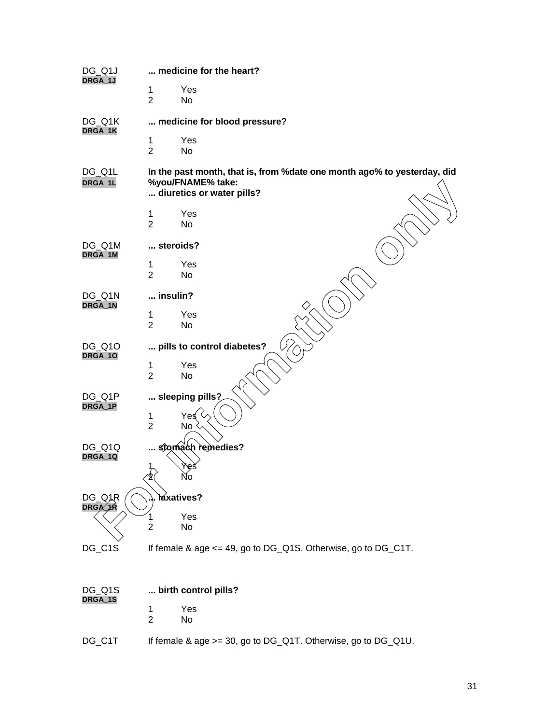| DG_Q1J<br>DRGA_1J           | medicine for the heart?                                                                                                    |
|-----------------------------|----------------------------------------------------------------------------------------------------------------------------|
|                             | Yes<br>1<br>$\overline{2}$<br>No                                                                                           |
| DG_Q1K<br>DRGA_1K           | medicine for blood pressure?                                                                                               |
|                             | Yes<br>1<br>$\overline{2}$<br>No                                                                                           |
| DG_Q1L<br>DRGA_1L           | In the past month, that is, from % date one month ago% to yesterday, did<br>%you/FNAME% take:<br>diuretics or water pills? |
|                             | $\mathbf 1$<br>Yes                                                                                                         |
|                             | $\overline{2}$<br>No                                                                                                       |
| DG_Q1M<br>DRGA_1M           | steroids?                                                                                                                  |
|                             | Yes<br>1<br>$\overline{2}$<br>No                                                                                           |
| DG_Q1N<br>DRGA_1N           | insulin?                                                                                                                   |
|                             | Yes<br>1                                                                                                                   |
|                             | $\overline{2}$<br>No                                                                                                       |
| DG_Q10<br>DRGA_10           | pills to control diabetes?                                                                                                 |
|                             | Yes<br>$\mathbf 1$                                                                                                         |
|                             | $\overline{2}$<br>No                                                                                                       |
| DG_Q1P                      | sleeping pills?                                                                                                            |
| DRGA_1P                     | Yeई<br>1                                                                                                                   |
|                             | $\overline{2}$<br>No                                                                                                       |
| DG_Q1Q<br>DRGA_1Q           | stomach remedies?                                                                                                          |
|                             | $\frac{1}{2}$<br>Yes<br><b>NO</b>                                                                                          |
| DG_QAR<br><b>DRGA</b><br>ΛR | Yaxatives?                                                                                                                 |
|                             | Yes<br>No<br>$\overline{2}$                                                                                                |
| DG_C1S                      | If female & age <= 49, go to DG_Q1S. Otherwise, go to DG_C1T.                                                              |
|                             |                                                                                                                            |
|                             |                                                                                                                            |

| DG Q1S<br>DRGA_1S | birth control pills?                                             |  |  |
|-------------------|------------------------------------------------------------------|--|--|
|                   | Yes                                                              |  |  |
|                   | 2<br>N٥                                                          |  |  |
| DG C1T            | If female & age $>= 30$ , go to DG_Q1T. Otherwise, go to DG_Q1U. |  |  |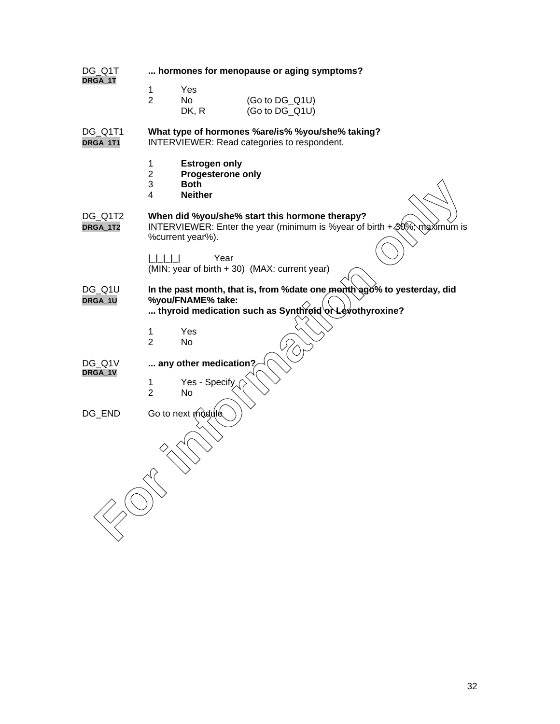| DG_Q1T<br>DRGA_1T   | hormones for menopause or aging symptoms?                                                                                                               |  |  |  |  |
|---------------------|---------------------------------------------------------------------------------------------------------------------------------------------------------|--|--|--|--|
|                     | 1<br>Yes<br>$\overline{2}$<br>No<br>(Go to DG_Q1U)<br>(Go to DG_Q1U)<br>DK, R                                                                           |  |  |  |  |
| DG_Q1T1<br>DRGA_1T1 | What type of hormones %are/is% %you/she% taking?<br><b>INTERVIEWER:</b> Read categories to respondent.                                                  |  |  |  |  |
|                     | 1<br><b>Estrogen only</b><br>$\overline{2}$<br>Progesterone only<br>3<br><b>Both</b><br>4<br><b>Neither</b>                                             |  |  |  |  |
| DG_Q1T2<br>DRGA_1T2 | When did %you/she% start this hormone therapy?<br>INTERVIEWER: Enter the year (minimum is %year of birth + 30%)<br>maximum is<br>%current year%).       |  |  |  |  |
|                     | Year<br>(MIN: year of birth + 30) (MAX: current year)                                                                                                   |  |  |  |  |
| DG_Q1U<br>DRGA_1U   | In the past month, that is, from % date one month ago% to yesterday, did<br>%you/FNAME% take:<br>thyroid medication such as Synthroid or Levothyroxine? |  |  |  |  |
|                     | Yes<br>1<br>$\overline{2}$<br>No                                                                                                                        |  |  |  |  |
| DG Q1V<br>DRGA_1V   | any other medication?                                                                                                                                   |  |  |  |  |
|                     | Yes - Specify<br>1<br>$\overline{2}$<br>No                                                                                                              |  |  |  |  |
| DG_END              | Go to next module                                                                                                                                       |  |  |  |  |
|                     |                                                                                                                                                         |  |  |  |  |
|                     |                                                                                                                                                         |  |  |  |  |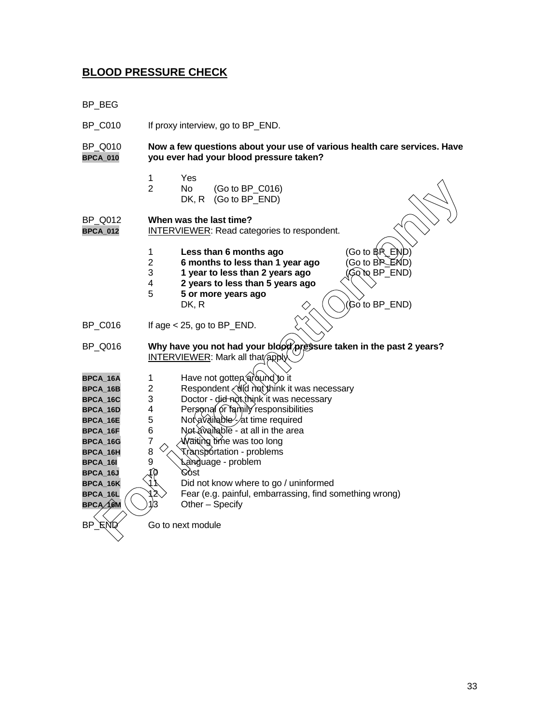# **BLOOD PRESSURE CHECK**

BP\_BEG

| <b>BP_C010</b>                                                                                                                                           | If proxy interview, go to BP_END.                                                                                                                                                                                                                                                                                                                                                                                                                                                                                                 |  |  |  |  |
|----------------------------------------------------------------------------------------------------------------------------------------------------------|-----------------------------------------------------------------------------------------------------------------------------------------------------------------------------------------------------------------------------------------------------------------------------------------------------------------------------------------------------------------------------------------------------------------------------------------------------------------------------------------------------------------------------------|--|--|--|--|
| BP_Q010<br><b>BPCA_010</b>                                                                                                                               | Now a few questions about your use of various health care services. Have<br>you ever had your blood pressure taken?                                                                                                                                                                                                                                                                                                                                                                                                               |  |  |  |  |
|                                                                                                                                                          | Yes<br>1<br>$\overline{2}$<br>N <sub>o</sub><br>(Go to BP_C016)<br>DK, R<br>(Go to BP END)                                                                                                                                                                                                                                                                                                                                                                                                                                        |  |  |  |  |
| <b>BP Q012</b><br><b>BPCA_012</b>                                                                                                                        | When was the last time?<br><b>INTERVIEWER:</b> Read categories to respondent.                                                                                                                                                                                                                                                                                                                                                                                                                                                     |  |  |  |  |
|                                                                                                                                                          | $(Go to BR$ $END)$<br>1<br>Less than 6 months ago<br>(Go to BP_END)<br>$\overline{2}$<br>6 months to less than 1 year ago<br>3<br>1 year to less than 2 years ago<br>GQ το BP_END)<br>$\overline{\mathbf{4}}$<br>2 years to less than 5 years ago<br>5<br>5 or more years ago<br>(Go to BP_END)<br>DK, R                                                                                                                                                                                                                          |  |  |  |  |
| <b>BP C016</b>                                                                                                                                           | If age $<$ 25, go to BP_END.                                                                                                                                                                                                                                                                                                                                                                                                                                                                                                      |  |  |  |  |
| BP_Q016                                                                                                                                                  | Why have you not had your blood pressure taken in the past 2 years?<br><b>INTERVIEWER: Mark all that apply</b>                                                                                                                                                                                                                                                                                                                                                                                                                    |  |  |  |  |
| BPCA_16A<br>BPCA_16B<br>BPCA_16C<br>BPCA_16D<br>BPCA_16E<br>BPCA_16F<br>BPCA_16G<br>BPCA_16H<br>BPCA_16I<br>BPCA_16J<br>BPCA_16K<br>BPCA_16L<br>BPCA∕16M | Have not gotten around to it<br>1<br>Respondent (did not think it was necessary<br>$\overline{2}$<br>Doctor - did not think it was necessary<br>3<br>Personal or family responsibilities<br>4<br>5<br>Not available - at time required<br>6<br>Not available - at all in the area<br>7<br>Waiting time was too long<br>8<br>Transportation - problems<br>9<br>Language - problem<br>Cost<br>(N<br>Did not know where to go / uninformed<br>Fear (e.g. painful, embarrassing, find something wrong)<br>2<br>1)3<br>Other - Specify |  |  |  |  |
| BP END                                                                                                                                                   | Go to next module                                                                                                                                                                                                                                                                                                                                                                                                                                                                                                                 |  |  |  |  |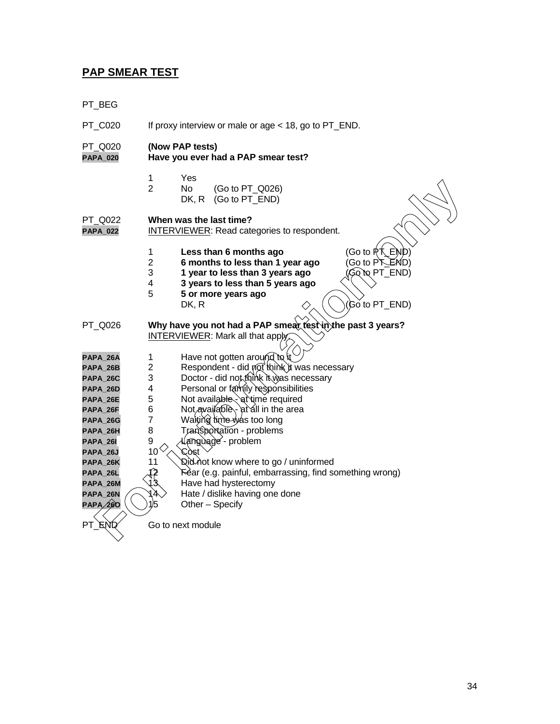# **PAP SMEAR TEST**

PT\_BEG

| <b>PT C020</b>             | If proxy interview or male or age < 18, go to PT_END.  |                                                                                                                                                                                                                                           |  |  |  |
|----------------------------|--------------------------------------------------------|-------------------------------------------------------------------------------------------------------------------------------------------------------------------------------------------------------------------------------------------|--|--|--|
| PT_Q020<br><b>PAPA_020</b> | (Now PAP tests)<br>Have you ever had a PAP smear test? |                                                                                                                                                                                                                                           |  |  |  |
|                            | 1<br>$\overline{2}$                                    | Yes<br>No.<br>(Go to PT_Q026)<br>(Go to PT_END)<br>DK, R                                                                                                                                                                                  |  |  |  |
| PT Q022<br><b>PAPA_022</b> |                                                        | When was the last time?<br><b>INTERVIEWER:</b> Read categories to respondent.                                                                                                                                                             |  |  |  |
|                            | 1<br>$\overline{2}$<br>3<br>4<br>5                     | (Go to RT_END)<br>Less than 6 months ago<br>(Go to PT_END)<br>6 months to less than 1 year ago<br>1 year to less than 3 years ago<br>(Go`to PT_END)<br>3 years to less than 5 years ago<br>5 or more years ago<br>(Go to PT_END)<br>DK, R |  |  |  |
| PT_Q026                    |                                                        | Why have you not had a PAP smear test in the past 3 years?<br><b>INTERVIEWER:</b> Mark all that apply,                                                                                                                                    |  |  |  |
| PAPA_26A                   | $\mathbf 1$                                            | Have not gotten around to it                                                                                                                                                                                                              |  |  |  |
| PAPA_26B                   | $\overline{2}$                                         | Respondent - did not think it was necessary                                                                                                                                                                                               |  |  |  |
| PAPA_26C                   | 3                                                      | Doctor - did not think it was necessary                                                                                                                                                                                                   |  |  |  |
| PAPA_26D                   | 4                                                      | Personal or family responsibilities                                                                                                                                                                                                       |  |  |  |
| PAPA_26E                   | 5                                                      | Not available - at time required                                                                                                                                                                                                          |  |  |  |
| PAPA_26F                   | 6                                                      | Not available \- at all in the area                                                                                                                                                                                                       |  |  |  |
| PAPA_26G                   | $\overline{7}$                                         | Waiting time was too long                                                                                                                                                                                                                 |  |  |  |
| PAPA_26H                   | 8                                                      | Transportation - problems                                                                                                                                                                                                                 |  |  |  |
| PAPA_26I                   | 9<br>〈.〉                                               | .anguage - problem                                                                                                                                                                                                                        |  |  |  |
| PAPA_26J                   | 10                                                     | Còst                                                                                                                                                                                                                                      |  |  |  |
| PAPA_26K                   | 11                                                     | ି ଧୂାଧ∕ Aot know where to go / uninformed                                                                                                                                                                                                 |  |  |  |
| PAPA_26L                   | 12<br>13                                               | Féar (e.g. painful, embarrassing, find something wrong)<br>Have had hysterectomy                                                                                                                                                          |  |  |  |
| PAPA_26M<br>PAPA_26N       | IA.                                                    | Hate / dislike having one done                                                                                                                                                                                                            |  |  |  |
| PAPA 260                   | 1/5                                                    | Other - Specify                                                                                                                                                                                                                           |  |  |  |
| PT_ENØ                     |                                                        | Go to next module                                                                                                                                                                                                                         |  |  |  |
|                            |                                                        |                                                                                                                                                                                                                                           |  |  |  |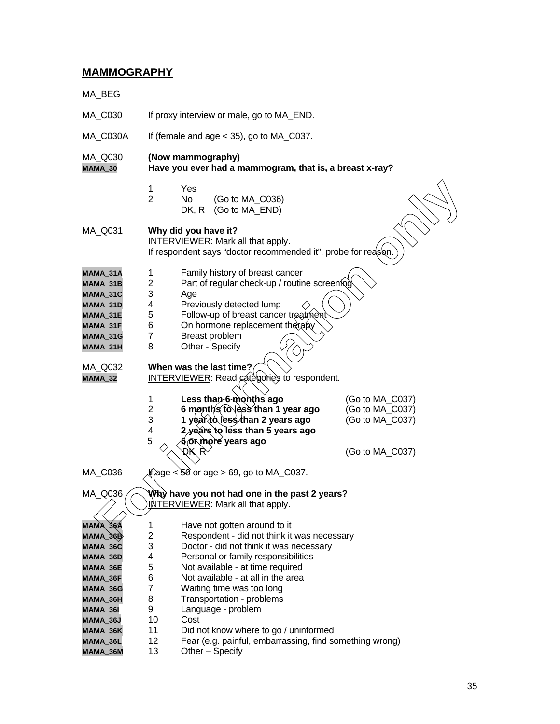# **MAMMOGRAPHY**

| MA_BEG                                                                                                               |                                                                                                                                   |                                                                                                                                                                                                                                                                                                                                 |                                                       |  |  |  |  |
|----------------------------------------------------------------------------------------------------------------------|-----------------------------------------------------------------------------------------------------------------------------------|---------------------------------------------------------------------------------------------------------------------------------------------------------------------------------------------------------------------------------------------------------------------------------------------------------------------------------|-------------------------------------------------------|--|--|--|--|
| MA_C030                                                                                                              | If proxy interview or male, go to MA_END.                                                                                         |                                                                                                                                                                                                                                                                                                                                 |                                                       |  |  |  |  |
| MA_C030A                                                                                                             | If (female and age $<$ 35), go to MA_C037.                                                                                        |                                                                                                                                                                                                                                                                                                                                 |                                                       |  |  |  |  |
| MA_Q030<br>MAMA_30                                                                                                   | (Now mammography)<br>Have you ever had a mammogram, that is, a breast x-ray?                                                      |                                                                                                                                                                                                                                                                                                                                 |                                                       |  |  |  |  |
|                                                                                                                      | 1<br>$\overline{2}$                                                                                                               | Yes<br>No.<br>(Go to MA_C036)<br>(Go to MA_END)<br>DK, R                                                                                                                                                                                                                                                                        |                                                       |  |  |  |  |
| MA_Q031                                                                                                              | Why did you have it?<br><b>INTERVIEWER:</b> Mark all that apply.<br>If respondent says "doctor recommended it", probe for reason. |                                                                                                                                                                                                                                                                                                                                 |                                                       |  |  |  |  |
| MAMA 31A<br>MAMA 31B<br>MAMA_31C<br>MAMA_31D<br>MAMA_31E<br>MAMA_31F<br>MAMA_31G<br>MAMA_31H                         | 1<br>2<br>3<br>4<br>5<br>6<br>7<br>8                                                                                              | Family history of breast cancer<br>Part of regular check-up / routine screening<br>Age<br>Previously detected lump<br>Follow-up of breast cancer treatment<br>On hormone replacement therapy<br>Breast problem<br>Other - Specify                                                                                               |                                                       |  |  |  |  |
| MA_Q032<br>MAMA_32                                                                                                   | 1<br>2<br>3<br>4                                                                                                                  | When was the last time?<br>INTERVIEWER: Read categories to respondent.<br>Less than 6 months ago<br>6 months to less than 1 year ago<br>1 year̂⁄to less∕than 2 years ago<br>2 years to less than 5 years ago                                                                                                                    | (Go to MA_C037)<br>(Go to MA_C037)<br>(Go to MA_C037) |  |  |  |  |
|                                                                                                                      | 5                                                                                                                                 | 5∕or more years ago                                                                                                                                                                                                                                                                                                             | (Go to MA_C037)                                       |  |  |  |  |
| MA_C036                                                                                                              |                                                                                                                                   | If age $<$ 50 or age $>$ 69, go to MA_C037.                                                                                                                                                                                                                                                                                     |                                                       |  |  |  |  |
| Why have you not had one in the past 2 years?<br>MA_QQ36<br>INTERVIEWER: Mark all that apply.                        |                                                                                                                                   |                                                                                                                                                                                                                                                                                                                                 |                                                       |  |  |  |  |
| MAMA_36A<br>MAMA_36B<br>MAMA_36C<br>MAMA_36D<br>MAMA_36E<br>MAMA_36F<br>MAMA_36G<br>MAMA_36H<br>MAMA_36I<br>MAMA_36J | 1<br>2<br>3<br>4<br>5<br>6<br>7<br>8<br>9<br>10                                                                                   | Have not gotten around to it<br>Respondent - did not think it was necessary<br>Doctor - did not think it was necessary<br>Personal or family responsibilities<br>Not available - at time required<br>Not available - at all in the area<br>Waiting time was too long<br>Transportation - problems<br>Language - problem<br>Cost |                                                       |  |  |  |  |
| MAMA_36K<br>MAMA_36L<br>MAMA_36M                                                                                     | 11<br>12<br>13                                                                                                                    | Did not know where to go / uninformed<br>Fear (e.g. painful, embarrassing, find something wrong)<br>Other - Specify                                                                                                                                                                                                             |                                                       |  |  |  |  |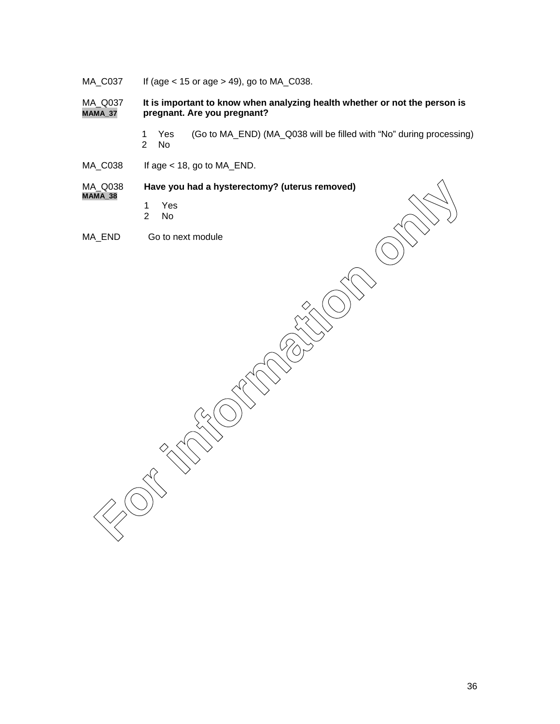MA\_C037 If (age < 15 or age > 49), go to MA\_C038.

MA\_Q037 **It is important to know when analyzing health whether or not the person is MAMA\_37 pregnant. Are you pregnant?**

- 1 Yes (Go to MA\_END) (MA\_Q038 will be filled with "No" during processing) 2 No
- MA\_C038 If age < 18, go to MA\_END.

MA\_Q038 **Have you had a hysterectomy? (uterus removed) MAMA\_38**

- 
- 1 Yes 2 No
- MA\_END Go to next module

**For the Solution of the Solution of the Solution of the Solution of the Solution of the Solution of the Solution of the Solution of the Solution of the Solution of the Solution of the Solution of the Solution of the Solut**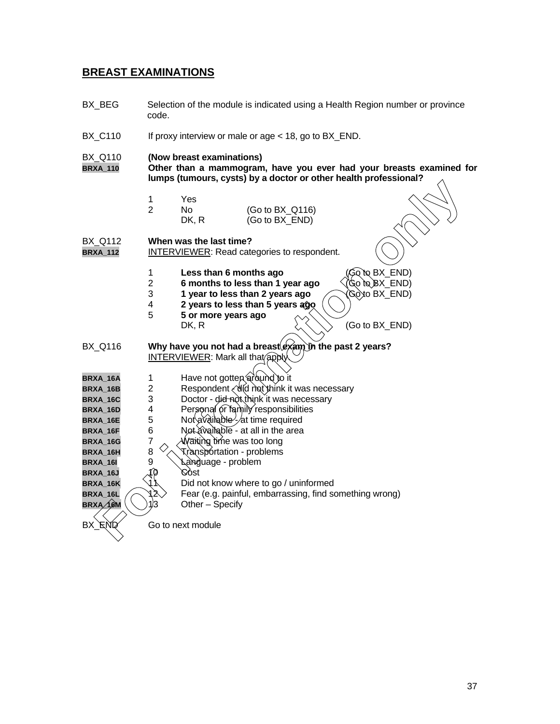## **BREAST EXAMINATIONS**

BX\_BEG Selection of the module is indicated using a Health Region number or province code. BX\_C110 If proxy interview or male or age < 18, go to BX\_END. BX\_Q110 **(Now breast examinations) BRXA\_110 Other than a mammogram, have you ever had your breasts examined for lumps (tumours, cysts) by a doctor or other health professional?** 1 Yes 2 No (Go to BX\_Q116) DK, R (Go to BX\_END) BX\_Q112 **When was the last time?** BRXA\_112 **INTERVIEWER:** Read categories to respondent. 1 **Less than 6 months ago** (Go to BX\_END) 2 **6 months to less than 1 year ago** (Go to BX\_END)<br>3 1 year to less than 2 years ago (Go to BX END) 1 year to less than 2 years ago 4 **2 years to less than 5 years ago** 5 **5 or more years ago** DK, R  $\{\langle \rangle \}$  (Go to BX\_END) BX\_Q116 **Why have you not had a breast exam in the past 2 years?** INTERVIEWER: Mark all that apply **BRXA\_16A** 1 Have not gotten around to it<br>**BRXA\_16B** 2 Respondent <br/>and think it **BRXA\_16B** 2 Respondent < did not think it was necessary **BRXA\_16C** 3 Doctor - did not think it was necessary<br>**BRXA\_16D** 4 Personal of tamily responsibilities **BRXA\_16D** 4 Personal or family responsibilities<br>**BRXA\_16E** 5 Not available - at time required **BRXA\_16E** 5 Not available - at time required **BRXA\_16F** 6 Not available - at all in the area **BRXA\_16G** 7 AWaiting time was too long **BRXA\_16H** 8  $\sqrt{\sqrt{x}}$  **R** ansportation - problems BRXA\_16I 9 \\anguage - problem **BRXA\_16J** 10 Cost Did not know where to go / uninformed **BRXA\_16L**  $\bigcap_{k=1}^{\infty}$  Fear (e.g. painful, embarrassing, find something wrong) **BRXA 16M**  $\left(\sqrt{21}3\right)$  Other – Specify Here are a to the module of the model of the model of the model of the model of the model of the model of the model of the model of the model of the model of the model of the model of the model of the model of the model o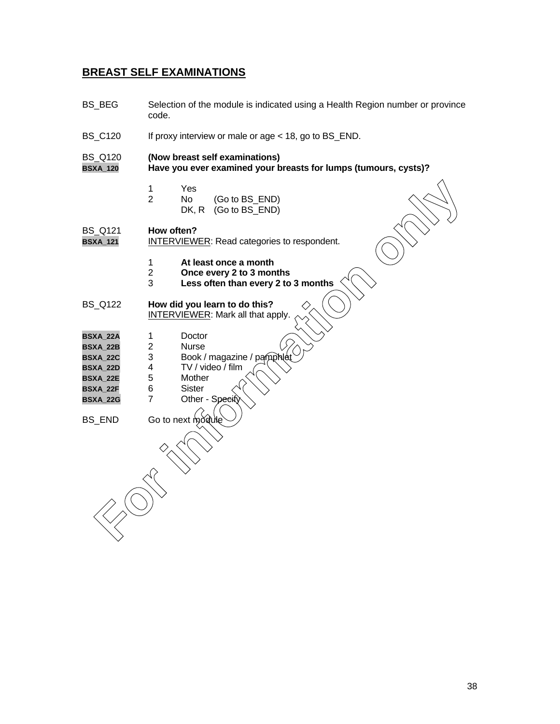## **BREAST SELF EXAMINATIONS**

BS\_BEG Selection of the module is indicated using a Health Region number or province code. BS\_C120 If proxy interview or male or age < 18, go to BS\_END. BS\_Q120 **(Now breast self examinations) BSXA\_120 Have you ever examined your breasts for lumps (tumours, cysts)?** 1 Yes 2 No (Go to BS\_END) DK, R (Go to BS\_END) BS\_Q121 **How often?** BSXA\_121 **INTERVIEWER:** Read categories to respondent. 1 **At least once a month** 2 **Once every 2 to 3 months** Less often than every 2 to 3 months BS\_Q122 **How did you learn to do this?** INTERVIEWER: Mark all that apply. **BSXA\_22A** 1 Doctor **BSXA\_22B** 2<br>**BSXA\_22C** 3 BSXA\_22C 3 Book / magazine / pamph **BSXA\_22D** 4 TV / video / film<br>**BSXA\_22E** 5 Mother **BSXA\_22E BSXA\_22F** 6 Sister **BSXA\_22G** 7 Other - Spe  $BS$  END Go to next mode **For information of the C**<br>
Note (Go to BS\_END)<br>
DK, R (Go to BS\_END)<br> **For information of the C**<br> **For information of the C**<br> **For information on the C**<br> **For information on the C**<br> **For information on the C**<br> **For infor**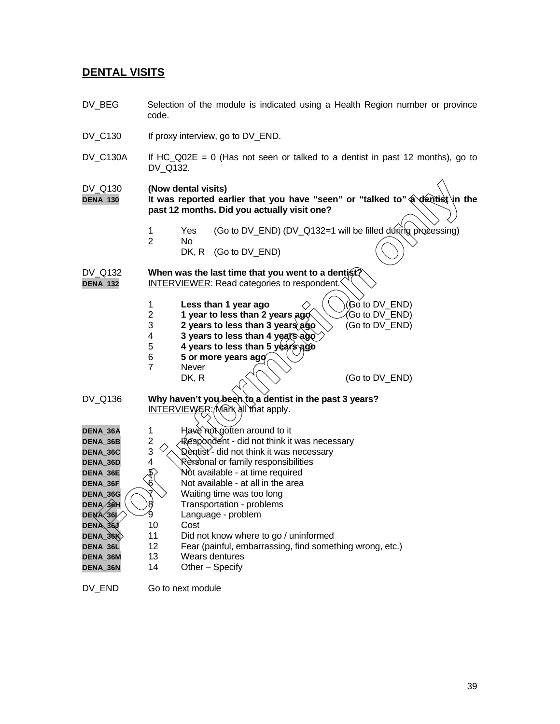## **DENTAL VISITS**

- DV\_BEG Selection of the module is indicated using a Health Region number or province code.
- DV\_C130 If proxy interview, go to DV\_END.
- DV C130A If HC Q02E = 0 (Has not seen or talked to a dentist in past 12 months), go to DV\_Q132.

- 1 Yes (Go to DV\_END) (DV\_Q132=1 will be filled during processing)
- 2 No DK, R (Go to DV\_END)

- 
- 1 **Less than 1 year ago**  $\Diamond$  (Go to DV\_END)<br>2 **1 year to less than 2 years ago** Go to DV\_END)
- **1** year to less than 2 years ago (Go to DV\_END)<br>3 2 years to less than 3 years ago (Go to DV\_END) **2 years to less than 3 years ago** (Go to DV\_END)
- 4 **3 years to less than 4 years ago**
- 5 **4 years to less than 5 years ago**
- 6 **5 or more years ago**
- 7 Never<br>DK, R

| DV_Q130<br><b>DENA_130</b> |                               | (Now dental visits) | past 12 months. Did you actually visit one?                                                                                     | It was reported earlier that you have "seen" or "talked to" a dentist in the |
|----------------------------|-------------------------------|---------------------|---------------------------------------------------------------------------------------------------------------------------------|------------------------------------------------------------------------------|
|                            | 1                             | <b>Yes</b>          |                                                                                                                                 | (Go to DV_END) (DV_Q132=1 will be filled dúring processing)                  |
|                            | $\overline{2}$                | No.<br>DK, R        | (Go to DV_END)                                                                                                                  |                                                                              |
| DV_Q132<br><b>DENA_132</b> |                               |                     | When was the last time that you went to a dentist?<br>INTERVIEWER: Read categories to respondent.                               |                                                                              |
|                            | 1<br>$\overline{2}$<br>3<br>4 |                     | Less than 1 year ago<br>1 year to less than 2 years ago<br>2 years to less than 3 years ago<br>3 years to less than 4 years ago | (Go to DV_END)<br>Go to DV_END)<br>(Go to DV_END)                            |
|                            | 5<br>6                        |                     | 4 years to less than 5 years ago<br>5 or more years ago                                                                         |                                                                              |
|                            | $\overline{7}$                | Never<br>DK, R      |                                                                                                                                 | (Go to DV_END)                                                               |
| DV Q136                    |                               |                     | Why haven't you been to a dentist in the past 3 years?<br>INTERVIEWER: Mark all that apply.                                     |                                                                              |
| DENA_36A                   | 1                             |                     | Have not gotten around to it                                                                                                    |                                                                              |
| <b>DENA 36B</b>            | $\overline{\mathbf{c}}$       |                     | Respondent - did not think it was necessary                                                                                     |                                                                              |
| DENA_36C                   | 3                             |                     | Dentist'- did not think it was necessary                                                                                        |                                                                              |
| <b>DENA 36D</b>            | 4                             |                     | Rexsonal or family responsibilities                                                                                             |                                                                              |
| <b>DENA 36E</b>            | $\ket{5}$                     |                     | Not available - at time required                                                                                                |                                                                              |
| DENA_36F                   | $6^\prime$                    |                     | Not available - at all in the area                                                                                              |                                                                              |
| DENA_36G                   |                               |                     | Waiting time was too long                                                                                                       |                                                                              |
| DENA 36H                   | 8                             |                     | Transportation - problems                                                                                                       |                                                                              |
| DENA 36                    |                               |                     | Language - problem                                                                                                              |                                                                              |
| DENA 36J                   | 10                            | Cost                |                                                                                                                                 |                                                                              |
| DENA_36K                   | 11                            |                     | Did not know where to go / uninformed                                                                                           |                                                                              |
| DENA_36L                   | 12                            |                     | Fear (painful, embarrassing, find something wrong, etc.)                                                                        |                                                                              |
| DENA_36M                   | 13                            |                     | Wears dentures                                                                                                                  |                                                                              |
| DENA_36N                   | 14                            |                     | Other - Specify                                                                                                                 |                                                                              |

DV\_END Go to next module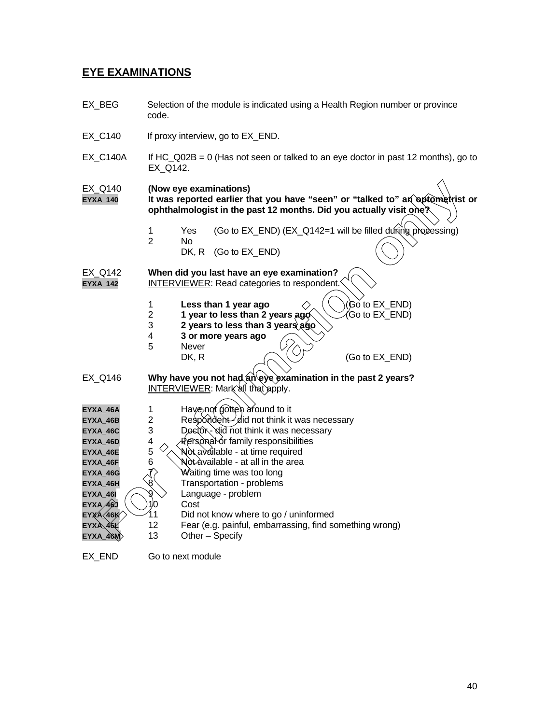## **EYE EXAMINATIONS**

EX\_BEG Selection of the module is indicated using a Health Region number or province code. EX\_C140 If proxy interview, go to EX\_END. EX C140A If HC  $Q02B = 0$  (Has not seen or talked to an eye doctor in past 12 months), go to EX\_Q142. EX\_Q140 **(Now eye examinations) EYXA\_140 It was reported earlier that you have "seen" or "talked to" an optometrist or ophthalmologist in the past 12 months. Did you actually visit one?** 1 Yes (Go to EX\_END) (EX\_Q142=1 will be filled during processing) 2 No DK, R (Go to EX\_END) EX\_Q142 **When did you last have an eye examination? EYXA\_142** INTERVIEWER: Read categories to respondent. 1 **Less than 1 year ago**  $\Diamond$   $\Diamond$   $\Diamond$  ( $\Diamond$ ) (Go to EX\_END) **2** 1 year to less than 2 years  $\frac{\partial \phi}{\partial x}$  (Go to EX\_END) 3 **2 years to less than 3 years ago** 4 **3 or more years ago** Never<br>DK, R  $(Go to EX$  END) EX Q146 **Why have you not had an eye examination in the past 2 years?**  $INTERVIEWER: Mark'$ all that apply. **EYXA\_46A** 1 Have not gotten around to it<br>**EYXA\_46B** 2 Respondent- did not think it  $EYXA_46B$  2 Respondent  $\frac{1}{2}$  did not think it was necessary **EYXA\_46C** 3 Doctor - did not think it was necessary **EYXA\_46D** 4 **Personal or family responsibilities EYXA\_46E** 5  $\sqrt{\ }$  Not available - at time required **EYXA\_46F** 6  $\bigvee$  **N**ot available - at all in the area **EYXA\_46G** 7> Waiting time was too long **EYXA\_46H**  $\&$  **Transportation** - problems **EYXA\_46I**  $\angle$  9 **Language** - problem **EYXA\_46J**  $\bigcup$  10 Cost **EYXA 46K** 11 Did not know where to go / uninformed **EYXA\_46L** 12 Fear (e.g. painful, embarrassing, find something wrong)  $EYXA_46M$  13 Other – Specify COLLEAN IN the state of the matter that you have "seen" or "talked to" an opposite that opposite only that an opposite the past 12 months. Did you actually visit only the most of the state of the state of the state of the

EX\_END Go to next module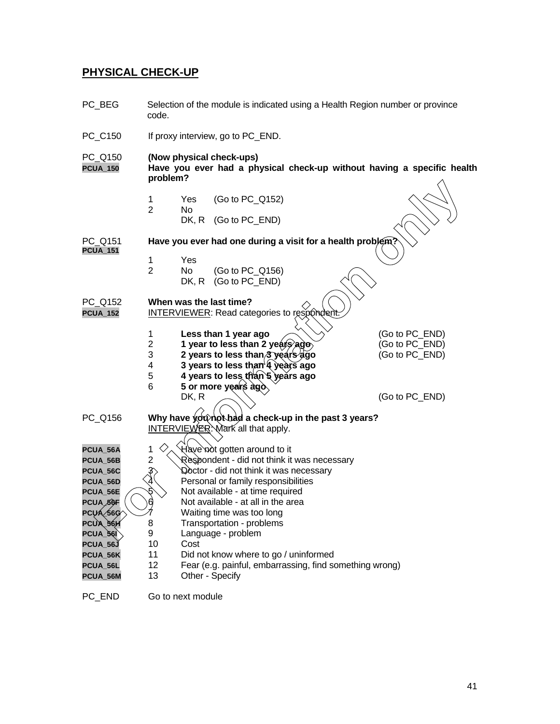## **PHYSICAL CHECK-UP**

- PC\_BEG Selection of the module is indicated using a Health Region number or province code. PC\_C150 If proxy interview, go to PC\_END. PC\_Q150 **(Now physical check-ups) PCUA\_150 Have you ever had a physical check-up without having a specific health problem?** 1 Yes (Go to PC\_Q152) 2 No DK, R (Go to PC END) PC\_Q151 **Have you ever had one during a visit for a health problety PCUA\_151** 1 Yes 2 No (Go to PC\_Q156)<br>DK, R (Go to PC\_END)  $(Go to PC_END)$ PC\_Q152 **When was the last time? PCUA\_152** INTERVIEWER: Read categories to res 1 **Less than 1 year ago** (Go to PC\_END)<br>2 **1 year to less than 2 years ago** (Go to PC END) 1 year to less than 2 years ago, **1** (Go to PC END) 3 **2 years to less than 3 years ago** (Go to PC\_END) 4 **3 years to less than 4 years ago** 5 **4 years to less than 5 years ago** 6 **5 or more years ago** DK, R  $\bigwedge^{\vee}$  (Go to PC\_END) PC\_Q156 **Why have you not had a check-up in the past 3 years?** INTERVIEWER: Mark all that apply. **PCUA\_56A** 1 Have not gotten around to it **PCUA\_56B** 2 Respondent - did not think it was necessary **PCUA 56C**  $3\sqrt{2}$   $\sqrt{3}$   $\sqrt{3}$   $\sqrt{4}$  octor - did not think it was necessary **PCUA\_56D**  $\left\langle \frac{\lambda}{4} \right\rangle$  Personal or family responsibilities **PCUA\_56E**  $\left(\sqrt{8}\right)$  Not available - at time required **PCUA**  $6$ **F**  $($   $)$  $6$   $)$  Not available - at all in the area **PCUA 56G** 7 Waiting time was too long **PCUA\_56H** 8 Transportation - problems **PCUA\_56I** 9 Language - problem **PCUA\_56J** 10 Cost **PCUA\_56K** 11 Did not know where to go / uninformed **PCUA\_56L** 12 Fear (e.g. painful, embarrassing, find something wrong) **PCUA\_56M** 13 Other - Specify **For information**<br> **For information** of the same of the same of the same of the same of the same of the same of the same of the same of the same of the same of the same of the same of the same of the same of the same of th
- PC END Go to next module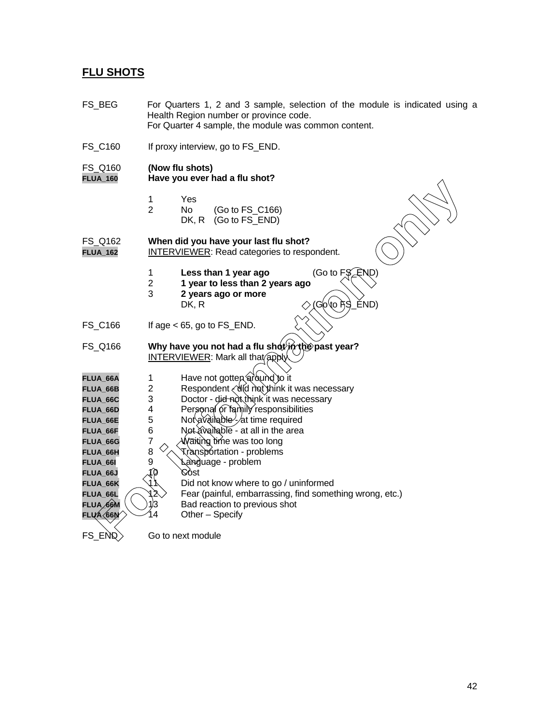## **FLU SHOTS**

| FS_BEG                                                                                                                                                               | For Quarters 1, 2 and 3 sample, selection of the module is indicated using a<br>Health Region number or province code.<br>For Quarter 4 sample, the module was common content.                                                                                                                                                                                                                                                                                                                                                                                              |  |  |
|----------------------------------------------------------------------------------------------------------------------------------------------------------------------|-----------------------------------------------------------------------------------------------------------------------------------------------------------------------------------------------------------------------------------------------------------------------------------------------------------------------------------------------------------------------------------------------------------------------------------------------------------------------------------------------------------------------------------------------------------------------------|--|--|
| FS_C160                                                                                                                                                              | If proxy interview, go to FS_END.                                                                                                                                                                                                                                                                                                                                                                                                                                                                                                                                           |  |  |
| FS_Q160<br><b>FLUA_160</b>                                                                                                                                           | (Now flu shots)<br>Have you ever had a flu shot?                                                                                                                                                                                                                                                                                                                                                                                                                                                                                                                            |  |  |
|                                                                                                                                                                      | Yes<br>1<br>$\overline{2}$<br>No<br>(Go to FS_C166)<br>(Go to FS_END)<br>DK, R                                                                                                                                                                                                                                                                                                                                                                                                                                                                                              |  |  |
| FS Q162<br><b>FLUA_162</b>                                                                                                                                           | When did you have your last flu shot?<br>INTERVIEWER: Read categories to respondent.                                                                                                                                                                                                                                                                                                                                                                                                                                                                                        |  |  |
|                                                                                                                                                                      | (Go to $FSé$ END)<br>Less than 1 year ago<br>1<br>$\overline{2}$<br>1 year to less than 2 years ago<br>3<br>2 years ago or more<br>ĚND)<br>(Go(to i <del>)</del> S<br>DK, R                                                                                                                                                                                                                                                                                                                                                                                                 |  |  |
| FS_C166                                                                                                                                                              | If age $<$ 65, go to FS_END.                                                                                                                                                                                                                                                                                                                                                                                                                                                                                                                                                |  |  |
| FS_Q166                                                                                                                                                              | Why have you not had a flu shot in the past year?<br><b>INTERVIEWER: Mark all that apply</b>                                                                                                                                                                                                                                                                                                                                                                                                                                                                                |  |  |
| FLUA_66A<br>FLUA_66B<br>FLUA_66C<br>FLUA_66D<br>FLUA_66E<br>FLUA_66F<br>FLUA_66G<br>FLUA_66H<br>FLUA_66I<br>FLUA_66J<br>FLUA_66K<br>FLUA_66L<br>FLUA 66M<br>FLIAS66N | Have not gotten around to it<br>1<br>Respondent (did not think it was necessary<br>$\overline{c}$<br>3<br>Doctor - did not think it was necessary<br>4<br>Personal or family responsibilities<br>5<br>Not available - at time required<br>6<br>Not available - at all in the area<br>7<br>Waiting time was too long<br>8<br>Transportation - problems<br>9<br>\∆àกgႆuage - problem<br>(N<br>Cóst<br>Did not know where to go / uninformed<br>12<br>Fear (painful, embarrassing, find something wrong, etc.)<br>1/3<br>Bad reaction to previous shot<br>4<br>Other - Specify |  |  |
| $FS$ $ENQ$                                                                                                                                                           | Go to next module                                                                                                                                                                                                                                                                                                                                                                                                                                                                                                                                                           |  |  |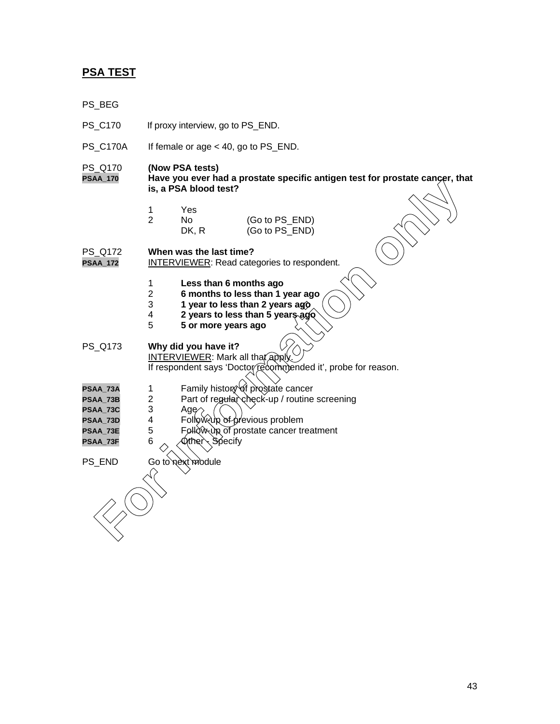## **PSA TEST**

- PS\_BEG
- PS\_C170 If proxy interview, go to PS\_END.
- PS\_C170A If female or age < 40, go to PS\_END.

## PS\_Q170 **(Now PSA tests)**

- **PSAA\_170 Have you ever had a prostate specific antigen test for prostate cancer, that is, a PSA blood test?**
	- 1 Yes

| 2 | No.   | (Go to PS_END) |
|---|-------|----------------|
|   | DK, R | (Go to PS_END) |

PS\_Q172 **When was the last time?**

**INTERVIEWER: Read categories to respondent.** 

- 1 **Less than 6 months ago**
- 2 **6 months to less than 1 year ago**
- 3 **1 year to less than 2 years ago**
- 4 **2 years to less than 5 years ago**
- 5 **5 or more years ago**

PS\_Q173 **Why did you have it?** INTERVIEWER: Mark all that apply. If respondent says 'Doctor recommended it', probe for reason. **For information of the set of the set of the set of the set of the set of the set of the set of the set of the set of the set of the set of the set of the set of the set of the set of the set of the set of the set of the** 

- **PSAA\_73A** 1 Family history of prostate cancer
- **PSAA\_73B** 2 Part of regular check-up / routine screening<br>**PSAA\_73C** 3 Age 2
- PSAA\_73C 3 Age<sup>2</sup><br>PSAA\_73D 4 Follo
- **PSAA\_73D** 4 Follow-up of previous problem
- PSAA\_73E 5 Follow-up of prostate cancer treatment
- **PSAA\_73F** 6  $\sim$  Other Specify

PS\_END Go to next module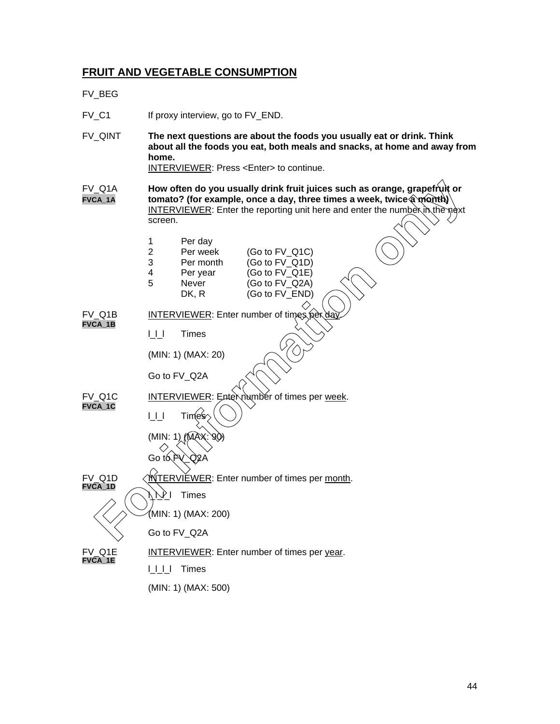## **FRUIT AND VEGETABLE CONSUMPTION**

## FV\_BEG

FV\_C1 If proxy interview, go to FV\_END.

FV\_QINT **The next questions are about the foods you usually eat or drink. Think about all the foods you eat, both meals and snacks, at home and away from home.** INTERVIEWER: Press <Enter> to continue.

FV\_Q1A **How often do you usually drink fruit juices such as orange, grapefruit or FVCA\_1A tomato?** (for example, once a day, three times a week, twice a month) INTERVIEWER: Enter the reporting unit here and enter the number in the next screen.

 $FV_Q$ 1 $C$ )

| 1 | Per day   |         |
|---|-----------|---------|
| 2 | Per week  | (Go to  |
| 3 | Per month | (Go to  |
| Λ | Dar vaar  | (On for |

| 3 | Per month | (Go to FV_Q1D)    |
|---|-----------|-------------------|
| 4 | Per year  | (Go to FV_Q1E)    |
| 5 | Never     | (Go to $FV_Q2A$ ) |
|   | DK, R     | (Go to FV_END)    |

FV\_Q1B INTERVIEWER: Enter number of times per **FVCA\_1B**

l\_l\_l Times

(MIN: 1) (MAX: 20)

Go to FV\_Q2A



l\_l\_l\_l Times

(MIN: 1) (MAX: 500)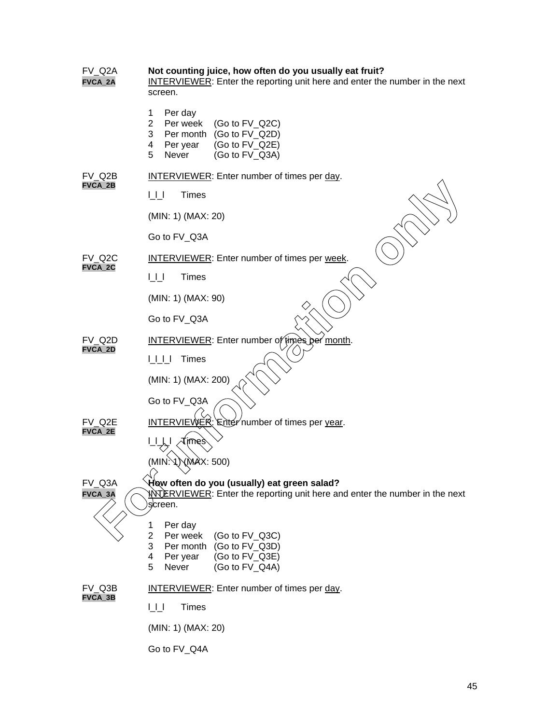| FV Q2A<br>FVCA_2A        | Not counting juice, how often do you usually eat fruit?<br><b>INTERVIEWER:</b> Enter the reporting unit here and enter the number in the next<br>screen.         |  |  |  |  |
|--------------------------|------------------------------------------------------------------------------------------------------------------------------------------------------------------|--|--|--|--|
|                          | Per day<br>1<br>$\overline{2}$<br>Per week<br>(Go to FV_Q2C)<br>Per month (Go to FV_Q2D)<br>3<br>(Go to FV_Q2E)<br>Per year<br>4<br>Never<br>(Go to FV_Q3A)<br>5 |  |  |  |  |
| FV Q2B                   | <b>INTERVIEWER:</b> Enter number of times per day.                                                                                                               |  |  |  |  |
| FVCA_2B                  | <b>Times</b><br>UЦ                                                                                                                                               |  |  |  |  |
|                          | (MIN: 1) (MAX: 20)                                                                                                                                               |  |  |  |  |
|                          | Go to FV_Q3A                                                                                                                                                     |  |  |  |  |
| FV Q2C<br>FVCA_2C        | INTERVIEWER: Enter number of times per week.                                                                                                                     |  |  |  |  |
|                          | UU<br><b>Times</b>                                                                                                                                               |  |  |  |  |
|                          | (MIN: 1) (MAX: 90)                                                                                                                                               |  |  |  |  |
|                          | Go to FV_Q3A                                                                                                                                                     |  |  |  |  |
| FV Q2D                   | INTERVIEWER: Enter number of times per month.                                                                                                                    |  |  |  |  |
| FVCA_2D                  | <b>Times</b><br>UUU                                                                                                                                              |  |  |  |  |
|                          | (MIN: 1) (MAX: 200)                                                                                                                                              |  |  |  |  |
|                          | Go to FV_Q3A                                                                                                                                                     |  |  |  |  |
| FV Q2E<br><b>FVCA 2E</b> | <b>INTERVIEWER:</b> Enter number of times per year.                                                                                                              |  |  |  |  |
|                          | imes                                                                                                                                                             |  |  |  |  |
|                          | (MIN)<br>\(MAX: 500)<br>1 ľ                                                                                                                                      |  |  |  |  |
| FV_Q3A<br>FVCA_3A        | How often do you (usually) eat green salad?<br>WARRVIEWER: Enter the reporting unit here and enter the number in the next<br>screen.                             |  |  |  |  |
|                          | Per day<br>1<br>2<br>Per week<br>(Go to FV_Q3C)<br>3<br>Per month (Go to FV_Q3D)<br>(Go to FV_Q3E)<br>Per year<br>4<br>5<br>Never<br>(Go to FV_Q4A)              |  |  |  |  |
| FV Q3B<br>FVCA_3B        | INTERVIEWER: Enter number of times per day.                                                                                                                      |  |  |  |  |
|                          | <b>Times</b><br>UЦ                                                                                                                                               |  |  |  |  |
|                          | (MIN: 1) (MAX: 20)                                                                                                                                               |  |  |  |  |
|                          | Go to FV_Q4A                                                                                                                                                     |  |  |  |  |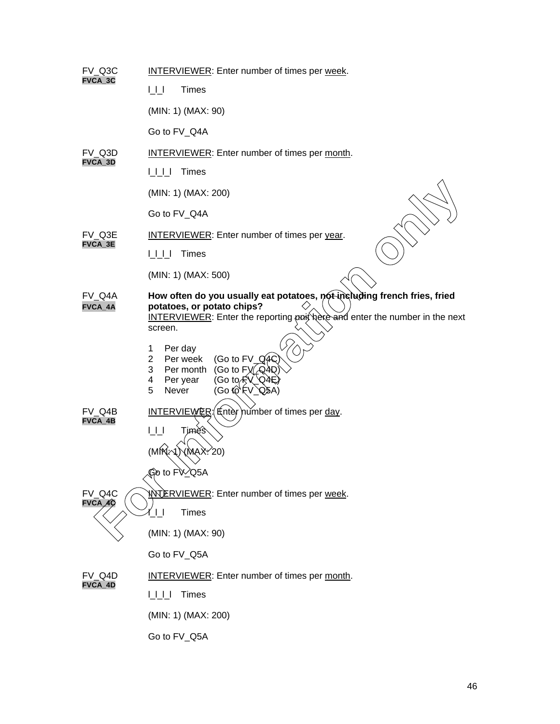| FV_Q3C<br>FVCA_3C                | <b>INTERVIEWER:</b> Enter number of times per week.                                                                                                                                                                                                                                                                                                                                                                            |  |  |  |  |
|----------------------------------|--------------------------------------------------------------------------------------------------------------------------------------------------------------------------------------------------------------------------------------------------------------------------------------------------------------------------------------------------------------------------------------------------------------------------------|--|--|--|--|
|                                  | <b>Times</b><br>$\bigsqcup$                                                                                                                                                                                                                                                                                                                                                                                                    |  |  |  |  |
|                                  | (MIN: 1) (MAX: 90)                                                                                                                                                                                                                                                                                                                                                                                                             |  |  |  |  |
|                                  | Go to FV_Q4A                                                                                                                                                                                                                                                                                                                                                                                                                   |  |  |  |  |
| FV Q3D                           | INTERVIEWER: Enter number of times per month.                                                                                                                                                                                                                                                                                                                                                                                  |  |  |  |  |
| FVCA_3D                          | UUU<br><b>Times</b>                                                                                                                                                                                                                                                                                                                                                                                                            |  |  |  |  |
|                                  | (MIN: 1) (MAX: 200)                                                                                                                                                                                                                                                                                                                                                                                                            |  |  |  |  |
|                                  | Go to FV_Q4A                                                                                                                                                                                                                                                                                                                                                                                                                   |  |  |  |  |
| FV Q3E<br>FVCA_3E                | <b>INTERVIEWER:</b> Enter number of times per year.                                                                                                                                                                                                                                                                                                                                                                            |  |  |  |  |
|                                  | UUL<br><b>Times</b>                                                                                                                                                                                                                                                                                                                                                                                                            |  |  |  |  |
|                                  | (MIN: 1) (MAX: 500)                                                                                                                                                                                                                                                                                                                                                                                                            |  |  |  |  |
| FV Q4A<br>FVCA_4A                | How often do you usually eat potatoes, not-including french fries, fried<br>potatoes, or potato chips?<br><b>INTERVIEWER:</b> Enter the reporting poit here and enter the number in the next<br>screen.                                                                                                                                                                                                                        |  |  |  |  |
|                                  | Per day<br>1<br>(Go to FV_ $Q$ 4 $Q$<br>2<br>Per week<br>3<br>(Go to $F_{\text{A}}(QAD)$<br>Per month<br>4<br>Per year<br>(Go to <del>√</del> `V_`Q4E)<br>5<br>(Go to FV_Q5A)<br>Never                                                                                                                                                                                                                                         |  |  |  |  |
| FV Q4B<br>FVCA_4B                | <b>INTERVIEWER</b> (Enter <i>number</i> of times per day.<br>ЦU<br>Timès<br>(MM)<br>√MAXY20)<br>Go to FV <sup>2</sup> Q5A                                                                                                                                                                                                                                                                                                      |  |  |  |  |
| FV Q4C<br>$FVCA\diagup 4\cal{Q}$ | <b>NOTERVIEWER: Enter number of times per week.</b><br><b>Times</b>                                                                                                                                                                                                                                                                                                                                                            |  |  |  |  |
|                                  | (MIN: 1) (MAX: 90)                                                                                                                                                                                                                                                                                                                                                                                                             |  |  |  |  |
|                                  | Go to FV_Q5A                                                                                                                                                                                                                                                                                                                                                                                                                   |  |  |  |  |
| FV Q4D<br>FVCA_4D                | INTERVIEWER: Enter number of times per month.                                                                                                                                                                                                                                                                                                                                                                                  |  |  |  |  |
|                                  | <b>Times</b><br>$\begin{array}{c} \rule{2mm}{2mm} \rule{0mm}{2mm} \rule{2mm}{2mm} \rule{2mm}{2mm} \rule{2mm}{2mm} \rule{2mm}{2mm} \rule{2mm}{2mm} \rule{2mm}{2mm} \rule{2mm}{2mm} \rule{2mm}{2mm} \rule{2mm}{2mm} \rule{2mm}{2mm} \rule{2mm}{2mm} \rule{2mm}{2mm} \rule{2mm}{2mm} \rule{2mm}{2mm} \rule{2mm}{2mm} \rule{2mm}{2mm} \rule{2mm}{2mm} \rule{2mm}{2mm} \rule{2mm}{2mm} \rule{2mm}{2mm} \rule{2mm}{2mm} \rule{2mm}{$ |  |  |  |  |
|                                  | (MIN: 1) (MAX: 200)                                                                                                                                                                                                                                                                                                                                                                                                            |  |  |  |  |
|                                  | Go to FV_Q5A                                                                                                                                                                                                                                                                                                                                                                                                                   |  |  |  |  |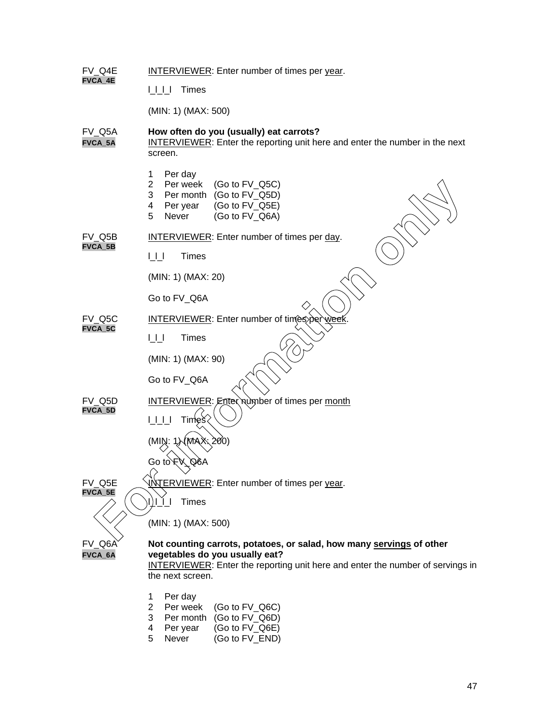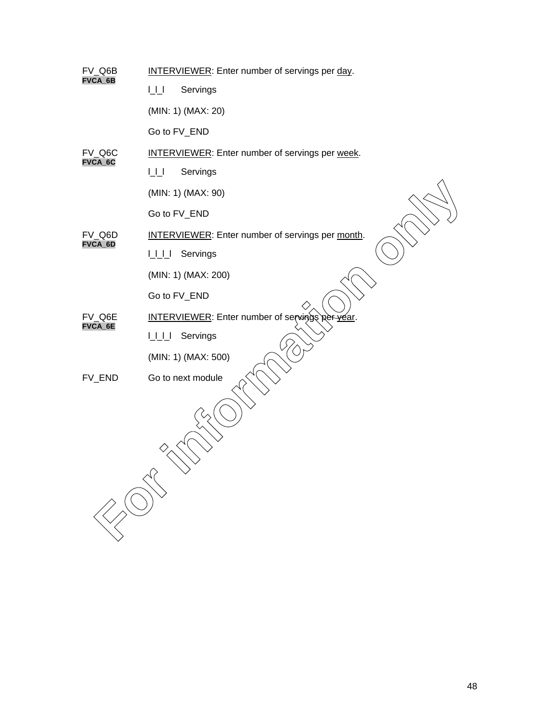| FV_Q6B<br>FVCA_6B | <b>INTERVIEWER:</b> Enter number of servings per day.   |
|-------------------|---------------------------------------------------------|
|                   | $\sqcup\sqcup$<br>Servings                              |
|                   | (MIN: 1) (MAX: 20)                                      |
|                   | Go to FV_END                                            |
| FV_Q6C<br>FVCA_6C | <b>INTERVIEWER:</b> Enter number of servings per week.  |
|                   | $\bigsqcup$<br>Servings                                 |
|                   | (MIN: 1) (MAX: 90)                                      |
|                   | Go to FV_END                                            |
| FV_Q6D            | <b>INTERVIEWER:</b> Enter number of servings per month. |
| FVCA_6D           | Servings<br>LLL                                         |
|                   | (MIN: 1) (MAX: 200)                                     |
|                   | Go to FV_END                                            |
| FV Q6E<br>FVCA_6E | <b>INTERVIEWER:</b> Enter number of servings per year.  |
|                   | LLL<br>Servings                                         |
|                   | (MIN: 1) (MAX: 500)                                     |
| FV_END            | Go to next module                                       |
|                   |                                                         |
|                   |                                                         |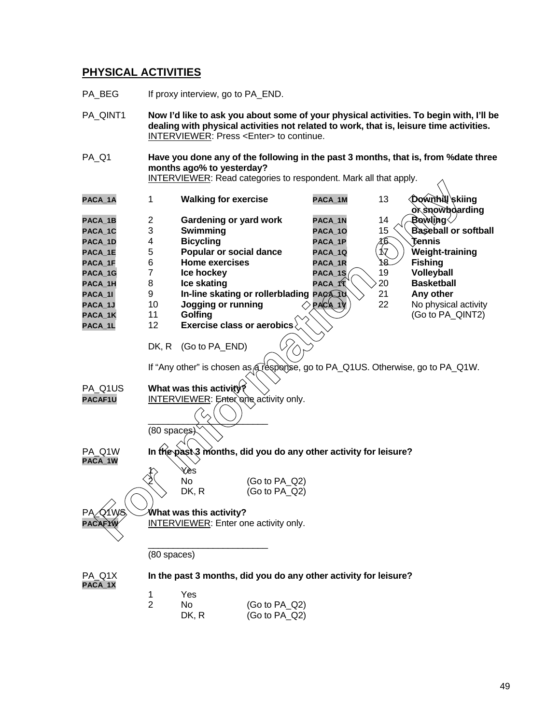## **PHYSICAL ACTIVITIES**

- PA\_BEG If proxy interview, go to PA\_END.
- PA\_QINT1 **Now I'd like to ask you about some of your physical activities. To begin with, I'll be dealing with physical activities not related to work, that is, leisure time activities.** INTERVIEWER: Press <Enter> to continue. PA\_Q1 **Have you done any of the following in the past 3 months, that is, from %date three months ago% to yesterday?** INTERVIEWER: Read categories to respondent. Mark all that apply.

| PACA 1A |    | <b>Walking for exercise</b>                                                                           | PACA 1M    | 13  | <b>Downhill skiing</b>      |
|---------|----|-------------------------------------------------------------------------------------------------------|------------|-----|-----------------------------|
|         |    |                                                                                                       |            |     | <b>or showboarding</b>      |
| PACA 1B | 2  | Gardening or yard work                                                                                | PACA 1N    | 14  | Bowling                     |
| PACA 1C | 3  | Swimming                                                                                              | PACA 10    | 15  | <b>Baseball or softball</b> |
| PACA 1D | 4  | <b>Bicycling</b>                                                                                      | PACA 1P    | 16. | Tennis                      |
| PACA 1E | 5  | Popular or social dance                                                                               | PACA 1Q    | 17  | Weight-training             |
| PACA 1F | 6  | <b>Home exercises</b>                                                                                 | PACA 1R    | Y8  | <b>Fishing</b>              |
| PACA 1G |    | Ice hockey                                                                                            | $PACA_1S$  | 19  | Volleyball                  |
| PACA 1H | 8  | Ice skating                                                                                           | PACA 1     | 20  | <b>Basketball</b>           |
| PACA 11 | 9  | In-line skating or rollerblading PACA 10                                                              |            | 21  | Any other                   |
| PACA 1J | 10 | Jogging or running                                                                                    | $PAC(A_1)$ | 22  | No physical activity        |
| PACA 1K | 11 | Golfing<br>╲                                                                                          |            |     | (Go to PA QINT2)            |
| PACA 1L | 12 | Exercise class or aerobics                                                                            |            |     |                             |
|         |    |                                                                                                       |            |     |                             |
|         |    | $\mathbb{R}^{1}$ $\mathbb{R}^{1}$ $\mathbb{R}^{1}$ $\mathbb{R}^{1}$ $\mathbb{R}^{1}$ $\mathbb{R}^{1}$ |            |     |                             |

DK, R (Go to PA\_END)

If "Any other" is chosen as a response, go to PA\_Q1US. Otherwise, go to PA\_Q1W.

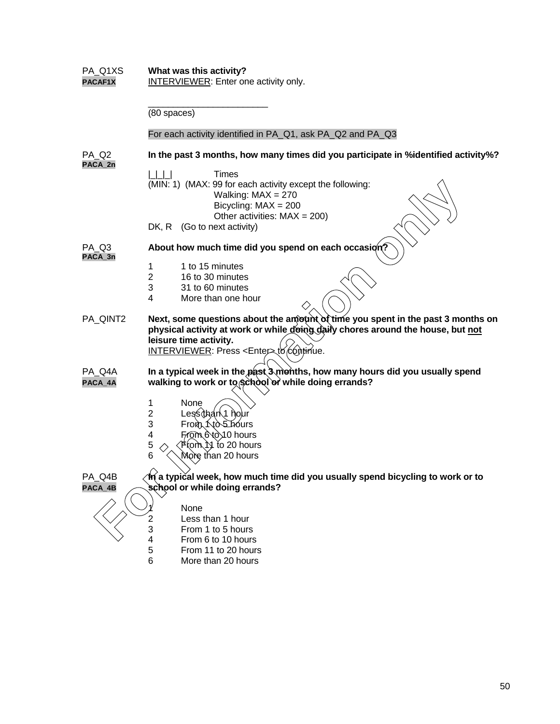| PA_Q1XS<br>PACAF1X           | What was this activity?<br><b>INTERVIEWER:</b> Enter one activity only.                                                                                                                                                                         |  |  |
|------------------------------|-------------------------------------------------------------------------------------------------------------------------------------------------------------------------------------------------------------------------------------------------|--|--|
|                              | (80 spaces)                                                                                                                                                                                                                                     |  |  |
|                              | For each activity identified in PA_Q1, ask PA_Q2 and PA_Q3                                                                                                                                                                                      |  |  |
| PA Q <sub>2</sub><br>PACA_2n | In the past 3 months, how many times did you participate in %identified activity%?                                                                                                                                                              |  |  |
|                              | <b>Times</b><br>(MIN: 1) (MAX: 99 for each activity except the following:<br>Walking: $MAX = 270$<br>Bicycling: $MAX = 200$<br>Other activities: $MAX = 200$ )                                                                                  |  |  |
|                              | DK, R (Go to next activity)                                                                                                                                                                                                                     |  |  |
| PA Q3<br>PACA_3n             | About how much time did you spend on each occasion?                                                                                                                                                                                             |  |  |
|                              | 1 to 15 minutes<br>1<br>$\overline{2}$<br>16 to 30 minutes<br>3<br>31 to 60 minutes<br>4<br>More than one hour                                                                                                                                  |  |  |
| PA_QINT2                     | Next, some questions about the amount of time you spent in the past 3 months on<br>physical activity at work or while doing daily chores around the house, but not<br>leisure time activity.<br>INTERVIEWER: Press <enter> to continue.</enter> |  |  |
| PA Q4A<br>PACA_4A            | In a typical week in the past 3 months, how many hours did you usually spend<br>walking to work or to school or while doing errands?                                                                                                            |  |  |
|                              | 1<br>None<br>Lessthan 1 hour<br>$\overline{2}$<br>3<br>From <b>Kto</b> Shours<br>From 6 to 10 hours<br>4<br>5<br>(Fromे∖) to 20 hours<br>6<br>More than 20 hours                                                                                |  |  |
| PA_Q4B                       | $\hat{\mathcal{M}}$ a typical week, how much time did you usually spend bicycling to work or to                                                                                                                                                 |  |  |
| PACA_4B                      | school or while doing errands?                                                                                                                                                                                                                  |  |  |
|                              | None<br>Less than 1 hour<br>$\frac{2}{3}$<br>From 1 to 5 hours<br>$\overline{\mathbf{4}}$<br>From 6 to 10 hours<br>$\sqrt{5}$<br>From 11 to 20 hours                                                                                            |  |  |
|                              | 6<br>More than 20 hours                                                                                                                                                                                                                         |  |  |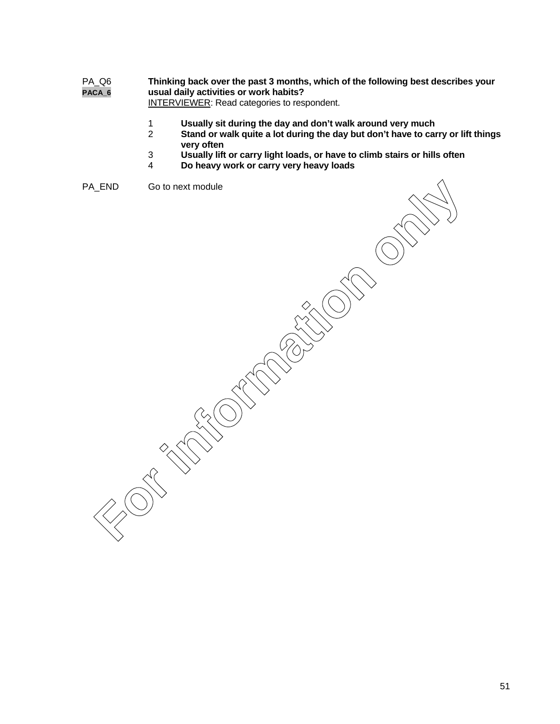## PA\_Q6 **Thinking back over the past 3 months, which of the following best describes your PACA\_6 usual daily activities or work habits?**

**INTERVIEWER:** Read categories to respondent.

- 1 **Usually sit during the day and don't walk around very much**
- Stand or walk quite a lot during the day but don't have to carry or lift things **very often**
- 3 **Usually lift or carry light loads, or have to climb stairs or hills often**
- 4 **Do heavy work or carry very heavy loads**

PA\_END Go to next module

FRID GO to next module<br>
So to next module<br>
FOR CONSULS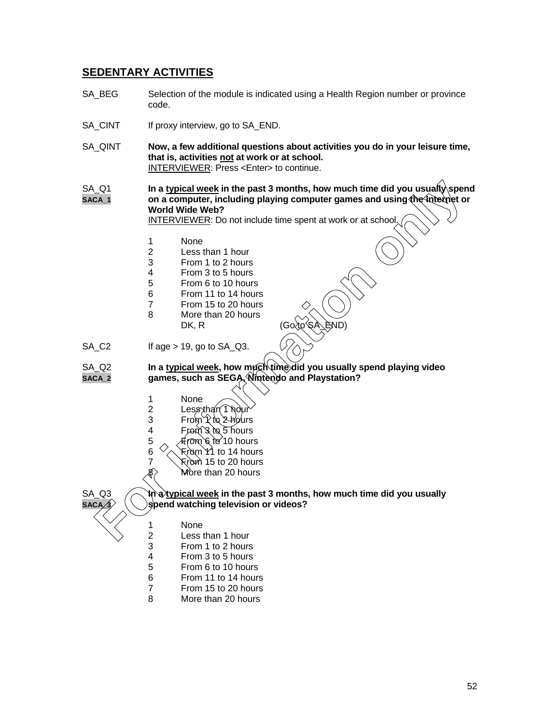## **SEDENTARY ACTIVITIES**

- SA BEG Selection of the module is indicated using a Health Region number or province code.
- SA\_CINT If proxy interview, go to SA\_END.
- SA\_QINT **Now, a few additional questions about activities you do in your leisure time, that is, activities not at work or at school.** INTERVIEWER: Press <Enter> to continue.

SA Q1 **In a typical week in the past 3 months, how much time did you usually spend SACA\_1 on a computer, including playing computer games and using the Internet or World Wide Web? For information of the last 3 months, how much time did you usually spend<br>
on a computer, including playing computer games and using the kinemer<br>
World Wide Web?<br>
INTERVIEWER: Do not include time spent at work or at schoo** 

INTERVIEWER: Do not include time spent at work or at school.

- 1 None<br>2 Less
- 2 Less than 1 hour<br>3 From 1 to 2 hours
- From 1 to 2 hours
- 4 From 3 to 5 hours<br>5 From 6 to 10 hours
- 5 From 6 to 10 hours
- 6 From 11 to 14 hours
- 7 From 15 to 20 hours 8 More than 20 hours
	- $DK, R$
- $SA_C2$  If age > 19, go to  $SA_C23$ .

SA\_Q2 **In a typical week, how much time did you usually spend playing video**<br>saca 2 games, such as SEGA, Nintendo and Playstation? games, such as SEGA, Nintendo and Playstation?

- 1 None<br>2 Less 2 Less than (1 m<br>3 From 1 to 2 h From 1 to 2 hours 4 From  $\frac{3}{6}$  to 5 hours<br>5 From 6 to 10 hour ზ tơ 10 hours
- 6  $\sqrt{\phantom{a}}$  From 11 to 14 hours
	-
- $7 \times 7$  From 15 to 20 hours<br> $\frac{8}{5}$  More than 20 hours
	- More than 20 hours



SA\_Q3 **In a typical week in the past 3 months, how much time did you usually**  $s$  **bend watching television or videos?** 

- 
- 1 None<br>2 Less
- 2 Less than 1 hour<br>3 From 1 to 2 hours 3 From 1 to 2 hours
- 4 From 3 to 5 hours
- 5 From 6 to 10 hours
- 6 From 11 to 14 hours
- 7 From 15 to 20 hours
- 8 More than 20 hours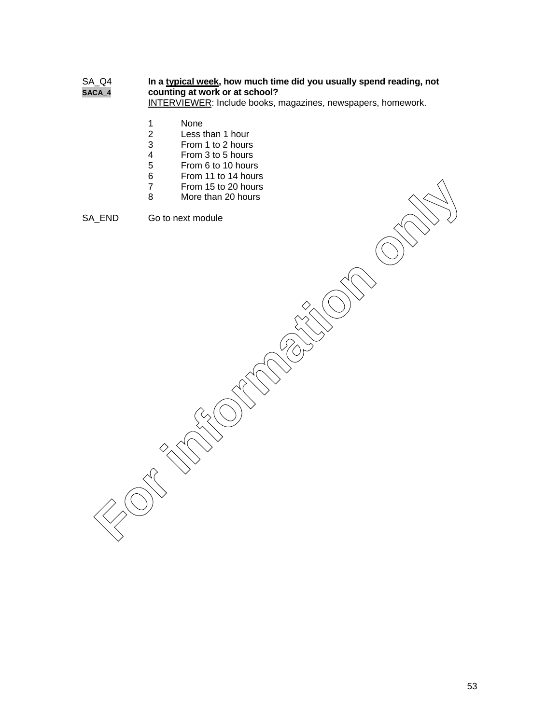## SA\_Q4 **In a typical week, how much time did you usually spend reading, not SACA\_4 counting at work or at school?**

INTERVIEWER: Include books, magazines, newspapers, homework.

- 1 None<br>2 Less t
- 2 Less than 1 hour<br>3 From 1 to 2 hours
- From 1 to 2 hours
- 4 From 3 to 5 hours<br>5 From 6 to 10 hours
- 5 From 6 to 10 hours
- 6 From 11 to 14 hours
- 7 From 15 to 20 hours<br>8 More than 20 hours
- More than 20 hours

SA\_END Go to next module

From 15 to 20 hours<br> **B** More than 20 hours<br>
Go to next module<br>
Concert in the conduction of the conduction of the conduction of the conduction of the conduction of the conduction of the conduction of the conduction of the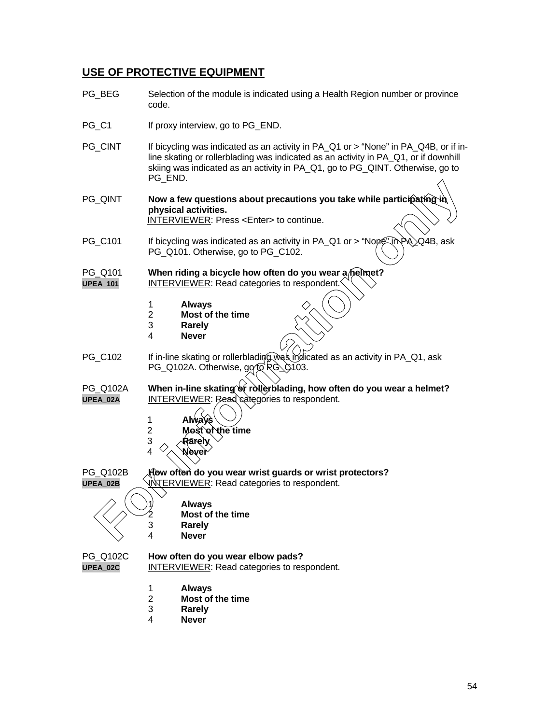## **USE OF PROTECTIVE EQUIPMENT**

- PG BEG Selection of the module is indicated using a Health Region number or province code.
- PG C1 If proxy interview, go to PG END.
- PG\_CINT If bicycling was indicated as an activity in PA\_Q1 or > "None" in PA\_Q4B, or if inline skating or rollerblading was indicated as an activity in PA\_Q1, or if downhill skiing was indicated as an activity in PA\_Q1, go to PG\_QINT. Otherwise, go to PG\_END.
- **PG** QINT **Now a few questions about precautions you take while participating physical activities.** INTERVIEWER: Press <Enter> to continue. **For intervention of the matter of the matter of the matter of the Mercylle Matter only and the matter of the matter of the CODI (10) CHO (10) CHO (10) CHO (10) CHO (10) CHO (10) CHO (10) CHO (10) CHO (10) CHO (10) CHO (10**
- PG\_C101 If bicycling was indicated as an activity in PA\_Q1 or > "None" in PA \Q4B, ask PG\_Q101. Otherwise, go to PG\_C102.
- PG\_Q101 When riding a bicycle how often do you wear a/helmet? **UPEA\_101** INTERVIEWER: Read categories to respondent.
	- 1 **Always**
	- 2 **Most of the time**
	- 3 **Rarely**
	- 4 **Never**
- PG\_C102 If in-line skating or rollerblading was indicated as an activity in PA\_Q1, ask PG\_Q102A. Otherwise,  $q\sigma f\bar{\sigma} R\hat{G}$  C103.
- PG\_Q102A When in-line skating or roller blading, how often do you wear a helmet? UPEA\_02A INTERVIEWER: Read categories to respondent.
	- 1 **Always**
	- 2 **Most of the time**
	- 3 **Rarely**
	- 4 **Never**

PG\_Q102B **How often do you wear wrist guards or wrist protectors? UPEA\_02B** VINTERVIEWER: Read categories to respondent.



1 **Always** 2 **Most of the time** 3 **Rarely**

4 **Never**

## PG\_Q102C **How often do you wear elbow pads?**

**UPEA\_02C** INTERVIEWER: Read categories to respondent.

- 1 **Always**
- 2 **Most of the time**
- 3 **Rarely**
- 4 **Never**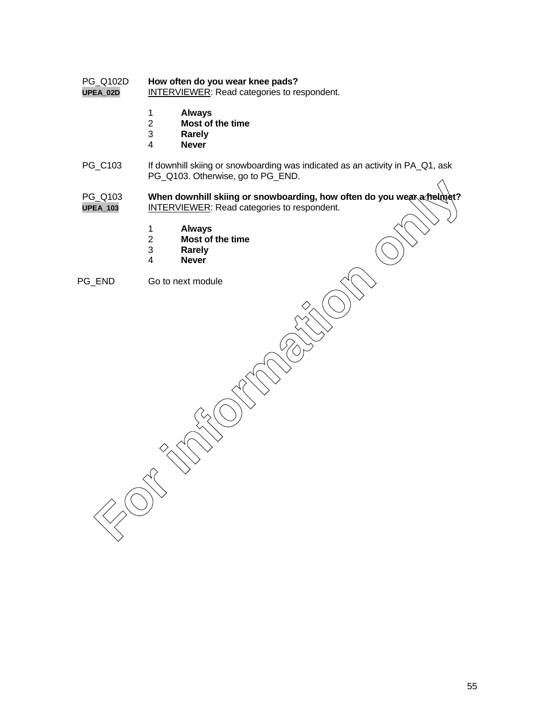# PG\_Q102D **How often do you wear knee pads?**

**INTERVIEWER: Read categories to respondent.** 

- 1 **Always**
- 2 **Most of the time**
- 3 **Rarely**
- 4 **Never**
- PG\_C103 If downhill skiing or snowboarding was indicated as an activity in PA\_Q1, ask PG\_Q103. Otherwise, go to PG\_END.
- PG\_Q103 When downhill skiing or snowboarding, how often do you wear a helmet? **UPEA\_103** INTERVIEWER: Read categories to respondent. For 103<br> **For information of the state of the state of the state of the state of the state of the time**<br> **For Most of the time**<br> **For Most of the time**<br> **For information**<br> **For information of the state of the time**<br> **For i** 
	- 1 **Always**
	- 2 **Most of the time**
	- 3 **Rarely**
	- 4 **Never**
- PG\_END Go to next module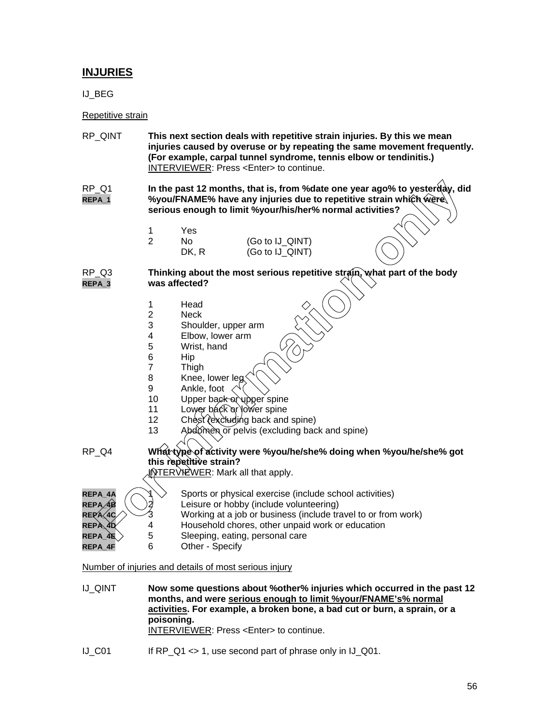## **INJURIES**

IJ\_BEG

## Repetitive strain

- RP\_QINT **This next section deals with repetitive strain injuries. By this we mean injuries caused by overuse or by repeating the same movement frequently. (For example, carpal tunnel syndrome, tennis elbow or tendinitis.)** INTERVIEWER: Press <Enter> to continue.
- RP\_Q1 **In the past 12 months, that is, from %date one year ago% to yesteroday, did REPA\_1 %you/FNAME% have any injuries due to repetitive strain which were serious enough to limit %your/his/her% normal activities?**
	- 1 Yes 2 No (Go to IJ\_QINT) DK, R (Go to IJ\_QINT)

## RP\_Q3 **Thinking about the most serious repetitive strain, what part of the body REPA\_3 was affected?**

- 1 Head
- 2 Neck<br>3 Shoul
- 3 Shoulder, upper arm
- 4 Elbow, lower arm<br>5 Wrist, hand
- 5 Wrist, hand<br>6 Hip
- **Hip**
- 7 Thigh
- 8 Knee, lower leg
- 9 Ankle, foot
- 10 Upper back of upper spine
- 11 Lower back or lower spine
- 12 Chest Yexcluding back and spine)
- 13 Abdomen or pelvis (excluding back and spine)
- RP\_Q4 **What type of activity were %you/he/she% doing when %you/he/she% got this repetitive strain? INTERVIEWER: Mark all that apply.** For interpretations, that is, from % date one year ago% to yester a<br>serious enough to limit % your/his/here the to repetitive strain which were<br>serious enough to limit % your/his/her% normal activities?<br>
Thinking about t

| REPA_4A                             |   | Sports or physical exercise (include school activities)       |
|-------------------------------------|---|---------------------------------------------------------------|
| $\mathsf{REPA} \diagup \mathsf{4B}$ |   | Leisure or hobby (include volunteering)                       |
| $REPA\diagup 4C$                    |   | Working at a job or business (include travel to or from work) |
| REPÀ 40                             | Δ | Household chores, other unpaid work or education              |
| $\mathtt{REPA}\_4\mathtt{K}$ $>$    | 5 | Sleeping, eating, personal care                               |
| REPA 4F                             | 6 | Other - Specify                                               |

Number of injuries and details of most serious injury

- IJ\_QINT **Now some questions about %other% injuries which occurred in the past 12 months, and were serious enough to limit %your/FNAME's% normal activities. For example, a broken bone, a bad cut or burn, a sprain, or a poisoning.** INTERVIEWER: Press <Enter> to continue.
- IJ\_C01 If RP\_Q1 <> 1, use second part of phrase only in IJ\_Q01.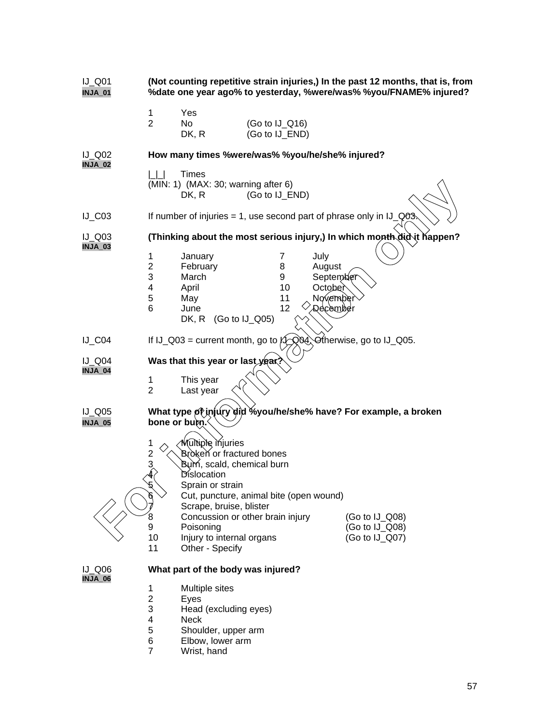| $IJ_Q$ 01<br><b>INJA_01</b>     | (Not counting repetitive strain injuries,) In the past 12 months, that is, from<br>%date one year ago% to yesterday, %were/was% %you/FNAME% injured?                                                                                                                                                                                                                                             |  |  |  |
|---------------------------------|--------------------------------------------------------------------------------------------------------------------------------------------------------------------------------------------------------------------------------------------------------------------------------------------------------------------------------------------------------------------------------------------------|--|--|--|
|                                 | Yes<br>1<br>$\overline{2}$<br>No<br>$(Go to IJ_Q16)$<br>(Go to IJ_END)<br>DK, R                                                                                                                                                                                                                                                                                                                  |  |  |  |
| <b>IJ Q02</b><br><b>INJA_02</b> | How many times %were/was% %you/he/she% injured?                                                                                                                                                                                                                                                                                                                                                  |  |  |  |
|                                 | Times<br>$\Box$<br>$(MIN: 1)$ (MAX: 30; warning after 6)<br>(Go to IJ_END)<br>DK, R                                                                                                                                                                                                                                                                                                              |  |  |  |
| $IJ_C03$                        | If number of injuries = 1, use second part of phrase only in $IJ_Q \otimes S$ .                                                                                                                                                                                                                                                                                                                  |  |  |  |
| $IJ$ Q03<br>INJA_03             | (Thinking about the most serious injury,) In which month did it happen?                                                                                                                                                                                                                                                                                                                          |  |  |  |
|                                 | 1<br>7<br>January<br>July<br>$\overline{2}$<br>February<br>August<br>8<br>3<br>March<br>September<br>9<br>October<br>4<br>April<br>10<br>November<br>5<br>11<br>May<br>12<br>6<br>June<br>' Qecember<br>(Go to IJ_Q05)<br>DK, R                                                                                                                                                                  |  |  |  |
| $IJ_C04$                        | If IJ_Q03 = current month, go to $\sqrt{2}$ , Q04. Otherwise, go to IJ_Q05.                                                                                                                                                                                                                                                                                                                      |  |  |  |
| $IJ_Q04$<br>INJA_04             | Was that this year or last year<br>1<br>This year<br>2<br>Last year                                                                                                                                                                                                                                                                                                                              |  |  |  |
| $IJ_Q05$<br><b>INJA_05</b>      | What type of injury did %you/he/she% have? For example, a broken<br>bone or butn.                                                                                                                                                                                                                                                                                                                |  |  |  |
|                                 | <b>Multiple</b> miuries<br>1<br>$\frac{2}{4}$<br>Broken or fractured bones<br>Burn, scald, chemical burn<br>Dislocation<br>Sprain or strain<br>Cut, puncture, animal bite (open wound)<br>Scrape, bruise, blister<br>8<br>Concussion or other brain injury<br>$(Go to IJ_Q08)$<br>9<br>Poisoning<br>(Go to IJ_Q08)<br>10<br>Injury to internal organs<br>(Go to IJ_Q07)<br>11<br>Other - Specify |  |  |  |
| $IJ_Q06$<br>INJA_06             | What part of the body was injured?                                                                                                                                                                                                                                                                                                                                                               |  |  |  |
|                                 | 1<br>Multiple sites<br>$\overline{c}$<br>Eyes<br>3<br>Head (excluding eyes)<br>4<br><b>Neck</b><br>5<br>Shoulder, upper arm<br>6<br>Elbow, lower arm                                                                                                                                                                                                                                             |  |  |  |

7 Wrist, hand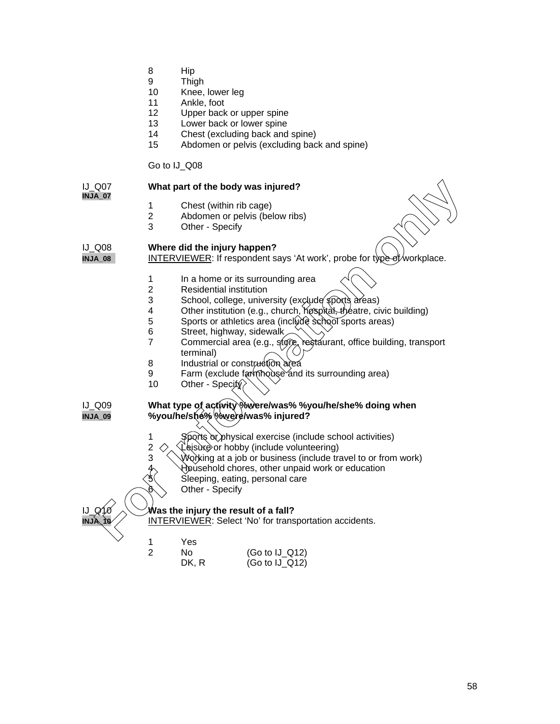- 8 Hip
- 9 Thigh
- 10 Knee, lower leg
- 11 Ankle, foot
- 12 Upper back or upper spine
- 13 Lower back or lower spine
- 14 Chest (excluding back and spine)
- 15 Abdomen or pelvis (excluding back and spine)

## Go to IJ\_Q08

## IJ\_Q07 **What part of the body was injured? INJA\_07** 1 Chest (within rib cage)<br>2 Abdomen or pelvis (bel 2 Abdomen or pelvis (below ribs)<br>3 Other - Specify Other - Specify IJ\_Q08 **Where did the injury happen? INJA\_08** INTERVIEWER: If respondent says 'At work', probe for type of workplace. 1 In a home or its surrounding area<br>2 Residential institution **Residential institution** 3 School, college, university (exclude sports areas) 4 Other institution (e.g., church, hospital, theatre, civic building) 5 Sports or athletics area (include school sports areas)<br>6 Street highway sidewalk 6 Street, highway, sidewalk  $\lesssim$  7 Commercial area (e.g., store, restaurant, office building, transport terminal) 8 Industrial or construction area<br>9 Farm (exclude farmhouse and Farm (exclude farmhouse and its surrounding area) 10 Other - Specity $\Diamond$ IJ\_Q09 **What type of activity %were/was% %you/he/she% doing when INJA\_09 %you/he/she% %were/was% injured?** 1 Sports or physical exercise (include school activities) 2  $\Diamond$  Leisure or hobby (include volunteering)<br>3  $\Diamond$  Working at a job or business (include tra Working at a job or business (include travel to or from work) Household chores, other unpaid work or education 5 Sleeping, eating, personal care Other - Specify **Was the injury the result of a fall? INTERVIEWER: Select 'No' for transportation accidents.** 1 Yes<br>2 No No (Go to IJ\_Q12) DK, R (Go to IJ\_Q12) **For interest of the body was injured?**<br>
These (within the cage)<br> **For information** on pelvis (below ribs)<br> **For Specify**<br> **For Specify**<br> **For information** on pelvis (below ribs)<br> **For Specify**<br> **For Specify**<br> **For informa**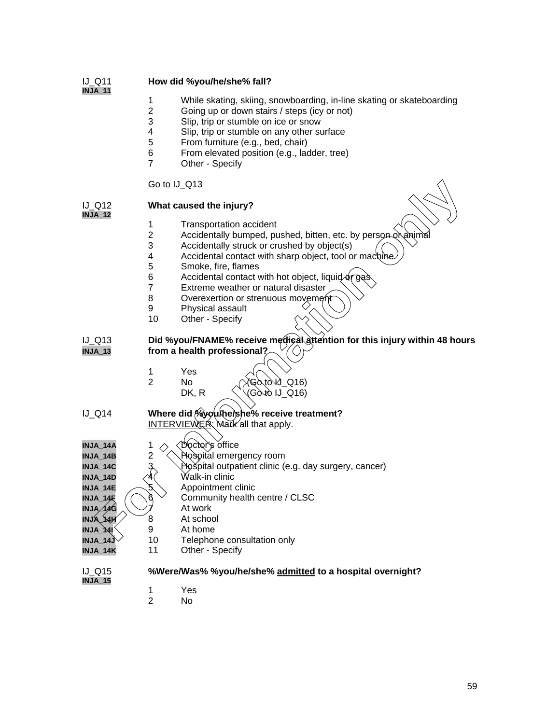## IJ\_Q11 **How did %you/he/she% fall?**

- **INJA\_11**
- 1 While skating, skiing, snowboarding, in-line skating or skateboarding<br>2 Going up or down stairs / steps (icy or not)
- 2 Going up or down stairs / steps (icy or not)<br>3 Slip. trip or stumble on ice or snow
- 3 Slip, trip or stumble on ice or snow<br>4 Slip, trip or stumble on any other su
- 4 Slip, trip or stumble on any other surface<br>5 From furniture (e.g., bed. chair)
- 5 From furniture (e.g., bed, chair)
- 6 From elevated position (e.g., ladder, tree)
- Other Specify

Go to IJ\_Q13

## IJ\_Q12 **What caused the injury?**

**INJA\_12**

- 1 Transportation accident
- 2 Accidentally bumped, pushed, bitten, etc. by person or animal
- 3 Accidentally struck or crushed by object(s)
- 4 Accidental contact with sharp object, tool or machine<br>5 Smoke fire flames
- 5 Smoke, fire, flames
- 6 Accidental contact with hot object, liquid or ga
- 7 Extreme weather or natural disaster
- 8 Overexertion or strenuous movement
- 9 Physical assault
- 10 Other Specify
- IJ\_Q13 **Did %you/FNAME% receive medical attention for this injury within 48 hours INJA\_13 from a health professional?**
	- 1 Yes No (Goto V \_ Q16)<br>DK, R (Goto IJ\_Q16)  $G$   $\delta$   $\delta$   $D_{Q}$   $Q$  16)
- IJ\_Q14 **Where did %you/he/she% receive treatment?** INTERVIEWER: Mark all that apply.
- **INJA\_14A** 1 Doctor's office **INJA\_14B** 2  $\sqrt{\left(\frac{1}{10}\right)^2}$  2  $\sqrt{\left(\frac{1}{10}\right)^2}$  emergency room **INJA\_14C** 3 Hospital outpatient clinic (e.g. day surgery, cancer) **INJA\_14D**  $\chi^4$  Walk-in clinic **INJA 14E**  $\sim 5$  Appointment clinic **INJA\_14F**  $\left(\bigcap_{k=1}^{n} A_k\right)$  Community health centre / CLSC **INJA** $\overline{14G}$  $\overline{7}$  At work  $INJA$   $MH$   $8$  At school **INJA\_14I** 9 At home **INJA\_14J** 10 Telephone consultation only **INJA\_14K** 11 Other - Specify Go to IJ\_Q13<br>
What caused the injury?<br>
The according bumped, pushed, bitten, etc. by person overvised<br>
2 Accidentally sumped, pushed, bitten, etc. by person overvising<br>
4 Accidental contact with sharp object, tool or machi

**INJA\_15**

- IJ\_Q15 **%Were/Was% %you/he/she% admitted to a hospital overnight?**
	- - 1 Yes
		- 2 No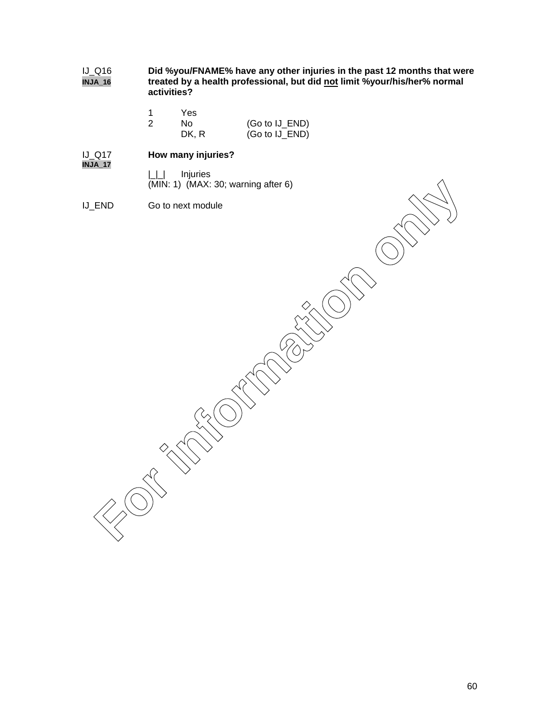IJ\_Q16 **Did %you/FNAME% have any other injuries in the past 12 months that were** treated by a health professional, but did not limit %your/his/her% normal **activities?**

| 1 | Yes.  |                |
|---|-------|----------------|
| 2 | N٥    | (Go to IJ_END) |
|   | DK, R | (Go to IJ_END) |

## **How many injuries? INJA\_17**

- |\_|\_| Injuries
- (MIN: 1) (MAX: 30; warning after 6)
- IJ\_END Go to next module

**FAID** Go to next module<br>
Go to next module<br>  $\begin{pmatrix} 0 & 0 \\ 0 & 0 \end{pmatrix}$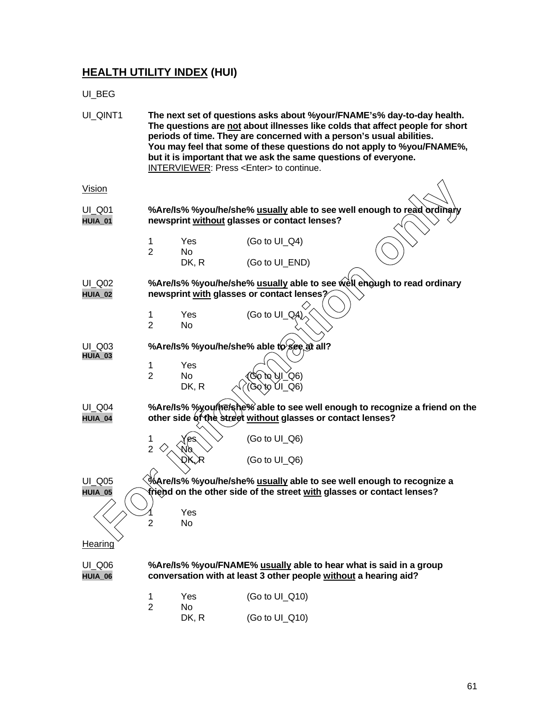## **HEALTH UTILITY INDEX (HUI)**

UI\_BEG

| UI_QINT1                 |                                                                                                                                            |                           | The next set of questions asks about %your/FNAME's% day-to-day health.<br>periods of time. They are concerned with a person's usual abilities.<br>but it is important that we ask the same questions of everyone.<br><b>INTERVIEWER: Press <enter> to continue.</enter></b> | The questions are not about illnesses like colds that affect people for short<br>You may feel that some of these questions do not apply to %you/FNAME%, |
|--------------------------|--------------------------------------------------------------------------------------------------------------------------------------------|---------------------------|-----------------------------------------------------------------------------------------------------------------------------------------------------------------------------------------------------------------------------------------------------------------------------|---------------------------------------------------------------------------------------------------------------------------------------------------------|
| <b>Vision</b>            |                                                                                                                                            |                           |                                                                                                                                                                                                                                                                             |                                                                                                                                                         |
| <b>UI Q01</b><br>HUIA_01 | %Are/Is% %you/he/she% usually able to see well enough to read ordinary<br>newsprint without glasses or contact lenses?                     |                           |                                                                                                                                                                                                                                                                             |                                                                                                                                                         |
|                          | 1<br>$\overline{2}$                                                                                                                        | <b>Yes</b><br>No<br>DK, R | (Go to UI_Q4)<br>(Go to UI_END)                                                                                                                                                                                                                                             |                                                                                                                                                         |
| UI_Q02<br>HUIA_02        | %Are/Is% %you/he/she% usually able to see well enough to read ordinary<br>newsprint with glasses or contact lenses?                        |                           |                                                                                                                                                                                                                                                                             |                                                                                                                                                         |
|                          | 1<br>$\overline{2}$                                                                                                                        | Yes<br>No                 | (Go to UI QA)                                                                                                                                                                                                                                                               |                                                                                                                                                         |
| UI_Q03<br>HUIA_03        | %Are/ls% %you/he/she% able to see at all?                                                                                                  |                           |                                                                                                                                                                                                                                                                             |                                                                                                                                                         |
|                          | 1<br>$\overline{2}$                                                                                                                        | Yes<br><b>No</b><br>DK, R | Go`to`UI_Q6)<br>(60_IÙ or^o                                                                                                                                                                                                                                                 |                                                                                                                                                         |
| <b>UI Q04</b><br>HUIA_04 | %Are/Is% %you/he/she % able to see well enough to recognize a friend on the<br>other side of the street without glasses or contact lenses? |                           |                                                                                                                                                                                                                                                                             |                                                                                                                                                         |
|                          | $\overline{2}$                                                                                                                             |                           | (Go to UI_Q6)                                                                                                                                                                                                                                                               |                                                                                                                                                         |
|                          |                                                                                                                                            | DK. R                     | (Go to UI_Q6)                                                                                                                                                                                                                                                               |                                                                                                                                                         |
| <b>UI_Q05</b><br>HUIA_05 |                                                                                                                                            |                           | %Are/Is% %you/he/she% <u>usually</u> able to see well enough to recognize a<br>triend on the other side of the street with glasses or contact lenses?                                                                                                                       |                                                                                                                                                         |
|                          | 2                                                                                                                                          | Yes<br>No                 |                                                                                                                                                                                                                                                                             |                                                                                                                                                         |
| <b>Hearing</b>           |                                                                                                                                            |                           |                                                                                                                                                                                                                                                                             |                                                                                                                                                         |
| <b>UI_Q06</b><br>HUIA_06 | %Are/Is% %you/FNAME% usually able to hear what is said in a group<br>conversation with at least 3 other people without a hearing aid?      |                           |                                                                                                                                                                                                                                                                             |                                                                                                                                                         |
|                          | 1<br>$\overline{2}$                                                                                                                        | Yes<br>No                 | (Go to UI_Q10)                                                                                                                                                                                                                                                              |                                                                                                                                                         |
|                          |                                                                                                                                            | DK, R                     | (Go to UI_Q10)                                                                                                                                                                                                                                                              |                                                                                                                                                         |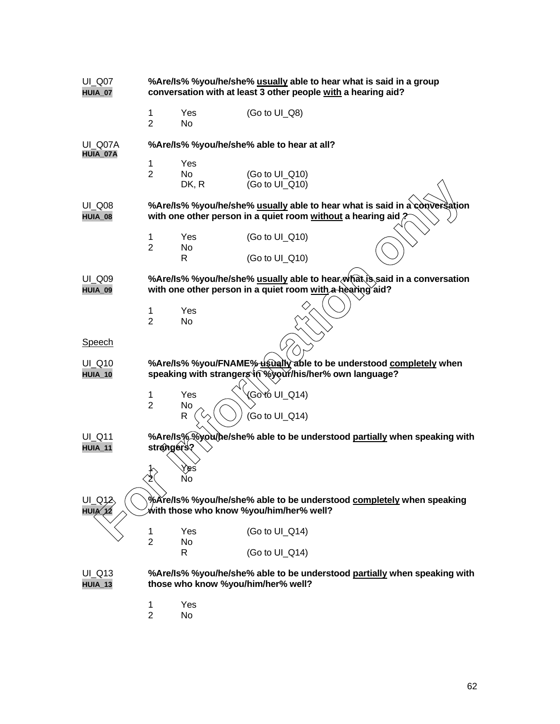| UI_Q07<br>HUIA_07        | %Are/Is% %you/he/she% usually able to hear what is said in a group<br>conversation with at least 3 other people with a hearing aid?        |                    |                                                                                                                 |
|--------------------------|--------------------------------------------------------------------------------------------------------------------------------------------|--------------------|-----------------------------------------------------------------------------------------------------------------|
|                          | 1<br>$\overline{2}$                                                                                                                        | Yes<br>No          | (Go to UI_Q8)                                                                                                   |
| UI Q07A<br>HUIA_07A      | %Are/Is% %you/he/she% able to hear at all?                                                                                                 |                    |                                                                                                                 |
|                          | 1<br>$\overline{2}$                                                                                                                        | Yes<br>No<br>DK, R | (Go to UI_Q10)<br>(Go to UI_Q10)                                                                                |
| <b>UI_Q08</b><br>HUIA_08 | %Are/Is% %you/he/she% usually able to hear what is said in a conversation<br>with one other person in a quiet room without a hearing aid ? |                    |                                                                                                                 |
|                          | 1<br>$\overline{2}$                                                                                                                        | Yes<br>No          | (Go to UI_Q10)                                                                                                  |
|                          |                                                                                                                                            | R                  | (Go to UI_Q10)                                                                                                  |
| <b>UI Q09</b><br>HUIA_09 | %Are/ls% %you/he/she% usually able to hear (what is said in a conversation<br>with one other person in a quiet room with a hearing aid?    |                    |                                                                                                                 |
|                          | 1<br>$\overline{2}$                                                                                                                        | Yes<br>No          |                                                                                                                 |
| <b>Speech</b>            |                                                                                                                                            |                    |                                                                                                                 |
| UI_Q10<br>HUIA_10        | %Are/Is% %you/FNAME% usually able to be understood completely when<br>speaking with strangers in Wyour/his/her% own language?              |                    |                                                                                                                 |
|                          | 1<br>$\overline{2}$                                                                                                                        | Yes<br>No<br>R     | (Gòtó UI_Q14)<br>(Go to UI_Q14)                                                                                 |
| <b>UI_Q11</b><br>HUIA_11 | strangers?                                                                                                                                 |                    | %Are/ls%%you/he/she% able to be understood partially when speaking with                                         |
|                          |                                                                                                                                            | ′ es<br>No         |                                                                                                                 |
| UI_Q12<br>HUIA_12        |                                                                                                                                            |                    | %Are/Is% %you/he/she% able to be understood completely when speaking<br>with those who know %you/him/her% well? |
|                          | 1<br>$\overline{2}$                                                                                                                        | Yes<br>No          | (Go to UI_Q14)                                                                                                  |
|                          |                                                                                                                                            | R                  | (Go to UI_Q14)                                                                                                  |
| $UI_Q13$<br>HUIA_13      | %Are/Is% %you/he/she% able to be understood partially when speaking with<br>those who know %you/him/her% well?                             |                    |                                                                                                                 |
|                          | 1<br>$\overline{2}$                                                                                                                        | Yes<br>No          |                                                                                                                 |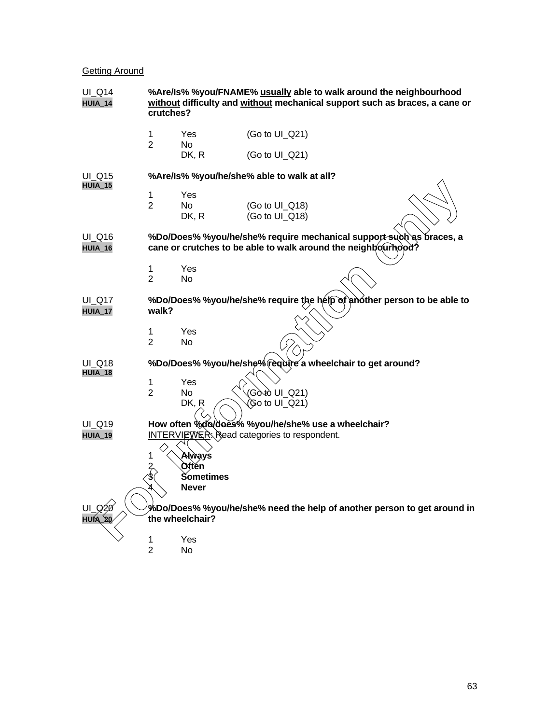## **Getting Around**

| <b>UI_Q14</b><br><b>HUIA_14</b>                                                                                    | %Are/Is% %you/FNAME% usually able to walk around the neighbourhood<br>without difficulty and without mechanical support such as braces, a cane or<br>crutches? |                    |                |                                                                         |
|--------------------------------------------------------------------------------------------------------------------|----------------------------------------------------------------------------------------------------------------------------------------------------------------|--------------------|----------------|-------------------------------------------------------------------------|
|                                                                                                                    | 1<br>$\overline{2}$                                                                                                                                            | Yes<br>No          | (Go to UI_Q21) |                                                                         |
|                                                                                                                    |                                                                                                                                                                | DK, R              | (Go to UI_Q21) |                                                                         |
| UI Q15<br>HUIA_15                                                                                                  | %Are/Is% %you/he/she% able to walk at all?                                                                                                                     |                    |                |                                                                         |
|                                                                                                                    | 1                                                                                                                                                              | Yes                |                |                                                                         |
|                                                                                                                    | $\overline{2}$                                                                                                                                                 | No                 | (Go to UI_Q18) |                                                                         |
|                                                                                                                    |                                                                                                                                                                | DK, R              | (Go to UI_Q18) |                                                                         |
| UI_Q16                                                                                                             |                                                                                                                                                                |                    |                | %Do/Does% %you/he/she% require mechanical support such as braces, a     |
| HUIA_16                                                                                                            |                                                                                                                                                                |                    |                | cane or crutches to be able to walk around the neighbourhood?           |
|                                                                                                                    | 1                                                                                                                                                              | Yes                |                |                                                                         |
|                                                                                                                    | $\overline{2}$                                                                                                                                                 | No                 |                |                                                                         |
| UI_Q17                                                                                                             |                                                                                                                                                                |                    |                | %Do/Does% %you/he/she% require the help of another person to be able to |
| <b>HUIA_17</b>                                                                                                     | walk?                                                                                                                                                          |                    |                |                                                                         |
|                                                                                                                    | 1                                                                                                                                                              | Yes                |                |                                                                         |
|                                                                                                                    | $\overline{2}$                                                                                                                                                 | No                 |                |                                                                         |
| UI Q18                                                                                                             | %Do/Does% %you/he/she% require a wheelchair to get around?                                                                                                     |                    |                |                                                                         |
| HUIA_18                                                                                                            | 1                                                                                                                                                              | Yes                |                |                                                                         |
|                                                                                                                    | $\overline{2}$                                                                                                                                                 | No                 | (Gòtò UI_Q21)  |                                                                         |
|                                                                                                                    |                                                                                                                                                                | DK, R              | (Go to UI_Q21) |                                                                         |
| <b>UI Q19</b>                                                                                                      | How often %do/does% %you/he/she% use a wheelchair?                                                                                                             |                    |                |                                                                         |
| <b>HUIA_19</b>                                                                                                     | <b>INTERVIEWER:</b> Read categories to respondent.                                                                                                             |                    |                |                                                                         |
|                                                                                                                    | 1                                                                                                                                                              | Always             |                |                                                                         |
|                                                                                                                    | $\frac{2}{3}$                                                                                                                                                  | Oftěn              |                |                                                                         |
|                                                                                                                    |                                                                                                                                                                | Sometimes<br>Never |                |                                                                         |
|                                                                                                                    |                                                                                                                                                                |                    |                |                                                                         |
| JI Q20<br>%Do/Does% %you/he/she% need the help of another person to get around in<br>the wheelchair?<br>AIUH<br>20 |                                                                                                                                                                |                    |                |                                                                         |
|                                                                                                                    | 1                                                                                                                                                              | Yes                |                |                                                                         |
|                                                                                                                    | $\overline{2}$                                                                                                                                                 | No                 |                |                                                                         |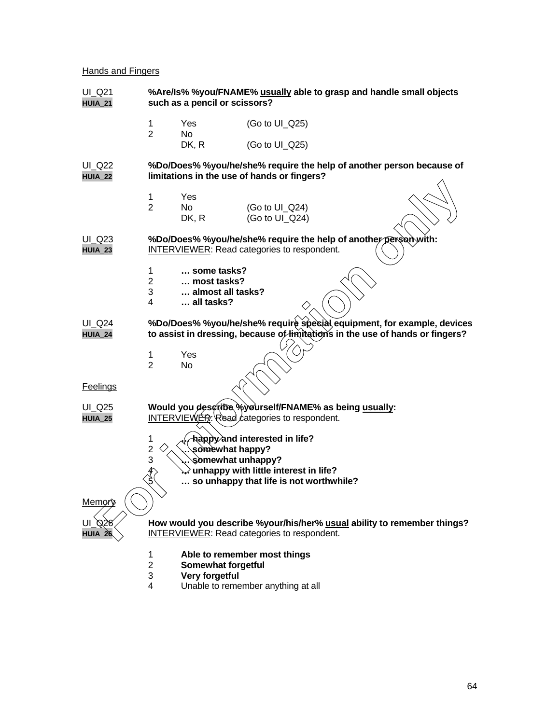## **Hands and Fingers**

| UI_Q21<br><b>HUIA_21</b> | %Are/Is% %you/FNAME% usually able to grasp and handle small objects<br>such as a pencil or scissors?                  |                                                               |                                                                                                                               |  |                                                                                                                                                         |
|--------------------------|-----------------------------------------------------------------------------------------------------------------------|---------------------------------------------------------------|-------------------------------------------------------------------------------------------------------------------------------|--|---------------------------------------------------------------------------------------------------------------------------------------------------------|
|                          | 1<br>$\overline{2}$                                                                                                   | Yes<br>No                                                     | (Go to UI_Q25)                                                                                                                |  |                                                                                                                                                         |
|                          |                                                                                                                       | DK, R                                                         | (Go to UI_Q25)                                                                                                                |  |                                                                                                                                                         |
| UI_Q22<br><b>HUIA_22</b> |                                                                                                                       |                                                               | limitations in the use of hands or fingers?                                                                                   |  | %Do/Does% %you/he/she% require the help of another person because of                                                                                    |
|                          | 1<br>$\overline{2}$                                                                                                   | Yes<br>No.<br>DK, R                                           | (Go to UI_Q24)<br>(Go to UI_Q24)                                                                                              |  |                                                                                                                                                         |
| <b>UI_Q23</b><br>HUIA_23 | %Do/Does% %you/he/she% require the help of another person with:<br><b>INTERVIEWER:</b> Read categories to respondent. |                                                               |                                                                                                                               |  |                                                                                                                                                         |
|                          | 1<br>$\overline{2}$<br>3<br>4                                                                                         | some tasks?<br>most tasks?<br>almost all tasks?<br>all tasks? |                                                                                                                               |  |                                                                                                                                                         |
| $UI_Q24$<br>HUIA_24      |                                                                                                                       |                                                               |                                                                                                                               |  | %Do/Does% %you/he/she% require special equipment, for example, devices<br>to assist in dressing, because of limitations in the use of hands or fingers? |
|                          | 1<br>$\overline{2}$                                                                                                   | Yes<br><b>No</b>                                              |                                                                                                                               |  |                                                                                                                                                         |
| <b>Feelings</b>          |                                                                                                                       |                                                               |                                                                                                                               |  |                                                                                                                                                         |
| UI_Q25<br><b>HUIA_25</b> |                                                                                                                       |                                                               | Would you describe %yourself/FNAME% as being usually:<br>$INTERVIEWER: Read categories to respondent.$                        |  |                                                                                                                                                         |
|                          | 1<br>2<br>3<br>Æ,<br>$\mathfrak{F}$                                                                                   | somewhat happy?<br>somewhat unhappy?                          | Adppy and interested in life?<br>$\grave{}}$ unhappy with little interest in life?<br>so unhappy that life is not worthwhile? |  |                                                                                                                                                         |
| <u>Memøry</u>            |                                                                                                                       |                                                               |                                                                                                                               |  |                                                                                                                                                         |
| UI Q26<br>HUIA_26        |                                                                                                                       |                                                               | INTERVIEWER: Read categories to respondent.                                                                                   |  | How would you describe %your/his/her% usual ability to remember things?                                                                                 |
|                          | 1<br>$\overline{2}$<br>3<br>4                                                                                         | Somewhat forgetful<br><b>Very forgetful</b>                   | Able to remember most things<br>Unable to remember anything at all                                                            |  |                                                                                                                                                         |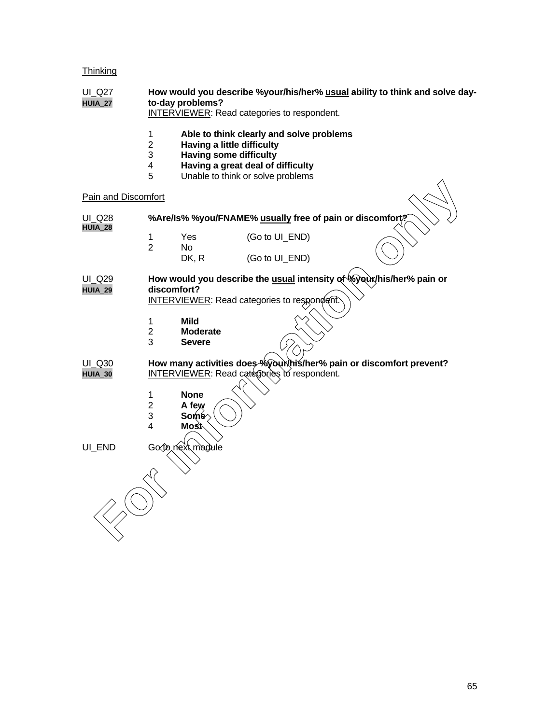## **Thinking**

| UI_Q27<br><b>HUIA_27</b>        | How would you describe %your/his/her% usual ability to think and solve day-<br>to-day problems?<br><b>INTERVIEWER:</b> Read categories to respondent.                                                                                     |  |  |
|---------------------------------|-------------------------------------------------------------------------------------------------------------------------------------------------------------------------------------------------------------------------------------------|--|--|
|                                 | $\mathbf{1}$<br>Able to think clearly and solve problems<br>$\overline{2}$<br><b>Having a little difficulty</b><br>3<br><b>Having some difficulty</b><br>Having a great deal of difficulty<br>4<br>Unable to think or solve problems<br>5 |  |  |
| Pain and Discomfort             |                                                                                                                                                                                                                                           |  |  |
| <b>UI_Q28</b><br>HUIA_28        | %Are/Is% %you/FNAME% usually free of pain or discomfort?                                                                                                                                                                                  |  |  |
|                                 | (Go to UI_END)<br>Yes<br>1<br>$\overline{2}$<br>No.<br>DK, R<br>(Go to UI_END)                                                                                                                                                            |  |  |
| <b>UI Q29</b><br><b>HUIA_29</b> | How would you describe the usual intensity of Wyour/his/her% pain or<br>discomfort?<br><b>INTERVIEWER:</b> Read categories to respondent.<br>$\mathbf{1}$<br><b>Mild</b><br>$\overline{2}$<br><b>Moderate</b>                             |  |  |
| <b>UI Q30</b>                   | 3<br><b>Severe</b><br>How many activities does %yourthis/her% pain or discomfort prevent?                                                                                                                                                 |  |  |
| HUIA_30                         | <b>INTERVIEWER:</b> Read categories to respondent.<br>1<br><b>None</b><br>$\overline{c}$<br>A few<br>3<br>Some<br>$\overline{4}$<br><b>Most</b>                                                                                           |  |  |
| UI_END                          | Go to next module                                                                                                                                                                                                                         |  |  |
|                                 |                                                                                                                                                                                                                                           |  |  |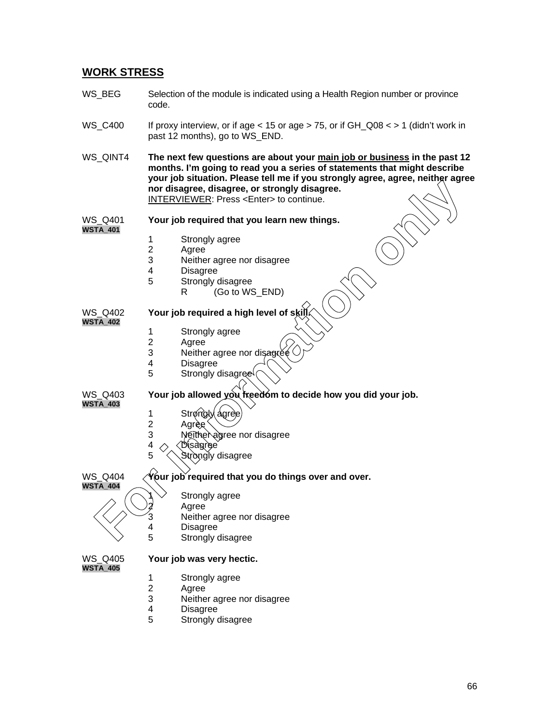## **WORK STRESS**

- WS BEG Selection of the module is indicated using a Health Region number or province code.
- WS\_C400 If proxy interview, or if age  $<$  15 or age  $>$  75, or if GH\_Q08  $<$   $>$  1 (didn't work in past 12 months), go to WS\_END.
- WS QINT4 **The next few questions are about your main job or business in the past 12 months. I'm going to read you a series of statements that might describe your job situation. Please tell me if you strongly agree, agree, neither agree nor disagree, disagree, or strongly disagree.** INTERVIEWER: Press <Enter> to continue. For the method of the Marian Computer of the Marian Computer of the Marian Computer of the Disagree.<br> **For information** of the Disagree of the Disagree.<br>
The Disagree of the Disagree of disagree<br>
4 Disagree 5 Strongly agre

### WS\_Q401 **Your job required that you learn new things.**

**WSTA\_401**

- 1 Strongly agree
- 2 Agree<br>3 Neithe
- Neither agree nor disagree
- 4 Disagree<br>5 Strongly
	- Strongly disagree
		- R (Go to WS\_END)

## WS Q402 Your job required a high level of skill

- **WSTA\_402**
- 1 Strongly agree<br>2 Agree
- 2 Agree<br>3 Neithe
- 3 Neither agree nor disagree<br>4 Disagree
- 4 Disagree<br>5 Strongly
- Strongly disagree

**WSTA\_403**

## WS Q403 Your job allowed you freedom to decide how you did your job.

- 1 Strongly agree
	- Agrèe
- 3 Neither agree nor disagree
- $\begin{array}{c}\n 4 \bigcirc \bigcirc \text{Disag} \neq 5\n \end{array}$ 
	- Stròngly disagree

## WS\_Q404  $\sqrt{\theta}$  var job required that you do things over and over.



## Strongly agree

- **Agree**
- 3 Neither agree nor disagree
- 4 Disagree<br>5 Strongly
	- Strongly disagree

**WSTA\_405**

## WS\_Q405 **Your job was very hectic.**

- - 1 Strongly agree<br>2 Agree Agree
	- 3 Neither agree nor disagree
	- **Disagree**
	- 5 Strongly disagree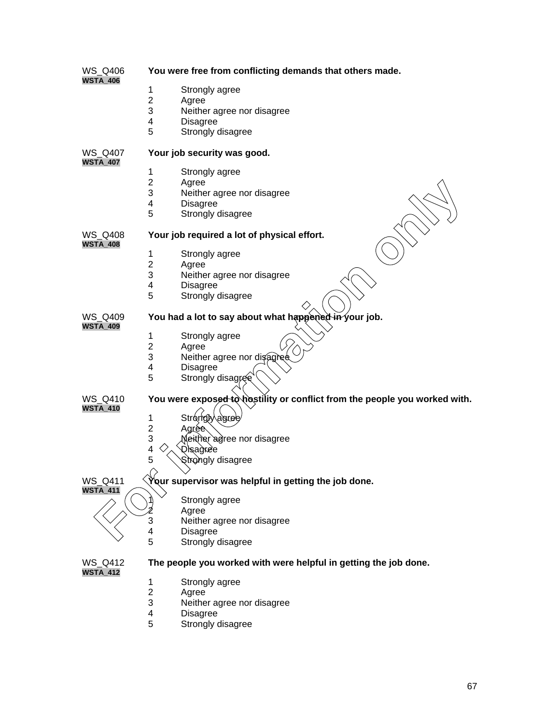| WS_Q406                           | You were free from conflicting demands that others made.                   |  |  |
|-----------------------------------|----------------------------------------------------------------------------|--|--|
| <b>WSTA_406</b>                   | 1<br>Strongly agree                                                        |  |  |
|                                   | $\overline{2}$<br>Agree                                                    |  |  |
|                                   | 3<br>Neither agree nor disagree                                            |  |  |
|                                   | 4<br>Disagree                                                              |  |  |
|                                   | 5<br>Strongly disagree                                                     |  |  |
|                                   |                                                                            |  |  |
| <b>WS Q407</b><br><b>WSTA_407</b> | Your job security was good.                                                |  |  |
|                                   | 1<br>Strongly agree                                                        |  |  |
|                                   | $\overline{2}$<br>Agree                                                    |  |  |
|                                   | 3<br>Neither agree nor disagree                                            |  |  |
|                                   | 4<br><b>Disagree</b>                                                       |  |  |
|                                   | 5<br>Strongly disagree                                                     |  |  |
| <b>WS Q408</b><br><b>WSTA_408</b> | Your job required a lot of physical effort.                                |  |  |
|                                   | 1<br>Strongly agree                                                        |  |  |
|                                   | $\overline{2}$<br>Agree                                                    |  |  |
|                                   | 3<br>Neither agree nor disagree                                            |  |  |
|                                   | 4<br><b>Disagree</b>                                                       |  |  |
|                                   | 5<br>Strongly disagree                                                     |  |  |
|                                   |                                                                            |  |  |
| WS Q409<br><b>WSTA_409</b>        | You had a lot to say about what happened in your job.                      |  |  |
|                                   | 1<br>Strongly agree                                                        |  |  |
|                                   | $\overline{2}$<br>Agree                                                    |  |  |
|                                   | 3<br>Neither agree nor disagree                                            |  |  |
|                                   | 4<br><b>Disagree</b>                                                       |  |  |
|                                   | 5<br>Strongly disagree                                                     |  |  |
|                                   |                                                                            |  |  |
| <b>WS Q410</b><br><b>WSTA_410</b> | You were exposed to hostility or conflict from the people you worked with. |  |  |
|                                   | Strongly agree<br>1                                                        |  |  |
|                                   | $\overline{2}$<br>Agrée                                                    |  |  |
|                                   | 3<br>Neither agree nor disagree                                            |  |  |
|                                   | 4<br>Disagree                                                              |  |  |
|                                   | 5<br>Strongly disagree                                                     |  |  |
|                                   | $\Omega$                                                                   |  |  |
| WS_Q411                           | Your supervisor was helpful in getting the job done.                       |  |  |
| <b>WSTA_411</b>                   | Strongly agree                                                             |  |  |
|                                   | Agree                                                                      |  |  |
|                                   | 3<br>Neither agree nor disagree                                            |  |  |
|                                   | 4<br><b>Disagree</b>                                                       |  |  |
|                                   | 5<br>Strongly disagree                                                     |  |  |
| <b>WS Q412</b>                    | The people you worked with were helpful in getting the job done.           |  |  |
| <b>WSTA_412</b>                   | 1<br>Strongly agree                                                        |  |  |
|                                   | $\overline{c}$<br>Agree                                                    |  |  |
|                                   | 3<br>Neither agree nor disagree                                            |  |  |
|                                   | <b>Disagree</b><br>4                                                       |  |  |
|                                   | 5<br>Strongly disagree                                                     |  |  |
|                                   |                                                                            |  |  |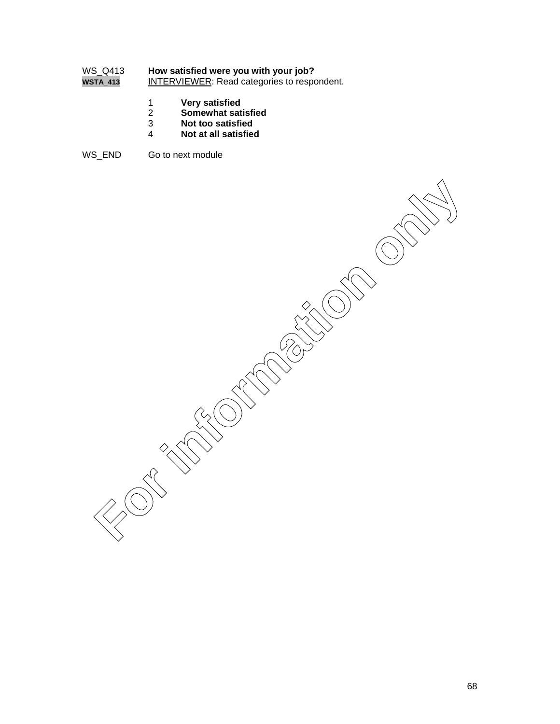# WS\_Q413 **How satisfied were you with your job?**<br>**WSTA\_413** INTERVIEWER: Read categories to respo

**INTERVIEWER:** Read categories to respondent.

- 1 **Very satisfied**
- 2 **Somewhat satisfied**
- 3 **Not too satisfied**
- 4 **Not at all satisfied**
- WS\_END Go to next module

**For information only in the compact of the compact of the compact of the compact of the compact of the compact**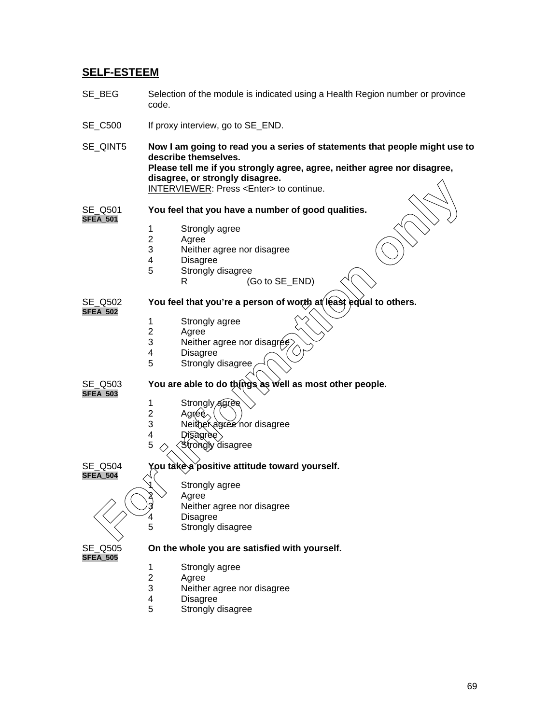## **SELF-ESTEEM**

- SE BEG Selection of the module is indicated using a Health Region number or province code.
- SE\_C500 If proxy interview, go to SE\_END.
- SE\_QINT5 **Now I am going to read you a series of statements that people might use to describe themselves. Please tell me if you strongly agree, agree, neither agree nor disagree, disagree, or strongly disagree.** INTERVIEWER: Press <Enter> to continue. **For the Algorithms** of the Continue Control of the Control of the Control of the Control of the Control of the Control of the Control of the Control of the Control of the Control of the Control of the Control of the Contr
- SE\_Q501 **You feel that you have a number of good qualities. SFEA\_501**
	- 1 Strongly agree
	- 2 Agree<br>3 Neithe
	- Neither agree nor disagree
	- 4 Disagree
	- 5 Strongly disagree
	- R (Go to SE\_END)

SE\_Q502 **You feel that you're a person of worth at least equal to others. SFEA\_502**

- 
- 1 Strongly agree<br>2 Agree
- 2 Agree<br>3 Neithe
- Neither agree nor disagree
- 4 Disagree<br>5 Strongly
- Strongly disagree

SE\_Q503 **You are able to do things as well as most other people.**

**SFEA\_503**

- 1 Strongly *agree*<br>2 Agree 2 Agréè
- 3 Neither agree nor disagree
- $4$  Disagree
- 5 Strongly disagree
- SE\_Q504 **You take a positive attitude toward yourself.**

**SFEA\_504**

## Strongly agree

- Agree
	- Neither agree nor disagree
- 4 Disagree
- 5 Strongly disagree

**SFEA\_505**

## SE\_Q505 **On the whole you are satisfied with yourself.**

- 1 Strongly agree
- 2 Agree<br>3 Neithe
- Neither agree nor disagree
- 4 Disagree<br>5 Strongly
- Strongly disagree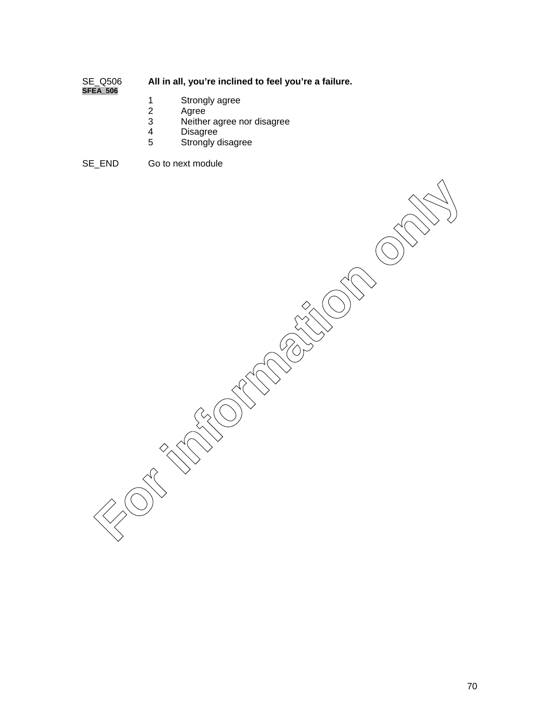## All in all, you're inclined to feel you're a failure. **SFEA\_506**

- 
- 1 Strongly agree<br>2 Agree
- 2 Agree<br>3 Neithe
- 3 Neither agree nor disagree
- 4 Disagree
- Strongly disagree

SE\_END Go to next module

**For information only in the compact of the compact of the compact of the compact of the compact of the compact**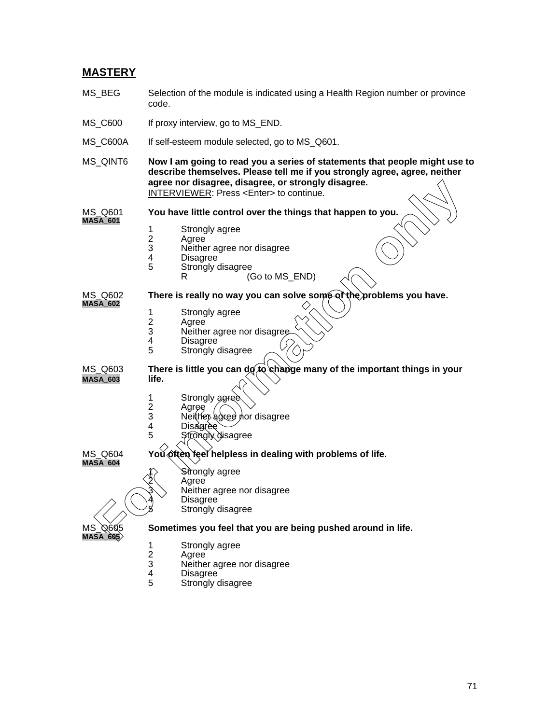## **MASTERY**

- MS BEG Selection of the module is indicated using a Health Region number or province code.
- MS C600 If proxy interview, go to MS END.
- MS\_C600A If self-esteem module selected, go to MS\_Q601.
- MS\_QINT6 **Now I am going to read you a series of statements that people might use to describe themselves. Please tell me if you strongly agree, agree, neither agree nor disagree, disagree, or strongly disagree.**

INTERVIEWER: Press <Enter> to continue.

MS\_Q601 **You have little control over the things that happen to you. MASA\_601**

- 
- Agree
- 1 Strongly agree<br>2 Agree<br>3 Neither agree r 3 Neither agree nor disagree
- 4 Disagree<br>5 Strongly
- Strongly disagree
	- (Go to MS\_END)

MS\_Q602 **There is really no way you can solve some of the problems you have. MASA\_602**

- 1 Strongly agree<br>2 Agree
- 2 Agree<br>3 Neithe
- 3 Neither agree nor disagree<br>4 Disagree
- 4 Disagree<br>5 Strongly
- Strongly disagree

MS Q603 **There is little you can do to change many of the important things in your MASA\_603 life. Examples not disagree, only straight and the streamers of straight only the streamers of the streamers of the streamers of the streamers of the streamers of the streamers of the streamers of the streamers of the streamers** 

- 1 Strongly agree
- 2 Agree<br>3 Neithe 3 Neither agree nor disagree<br>4 Disagree
- 4 Disagree
- **Strongly disagree**

MS\_Q604 **You often feel helpless in dealing with problems of life. MASA\_604**

Strongly agree

**Agree** 

Neither agree nor disagree

- **Disagree** 
	- Strongly disagree

**MASA\_605**

## MS\_Q605 **Sometimes you feel that you are being pushed around in life.**

- 1 Strongly agree<br>2 Agree<br>3 Neither agree r
	- **Agree**
- 3 Neither agree nor disagree
- 4 Disagree<sup>1</sup><br>5 Strongly o
- Strongly disagree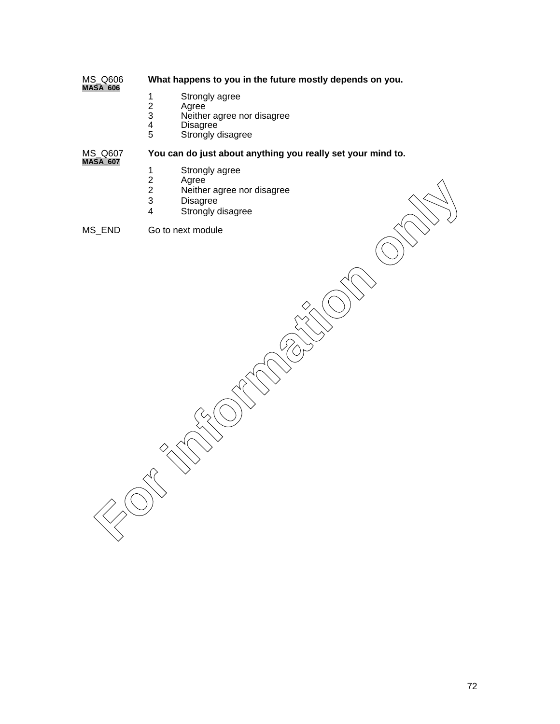### What happens to you in the future mostly depends on you. MS\_Q606<br>**MASA\_606**

- 
- 2 Agree
- 1 Strongly agree<br>
2 Agree<br>
3 Neither agree r<br>
4 Disagree<br>
5 Strongly disagr 3 Neither agree nor disagree
- Disagree
- Strongly disagree

MS\_Q607 **You can do just about anything you really set your mind to.**

- **MASA\_607**
	- 1 Strongly agree<br>2 Agree
	- 2 Agree
	- 2 Neither agree nor disagree<br>3 Disagree
	- 3 Disagree<br>4 Strongly of
	- Strongly disagree

MS\_END Go to next module

For New Text of Text of Text of Text of Text of Text of Text of Text of Text of Text of Text of Text of Text of Text of Text of Text of Text of Text of Text of Text of Text of Text of Text of Text of Text of Text of Text o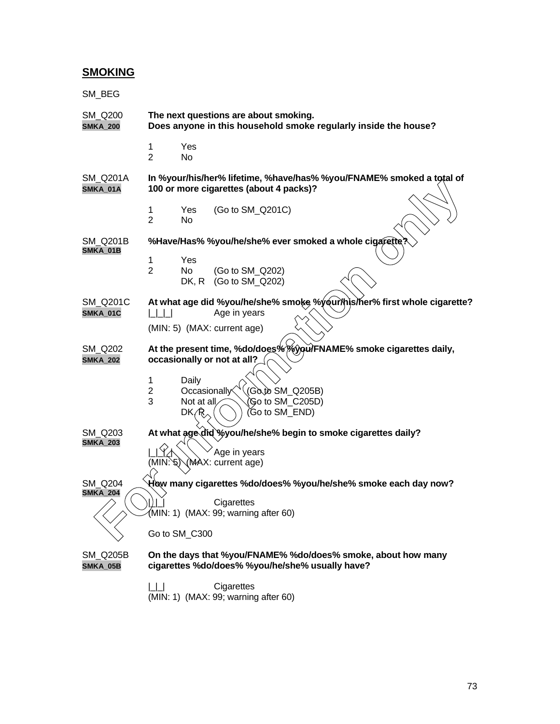### **SMOKING**

| SM_BEG                      |                     |                                    |                                                                                                                      |  |                                                                          |  |
|-----------------------------|---------------------|------------------------------------|----------------------------------------------------------------------------------------------------------------------|--|--------------------------------------------------------------------------|--|
| SM_Q200<br><b>SMKA_200</b>  |                     |                                    | The next questions are about smoking.<br>Does anyone in this household smoke regularly inside the house?             |  |                                                                          |  |
|                             | 1<br>$\overline{2}$ | Yes<br>No                          |                                                                                                                      |  |                                                                          |  |
| <b>SM Q201A</b><br>SMKA_01A |                     |                                    | 100 or more cigarettes (about 4 packs)?                                                                              |  | In %your/his/her% lifetime, %have/has% %you/FNAME% smoked a total of     |  |
|                             | 1<br>$\overline{2}$ | Yes<br>No                          | (Go to SM_Q201C)                                                                                                     |  |                                                                          |  |
| SM Q201B                    |                     |                                    | %Have/Has% %you/he/she% ever smoked a whole cigarette?                                                               |  |                                                                          |  |
| SMKA_01B                    | 1<br>$\overline{2}$ | Yes<br>No.<br>DK, R                | (Go to SM Q202)<br>(Go to SM_Q202)                                                                                   |  |                                                                          |  |
| SM_Q201C<br>SMKA_01C        |                     |                                    | Age in years<br>(MIN: 5) (MAX: current age)                                                                          |  | At what age did %you/he/she% smoke %your/his/her% first whole cigarette? |  |
| SM_Q202<br><b>SMKA_202</b>  | 1                   | Daily                              | At the present time, %do/does%%you/FNAME% smoke cigarettes daily,<br>occasionally or not at all?                     |  |                                                                          |  |
|                             | 2<br>3              | Occasionally<br>Not at all<br>DK/R | $(G\&\&\text{SM}_Q205B)$<br>(Go to SM_C205D)<br>(Go to SM_END)                                                       |  |                                                                          |  |
| SM Q203<br><b>SMKA_203</b>  |                     |                                    | At what age did %you/he/she% begin to smoke cigarettes daily?<br>Age in years                                        |  |                                                                          |  |
|                             |                     |                                    | (MIN: \\ \ \ \ \ \ \ \ \ \ \ \ \ \ current age)                                                                      |  |                                                                          |  |
| SM Q204<br><b>SMKA_204</b>  |                     |                                    | How many cigarettes %do/does% %you/he/she% smoke each day now?<br>Cigarettes<br>(MIN: 1) (MAX: 99; warning after 60) |  |                                                                          |  |
|                             | Go to SM_C300       |                                    |                                                                                                                      |  |                                                                          |  |
| SM_Q205B<br>SMKA_05B        |                     |                                    | On the days that %you/FNAME% %do/does% smoke, about how many<br>cigarettes %do/does% %you/he/she% usually have?      |  |                                                                          |  |
|                             | $\Box$              |                                    | Cigarettes<br>(MIN: 1) (MAX: 99; warning after 60)                                                                   |  |                                                                          |  |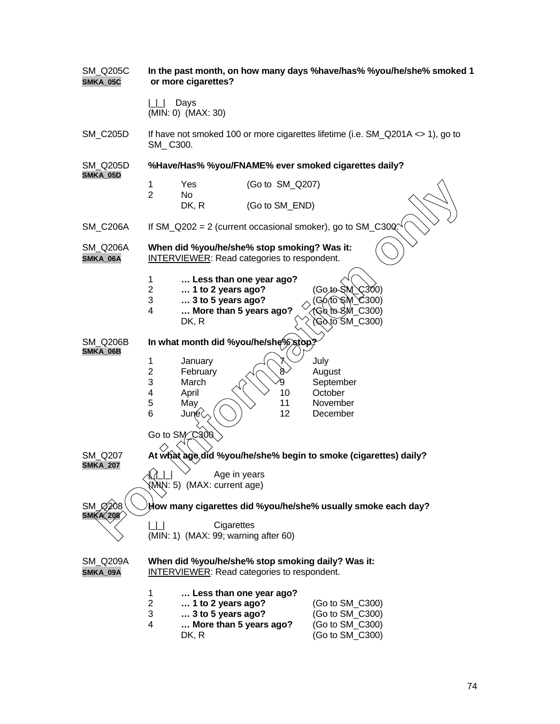| <b>SM_Q205C</b><br>SMKA_05C | or more cigarettes?                                                                                     | In the past month, on how many days %have/has% %you/he/she% smoked 1 |  |  |  |
|-----------------------------|---------------------------------------------------------------------------------------------------------|----------------------------------------------------------------------|--|--|--|
|                             | Days<br>(MIN: 0) (MAX: 30)                                                                              |                                                                      |  |  |  |
| <b>SM_C205D</b>             | If have not smoked 100 or more cigarettes lifetime (i.e. SM_Q201A <> 1), go to<br>SM_C300.              |                                                                      |  |  |  |
| SM Q205D                    | %Have/Has% %you/FNAME% ever smoked cigarettes daily?                                                    |                                                                      |  |  |  |
| SMKA_05D                    | (Go to SM_Q207)<br>1<br>Yes<br>$\overline{2}$<br>No                                                     |                                                                      |  |  |  |
|                             | DK, R<br>(Go to SM_END)                                                                                 |                                                                      |  |  |  |
| <b>SM_C206A</b>             | If $SM_Q202 = 2$ (current occasional smoker), go to $SM_Q300$ .                                         |                                                                      |  |  |  |
| <b>SM_Q206A</b><br>SMKA_06A | When did %you/he/she% stop smoking? Was it:<br><b>INTERVIEWER:</b> Read categories to respondent.       |                                                                      |  |  |  |
|                             | 1<br>Less than one year ago?                                                                            |                                                                      |  |  |  |
|                             | $\overline{2}$<br>$\dots$ 1 to 2 years ago?<br>$\ldots$ 3 to 5 years ago?<br>3                          | (Go.to-SM)<br>C300)<br>(G6 fo`\$M_C300)                              |  |  |  |
|                             | More than 5 years ago?<br>4<br>DK, R                                                                    | 1Go to SM_C300)<br>(Gò to SM_C300)                                   |  |  |  |
| <b>SM_Q206B</b>             | In what month did %you/he/she%\$top?                                                                    |                                                                      |  |  |  |
| SMKA_06B                    | 1<br>January                                                                                            | July                                                                 |  |  |  |
|                             | $\overline{2}$<br>February<br>8                                                                         | August                                                               |  |  |  |
|                             | 3<br>March<br>q<br>4<br>April<br>10                                                                     | September<br>October                                                 |  |  |  |
|                             | 5<br>11<br>May                                                                                          | November                                                             |  |  |  |
|                             | 12<br>6<br>June $\langle$                                                                               | December                                                             |  |  |  |
|                             | Go to SM C300                                                                                           |                                                                      |  |  |  |
| SM_Q207                     | At what age did %you/he/she% begin to smoke (cigarettes) daily?                                         |                                                                      |  |  |  |
| <b>SMKA_207</b>             | $\triangle$<br>Age in years<br>(MMN: 5) (MAX: current age)                                              |                                                                      |  |  |  |
| SM Ø208<br><b>SMKA 208</b>  | How many cigarettes did %you/he/she% usually smoke each day?                                            |                                                                      |  |  |  |
|                             | Cigarettes<br>(MIN: 1) (MAX: 99; warning after 60)                                                      |                                                                      |  |  |  |
| SM_Q209A<br>SMKA_09A        | When did %you/he/she% stop smoking daily? Was it:<br><b>INTERVIEWER:</b> Read categories to respondent. |                                                                      |  |  |  |
|                             | 1<br>Less than one year ago?                                                                            |                                                                      |  |  |  |
|                             | $\overline{c}$<br>1 to 2 years ago?<br>3<br>$\ldots$ 3 to 5 years ago?                                  | (Go to SM_C300)<br>(Go to SM_C300)                                   |  |  |  |
|                             | 4<br>More than 5 years ago?                                                                             | (Go to SM_C300)                                                      |  |  |  |
|                             | DK, R                                                                                                   | (Go to SM_C300)                                                      |  |  |  |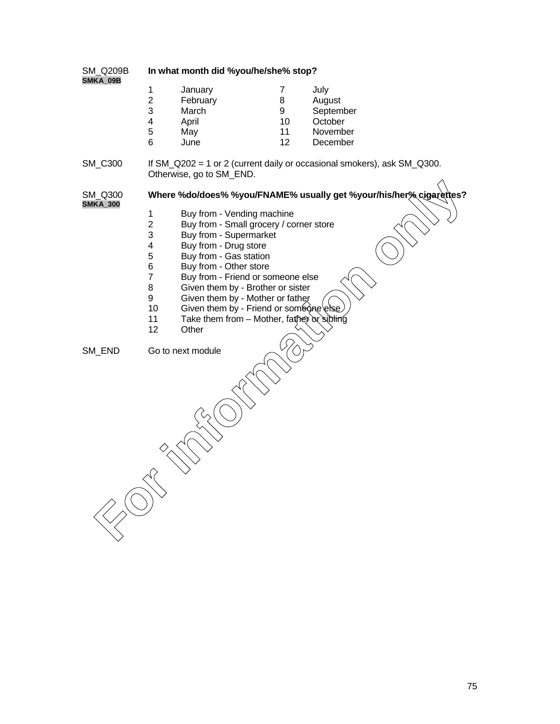| <b>SM Q209B</b> |  |
|-----------------|--|
| SMKA 09B        |  |

#### In what month did %you/he/she% stop?

|   | January  |    | July      |
|---|----------|----|-----------|
| 2 | February | 8  | August    |
| 3 | March    | 9  | September |
|   | April    | 10 | October   |
| 5 | May      | 11 | November  |
| 6 | June     | 12 | December  |

SM\_C300 If SM\_Q202 = 1 or 2 (current daily or occasional smokers), ask SM\_Q300. Otherwise, go to SM\_END.

**SMKA\_300**

SM\_Q300 **Where %do/does% %you/FNAME% usually get %your/his/her% cigarettes? For information of the Control Control Control Control Control Control Control Control Control Control Control Control Control Control Control Control Control Control Control Control Control Control Control Control Contro** 

- 
- 1 Buy from Vending machine<br>2 Buy from Small grocery / co 2 Buy from - Small grocery / corner store<br>3 Buy from - Supermarket
- Buy from Supermarket
- 4 Buy from Drug store<br>5 Buy from Gas station
- 5 Buy from Gas station<br>6 Buy from Other store
- 6 Buy from Other store<br>7 Buy from Friend or so
- 7 Buy from Friend or someone else<br>8 Given them by Brother or sister
- 8 Given them by Brother or sister<br>9 Given them by Mother or father
- Given them by Mother or father
- 10 Given them by Friend or someone
- 11 Take them from Mother, father or sibling<br>12 Other
- **Other**

SM\_END Go to next module

75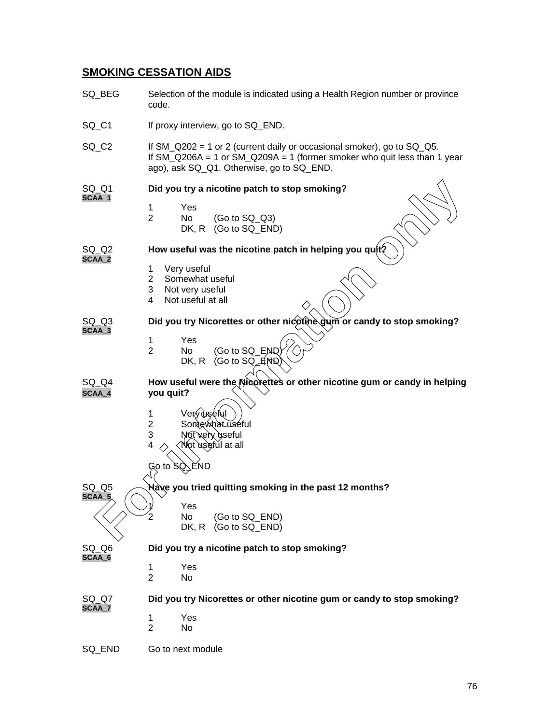## **SMOKING CESSATION AIDS**

| SQ_BEG            | Selection of the module is indicated using a Health Region number or province<br>code.                                                                                                                   |  |  |  |
|-------------------|----------------------------------------------------------------------------------------------------------------------------------------------------------------------------------------------------------|--|--|--|
| SQ C1             | If proxy interview, go to SQ_END.                                                                                                                                                                        |  |  |  |
| SQ_C <sub>2</sub> | If $SM_Q202 = 1$ or 2 (current daily or occasional smoker), go to $SQ_Q5$ .<br>If $SM_Q206A = 1$ or $SM_Q209A = 1$ (former smoker who quit less than 1 year<br>ago), ask SQ_Q1. Otherwise, go to SQ_END. |  |  |  |
| SQ_Q1             | Did you try a nicotine patch to stop smoking?                                                                                                                                                            |  |  |  |
| SCAA_1            | 1<br>Yes<br>$\overline{2}$<br>No<br>$(Go to SQ_Q3)$<br>DK, R<br>(Go to SQ_END)                                                                                                                           |  |  |  |
| SQ_Q2<br>SCAA_2   | How useful was the nicotine patch in helping you quit?                                                                                                                                                   |  |  |  |
|                   | 1<br>Very useful<br>$\mathbf{2}^{\prime}$<br>Somewhat useful<br>Not very useful<br>3<br>Not useful at all<br>4                                                                                           |  |  |  |
| $SQ_Q3$<br>SCAA_3 | Did you try Nicorettes or other nicotine gum or candy to stop smoking?                                                                                                                                   |  |  |  |
|                   | 1<br>Yes<br>$\overline{2}$<br>(Go to SQ_END)<br>No.<br>(Go to $SQ$ $\nexists$ ND<br>DK, R                                                                                                                |  |  |  |
| SQ_Q4<br>SCAA_4   | How useful were the Nicorette's or other nicotine gum or candy in helping<br>you quit?                                                                                                                   |  |  |  |
|                   | Verý∂useful<br>1<br>Somewhat useful<br>$\overline{2}$<br>3<br>Not very yseful<br>4<br>Not usefŭl at all                                                                                                  |  |  |  |
|                   | Go to $\mathbb{S} \mathbb{Q}$<br>、END                                                                                                                                                                    |  |  |  |
| SQ Q5<br>SCAA_5   | Hàve you tried quitting smoking in the past 12 months?                                                                                                                                                   |  |  |  |
|                   | Yes<br>No<br>(Go to SQ_END)<br>DK, R<br>(Go to SQ END)                                                                                                                                                   |  |  |  |
| SQ_Q6<br>SCAA_6   | Did you try a nicotine patch to stop smoking?                                                                                                                                                            |  |  |  |
|                   | Yes<br>1<br>$\overline{2}$<br>No                                                                                                                                                                         |  |  |  |
| SQ Q7<br>SCAA_7   | Did you try Nicorettes or other nicotine gum or candy to stop smoking?                                                                                                                                   |  |  |  |
|                   | Yes<br>1<br>$\overline{2}$<br>No                                                                                                                                                                         |  |  |  |
| SQ_END            | Go to next module                                                                                                                                                                                        |  |  |  |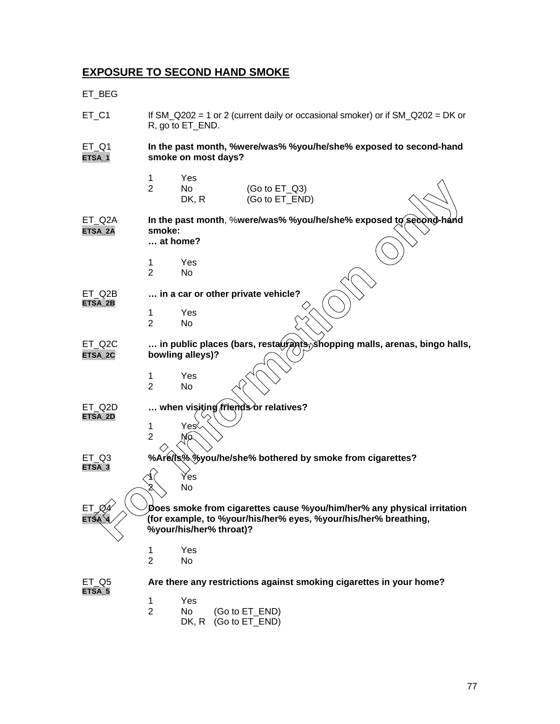# **EXPOSURE TO SECOND HAND SMOKE**

ET\_BEG

| ET_C1             | If SM_Q202 = 1 or 2 (current daily or occasional smoker) or if $SM_Q202 = DK$ or<br>R, go to ET_END. |                               |                                                                                                                                                                      |
|-------------------|------------------------------------------------------------------------------------------------------|-------------------------------|----------------------------------------------------------------------------------------------------------------------------------------------------------------------|
| $ET_Q1$<br>ETSA_1 |                                                                                                      | smoke on most days?           | In the past month, %were/was% %you/he/she% exposed to second-hand                                                                                                    |
|                   | 1<br>$\overline{2}$                                                                                  | Yes<br>No<br>DK, R            | (Go to $ET_Q3$ )<br>(Go to ET_END)                                                                                                                                   |
| ET_Q2A<br>ETSA_2A | smoke:<br>at home?<br>1<br>$\overline{2}$                                                            | Yes<br>No                     | In the past month, %were/was% %you/he/she% exposed to second-hand                                                                                                    |
| ET Q2B<br>ETSA_2B | 1<br>$\overline{2}$                                                                                  | Yes<br>No                     | in a car or other private vehicle?                                                                                                                                   |
| ET_Q2C<br>ETSA_2C | 1<br>$\overline{2}$                                                                                  | bowling alleys)?<br>Yes<br>No | $\ldots$ in public places (bars, resta $\hat{y}$ rants, shopping malls, arenas, bingo halls,                                                                         |
| ET Q2D<br>ETSA_2D | 1<br>$\overline{2}$                                                                                  | Yes≷<br>Mo                    | when visiting friends or relatives?                                                                                                                                  |
| ET Q3<br>ETSA_3   |                                                                                                      | Ýes<br>No                     | %Are(Is% %you/he/she% bothered by smoke from cigarettes?                                                                                                             |
| ETSA_4            |                                                                                                      |                               | Does smoke from cigarettes cause %you/him/her% any physical irritation<br>(for example, to %your/his/her% eyes, %your/his/her% breathing,<br>%your/his/her% throat)? |
|                   | 1<br>$\overline{2}$                                                                                  | Yes<br>No                     |                                                                                                                                                                      |
| ET Q5<br>ETSA 5   |                                                                                                      |                               | Are there any restrictions against smoking cigarettes in your home?                                                                                                  |
|                   | $\mathbf{1}$<br>$\overline{2}$                                                                       | Yes<br>No<br>DK, R            | (Go to ET_END)<br>(Go to ET_END)                                                                                                                                     |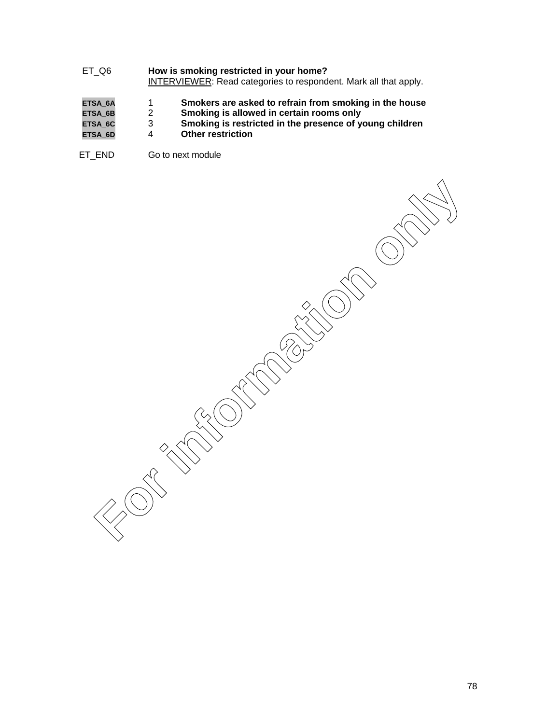- ET\_Q6 **How is smoking restricted in your home?** INTERVIEWER: Read categories to respondent. Mark all that apply.
- **ETSA\_6A** 1 **Smokers are asked to refrain from smoking in the house**
- ETSA\_6B 2 2 **Smoking is allowed in certain rooms only**<br>ETSA\_6C 3 5 3 3 3 3 3 3 3 3 3 **Smoking is restricted in the presence of y**
- **ETSA\_6C** 3 **Smoking is restricted in the presence of young children**
- **Other restriction**
- ET\_END Go to next module

**For information only in the compact of the compact of the compact of the compact of the compact of the compact**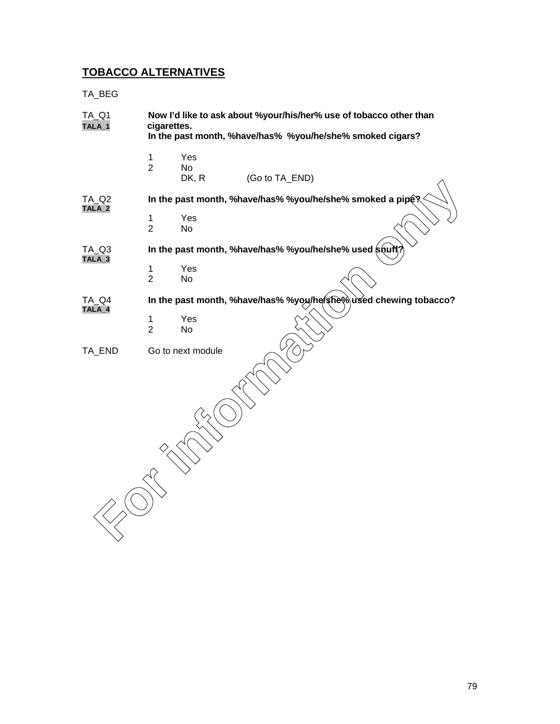## **TOBACCO ALTERNATIVES**

TA\_BEG

| <b>TA_Q1</b><br>TALA_1   | Now I'd like to ask about %your/his/her% use of tobacco other than<br>cigarettes.<br>In the past month, %have/has% %you/he/she% smoked cigars? |                    |                                                           |  |  |
|--------------------------|------------------------------------------------------------------------------------------------------------------------------------------------|--------------------|-----------------------------------------------------------|--|--|
|                          | $\mathbf 1$<br>$\overline{2}$                                                                                                                  | Yes<br>No<br>DK, R | (Go to TA_END)                                            |  |  |
| <b>TA_Q2</b><br>$TALA_2$ |                                                                                                                                                |                    | In the past month, %have/has% %you/he/she% smoked a pipe? |  |  |
|                          | $\mathbf 1$<br>$\overline{2}$                                                                                                                  | Yes<br>No          |                                                           |  |  |
| TA_Q3<br>$TALA_3$        |                                                                                                                                                |                    | In the past month, %have/has% %you/he/she% used shuff?    |  |  |
|                          | $\mathbf 1$<br>$\overline{2}$                                                                                                                  | Yes<br>No          |                                                           |  |  |
| TA Q4<br>$TALA_4$        | In the past month, %have/has% %you/he/she%used chewing tobacco?                                                                                |                    |                                                           |  |  |
|                          | $\mathbf{1}$<br>$\overline{2}$                                                                                                                 | Yes<br>No          |                                                           |  |  |
| TA_END                   |                                                                                                                                                | Go to next module  |                                                           |  |  |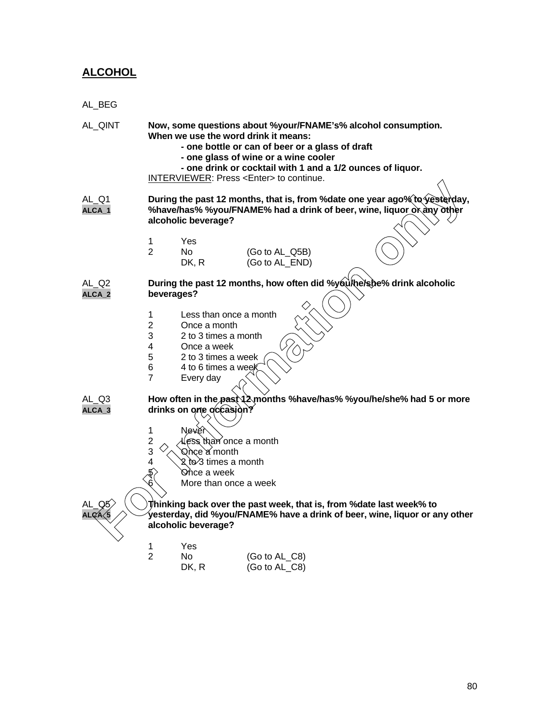## **ALCOHOL**

| AL_BEG          |                                                                    |                                                                                                                |                                                                                                                                                                                                                                                  |                                                                                                                                                      |
|-----------------|--------------------------------------------------------------------|----------------------------------------------------------------------------------------------------------------|--------------------------------------------------------------------------------------------------------------------------------------------------------------------------------------------------------------------------------------------------|------------------------------------------------------------------------------------------------------------------------------------------------------|
| AL_QINT         |                                                                    |                                                                                                                | When we use the word drink it means:<br>- one bottle or can of beer or a glass of draft<br>- one glass of wine or a wine cooler<br>- one drink or cocktail with 1 and a 1/2 ounces of liquor.<br>INTERVIEWER: Press <enter> to continue.</enter> | Now, some questions about %your/FNAME's% alcohol consumption.                                                                                        |
| AL_Q1<br>ALCA_1 |                                                                    | alcoholic beverage?                                                                                            |                                                                                                                                                                                                                                                  | During the past 12 months, that is, from % date one year ago% to yesterday,<br>%have/has% %you/FNAME% had a drink of beer, wine, liquor or any other |
|                 | 1<br>$\overline{2}$                                                | Yes<br>No<br>DK, R                                                                                             | (Go to AL_Q5B)<br>(Go to AL_END)                                                                                                                                                                                                                 |                                                                                                                                                      |
| AL Q2<br>ALCA_2 |                                                                    | beverages?                                                                                                     |                                                                                                                                                                                                                                                  | During the past 12 months, how often did %you\he\s\be% drink alcoholic                                                                               |
|                 | 1<br>$\overline{2}$<br>3<br>4<br>5<br>6<br>$\overline{7}$          | Once a month<br>2 to 3 times a month<br>Once a week<br>2 to 3 times a week<br>4 to 6 times a week<br>Every day | Less than once a month                                                                                                                                                                                                                           |                                                                                                                                                      |
| AL_Q3<br>ALCA_3 |                                                                    | drinks on one occasion?                                                                                        |                                                                                                                                                                                                                                                  | How often in the past 12 months %have/has% %you/he/she% had 5 or more                                                                                |
|                 | 1<br>$\overline{\mathbf{c}}$<br>3<br>4<br>$\langle 5 \rangle$<br>6 | Never<br><b>Q</b> ስ¢e`a∕ month<br>$\lambda$ ତ $\lambda$ times a month<br><b>ତ</b> ńce a week                   | ess than once a month<br>More than once a week                                                                                                                                                                                                   |                                                                                                                                                      |
| <b>\LCA</b>     |                                                                    | alcoholic beverage?                                                                                            | Thinking back over the past week, that is, from % date last week% to                                                                                                                                                                             | yesterday, did %you/FNAME% have a drink of beer, wine, liquor or any other                                                                           |
|                 | 1<br>$\overline{2}$                                                | Yes<br>No<br>DK, R                                                                                             | (Go to AL_C8)<br>(Go to AL_C8)                                                                                                                                                                                                                   |                                                                                                                                                      |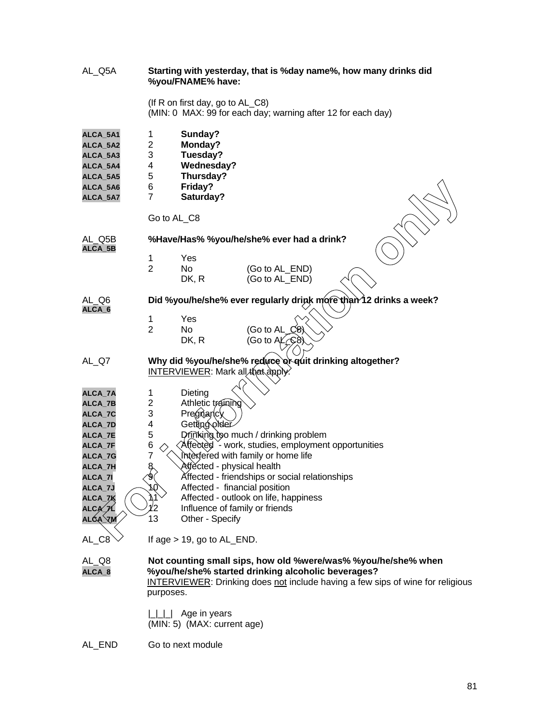| AL_Q5A                                                                           |                                              | %you/FNAME% have:                                                                        | Starting with yesterday, that is %day name%, how many drinks did  |                                                                                                                                                 |  |
|----------------------------------------------------------------------------------|----------------------------------------------|------------------------------------------------------------------------------------------|-------------------------------------------------------------------|-------------------------------------------------------------------------------------------------------------------------------------------------|--|
|                                                                                  |                                              | (If R on first day, go to AL_C8)                                                         | (MIN: 0 MAX: 99 for each day; warning after 12 for each day)      |                                                                                                                                                 |  |
| ALCA_5A1<br>ALCA_5A2<br>ALCA_5A3<br>ALCA_5A4<br>ALCA_5A5<br>ALCA_5A6<br>ALCA_5A7 | 1<br>2<br>3<br>4<br>5<br>6<br>$\overline{7}$ | Sunday?<br>Monday?<br>Tuesday?<br><b>Wednesday?</b><br>Thursday?<br>Friday?<br>Saturday? |                                                                   |                                                                                                                                                 |  |
|                                                                                  | Go to AL_C8                                  |                                                                                          |                                                                   |                                                                                                                                                 |  |
| AL Q5B<br>ALCA_5B                                                                |                                              |                                                                                          | %Have/Has% %you/he/she% ever had a drink?                         |                                                                                                                                                 |  |
|                                                                                  | 1                                            | Yes                                                                                      |                                                                   |                                                                                                                                                 |  |
|                                                                                  | $\overline{2}$                               | No                                                                                       | (Go to AL_END)                                                    |                                                                                                                                                 |  |
|                                                                                  |                                              | DK, R                                                                                    | (Go to AL_END)                                                    |                                                                                                                                                 |  |
| AL_Q6<br>ALCA_6                                                                  |                                              |                                                                                          | Did %you/he/she% ever regularly drink more than 12 drinks a week? |                                                                                                                                                 |  |
|                                                                                  | 1                                            | Yes                                                                                      |                                                                   |                                                                                                                                                 |  |
|                                                                                  | $\overline{2}$                               | No.                                                                                      | Go to AL)<br>C8                                                   |                                                                                                                                                 |  |
|                                                                                  |                                              | DK, R                                                                                    | (Go to $A\mathcal{L}\subset\mathbb{S}$ 8)                         |                                                                                                                                                 |  |
| AL_Q7                                                                            |                                              | <b>INTERVIEWER: Mark all that apply</b>                                                  | Why did %you/he/she% reduce or quit drinking altogether?          |                                                                                                                                                 |  |
| ALCA_7A                                                                          | 1                                            | Dieting                                                                                  |                                                                   |                                                                                                                                                 |  |
| ALCA_7B                                                                          | 2                                            | Athletic training                                                                        |                                                                   |                                                                                                                                                 |  |
| ALCA_7C                                                                          | 3                                            | Pregnancy                                                                                |                                                                   |                                                                                                                                                 |  |
| ALCA_7D                                                                          | 4                                            | Getting older                                                                            |                                                                   |                                                                                                                                                 |  |
| ALCA_7E                                                                          | 5                                            |                                                                                          | Drinking too much / drinking problem                              |                                                                                                                                                 |  |
| ALCA_7F                                                                          | 6                                            |                                                                                          | Affected `- work, studies, employment opportunities               |                                                                                                                                                 |  |
| ALCA_7G                                                                          | $\overline{7}$                               |                                                                                          | Interfered with family or home life                               |                                                                                                                                                 |  |
| ALCA_7H                                                                          | $\frac{8}{9}$                                | Affĕcted - physical health                                                               |                                                                   |                                                                                                                                                 |  |
| ALCA_7I                                                                          |                                              |                                                                                          | Affected - friendships or social relationships                    |                                                                                                                                                 |  |
| ALCA_7J                                                                          | ∪                                            | Affected - financial position                                                            |                                                                   |                                                                                                                                                 |  |
| ALCA_7K                                                                          |                                              |                                                                                          | Affected - outlook on life, happiness                             |                                                                                                                                                 |  |
| ALCA_7L                                                                          | 12                                           | Influence of family or friends                                                           |                                                                   |                                                                                                                                                 |  |
| <b>ALCA_7M</b>                                                                   | 13                                           | Other - Specify                                                                          |                                                                   |                                                                                                                                                 |  |
| AL_C8                                                                            |                                              | If age > 19, go to AL_END.                                                               |                                                                   |                                                                                                                                                 |  |
| AL_Q8<br>ALCA_8                                                                  | purposes.                                    |                                                                                          | %you/he/she% started drinking alcoholic beverages?                | Not counting small sips, how old %were/was% %you/he/she% when<br>INTERVIEWER: Drinking does not include having a few sips of wine for religious |  |
|                                                                                  |                                              | Age in years<br>(MIN: 5) (MAX: current age)                                              |                                                                   |                                                                                                                                                 |  |
| AL_END                                                                           |                                              | Go to next module                                                                        |                                                                   |                                                                                                                                                 |  |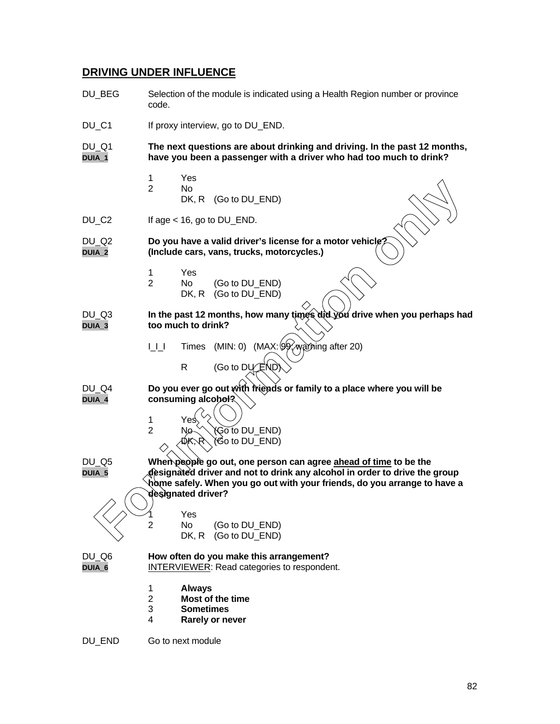#### **DRIVING UNDER INFLUENCE**

- DU BEG Selection of the module is indicated using a Health Region number or province code. DU C1 If proxy interview, go to DU END. DU\_Q1 **The next questions are about drinking and driving. In the past 12 months, DUIA\_1 have you been a passenger with a driver who had too much to drink?** 1 Yes 2 No DK, R (Go to DU\_END) DU\_C2 If age < 16, go to DU\_END. DU\_Q2 **Do you have a valid driver's license for a motor vehicle? DUIA\_2 (Include cars, vans, trucks, motorcycles.)** 1 Yes 2 No (Go to DU\_END) DK, R (Go to DU\_END) DU\_Q3 **In the past 12 months, how many times did you drive when you perhaps had DUIA\_3 too much to drink?** I\_I\_I Times (MIN: 0) (MAX: 99, warning after 20)  $R$  (Go to DU $\angle$ END) DU\_Q4 **Do you ever go out with friends or family to a place where you will be DUIA\_4 consuming alcohol?** 1 Yes  $2$  No.  $\sqrt{G_0}$  to DU\_END)  $\hat{\mathcal{B}}$ o to DU\_END) DU\_Q5 **When people go out, one person can agree ahead of time to be the DUIA\_5 designated driver and not to drink any alcohol in order to drive the group home safely. When you go out with your friends, do you arrange to have a designated driver? Yes** 2 No (Go to DU\_END) DK, R (Go to DU\_END) DU\_Q6 **How often do you make this arrangement? DUIA\_6** INTERVIEWER: Read categories to respondent. 1 **Always** 2 **Most of the time** 3 **Sometimes** 4 **Rarely or never** 2 No.<br> **For information only**  $R$ ,  $(Go to DU_END)$ <br> **For information on a valid driver's license for a motor vehicle<br>
<b>For a** continue cars, vans, trucks, motorcycles.)<br>
1 Yes<br>
2 No. (Go to DU\_END)<br> **For information and driver**
- DU END Go to next module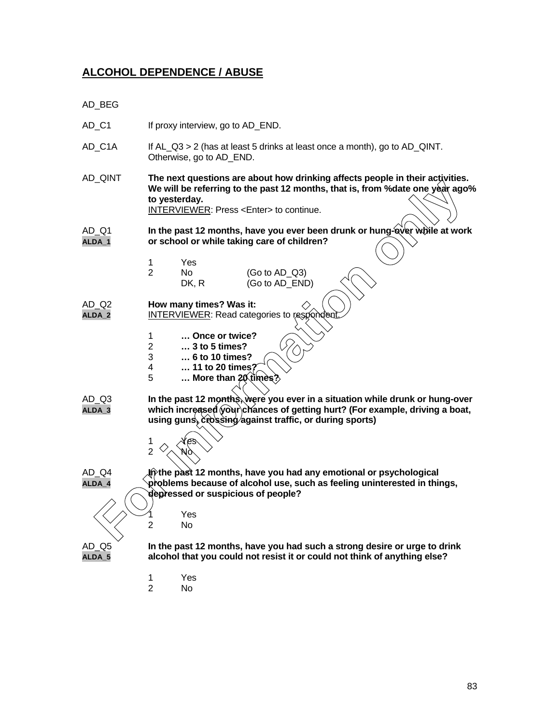#### **ALCOHOL DEPENDENCE / ABUSE**

- AD\_BEG
- AD\_C1 If proxy interview, go to AD\_END.
- AD\_C1A If AL\_Q3 > 2 (has at least 5 drinks at least once a month), go to AD\_QINT. Otherwise, go to AD\_END.
- AD\_QINT **The next questions are about how drinking affects people in their activities. We will be referring to the past 12 months, that is, from %date one year ago% to yesterday. For interest of the past 12 months, have you ever has a studied while a world be peaked by the past 12 months, have you ever been drunk or hung-over while at world or school or while taking care of children?<br>
<b>FORMEWER:**

INTERVIEWER: Press <Enter> to continue.

- AD\_Q1 **In the past 12 months, have you ever been drunk or hung-over while at work ALDA\_1 or school or while taking care of children?**
	- 1 Yes
	- 2 No (Go to AD\_Q3)<br>DK. R (Go to AD\_END  $(Go to AD$  END)
- AD\_Q2 **How many times? Was it:**
- ALDA<sub>2</sub> INTERVIEWER: Read categories to res
	- 1 **… Once or twice?**
	- 2 **… 3 to 5 times?**
	- 3 **… 6 to 10 times?**
	- 4 **… 11 to 20 times?**
	- 5 **… More than 20 times?**
	-
- AD\_Q3 **In the past 12 months, were you ever in a situation while drunk or hung-over** ALDA<sub>\_3</sub> which increased your chances of getting hurt? (For example, driving a boat, using guns, crossing against traffic, or during sports)
	- 1  $\lambda$   $\mathcal{N}e$ s  $\overline{2}$

AD\_Q4 **In the past 12 months, have you had any emotional or psychological ALDA\_4 problems because of alcohol use, such as feeling uninterested in things, depressed or suspicious of people?**

- - **Yes** 2 No

AD\_Q5 **In the past 12 months, have you had such a strong desire or urge to drink ALDA\_5 alcohol that you could not resist it or could not think of anything else?**

- 1 Yes
- 2 No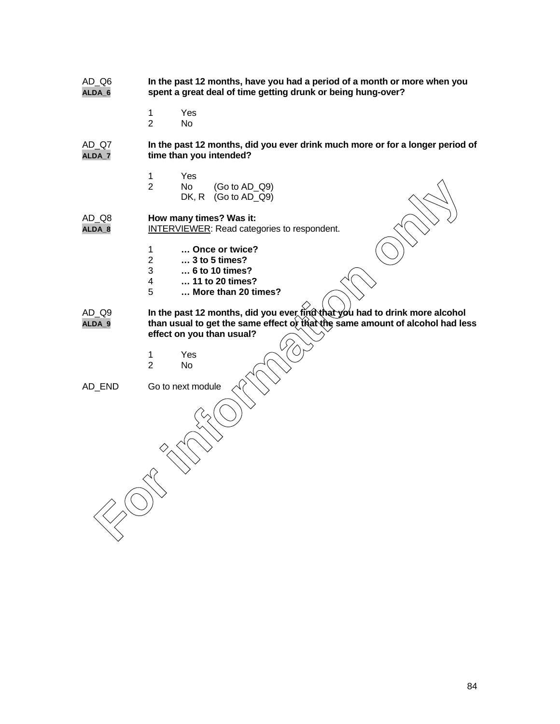- AD\_Q6 **In the past 12 months, have you had a period of a month or more when you ALDA\_6 spent a great deal of time getting drunk or being hung-over?**
	- 1 Yes

2 No

AD\_Q7 **In the past 12 months, did you ever drink much more or for a longer period of ALDA\_7 time than you intended?**

- 1 Yes<br>2 No
	- No (Go to AD\_Q9)<br>DK, R (Go to AD\_Q9)  $(Gotot A D Q9)$

AD\_Q8 **How many times? Was it:**

- **ALDA\_8** INTERVIEWER: Read categories to respondent.
	- 1 **… Once or twice?**
	- 2 **… 3 to 5 times?**
	- 3 **… 6 to 10 times?**
	- 4 **… 11 to 20 times?**
	- 5 **… More than 20 times?**
- AD\_Q9 **In the past 12 months, did you ever find that you had to drink more alcohol ALDA\_9 than usual to get the same effect or that the same amount of alcohol had less effect on you than usual?** For information of the text (Go to AD\_Q9)<br> **For information only** times? Was it:<br>
INTERVIEWER: Read categories to respondent.<br>
1 ... Once or twice?<br>
2 ... 3 to 5 thims?<br>
3 ... to 6 to 10 times?<br>
4 ... there than 20 times?<br>
	- 1 Yes
	- 2 No

AD\_END Go to next module

84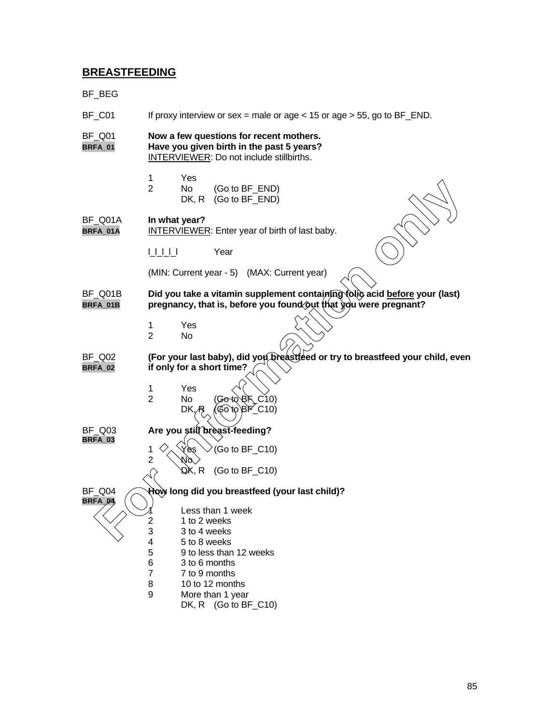### **BREASTFEEDING**

| BF_BEG                   |                                                   |                                                                                                                                  |                                                                                                                                                |  |  |
|--------------------------|---------------------------------------------------|----------------------------------------------------------------------------------------------------------------------------------|------------------------------------------------------------------------------------------------------------------------------------------------|--|--|
| BF_C01                   |                                                   |                                                                                                                                  | If proxy interview or sex = male or age < 15 or age > 55, go to $BF\_END$ .                                                                    |  |  |
| <b>BF_Q01</b><br>BRFA_01 |                                                   | Now a few questions for recent mothers.<br>Have you given birth in the past 5 years?<br>INTERVIEWER: Do not include stillbirths. |                                                                                                                                                |  |  |
|                          | $\mathbf 1$<br>$\overline{2}$                     | Yes<br><b>No</b><br>DK, R                                                                                                        | (Go to BF_END)<br>(Go to BF_END)                                                                                                               |  |  |
| BF_Q01A<br>BRFA_01A      | In what year?                                     |                                                                                                                                  | <b>INTERVIEWER:</b> Enter year of birth of last baby.                                                                                          |  |  |
|                          | UUU                                               |                                                                                                                                  | Year                                                                                                                                           |  |  |
|                          |                                                   |                                                                                                                                  | (MIN: Current year - 5) (MAX: Current year)                                                                                                    |  |  |
| BF Q01B<br>BRFA_01B      |                                                   |                                                                                                                                  | Did you take a vitamin supplement containing tolic acid before your (last)<br>pregnancy, that is, before you found out that you were pregnant? |  |  |
|                          | 1<br>$\overline{2}$                               | Yes<br>No                                                                                                                        |                                                                                                                                                |  |  |
| BF Q02<br><b>BRFA_02</b> |                                                   |                                                                                                                                  | (For your last baby), did you breastfeed or try to breastfeed your child, even<br>if only for a short time?                                    |  |  |
|                          | 1<br>$\overline{2}$                               | Yes<br>No<br>DK.                                                                                                                 | (Go+QRF_C10)<br>$600BF$ C10)                                                                                                                   |  |  |
| BF Q03<br>BRFA_03        | 1                                                 | `ès                                                                                                                              | Are you still breast-feeding?<br>(Go to BF_C10)                                                                                                |  |  |
|                          | $\overline{2}$                                    | ЮO.<br>DK, R                                                                                                                     | (Go to $BF_C$ 10)                                                                                                                              |  |  |
| BF_Q04                   |                                                   |                                                                                                                                  | How long did you breastfeed (your last child)?                                                                                                 |  |  |
| BRFA 04                  | 2<br>3<br>4<br>5<br>6<br>$\overline{7}$<br>8<br>9 | 1 to 2 weeks<br>3 to 4 weeks<br>5 to 8 weeks<br>3 to 6 months<br>7 to 9 months                                                   | Less than 1 week<br>9 to less than 12 weeks<br>10 to 12 months<br>More than 1 year<br>DK, R $(Go to BF_C10)$                                   |  |  |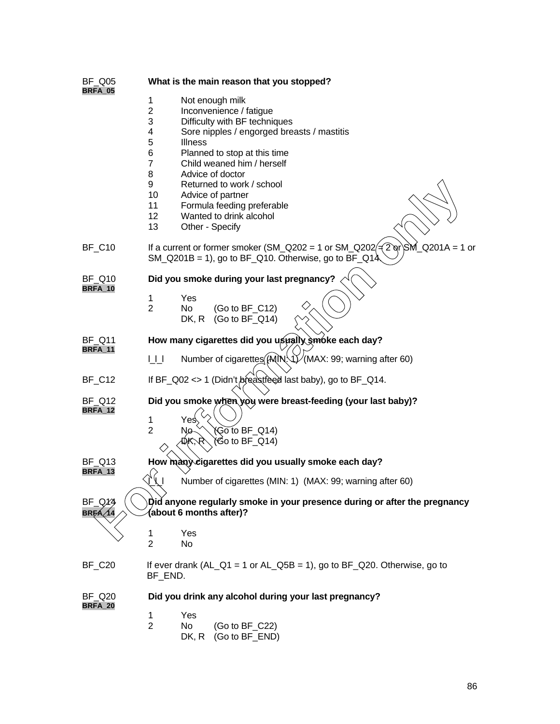| <b>BF_Q05</b>                   | What is the main reason that you stopped?                                                                                                                                                                                                                                                                                                                                                                                                                  |  |  |  |  |
|---------------------------------|------------------------------------------------------------------------------------------------------------------------------------------------------------------------------------------------------------------------------------------------------------------------------------------------------------------------------------------------------------------------------------------------------------------------------------------------------------|--|--|--|--|
| BRFA_05                         | 1<br>Not enough milk<br>$\overline{2}$<br>Inconvenience / fatigue<br>3<br>Difficulty with BF techniques<br>4<br>Sore nipples / engorged breasts / mastitis<br>5<br><b>Illness</b><br>6<br>Planned to stop at this time<br>$\overline{7}$<br>Child weaned him / herself<br>8<br>Advice of doctor<br>9<br>Returned to work / school<br>10<br>Advice of partner<br>11<br>Formula feeding preferable<br>12<br>Wanted to drink alcohol<br>13<br>Other - Specify |  |  |  |  |
| <b>BF_C10</b>                   | If a current or former smoker (SM_Q202 = 1 or SM_Q202 $\neq$ 2 or SM_Q201A = 1 or<br>$SM_Q201B = 1$ , go to BF $_Q10$ . Otherwise, go to BF $_Q14$                                                                                                                                                                                                                                                                                                         |  |  |  |  |
| <b>BF Q10</b>                   | Did you smoke during your last pregnancy?                                                                                                                                                                                                                                                                                                                                                                                                                  |  |  |  |  |
| <b>BRFA_10</b>                  | 1<br>Yes<br>$\overline{2}$<br>(Go to BF_C12)<br>No<br>DK, R<br>(Go to $BF_Q$ 14)                                                                                                                                                                                                                                                                                                                                                                           |  |  |  |  |
| <b>BF Q11</b><br>BRFA_11        | How many cigarettes did you usually smoke each day?                                                                                                                                                                                                                                                                                                                                                                                                        |  |  |  |  |
|                                 | Number of cigarettes (MIN: 1) (MAX: 99; warning after 60)<br>UП                                                                                                                                                                                                                                                                                                                                                                                            |  |  |  |  |
| <b>BF_C12</b>                   | If BF_Q02 <> 1 (Didn't breas treed last baby), go to BF_Q14.                                                                                                                                                                                                                                                                                                                                                                                               |  |  |  |  |
| <b>BF Q12</b><br>BRFA_12        | Did you smoke when you were breast-feeding (your last baby)?                                                                                                                                                                                                                                                                                                                                                                                               |  |  |  |  |
|                                 | 1<br>Yes<br>$\overline{2}$<br>$\widetilde{\mathsf{Go}}$ to BF_Q14)<br>Ŋø<br>DK.R<br>(Go to BF_Q14)                                                                                                                                                                                                                                                                                                                                                         |  |  |  |  |
| <b>BF Q13</b><br>BRFA_13        | How many cigarettes did you usually smoke each day?                                                                                                                                                                                                                                                                                                                                                                                                        |  |  |  |  |
|                                 | $\sqrt{1}$<br>Number of cigarettes (MIN: 1) (MAX: 99; warning after 60)                                                                                                                                                                                                                                                                                                                                                                                    |  |  |  |  |
| BF Q14<br><b>BRFA</b>           | Did anyone regularly smoke in your presence during or after the pregnancy<br>(about 6 months after)?                                                                                                                                                                                                                                                                                                                                                       |  |  |  |  |
|                                 | 1<br>Yes<br>$\overline{2}$<br>No                                                                                                                                                                                                                                                                                                                                                                                                                           |  |  |  |  |
| BF_C20                          | If ever drank $(AL_Q1 = 1 \text{ or } AL_Q5B = 1)$ , go to BF_Q20. Otherwise, go to<br>BF_END.                                                                                                                                                                                                                                                                                                                                                             |  |  |  |  |
| <b>BF Q20</b><br><b>BRFA_20</b> | Did you drink any alcohol during your last pregnancy?                                                                                                                                                                                                                                                                                                                                                                                                      |  |  |  |  |
|                                 | Yes<br>$\mathbf 1$<br>$\overline{2}$<br><b>No</b><br>(Go to $BF_C22$ )<br>(Go to BF_END)<br>DK, R                                                                                                                                                                                                                                                                                                                                                          |  |  |  |  |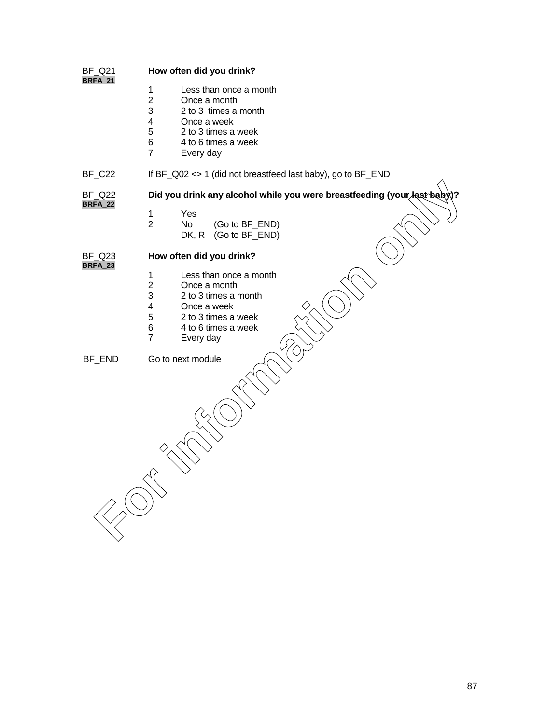| <b>BF_Q21</b><br><b>BRFA_21</b> | How often did you drink?                                                                                                                                                                                                              |  |  |
|---------------------------------|---------------------------------------------------------------------------------------------------------------------------------------------------------------------------------------------------------------------------------------|--|--|
|                                 | Less than once a month<br>1<br>$\overline{2}$<br>Once a month<br>3<br>2 to 3 times a month                                                                                                                                            |  |  |
|                                 | $\overline{4}$<br>Once a week                                                                                                                                                                                                         |  |  |
|                                 | $\,$ 5 $\,$<br>2 to 3 times a week<br>6<br>4 to 6 times a week                                                                                                                                                                        |  |  |
|                                 | $\overline{7}$<br>Every day                                                                                                                                                                                                           |  |  |
| <b>BF_C22</b>                   | If BF_Q02 <> 1 (did not breastfeed last baby), go to BF_END                                                                                                                                                                           |  |  |
| <b>BF_Q22</b><br><b>BRFA_22</b> | Did you drink any alcohol while you were breastfeeding (your last baby)?                                                                                                                                                              |  |  |
|                                 | Yes<br>1<br>$\overline{2}$<br>No.<br>(Go to BF_END)<br>(Go to BF_END)<br>DK, R                                                                                                                                                        |  |  |
| <b>BF_Q23</b><br><b>BRFA_23</b> | How often did you drink?                                                                                                                                                                                                              |  |  |
|                                 | $\mathbf 1$<br>Less than once a month<br>$\overline{c}$<br>Once a month<br>3<br>2 to 3 times a month<br>$\overline{\mathbf{4}}$<br>Once a week<br>5<br>2 to 3 times a week<br>6<br>4 to 6 times a week<br>$\overline{7}$<br>Every day |  |  |
| BF_END                          | Go to next module                                                                                                                                                                                                                     |  |  |
|                                 |                                                                                                                                                                                                                                       |  |  |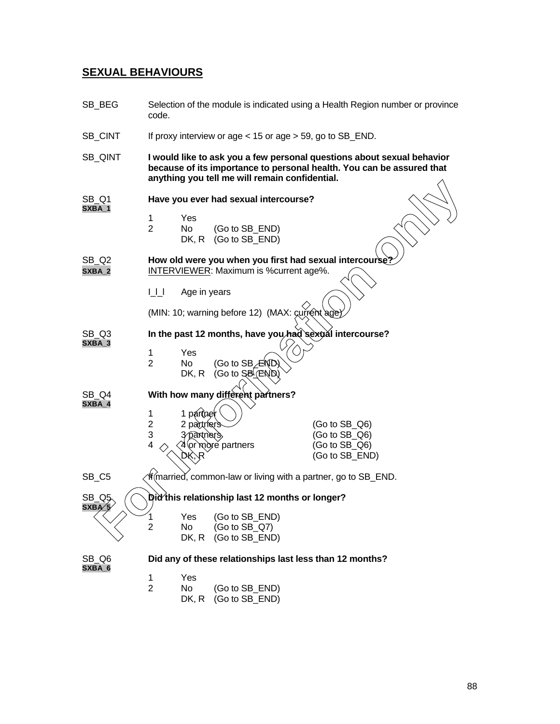## **SEXUAL BEHAVIOURS**

| SB_BEG                     | Selection of the module is indicated using a Health Region number or province<br>code.                                  |                                                                                                                                                                                                   |                                                                                                           |                                                                     |  |
|----------------------------|-------------------------------------------------------------------------------------------------------------------------|---------------------------------------------------------------------------------------------------------------------------------------------------------------------------------------------------|-----------------------------------------------------------------------------------------------------------|---------------------------------------------------------------------|--|
| SB_CINT                    | If proxy interview or age $<$ 15 or age $>$ 59, go to SB_END.                                                           |                                                                                                                                                                                                   |                                                                                                           |                                                                     |  |
| SB_QINT                    |                                                                                                                         | I would like to ask you a few personal questions about sexual behavior<br>because of its importance to personal health. You can be assured that<br>anything you tell me will remain confidential. |                                                                                                           |                                                                     |  |
| SB <sub>Q1</sub><br>SXBA_1 | Have you ever had sexual intercourse?<br>1<br>Yes<br>$\overline{2}$<br>No.<br>(Go to SB_END)<br>DK, R<br>(Go to SB_END) |                                                                                                                                                                                                   |                                                                                                           |                                                                     |  |
| SB_Q2<br>SXBA_2            |                                                                                                                         |                                                                                                                                                                                                   | How old were you when you first had sexual intercourse?<br><b>INTERVIEWER:</b> Maximum is % current age%. |                                                                     |  |
|                            | U                                                                                                                       | Age in years                                                                                                                                                                                      | (MIN: 10; warning before 12) (MAX: current age                                                            |                                                                     |  |
| SB Q3<br>SXBA_3            | 1<br>$\overline{2}$                                                                                                     | Yes<br>No<br>DK, R                                                                                                                                                                                | In the past 12 months, have you had sexual intercourse?<br>(Go to SB ÆND<br>(Go to S <sub>B</sub> (END)   |                                                                     |  |
| SB Q4<br>SXBA_4            | 1<br>$\overline{c}$<br>3<br>4                                                                                           | 1 pártner<br>2 partners<br>3 partners,                                                                                                                                                            | With how many different partners?<br>or`mòre partners                                                     | $(Go to SB_Q6)$<br>(Go to SB_Q6)<br>(Go to SB_Q6)<br>(Go to SB_END) |  |
| SB_C5                      |                                                                                                                         |                                                                                                                                                                                                   | Ifतmarried, common-law or living with a partner, go to SB_END.                                            |                                                                     |  |
| SB Q5<br>S X B A' 5        |                                                                                                                         |                                                                                                                                                                                                   | Did this relationship last 12 months or longer?                                                           |                                                                     |  |
|                            | 1<br>$\overline{2}$                                                                                                     | Yes<br>No<br>DK, R                                                                                                                                                                                | (Go to SB_END)<br>(Go to SB_Q7)<br>(Go to SB_END)                                                         |                                                                     |  |
| SB_Q6<br>SXBA_6            |                                                                                                                         |                                                                                                                                                                                                   | Did any of these relationships last less than 12 months?                                                  |                                                                     |  |
|                            | 1<br>$\overline{2}$                                                                                                     | Yes<br>No<br>DK, R                                                                                                                                                                                | (Go to SB_END)<br>(Go to SB_END)                                                                          |                                                                     |  |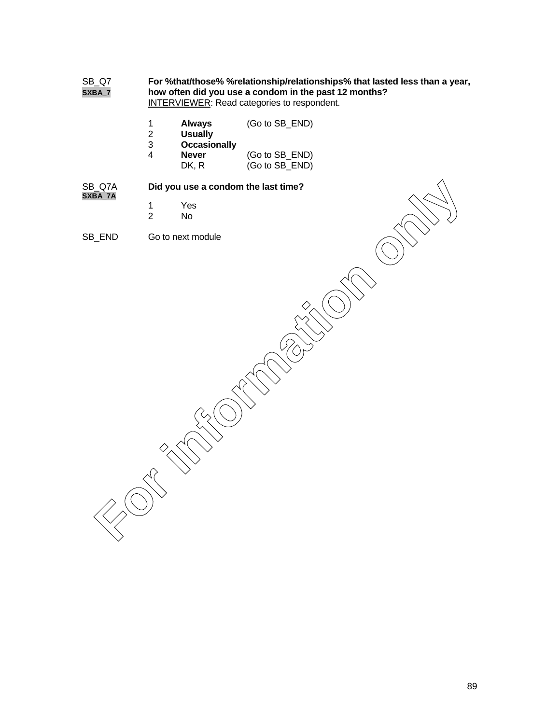| SB_Q7<br>SXBA_7   | For %that/those% %relationship/relationships% that lasted less than a year,<br>how often did you use a condom in the past 12 months?<br><b>INTERVIEWER:</b> Read categories to respondent. |                                                        |                                  |  |
|-------------------|--------------------------------------------------------------------------------------------------------------------------------------------------------------------------------------------|--------------------------------------------------------|----------------------------------|--|
|                   | $\mathbf{1}$<br>$\overline{\mathbf{c}}$<br>3                                                                                                                                               | <b>Always</b><br><b>Usually</b><br><b>Occasionally</b> | (Go to SB_END)                   |  |
|                   | $\overline{\mathbf{4}}$                                                                                                                                                                    | <b>Never</b><br>DK, R                                  | (Go to SB_END)<br>(Go to SB_END) |  |
| SB_Q7A<br>SXBA_7A |                                                                                                                                                                                            | Did you use a condom the last time?                    |                                  |  |
|                   | $\mathbf 1$<br>$\overline{2}$                                                                                                                                                              | Yes<br>No                                              |                                  |  |
| SB_END            |                                                                                                                                                                                            | Go to next module                                      |                                  |  |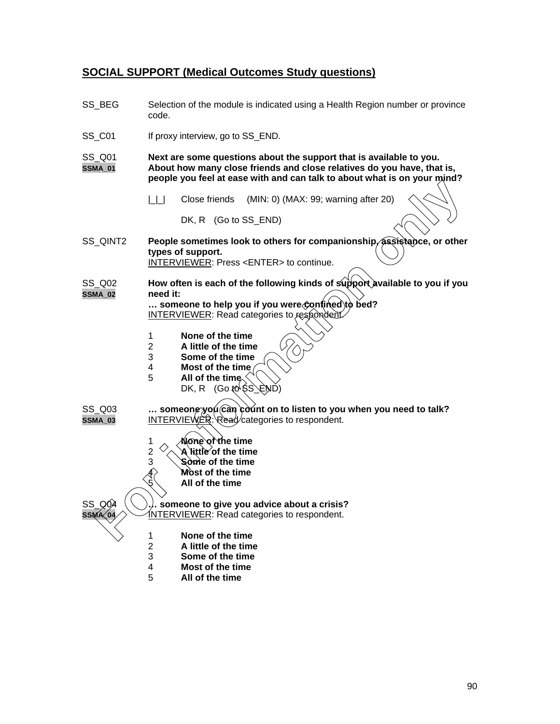#### **SOCIAL SUPPORT (Medical Outcomes Study questions)**

- SS\_BEG Selection of the module is indicated using a Health Region number or province code.
- SS\_C01 If proxy interview, go to SS\_END.

SS\_Q01 **Next are some questions about the support that is available to you. SSMA\_01 About how many close friends and close relatives do you have, that is, people you feel at ease with and can talk to about what is on your mind?**

| | | | Close friends (MIN: 0) (MAX: 99; warning after 20)

DK, R (Go to SS\_END)

- SS\_QINT2 **People sometimes look to others for companionship, assistance, or other types of support.** INTERVIEWER: Press <ENTER> to continue. **For information of the time**<br> **For information of the system of the control of the control of the control of the control of the following kinds of support available to you if you are the set of the following kinds of supp**
- SS\_Q02 **How often is each of the following kinds of support available to you if you SSMA\_02 need it:**

**… someone to help you if you were confined to bed?** INTERVIEWER: Read categories to respondent.

- 1 **None of the time**
- 2 **A little of the time**
- 3 **Some of the time**
- 4 **Most of the time**
- 5 **All of the time** DK, R  $(Got\otimes$  SS<sup> $)$ </sup>
- SS\_Q03 ... someone you can count on to listen to you when you need to talk? **SSMA\_03** INTERVIEWER: Read/categories to respondent.
	- 1 **None of the time**
	- 2  $\vee$  **A** little of the time
	- 3 **Some of the time**
		- 4 **Most of the time**
			- 5 **All of the time**

SS  $\varnothing$ 04  $\setminus$  ). someone to give you advice about a crisis? **INTERVIEWER: Read categories to respondent.** 

- 1 **None of the time**
- 2 **A little of the time**
- 3 **Some of the time**
- 4 **Most of the time**
- 5 **All of the time**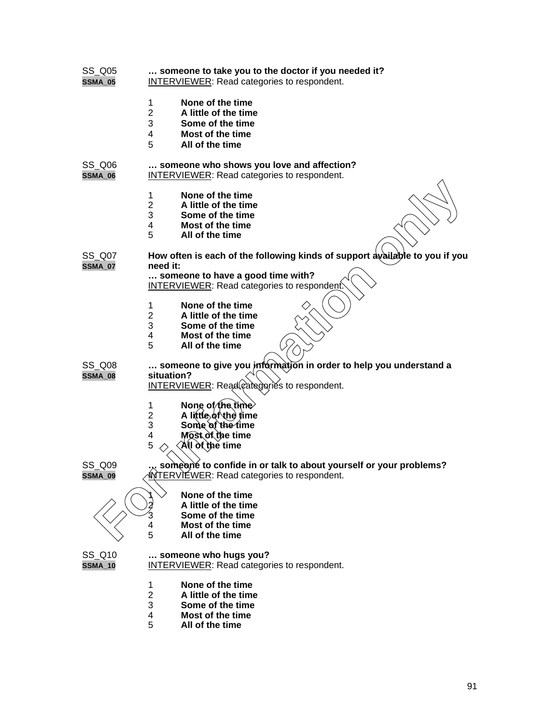| <b>SS Q05</b><br><b>SSMA_05</b> | someone to take you to the doctor if you needed it?<br>INTERVIEWER: Read categories to respondent.                                                        |
|---------------------------------|-----------------------------------------------------------------------------------------------------------------------------------------------------------|
|                                 | None of the time<br>1<br>$\overline{2}$<br>A little of the time<br>3<br>Some of the time<br>Most of the time<br>4<br>5<br>All of the time                 |
| SS_Q06<br>SSMA_06               | someone who shows you love and affection?<br><b>INTERVIEWER: Read categories to respondent.</b>                                                           |
|                                 | None of the time<br>1<br>2<br>A little of the time<br>3<br>Some of the time<br>4<br>Most of the time<br>5<br>All of the time                              |
| SS Q07<br><b>SSMA_07</b>        | How often is each of the following kinds of support available to you if you<br>need it:                                                                   |
|                                 | someone to have a good time with?<br><b>INTERVIEWER:</b> Read categories to respondent.                                                                   |
|                                 | None of the time<br>1<br>$\overline{\mathbf{c}}$<br>A little of the time<br>3<br>Some of the time<br>4<br><b>Most of the time</b><br>5<br>All of the time |
| SS_Q08<br><b>SSMA_08</b>        | someone to give you information in order to help you understand a<br>situation?<br><b>INTERVIEWER:</b> Read caregories to respondent.                     |
|                                 | None of the time<br>1<br>A little of the time<br>2<br>3<br>Some of the time<br>Most of the time<br>4<br>5<br>All òf thẻ time                              |
| <b>SS Q09</b><br><b>SSMA_09</b> | someone to confide in or talk to about yourself or your problems?<br><b>INTERVIEWER:</b> Read categories to respondent.                                   |
|                                 | None of the time<br>A little of the time<br>Some of the time<br><b>Most of the time</b><br>4<br>5<br>All of the time                                      |
| SS_Q10<br><b>SSMA_10</b>        | someone who hugs you?<br>INTERVIEWER: Read categories to respondent.                                                                                      |
|                                 | None of the time<br>1<br>$\overline{2}$<br>A little of the time<br>3<br>Some of the time<br>4<br><b>Most of the time</b><br>5<br>All of the time          |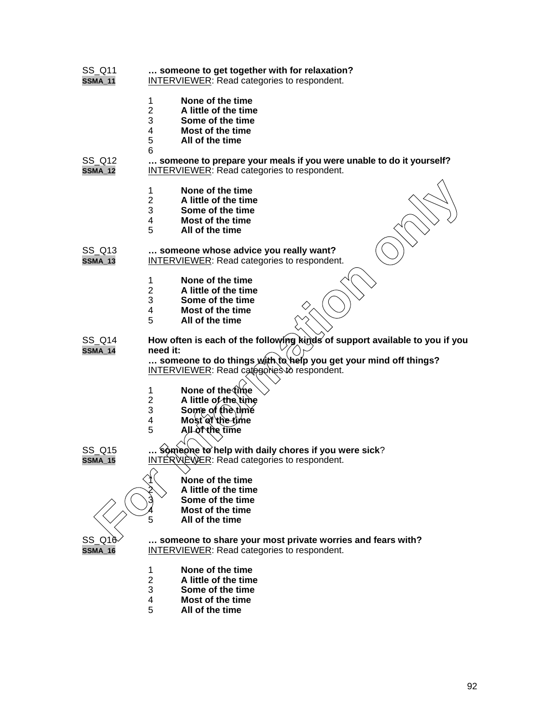| SS_Q11         | someone to get together with for relaxation?                                                                                                                                                                                                                |
|----------------|-------------------------------------------------------------------------------------------------------------------------------------------------------------------------------------------------------------------------------------------------------------|
| <b>SSMA_11</b> | <b>INTERVIEWER: Read categories to respondent.</b>                                                                                                                                                                                                          |
|                | None of the time<br>1<br>$\overline{2}$<br>A little of the time<br>3<br>Some of the time<br>4<br>Most of the time<br>5<br>All of the time<br>6                                                                                                              |
| SS_Q12         | someone to prepare your meals if you were unable to do it yourself?                                                                                                                                                                                         |
| <b>SSMA_12</b> | <b>INTERVIEWER: Read categories to respondent.</b>                                                                                                                                                                                                          |
|                | None of the time<br>1<br>$\overline{2}$<br>A little of the time<br>3<br>Some of the time<br>4<br>Most of the time<br>5<br>All of the time                                                                                                                   |
| SS Q13         | someone whose advice you really want?                                                                                                                                                                                                                       |
| <b>SSMA_13</b> | <b>INTERVIEWER: Read categories to respondent.</b>                                                                                                                                                                                                          |
|                | None of the time<br>1<br>2<br>A little of the time<br>3<br>Some of the time<br><b>Most of the time</b><br>4<br>5<br>All of the time                                                                                                                         |
| SS Q14         | How often is each of the following kinds of support available to you if you                                                                                                                                                                                 |
| <b>SSMA_14</b> | need it:                                                                                                                                                                                                                                                    |
|                | someone to do things with to help you get your mind off things?<br>INTERVIEWER: Read categories to respondent.<br>None of the time<br>1<br>$\overline{2}$<br>A little of the time<br>Some of the time<br>3<br>Most of the time<br>4<br>5<br>All of the time |
| SS_Q15         | someone to help with daily chores if you were sick?                                                                                                                                                                                                         |
| <b>SSMA_15</b> | <b>INTER WEWER:</b> Read categories to respondent.                                                                                                                                                                                                          |
|                | None of the time<br>A little of the time<br>Some of the time<br><b>Most of the time</b><br>5<br>All of the time                                                                                                                                             |
| SS_Q16         | someone to share your most private worries and fears with?                                                                                                                                                                                                  |
| <b>SSMA_16</b> | <b>INTERVIEWER: Read categories to respondent.</b>                                                                                                                                                                                                          |
|                | None of the time<br>1<br>$\overline{2}$<br>A little of the time<br>3<br>Some of the time<br>4<br><b>Most of the time</b><br>5<br>All of the time                                                                                                            |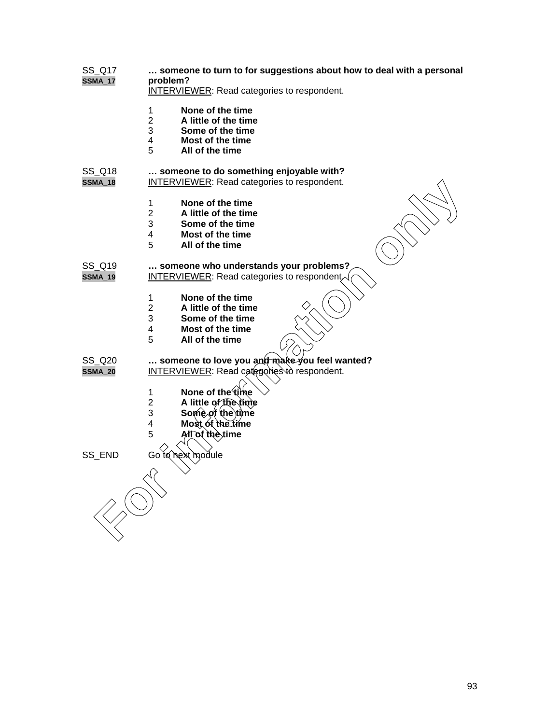| SS_Q17<br><b>SSMA_17</b> | someone to turn to for suggestions about how to deal with a personal<br>problem?<br><b>INTERVIEWER:</b> Read categories to respondent.    |
|--------------------------|-------------------------------------------------------------------------------------------------------------------------------------------|
|                          | None of the time<br>1<br>$\overline{2}$<br>A little of the time<br>3<br>Some of the time<br>Most of the time<br>4<br>5<br>All of the time |
| SS_Q18<br><b>SSMA_18</b> | someone to do something enjoyable with?<br>INTERVIEWER: Read categories to respondent.                                                    |
|                          | 1<br>None of the time<br>$\overline{2}$<br>A little of the time<br>3<br>Some of the time<br>4<br>Most of the time<br>5<br>All of the time |
| SS_Q19<br><b>SSMA_19</b> | someone who understands your problems?<br><b>INTERVIEWER: Read categories to respondentally</b>                                           |
|                          | None of the time<br>1<br>$\overline{2}$<br>A little of the time<br>3<br>Some of the time<br>4<br>Most of the time<br>5<br>All of the time |
| SS_Q20<br><b>SSMA_20</b> | someone to love you and make you feel wanted?<br><b>INTERVIEWER:</b> Read categories to respondent.                                       |
|                          | None of the time<br>1<br>$\overline{2}$<br>A little of the time<br>Some of the time<br>3<br>Most of the time<br>4<br>5<br>All of the time |
| SS_END                   | Go to next module                                                                                                                         |
|                          |                                                                                                                                           |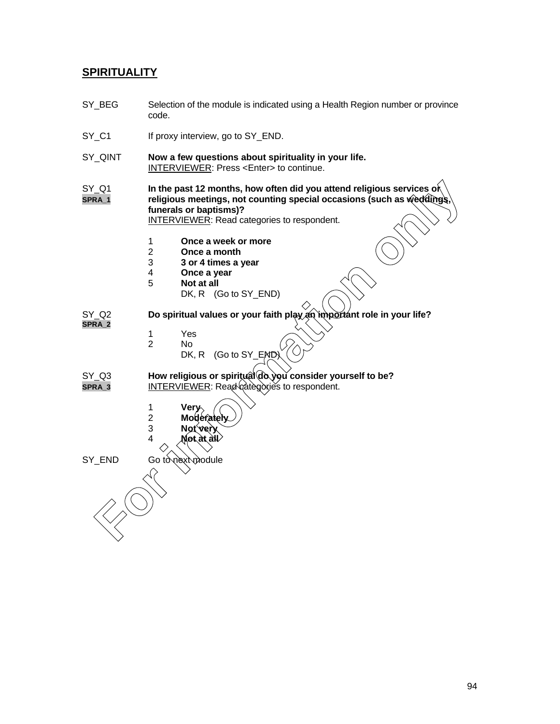#### **SPIRITUALITY**

- SY\_BEG Selection of the module is indicated using a Health Region number or province code.
- SY\_C1 If proxy interview, go to SY\_END.
- SY\_QINT **Now a few questions about spirituality in your life.** INTERVIEWER: Press <Enter> to continue.
- SY\_Q1 **In the past 12 months, how often did you attend religious services o**r **SPRA\_1 religious meetings, not counting special occasions (such as weddings, funerals or baptisms)?** The past 12 months, how often did you attend religious services of<br> **For information methods**, not counting special occasions (such as weedlings,<br>
thereads or beptisms)?<br>
INTERVIEWER: Read categories to respondent.<br> **For t**

INTERVIEWER: Read categories to respondent.

- 1 **Once a week or more**
- 2 **Once a month**
- 3 **3 or 4 times a year**
- 4 **Once a year**
	- 5 **Not at all**
		- DK, R (Go to SY\_END)

SY\_Q2 **Do spiritual values or your faith play an important role in your life? SPRA\_2**

- 
- 1 Yes<br>2 No No.
	- DK, R (Go to SY\_END).
- SY\_Q3 **How religious or spiritual do you consider yourself to be? SPRA\_3** INTERVIEWER: Read categories to respondent.
	- 1 **Very**
	- **Moderately**
	- 3 **Not very**
	- 4 **Not at all**

SY\_END Go to next module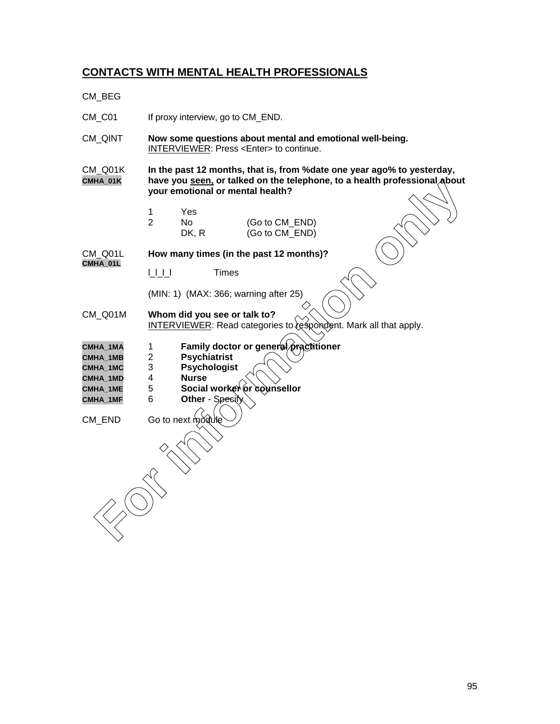## **CONTACTS WITH MENTAL HEALTH PROFESSIONALS**

CM\_BEG

| CM_C01                                                                      |                                                                                                                                                                                          | If proxy interview, go to CM_END.                                                                            |                                                                         |  |
|-----------------------------------------------------------------------------|------------------------------------------------------------------------------------------------------------------------------------------------------------------------------------------|--------------------------------------------------------------------------------------------------------------|-------------------------------------------------------------------------|--|
| CM_QINT                                                                     | Now some questions about mental and emotional well-being.<br>INTERVIEWER: Press <enter> to continue.</enter>                                                                             |                                                                                                              |                                                                         |  |
| CM_Q01K<br>CMHA_01K                                                         | In the past 12 months, that is, from % date one year ago% to yesterday,<br>have you seen, or talked on the telephone, to a health professional about<br>your emotional or mental health? |                                                                                                              |                                                                         |  |
|                                                                             | 1<br>$\overline{2}$                                                                                                                                                                      | Yes<br><b>No</b><br>DK, R                                                                                    | (Go to CM_END)<br>(Go to CM_END)                                        |  |
| CM_Q01L<br>CMHA_01L                                                         |                                                                                                                                                                                          |                                                                                                              | How many times (in the past 12 months)?                                 |  |
|                                                                             |                                                                                                                                                                                          | <b>Times</b>                                                                                                 |                                                                         |  |
|                                                                             |                                                                                                                                                                                          |                                                                                                              | (MIN: 1) (MAX: 366; warning after 25)                                   |  |
| CM_Q01M                                                                     |                                                                                                                                                                                          | Whom did you see or talk to?                                                                                 | <b>INTERVIEWER:</b> Read categories to respondent. Mark all that apply. |  |
| CMHA_1MA<br><b>CMHA 1MB</b><br>CMHA_1MC<br>CMHA_1MD<br>CMHA_1ME<br>CMHA_1MF | $\mathbf{1}$<br>$\overline{c}$<br>3<br>4<br>5<br>6                                                                                                                                       | <b>Psychiatrist</b><br><b>Psychologist</b><br><b>Nurse</b><br>Social worker or counsellor<br>Other - Spesity | Family doctor or general practitioner                                   |  |
| CM_END                                                                      | Go to next module                                                                                                                                                                        |                                                                                                              |                                                                         |  |
|                                                                             |                                                                                                                                                                                          |                                                                                                              |                                                                         |  |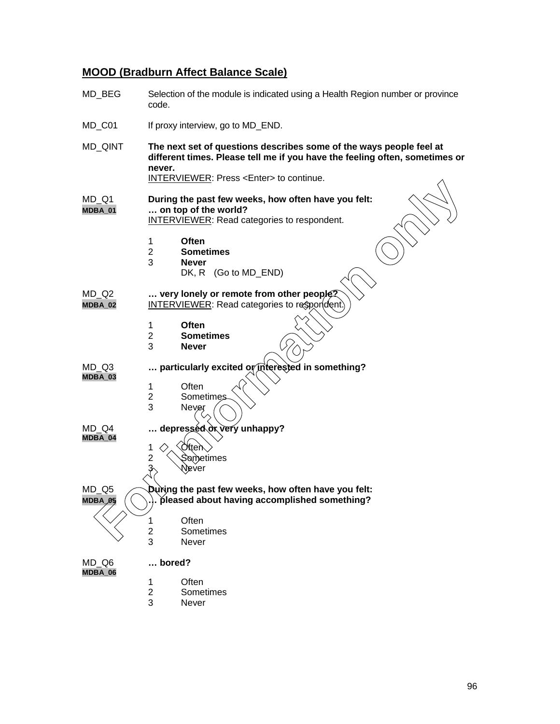# **MOOD (Bradburn Affect Balance Scale)**

| MD_BEG                          | Selection of the module is indicated using a Health Region number or province<br>code.                                                                                                                                 |  |  |
|---------------------------------|------------------------------------------------------------------------------------------------------------------------------------------------------------------------------------------------------------------------|--|--|
| MD_C01                          | If proxy interview, go to MD_END.                                                                                                                                                                                      |  |  |
| MD_QINT                         | The next set of questions describes some of the ways people feel at<br>different times. Please tell me if you have the feeling often, sometimes or<br>never.<br><b>INTERVIEWER: Press <enter> to continue.</enter></b> |  |  |
| MD Q1<br>MDBA_01                | During the past few weeks, how often have you felt:<br>on top of the world?<br>INTERVIEWER: Read categories to respondent.                                                                                             |  |  |
|                                 | Often<br>1<br>$\overline{2}$<br><b>Sometimes</b><br>3<br><b>Never</b><br>DK, R (Go to MD_END)                                                                                                                          |  |  |
| $MD_Q2$<br>MDBA_02              | very lonely or remote from other people?<br><b>INTERVIEWER:</b> Read categories to respondent)                                                                                                                         |  |  |
|                                 | 1<br>Often<br>2<br><b>Sometimes</b><br>3<br><b>Never</b>                                                                                                                                                               |  |  |
| MD Q3<br>MDBA_03                | particularly excited or interested in something?                                                                                                                                                                       |  |  |
|                                 | Often<br>1<br>$\overline{c}$<br><b>Sometimes</b><br>3<br>Never                                                                                                                                                         |  |  |
| MD Q4<br>MDBA_04                | depressed or very unhappy?                                                                                                                                                                                             |  |  |
|                                 | <b>Otten</b><br>1<br>2<br>Sometimes<br>Never                                                                                                                                                                           |  |  |
| $MD_Q5$<br>MDBA <sub>2</sub> 05 | During the past few weeks, how often have you felt:<br>. pleased about having accomplished something?                                                                                                                  |  |  |
|                                 | Often<br>1<br>$\overline{\mathbf{c}}$<br>Sometimes<br>3<br>Never                                                                                                                                                       |  |  |
| MD Q6<br>MDBA_06                | bored?                                                                                                                                                                                                                 |  |  |
|                                 | Often<br>$\mathbf{1}$<br>$\overline{2}$<br>Sometimes<br>3<br>Never                                                                                                                                                     |  |  |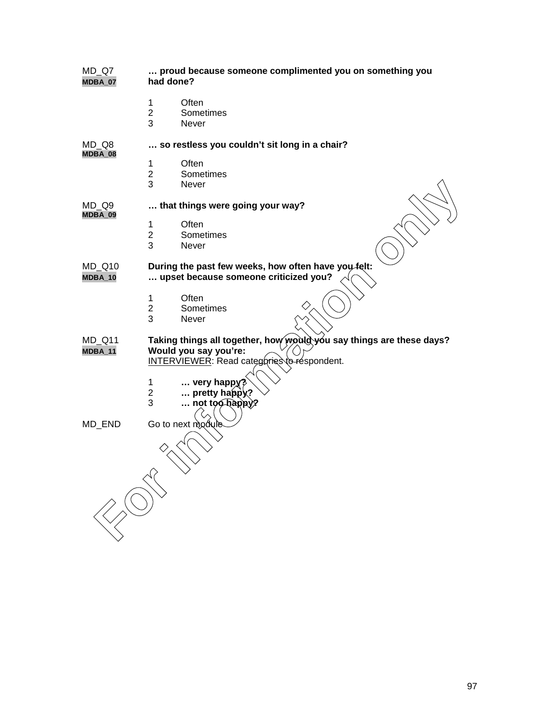| $MD_Q7$<br>MDBA_07 | proud because someone complimented you on something you<br>had done? |  |  |
|--------------------|----------------------------------------------------------------------|--|--|
|                    | $\mathbf 1$<br>Often                                                 |  |  |
|                    | $\mathbf{2}$<br>Sometimes                                            |  |  |
|                    | 3<br>Never                                                           |  |  |
|                    |                                                                      |  |  |
| MD Q8<br>MDBA_08   | so restless you couldn't sit long in a chair?                        |  |  |
|                    | Often<br>1                                                           |  |  |
|                    | $\overline{2}$<br>Sometimes                                          |  |  |
|                    | 3<br>Never                                                           |  |  |
| MD Q9              | that things were going your way?                                     |  |  |
| MDBA_09            |                                                                      |  |  |
|                    | Often<br>1                                                           |  |  |
|                    | $\overline{2}$<br>Sometimes                                          |  |  |
|                    | 3<br>Never                                                           |  |  |
| MD_Q10             | During the past few weeks, how often have you felt:                  |  |  |
| $MDBA_10$          | upset because someone criticized you?                                |  |  |
|                    | Often<br>$\mathbf{1}$                                                |  |  |
|                    | Sometimes<br>$\overline{2}$                                          |  |  |
|                    | 3<br>Never                                                           |  |  |
|                    |                                                                      |  |  |
| MD_Q11             | Taking things all together, how would you say things are these days? |  |  |
| MDBA_11            | Would you say you're:                                                |  |  |
|                    | INTERVIEWER: Read categories to respondent.                          |  |  |
|                    |                                                                      |  |  |
|                    | $\mathbf 1$<br>$\ldots$ very happy?                                  |  |  |
|                    | $\mathbf{2}$<br>pretty happy?                                        |  |  |
|                    | 3<br>not too happy?                                                  |  |  |
|                    |                                                                      |  |  |
| MD_END             | Go to next module                                                    |  |  |
|                    |                                                                      |  |  |
|                    |                                                                      |  |  |
|                    |                                                                      |  |  |
|                    |                                                                      |  |  |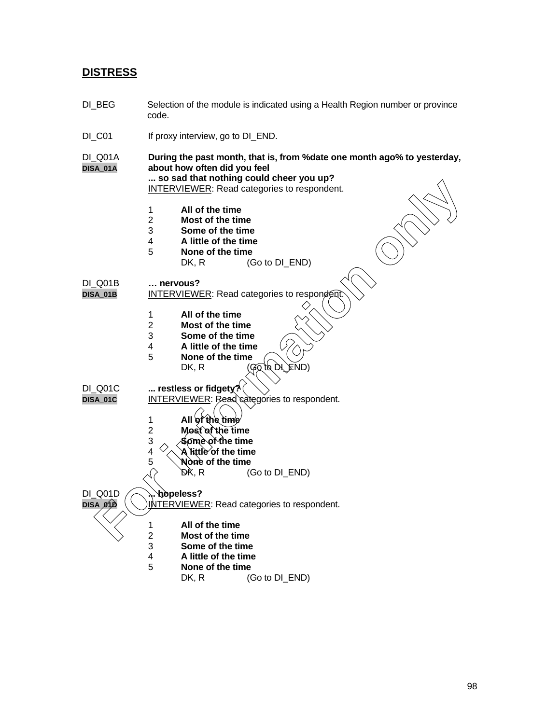#### **DISTRESS**

DI\_BEG Selection of the module is indicated using a Health Region number or province code. DI\_C01 If proxy interview, go to DI\_END. DI\_Q01A **During the past month, that is, from %date one month ago% to yesterday,** about how often did you feel **... so sad that nothing could cheer you up?** INTERVIEWER: Read categories to respondent. 1 **All of the time** 2 **Most of the time** 3 **Some of the time** 4 **A little of the time None of the time**<br>DK, R (C  $(Go to DIEND)$ DI\_Q01B **… nervous? INTERVIEWER: Read categories to responder** 1 **All of the time** 2 **Most of the time** 3 **Some of the time** 4 **A little of the time** 5 **None of the time** DK, R  $(\mathcal{G} \overline{\mathcal{G}} \text{ to } \mathcal{D})$   $\subseteq$  ND DI\_Q01C **... restless or fidgety?** DISA\_01C **INTERVIEWER: Read categories to respondent.** 1 **All of the time** 2 **Most of the time** 3 **Some of the time**  $4 \sqrt{\lambda}$  **A** little of the time 5 **None of the time**<br>  $\begin{array}{ccc} 5 & \mathsf{NA} \\ \mathsf{DK}, \mathsf{R} & \mathsf{OR} \end{array}$  $(Go to DI_END)$ DI\_Q01D **... hopeless? DISA\_01D**  $\left(\setminus\right)$  INTERVIEWER: Read categories to respondent. 1 **All of the time** 2 **Most of the time** 3 **Some of the time** 4 **A little of the time** 5 **None of the time** DK, R (Go to DI\_END) **FORTIFIEMER Read categories to respondent**<br> **For information** of the time<br> **For information of the time**<br> **For information of the time**<br> **For information**<br> **For information of the time**<br> **For information of the time**<br> **Fo**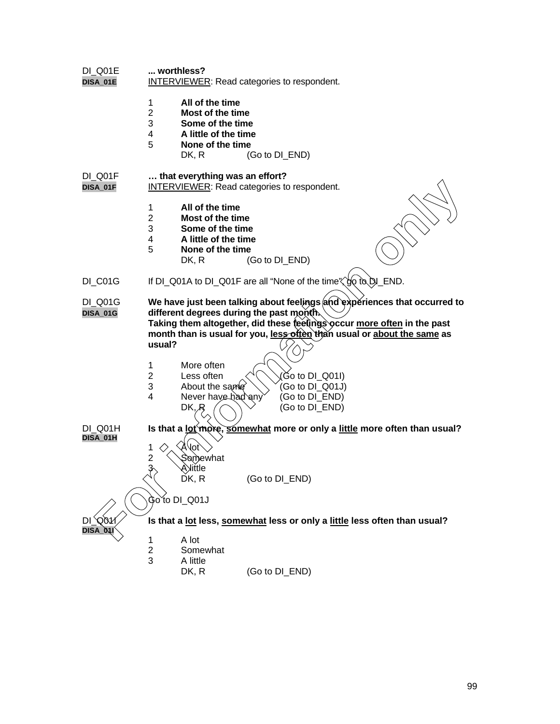| worthless?<br><b>INTERVIEWER:</b> Read categories to respondent.              |                                      |       |                                                                                                                                                                                                              |                                                                                                                  |                                                                                                                                                                                                                                                                                                                                                                                                                                                                       |
|-------------------------------------------------------------------------------|--------------------------------------|-------|--------------------------------------------------------------------------------------------------------------------------------------------------------------------------------------------------------------|------------------------------------------------------------------------------------------------------------------|-----------------------------------------------------------------------------------------------------------------------------------------------------------------------------------------------------------------------------------------------------------------------------------------------------------------------------------------------------------------------------------------------------------------------------------------------------------------------|
| 1<br>$\overline{2}$<br>3<br>4<br>5                                            | All of the time<br>DK, R             |       |                                                                                                                                                                                                              |                                                                                                                  |                                                                                                                                                                                                                                                                                                                                                                                                                                                                       |
| that everything was an effort?<br>INTERVIEWER: Read categories to respondent. |                                      |       |                                                                                                                                                                                                              |                                                                                                                  |                                                                                                                                                                                                                                                                                                                                                                                                                                                                       |
| 1<br>$\overline{2}$<br>3<br>4<br>5                                            | All of the time<br>DK, R             |       |                                                                                                                                                                                                              |                                                                                                                  |                                                                                                                                                                                                                                                                                                                                                                                                                                                                       |
| If DI_Q01A to DI_Q01F are all "None of the time"\"go to DI_END.               |                                      |       |                                                                                                                                                                                                              |                                                                                                                  |                                                                                                                                                                                                                                                                                                                                                                                                                                                                       |
| usual?<br>1                                                                   | More often<br>Less often             |       |                                                                                                                                                                                                              |                                                                                                                  |                                                                                                                                                                                                                                                                                                                                                                                                                                                                       |
| 3<br>4                                                                        | DK, R                                |       |                                                                                                                                                                                                              |                                                                                                                  |                                                                                                                                                                                                                                                                                                                                                                                                                                                                       |
|                                                                               |                                      |       |                                                                                                                                                                                                              |                                                                                                                  |                                                                                                                                                                                                                                                                                                                                                                                                                                                                       |
| 1<br>2<br>$\mathfrak{Z}_{\langle}$                                            | lot<br>Somewhat<br>Aेiittle<br>DK, R |       |                                                                                                                                                                                                              |                                                                                                                  |                                                                                                                                                                                                                                                                                                                                                                                                                                                                       |
| Go to DI_Q01J                                                                 |                                      |       |                                                                                                                                                                                                              |                                                                                                                  |                                                                                                                                                                                                                                                                                                                                                                                                                                                                       |
|                                                                               |                                      |       |                                                                                                                                                                                                              |                                                                                                                  |                                                                                                                                                                                                                                                                                                                                                                                                                                                                       |
| $\overline{c}$<br>3                                                           | Somewhat<br>A little<br>DK, R        |       |                                                                                                                                                                                                              |                                                                                                                  |                                                                                                                                                                                                                                                                                                                                                                                                                                                                       |
|                                                                               | 2<br>1                               | A lot | Most of the time<br>Some of the time<br>A little of the time<br>None of the time<br>Most of the time<br>Some of the time<br>A little of the time<br>None of the time<br>About the same<br>Never have had any | (Go to DI_END)<br>(Go to DI_END)<br>different degrees during the past month.<br>(Go to DI_END)<br>(Go to DI_END) | We have just been talking about feelings and experiences that occurred to<br>Taking them altogether, did these feetings occur more often in the past<br>month than is usual for you, less offen than usual or about the same as<br>Go to DI_Q01I)<br>(Go to $DI_Q$ 01J)<br>(Go to DI_END)<br>(Go to DI_END)<br>Is that a lot more, somewhat more or only a little more often than usual?<br>Is that a lot less, somewhat less or only a little less often than usual? |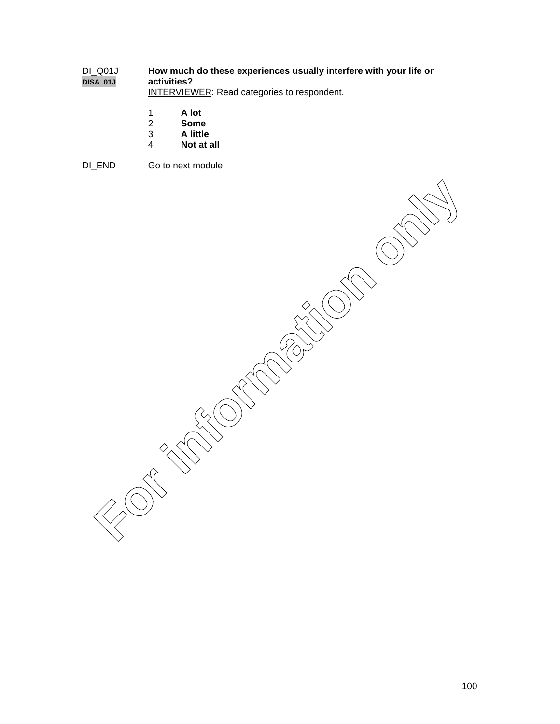#### DI\_Q01J **How much do these experiences usually interfere with your life or DISA\_01J activities?**

INTERVIEWER: Read categories to respondent.

- 1 **A lot**
- 2 **Some**
- 3 **A little**
- 4 **Not at all**
- DI\_END Go to next module

**For information only in the compact of the compact of the compact of the compact of the compact of the compact**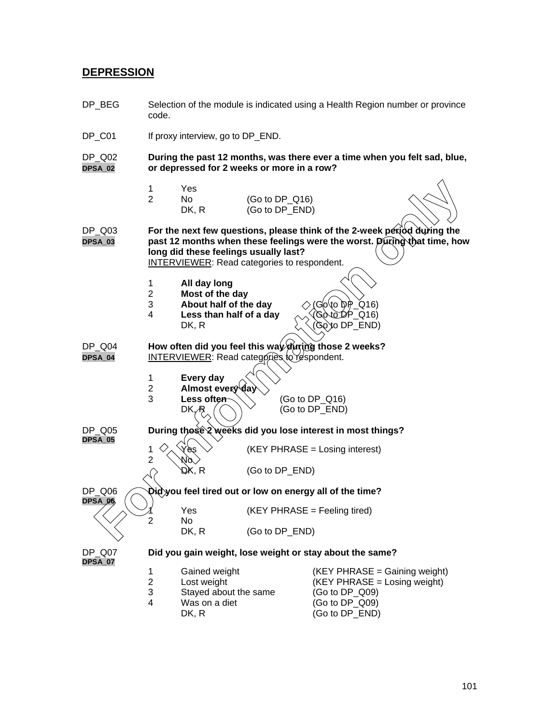#### **DEPRESSION**

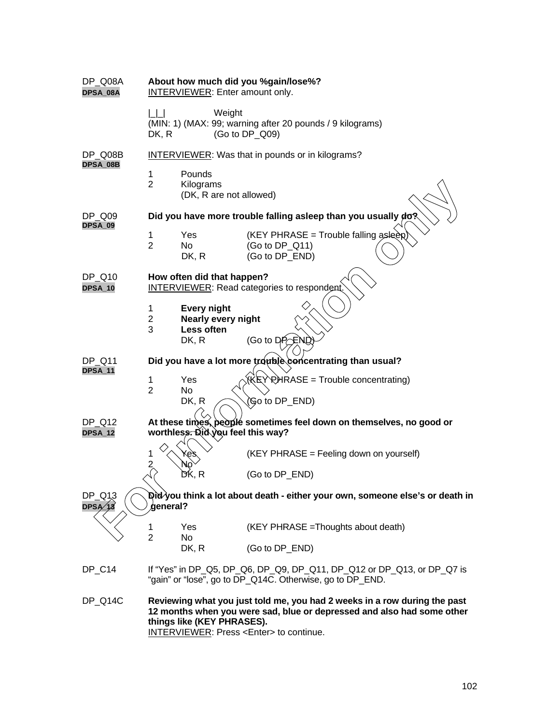| DP_Q08A<br>DPSA_08A           |                          | <b>INTERVIEWER: Enter amount only.</b>                                 | About how much did you %gain/lose%?                                                                                                                                           |
|-------------------------------|--------------------------|------------------------------------------------------------------------|-------------------------------------------------------------------------------------------------------------------------------------------------------------------------------|
|                               | DK, R                    | Weight                                                                 | (MIN: 1) (MAX: 99; warning after 20 pounds / 9 kilograms)<br>(Go to DP_Q09)                                                                                                   |
| DP Q08B                       |                          |                                                                        | <b>INTERVIEWER:</b> Was that in pounds or in kilograms?                                                                                                                       |
| DPSA_08B                      | 1<br>$\overline{2}$      | Pounds<br>Kilograms<br>(DK, R are not allowed)                         |                                                                                                                                                                               |
| DP_Q09<br>DPSA_09             |                          |                                                                        | Did you have more trouble falling asleep than you usually do?                                                                                                                 |
|                               | 1<br>$\overline{2}$      | Yes<br>No.<br>DK, R                                                    | (KEY PHRASE = Trouble falling asleep)<br>(Go to DP_Q11)<br>(Go to DP_END)                                                                                                     |
| DP Q10<br>DPSA_10             |                          | How often did that happen?                                             | INTERVIEWER: Read categories to respondent.                                                                                                                                   |
|                               | 1<br>$\overline{2}$<br>3 | <b>Every night</b><br><b>Nearly every night</b><br>Less often<br>DK, R | (Go to $D P \subseteq N C$                                                                                                                                                    |
| DP_Q11<br><b>DPSA_11</b>      |                          |                                                                        | Did you have a lot more trouble concentrating than usual?                                                                                                                     |
|                               | 1<br>$\overline{2}$      | Yes<br><b>No</b><br>DK, R                                              | (KEY RHRASE = Trouble concentrating)<br>(Go to DP_END)                                                                                                                        |
| DP Q12<br>DPSA_12             |                          | worthless. Did you feel this way?                                      | At these times, people sometimes feel down on themselves, no good or                                                                                                          |
|                               | 1<br>$\overline{2}$      |                                                                        | (KEY PHRASE = Feeling down on yourself)                                                                                                                                       |
|                               |                          | DK, R                                                                  | (Go to DP_END)                                                                                                                                                                |
| DP_Q13<br>$\mathsf{DPSA}'$ 13 | deneral?                 |                                                                        | ହାପି∕you think a lot about death - either your own, someone else's or death in                                                                                                |
|                               | 1<br>$\overline{2}$      | Yes<br>No                                                              | (KEY PHRASE = Thoughts about death)                                                                                                                                           |
|                               |                          | DK, R                                                                  | (Go to DP_END)                                                                                                                                                                |
| DP_C14                        |                          |                                                                        | If "Yes" in DP_Q5, DP_Q6, DP_Q9, DP_Q11, DP_Q12 or DP_Q13, or DP_Q7 is<br>"gain" or "lose", go to DP_Q14C. Otherwise, go to DP_END.                                           |
| DP_Q14C                       |                          | things like (KEY PHRASES).                                             | Reviewing what you just told me, you had 2 weeks in a row during the past<br>12 months when you were sad, blue or depressed and also had some other<br>INTENDUIFUMED: Dr. 2.5 |

INTERVIEWER: Press <Enter> to continue.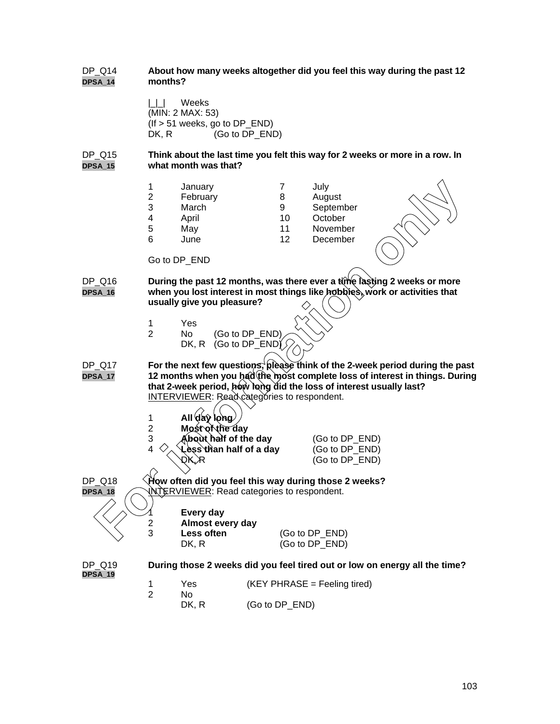#### DP\_Q14 **About how many weeks altogether did you feel this way during the past 12 DPSA\_14 months?**

|\_|\_| Weeks (MIN: 2 MAX: 53) (If > 51 weeks, go to DP\_END) DK, R (Go to DP\_END)

DP\_Q15 **Think about the last time you felt this way for 2 weeks or more in a row. In DPSA\_15 what month was that?**

|                                  | 1<br>$\overline{\mathbf{c}}$<br>3<br>$\overline{\mathbf{4}}$<br>5<br>6 | January<br>February<br>March<br>April<br>May<br>June<br>Go to DP_END                                                                                                                  | 7<br>8<br>9<br>10<br>11<br>12 | July<br>August<br>September<br>October<br>November<br>December |                                                                                                                                                             |
|----------------------------------|------------------------------------------------------------------------|---------------------------------------------------------------------------------------------------------------------------------------------------------------------------------------|-------------------------------|----------------------------------------------------------------|-------------------------------------------------------------------------------------------------------------------------------------------------------------|
| <sup>2</sup> Q16<br><b>SA_16</b> |                                                                        | During the past 12 months, was there ever a time lasting 2 weeks or more<br>when you lost interest in most things like hobbies, work or activities that<br>usually give you pleasure? |                               |                                                                |                                                                                                                                                             |
|                                  | 1<br>$\overline{2}$                                                    | Yes<br>(Go to DP END)<br>No<br>(Go to DP_END)<br>DK, R                                                                                                                                |                               |                                                                |                                                                                                                                                             |
| $^{\circ}$ _Q17<br><b>SA_17</b>  | 1                                                                      | that 2-week period, how long did the loss of interest usually last?<br><b>INTERVIEWER: Read categories to respondent.</b><br>All day long                                             |                               |                                                                | For the next few questions, please think of the 2-week period during the pase<br>12 months when you had the most complete loss of interest in things. Durin |
|                                  | $\overline{c}$<br>3<br>4                                               | Most of the day<br>About half of the day<br>Lèss`than half of a day<br>DK. R                                                                                                          |                               | (Go to DP_END)<br>(Go to DP_END)<br>(Go to DP END)             |                                                                                                                                                             |
| <sup>2</sup> Q18<br><b>SA_18</b> |                                                                        | How often did you feel this way during those 2 weeks?<br>NTERVIEWER: Read categories to respondent.<br>Every day                                                                      |                               |                                                                |                                                                                                                                                             |
|                                  | $\overline{2}$<br>3                                                    | Almost every day<br>Less often                                                                                                                                                        |                               | (Go to DP_END)                                                 |                                                                                                                                                             |

- DP\_Q16 **During the past 12 months, was there ever a time lasting 2 weeks or more DPSA\_16 when you lost interest in most things like hobbies, work or activities that usually give you pleasure?**
	- 1 Yes
	- 2 No (Go to DP\_END) DK, R (Go to DP\_END) $\sqrt$

DP\_Q17 **For the next few questions, please think of the 2-week period during the past DPSA\_17 12 months when you had the most complete loss of interest in things. During that 2-week period, how long did the loss of interest usually last?** INTERVIEWER: Read categories to respondent.

- 1 **All day long**
- 
- 2 **Most of the day About half of the day** (Go to DP\_END) 4 **Less than half of a day** (Go to DP\_END)
	- $\mathcal{R}$  (Go to DP\_END)

| 1<br>2 | Every day<br>Almost every day |                                  |
|--------|-------------------------------|----------------------------------|
| 3      | Less often<br>DK. R           | (Go to DP_END)<br>(Go to DP_END) |

**DPSA\_19**

- DP\_Q19 **During those 2 weeks did you feel tired out or low on energy all the time?** 1 Yes (KEY PHRASE = Feeling tired)
	- 2 No DK, R (Go to DP\_END)
		-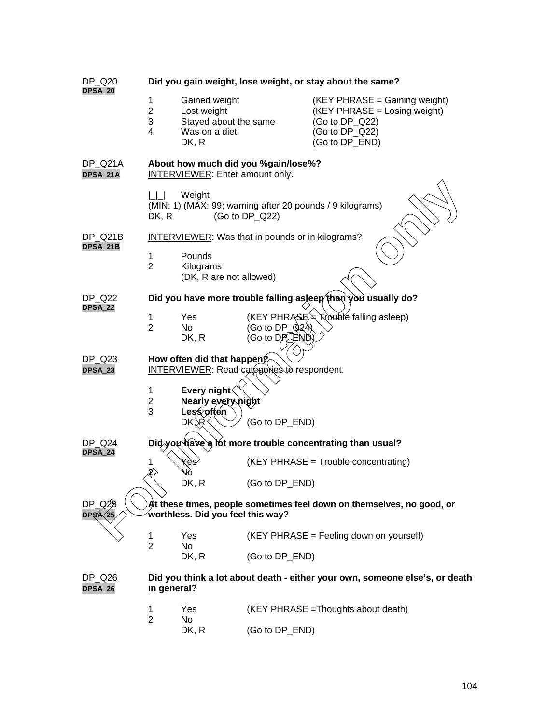| DP_Q20                   | Did you gain weight, lose weight, or stay about the same?                                         |                                                                                 |                                                     |                                                                                                                     |  |  |  |  |
|--------------------------|---------------------------------------------------------------------------------------------------|---------------------------------------------------------------------------------|-----------------------------------------------------|---------------------------------------------------------------------------------------------------------------------|--|--|--|--|
| <b>DPSA_20</b>           | 1<br>$\overline{2}$<br>3<br>4                                                                     | Gained weight<br>Lost weight<br>Stayed about the same<br>Was on a diet<br>DK, R |                                                     | (KEY PHRASE = Gaining weight)<br>(KEY PHRASE = Losing weight)<br>(Go to DP_Q22)<br>(Go to DP_Q22)<br>(Go to DP_END) |  |  |  |  |
| DP_Q21A<br>DPSA_21A      | About how much did you %gain/lose%?<br><b>INTERVIEWER:</b> Enter amount only.                     |                                                                                 |                                                     |                                                                                                                     |  |  |  |  |
|                          | Weight<br>(MIN: 1) (MAX: 99; warning after 20 pounds / 9 kilograms)<br>DK, R<br>(Go to $DP_Q22$ ) |                                                                                 |                                                     |                                                                                                                     |  |  |  |  |
| DP_Q21B<br>DPSA_21B      | <b>INTERVIEWER:</b> Was that in pounds or in kilograms?                                           |                                                                                 |                                                     |                                                                                                                     |  |  |  |  |
|                          | 1<br>$\overline{2}$                                                                               | Pounds<br>Kilograms<br>(DK, R are not allowed)                                  |                                                     |                                                                                                                     |  |  |  |  |
| DP_Q22<br><b>DPSA_22</b> | Did you have more trouble falling asleep than you usually do?                                     |                                                                                 |                                                     |                                                                                                                     |  |  |  |  |
|                          | 1<br>$\overline{2}$                                                                               | Yes<br>No.<br>DK, R                                                             | (Go to DP_ $\hat{Q}24$ )<br>(Go to $D P_{\leq}$ FND | (KEY PHRASE * Trouble falling asleep)                                                                               |  |  |  |  |
| DP_Q23<br>DPSA_23        | How often did that happen?<br><b>INTERVIEWER:</b> Read categories to respondent.                  |                                                                                 |                                                     |                                                                                                                     |  |  |  |  |
|                          | $\mathbf{1}$<br>$\overline{2}$<br>3                                                               | Every night <b>√</b><br>Nearly every night<br>Less often<br>DK.<br>۶R٠          | (Go to DP_END)                                      |                                                                                                                     |  |  |  |  |
| <b>DP Q24</b><br>DPSA_24 | Did you have a lot more trouble concentrating than usual?                                         |                                                                                 |                                                     |                                                                                                                     |  |  |  |  |
|                          | 1                                                                                                 | (KEY PHRASE = Trouble concentrating)<br>kes)<br>Nó                              |                                                     |                                                                                                                     |  |  |  |  |
|                          |                                                                                                   | DK, R                                                                           | (Go to DP_END)                                      |                                                                                                                     |  |  |  |  |
| DP.<br>DP\$AS25          |                                                                                                   | worthless. Did you feel this way?                                               |                                                     | At these times, people sometimes feel down on themselves, no good, or                                               |  |  |  |  |
|                          | $\mathbf 1$<br>$\overline{2}$                                                                     | Yes<br>No                                                                       | (KEY PHRASE = Feeling down on yourself)             |                                                                                                                     |  |  |  |  |
|                          |                                                                                                   | DK, R                                                                           | (Go to DP_END)                                      |                                                                                                                     |  |  |  |  |
| DP Q26<br>DPSA_26        | Did you think a lot about death - either your own, someone else's, or death<br>in general?        |                                                                                 |                                                     |                                                                                                                     |  |  |  |  |
|                          | 1<br>$\overline{2}$                                                                               | Yes<br>No                                                                       | (KEY PHRASE = Thoughts about death)                 |                                                                                                                     |  |  |  |  |
|                          |                                                                                                   | DK, R                                                                           | (Go to DP_END)                                      |                                                                                                                     |  |  |  |  |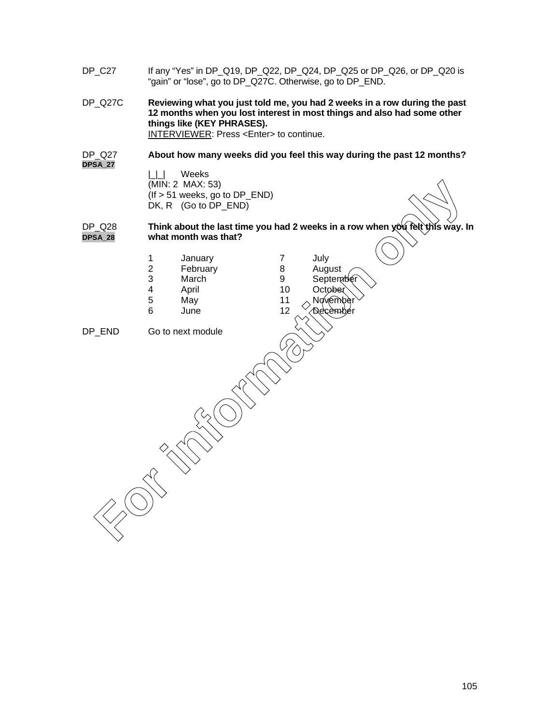- DP\_C27 If any "Yes" in DP\_Q19, DP\_Q22, DP\_Q24, DP\_Q25 or DP\_Q26, or DP\_Q20 is "gain" or "lose", go to DP\_Q27C. Otherwise, go to DP\_END.
- DP\_Q27C **Reviewing what you just told me, you had 2 weeks in a row during the past 12 months when you lost interest in most things and also had some other things like (KEY PHRASES).**

INTERVIEWER: Press <Enter> to continue.

#### DP\_Q27 **About how many weeks did you feel this way during the past 12 months? DPSA\_27**

|\_|\_| Weeks (MIN: 2 MAX: 53) (If > 51 weeks, go to DP\_END) DK, R (Go to DP\_END)

#### DP\_Q28 **Think about the last time you had 2 weeks in a row when you felt this way. In DPSA\_28 what month was that?**

1 January 7 July 2 February 8 August<br>3 March 9 Septem March 9 September 4 April 10 October 5 May 11  $\land$  November 6 June 12  $\searrow$ December DP\_END Go to next module (MN: 2 MAX: 53)<br> **For information only and the set time you had 2 weeks in a row when you for the set time you had 2 weeks in a row when you for the set time you had 2 weeks in a row when you for the set time you had 2 we**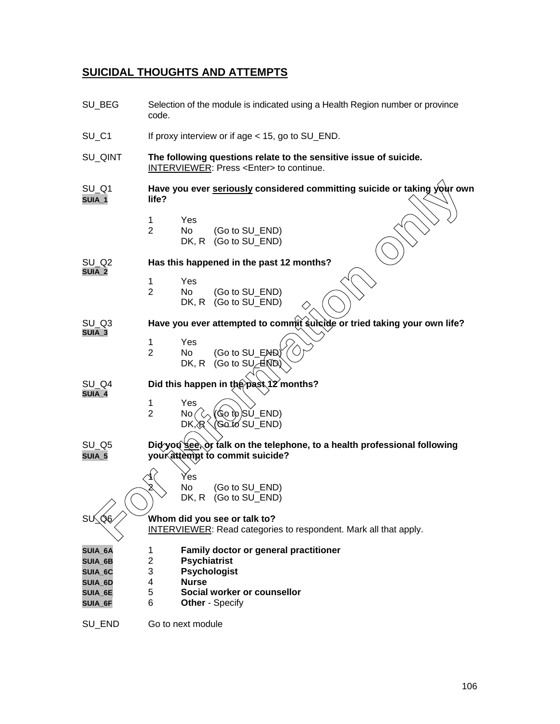## **SUICIDAL THOUGHTS AND ATTEMPTS**

| SU_BEG                        | Selection of the module is indicated using a Health Region number or province<br>code.                               |  |  |  |  |  |  |
|-------------------------------|----------------------------------------------------------------------------------------------------------------------|--|--|--|--|--|--|
| $SU_C 1$                      | If proxy interview or if age < 15, go to SU_END.                                                                     |  |  |  |  |  |  |
| SU_QINT                       | The following questions relate to the sensitive issue of suicide.<br>INTERVIEWER: Press <enter> to continue.</enter> |  |  |  |  |  |  |
| $SU_Q1$<br>SUIA_1             | Have you ever seriously considered committing suicide or taking your own<br>life?                                    |  |  |  |  |  |  |
|                               | 1<br>Yes<br>$\overline{2}$<br>No.<br>(Go to SU END)<br>DK, R<br>(Go to SU_END)                                       |  |  |  |  |  |  |
| SU Q2<br>SUIA_2               | Has this happened in the past 12 months?                                                                             |  |  |  |  |  |  |
|                               | 1<br>Yes<br>$\overline{2}$<br>No<br>(Go to SU_END)<br>(Go to SU_END)<br>DK, R                                        |  |  |  |  |  |  |
| SU Q3<br>SUIA_3               | Have you ever attempted to commit suicide or tried taking your own life?                                             |  |  |  |  |  |  |
|                               | $\mathbf 1$<br>Yes<br>$\overline{2}$<br>(Go to SU_END)<br>No<br>(Go to $SU_{\!\!\mathbb{C}}$ END)<br>DK, R           |  |  |  |  |  |  |
| SU_Q4<br>SUIA_4               | Did this happen in the past 12 months?                                                                               |  |  |  |  |  |  |
|                               | 1<br>Yes<br>(Go to)SŬ_END)<br>$\overline{2}$<br>No<br>Goto SU_END)<br>DK, R                                          |  |  |  |  |  |  |
| $SU_Q 5$<br>SUIA_5            | Did you see, or talk on the telephone, to a health professional following<br>your attempt to commit suicide?         |  |  |  |  |  |  |
|                               | Yes                                                                                                                  |  |  |  |  |  |  |
|                               | No<br>(Go to SU_END)<br>(Go to SU_END)<br>DK, R                                                                      |  |  |  |  |  |  |
| SU∕Q&                         | Whom did you see or talk to?<br>INTERVIEWER: Read categories to respondent. Mark all that apply.                     |  |  |  |  |  |  |
| SUIA_6A<br>SUIA_6B            | Family doctor or general practitioner<br>1<br>2<br><b>Psychiatrist</b>                                               |  |  |  |  |  |  |
| SUIA_6C                       | 3<br><b>Psychologist</b><br><b>Nurse</b><br>4                                                                        |  |  |  |  |  |  |
| SUIA_6D<br>SUIA_6E<br>SUIA_6F | 5<br>Social worker or counsellor<br>6<br><b>Other - Specify</b>                                                      |  |  |  |  |  |  |
| SU_END                        | Go to next module                                                                                                    |  |  |  |  |  |  |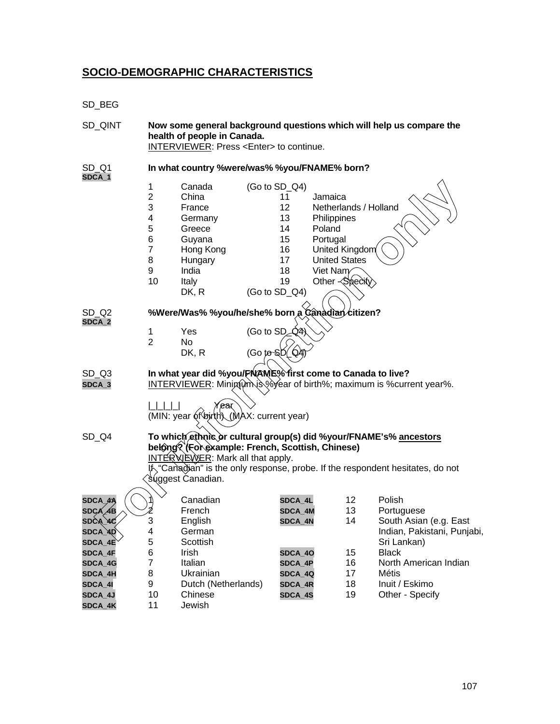## **SOCIO-DEMOGRAPHIC CHARACTERISTICS**

SD\_BEG

| SD_QINT                                     | Now some general background questions which will help us compare the<br>health of people in Canada.<br>INTERVIEWER: Press <enter> to continue.</enter> |                                                                                                                                                                                        |                                          |                                                    |                                                                                                                                                                                    |          |                                                                               |
|---------------------------------------------|--------------------------------------------------------------------------------------------------------------------------------------------------------|----------------------------------------------------------------------------------------------------------------------------------------------------------------------------------------|------------------------------------------|----------------------------------------------------|------------------------------------------------------------------------------------------------------------------------------------------------------------------------------------|----------|-------------------------------------------------------------------------------|
| SD Q1<br>SDCA_1                             | In what country %were/was% %you/FNAME% born?                                                                                                           |                                                                                                                                                                                        |                                          |                                                    |                                                                                                                                                                                    |          |                                                                               |
|                                             | 1<br>$\overline{2}$<br>3<br>4<br>5<br>6<br>$\overline{7}$<br>8<br>9<br>10                                                                              | Canada<br>China<br>France<br>Germany<br>Greece<br>Guyana<br>Hong Kong<br>Hungary<br>India<br>Italy<br>DK, R                                                                            | (Go to SD_Q4)<br>(Go to SD_Q4)           | 11<br>12<br>13<br>14<br>15<br>16<br>17<br>18<br>19 | Jamaica<br>Netherlands / Holland<br>Philippines<br>Poland<br>Portugal<br>United Kingdom<br><b>United States</b><br>Viet Nam<br>Other <specity< th=""><th></th><th></th></specity<> |          |                                                                               |
| SD <sub>Q2</sub><br>SDCA_2                  | %Were/Was% %you/he/she% born a Canadian citizen?                                                                                                       |                                                                                                                                                                                        |                                          |                                                    |                                                                                                                                                                                    |          |                                                                               |
|                                             | 1<br>$\overline{2}$                                                                                                                                    | Yes<br>No<br>DK, R                                                                                                                                                                     | (Go to $SD_4$ 4)<br>$(Go \text{ to } S)$ | `QA                                                |                                                                                                                                                                                    |          |                                                                               |
| SD <sub>Q3</sub><br>SDCA_3                  |                                                                                                                                                        | In what year did %you/FNAME% first come to Canada to live?                                                                                                                             |                                          |                                                    |                                                                                                                                                                                    |          | INTERVIEWER: Minimum is Wear of birth%; maximum is % current year%.           |
|                                             |                                                                                                                                                        | 'ear<br>(MIN: year of birth) (MAX: current year)                                                                                                                                       |                                          |                                                    |                                                                                                                                                                                    |          |                                                                               |
| SD_Q4                                       |                                                                                                                                                        | To which ethnic or cultural group(s) did %your/FNAME's% ancestors<br>belong? (For example: French, Scottish, Chinese)<br><b>INTER WEWER:</b> Mark all that apply.<br>suggest Canadian. |                                          |                                                    |                                                                                                                                                                                    |          | 片 "Canadian" is the only response, probe. If the respondent hesitates, do not |
| <b>SDCA</b><br>SDC⁄A                        |                                                                                                                                                        | Canadian<br>French                                                                                                                                                                     |                                          | SDCA_4L<br>SDCA_4M                                 |                                                                                                                                                                                    | 12<br>13 | Polish<br>Portuguese                                                          |
| <b>SDCA</b><br>$\texttt{SDCA}\_\texttt{4D}$ | 3<br>4                                                                                                                                                 | English<br>German                                                                                                                                                                      |                                          | SDCA_4N                                            |                                                                                                                                                                                    | 14       | South Asian (e.g. East<br>Indian, Pakistani, Punjabi,                         |
| SDCA_4E<br>SDCA_4F                          | 5<br>6<br>$\overline{7}$                                                                                                                               | Scottish<br>Irish<br>Italian                                                                                                                                                           |                                          | SDCA_40                                            |                                                                                                                                                                                    | 15<br>16 | Sri Lankan)<br><b>Black</b><br>North American Indian                          |
| SDCA_4G<br>SDCA_4H<br>SDCA_4I               | 8<br>9                                                                                                                                                 | Ukrainian<br>Dutch (Netherlands)                                                                                                                                                       |                                          | SDCA_4P<br>SDCA_4Q<br>SDCA_4R                      |                                                                                                                                                                                    | 17<br>18 | Métis<br>Inuit / Eskimo                                                       |
| SDCA_4J<br>SDCA_4K                          | 10<br>11                                                                                                                                               | Chinese<br>Jewish                                                                                                                                                                      |                                          | SDCA_4S                                            |                                                                                                                                                                                    | 19       | Other - Specify                                                               |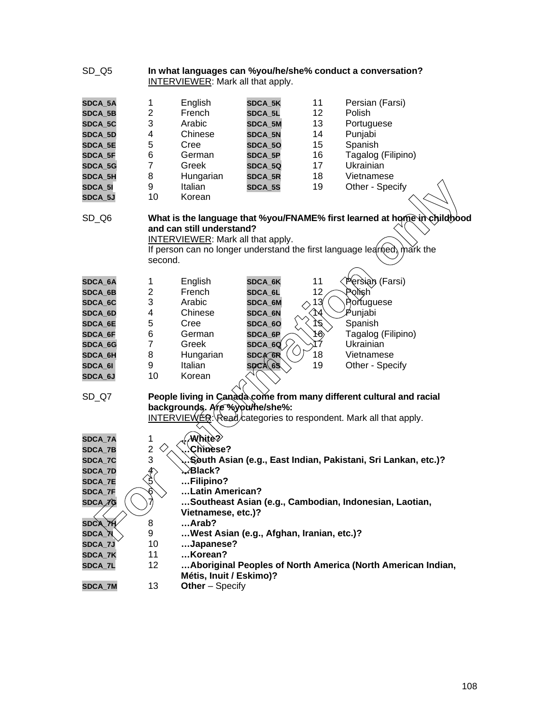| $SD_Q5$            | In what languages can %you/he/she% conduct a conversation?<br>INTERVIEWER: Mark all that apply. |                                                                                        |                                           |                 |                                                                                                                                                     |  |  |  |
|--------------------|-------------------------------------------------------------------------------------------------|----------------------------------------------------------------------------------------|-------------------------------------------|-----------------|-----------------------------------------------------------------------------------------------------------------------------------------------------|--|--|--|
| SDCA_5A            | $\mathbf 1$                                                                                     | English                                                                                | SDCA_5K                                   | 11              | Persian (Farsi)                                                                                                                                     |  |  |  |
| SDCA_5B            | $\overline{2}$                                                                                  | French                                                                                 | SDCA_5L                                   | 12 <sub>2</sub> | Polish                                                                                                                                              |  |  |  |
| SDCA_5C            | 3                                                                                               | Arabic                                                                                 | SDCA_5M                                   | 13              | Portuguese                                                                                                                                          |  |  |  |
| SDCA_5D            | 4                                                                                               | Chinese                                                                                | SDCA_5N                                   | 14              | Punjabi                                                                                                                                             |  |  |  |
| SDCA_5E            | 5                                                                                               | Cree                                                                                   | SDCA_50                                   | 15              | Spanish                                                                                                                                             |  |  |  |
| SDCA_5F            | 6                                                                                               | German                                                                                 | SDCA_5P                                   | 16              | Tagalog (Filipino)                                                                                                                                  |  |  |  |
| SDCA_5G            | $\overline{7}$                                                                                  | Greek                                                                                  | SDCA_5Q                                   | 17              | Ukrainian                                                                                                                                           |  |  |  |
| SDCA_5H            | 8                                                                                               | Hungarian                                                                              | SDCA_5R                                   | 18              | Vietnamese                                                                                                                                          |  |  |  |
| SDCA_5I            | 9                                                                                               | Italian                                                                                | SDCA_5S                                   | 19              | Other - Specify                                                                                                                                     |  |  |  |
| SDCA_5J            | 10                                                                                              | Korean                                                                                 |                                           |                 |                                                                                                                                                     |  |  |  |
| $SD_Q6$            | second.                                                                                         | and can still understand?<br><b>INTERVIEWER:</b> Mark all that apply.                  |                                           |                 | What is the language that %you/FNAME% first learned at home in childbood<br>If person can no longer understand the first language learned, mark the |  |  |  |
| SDCA_6A            | 1                                                                                               | English                                                                                | SDCA_6K                                   | 11              | Persian (Farsi)                                                                                                                                     |  |  |  |
| SDCA_6B            | $\overline{c}$                                                                                  | French                                                                                 | SDCA_6L                                   | 12              | Polish                                                                                                                                              |  |  |  |
| SDCA_6C            | 3                                                                                               | Arabic                                                                                 | SDCA_6M                                   | 13              | Portuguese                                                                                                                                          |  |  |  |
| SDCA_6D            | 4                                                                                               | Chinese                                                                                | SDCA_6N                                   | ্যৰ্            | , Punjabi                                                                                                                                           |  |  |  |
| SDCA_6E            | 5                                                                                               | Cree                                                                                   | SDCA_6O                                   | ोई,             | Spanish                                                                                                                                             |  |  |  |
| SDCA_6F            | 6                                                                                               | German                                                                                 | SDCA_6P                                   | 16,             | Tagalog (Filipino)                                                                                                                                  |  |  |  |
| SDCA_6G            | $\overline{7}$                                                                                  | Greek                                                                                  | $\mathsf{SDCA\_6Q}$                       | 17              | Ukrainian                                                                                                                                           |  |  |  |
| SDCA_6H            | 8                                                                                               | Hungarian                                                                              | <b>SDCA GR</b>                            | 18              | Vietnamese                                                                                                                                          |  |  |  |
| SDCA_6I            | 9                                                                                               | Italian                                                                                | <b>SPCA 6S</b>                            | 19              | Other - Specify                                                                                                                                     |  |  |  |
| SDCA_6J            | 10                                                                                              | Korean                                                                                 |                                           |                 |                                                                                                                                                     |  |  |  |
| $SD_Q7$            |                                                                                                 |                                                                                        |                                           |                 | People living in Canada come from many different cultural and racial                                                                                |  |  |  |
|                    |                                                                                                 | backgrounds. Are %youthe/she%:                                                         |                                           |                 |                                                                                                                                                     |  |  |  |
|                    |                                                                                                 |                                                                                        |                                           |                 | <b>INTERVIEWER: Read/categories to respondent. Mark all that apply.</b>                                                                             |  |  |  |
|                    |                                                                                                 |                                                                                        |                                           |                 |                                                                                                                                                     |  |  |  |
| SDCA_7A            | 1                                                                                               | :White?                                                                                |                                           |                 |                                                                                                                                                     |  |  |  |
| SDCA_7B<br>SDCA_7C | 3                                                                                               | $\overline{\mathbf{c}}$<br>Chinese?                                                    |                                           |                 |                                                                                                                                                     |  |  |  |
| SDCA_7D            |                                                                                                 | South Asian (e.g., East Indian, Pakistani, Sri Lankan, etc.)?<br>∕Black?               |                                           |                 |                                                                                                                                                     |  |  |  |
| SDCA_7E            | $\phi$<br>$\hat{P}$                                                                             | Filipino?                                                                              |                                           |                 |                                                                                                                                                     |  |  |  |
| SDCA_7F            |                                                                                                 | Latin American?                                                                        |                                           |                 |                                                                                                                                                     |  |  |  |
| SDCA <i>∕î)</i> G  |                                                                                                 |                                                                                        |                                           |                 |                                                                                                                                                     |  |  |  |
|                    |                                                                                                 | Southeast Asian (e.g., Cambodian, Indonesian, Laotian,<br>Vietnamese, etc.)?           |                                           |                 |                                                                                                                                                     |  |  |  |
| <b>SDCA_7H</b>     | 8                                                                                               | Arab?                                                                                  |                                           |                 |                                                                                                                                                     |  |  |  |
| SDCA_እ\            | 9                                                                                               |                                                                                        | West Asian (e.g., Afghan, Iranian, etc.)? |                 |                                                                                                                                                     |  |  |  |
| <b>SDCA_7J</b>     | 10                                                                                              | Japanese?                                                                              |                                           |                 |                                                                                                                                                     |  |  |  |
| SDCA_7K            | 11                                                                                              | Korean?                                                                                |                                           |                 |                                                                                                                                                     |  |  |  |
| SDCA_7L            | 12                                                                                              | Aboriginal Peoples of North America (North American Indian,<br>Métis, Inuit / Eskimo)? |                                           |                 |                                                                                                                                                     |  |  |  |
| SDCA_7M            | 13                                                                                              | Other - Specify                                                                        |                                           |                 |                                                                                                                                                     |  |  |  |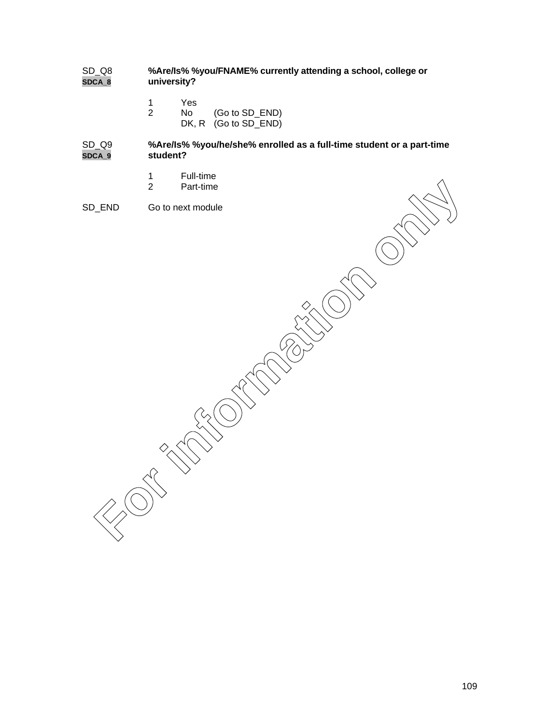### SD\_Q8 **%Are/Is% %you/FNAME% currently attending a school, college or SDCA\_8 university?**

- 1 Yes<br>2 No
	- No (Go to SD\_END) DK, R (Go to SD\_END)

### SD\_Q9 **%Are/Is% %you/he/she% enrolled as a full-time student or a part-time SDCA\_9 student?**

- 1 Full-time<br>2 Part-time
- Part-time
- SD\_END Go to next module Part-time<br>
Go to next module<br>
Concert module<br>
Concert module<br>
Concert module<br>
Concert module<br>
Concert module<br>
Concert module<br>
Concert module<br>
Concert module<br>
Concert module<br>
Concert module<br>
Concert module<br>
Concert module<br>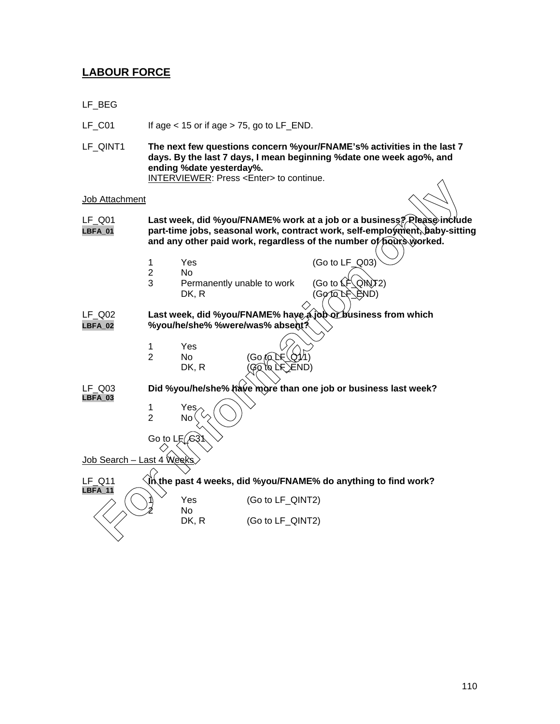# **LABOUR FORCE**

- LF\_BEG
- LF $\_CO1$  If age < 15 or if age > 75, go to LF $\_END$ .
- LF\_QINT1 **The next few questions concern %your/FNAME's% activities in the last 7 days. By the last 7 days, I mean beginning %date one week ago%, and ending %date yesterday%.** INTERVIEWER: Press <Enter> to continue.

**Job Attachment** 

- LF\_Q01 **Last week, did %you/FNAME% work at a job or a business? Please include LBFA\_01 part-time jobs, seasonal work, contract work, self-employment, baby-sitting and any other paid work, regardless of the number of hours worked.** DAttachment throw ends we work at a job or a business? Prease include the part-time jobs, seasonal work, contract work, self-employment, baby-sitting and any other pald work, regardless of the number of points worked.<br>
1
	- 1 Yes (Go to LF\_Q03)
	-
	- 2 No<br>3 Per Permanently unable to work (Go to LF QINT2)<br>DK. R (Go to LF END)  $(G\circ \Omega \times \text{END})$
- LF\_Q02 **Last week, did %you/FNAME% have a job or business from which LBFA\_02 %you/he/she% %were/was% absent?**
	- 1 Yes<br>2 No

No

No.



LF\_Q03 **Did %you/he/she% have more than one job or business last week?**

**LBFA\_03**

**LBFA\_11**

1 Yes<br>2 No<sup>(</sup>

Go to L Job Search - Last 4 Week

LF\_Q11 **In the past 4 weeks, did %you/FNAME% do anything to find work?**

Yes (Go to LF\_QINT2)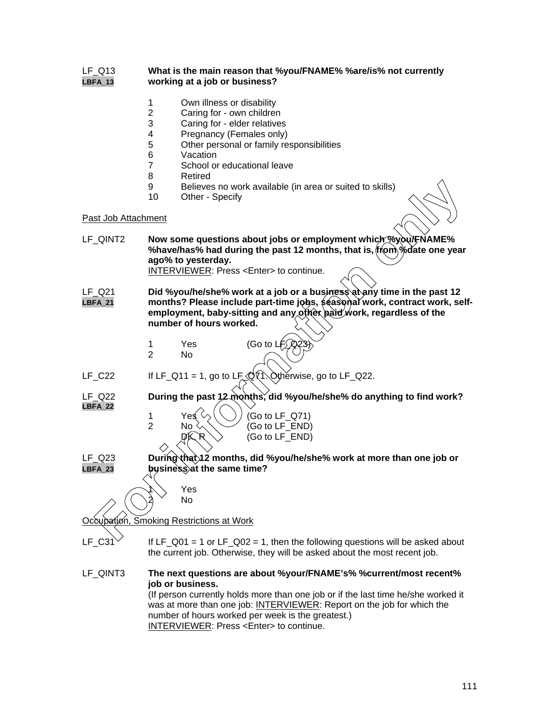### LF\_Q13 **What is the main reason that %you/FNAME% %are/is% not currently LBFA\_13 working at a job or business?**

- 1 Own illness or disability<br>2 Caring for own children
- 2 Caring for own children<br>3 Caring for elder relatives
- 3 Caring for elder relatives<br>4 Pregnancy (Females only)
- 4 Pregnancy (Females only)<br>5 Other personal or family real
- 5 Other personal or family responsibilities<br>6 Vacation
- 6 Vacation<br>7 School or
- 7 School or educational leave<br>8 Retired
- 8 Retired<br>9 Believes
- 9 Believes no work available (in area or suited to skills)<br>10 Other Specify
- Other Specify

### Past Job Attachment

|                          | 9<br>10                                                                                                                                                                                                            | Believes no work available (in area or suited to skills)<br>Other - Specify                                                                                                                                                                                                                                                                                         |  |
|--------------------------|--------------------------------------------------------------------------------------------------------------------------------------------------------------------------------------------------------------------|---------------------------------------------------------------------------------------------------------------------------------------------------------------------------------------------------------------------------------------------------------------------------------------------------------------------------------------------------------------------|--|
| Past Job Attachment      |                                                                                                                                                                                                                    |                                                                                                                                                                                                                                                                                                                                                                     |  |
| LF_QINT2                 | Now some questions about jobs or employment which byour FNAME%<br>%have/has% had during the past 12 months, that is, from % date one year<br>ago% to yesterday.<br>INTERVIEWER: Press <enter> to continue.</enter> |                                                                                                                                                                                                                                                                                                                                                                     |  |
| LF Q21<br><b>LBFA_21</b> |                                                                                                                                                                                                                    | Did %you/he/she% work at a job or a business at any time in the past 12<br>months? Please include part-time jobs, \$easonal work, contract work, self-<br>employment, baby-sitting and any other paid work, regardless of the<br>number of hours worked.                                                                                                            |  |
|                          | $\mathbf{1}$<br>$\overline{2}$                                                                                                                                                                                     | (Go to $Lf(2)$<br>Yes<br><b>No</b>                                                                                                                                                                                                                                                                                                                                  |  |
| $LF_C22$                 |                                                                                                                                                                                                                    | If LF_Q11 = 1, go to LF_@(1. Otherwise, go to LF_Q22.                                                                                                                                                                                                                                                                                                               |  |
| LF_Q22<br>LBFA 22        | $\mathbf{1}$<br>$\overline{2}$                                                                                                                                                                                     | During the past 12 months, did %you/he/she% do anything to find work?<br>Yes √<br>(Go to LF_Q71)<br>(Go to LF_END)<br>No<br>DK R<br>(Go to LF_END)                                                                                                                                                                                                                  |  |
| LF_Q23<br>LBFA_23        |                                                                                                                                                                                                                    | During that 12 months, did %you/he/she% work at more than one job or<br>business at the same time?                                                                                                                                                                                                                                                                  |  |
|                          |                                                                                                                                                                                                                    | Yes<br><b>No</b><br>Occupation, Smoking Restrictions at Work                                                                                                                                                                                                                                                                                                        |  |
| $LF_C31$                 |                                                                                                                                                                                                                    | If LF_Q01 = 1 or LF_Q02 = 1, then the following questions will be asked about<br>the current job. Otherwise, they will be asked about the most recent job.                                                                                                                                                                                                          |  |
| LF_QINT3                 |                                                                                                                                                                                                                    | The next questions are about %your/FNAME's% %current/most recent%<br>job or business.<br>(If person currently holds more than one job or if the last time he/she worked it<br>was at more than one job: INTERVIEWER: Report on the job for which the<br>number of hours worked per week is the greatest.)<br><b>INTERVIEWER: Press <enter> to continue.</enter></b> |  |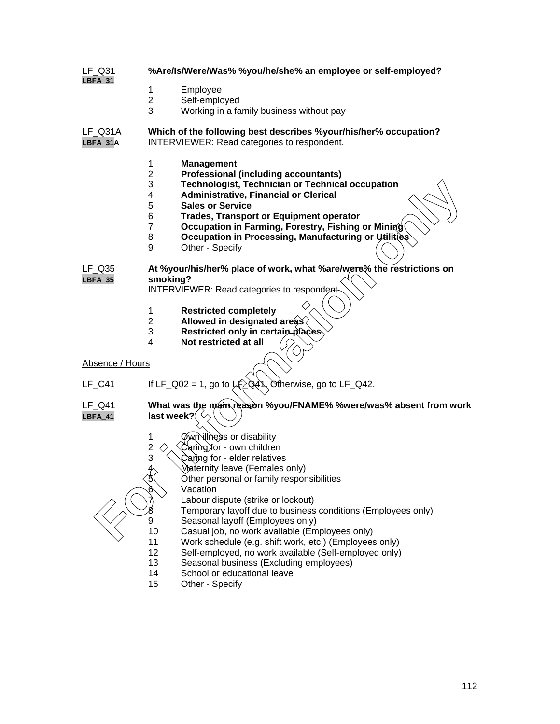- LF\_Q31 **%Are/Is/Were/Was% %you/he/she% an employee or self-employed? LBFA\_31**
	- 1 Employee<br>2 Self-emplo
	- 2 Self-employed<br>3 Working in a fa
	- Working in a family business without pay

LF\_Q31A **Which of the following best describes %your/his/her% occupation? LBFA\_31A** INTERVIEWER: Read categories to respondent.

- 1 **Management**
- 2 **Professional (including accountants)**
- 3 **Technologist, Technician or Technical occupation**
- 4 **Administrative, Financial or Clerical**
- 5 **Sales or Service**
- 6 **Trades, Transport or Equipment operator**
- **Occupation in Farming, Forestry, Fishing or Mining**
- 8 **Occupation in Processing, Manufacturing or Utilities**<br>9 Other Specify
- Other Specify

LF\_Q35 **At %your/his/her% place of work, what %are/were% the restrictions on LBFA\_35 smoking?**

INTERVIEWER: Read categories to respondent.

- 1 **Restricted completely**
- 2 **Allowed in designated areas**
- 3 **Restricted only in certain places**
- 4 **Not restricted at all**

Absence / Hours

LF C41 If LF  $Q02 = 1$ , go to LF $\geq$ Q41. Otherwise, go to LF Q42.

LF\_Q41 **What was the main reason %you/FNAME% %were/was% absent from work LBFA\_41 last week? For information of Technical occupation**<br> **For Sales or Service**<br> **For Sales or Service**<br> **For Internation of Technical occupation**<br> **For Internation in Farming, Forestry, Fishing or Minited Screen Concupation in Processi** 

- **Own illness or disability**
- $2 \left\langle \right\rangle$   $\left\langle$   $\right\rangle$   $\left\langle$   $\right\rangle$   $\left\langle \right\rangle$   $\left\langle \right\rangle$   $\left\langle \right\rangle$   $\left\langle \right\rangle$   $\left\langle \right\rangle$   $\left\langle \right\rangle$   $\left\langle \right\rangle$   $\left\langle \right\rangle$   $\left\langle \right\rangle$   $\left\langle \right\rangle$   $\left\langle \right\rangle$   $\left\langle \right\rangle$   $\left\langle \right\rangle$   $\left\langle \right\rangle$   $\left\langle \right\rangle$   $\left\langle \right\rangle$   $\left\langle$
- $3 \times \$ Caring for elder relatives
	- Maternity leave (Females only)
		- Other personal or family responsibilities
			- Vacation
	- Labour dispute (strike or lockout)

Temporary layoff due to business conditions (Employees only)

- 9 Seasonal layoff (Employees only)
- 10 Casual job, no work available (Employees only)
- 11 Work schedule (e.g. shift work, etc.) (Employees only)
- 12 Self-employed, no work available (Self-employed only)
- 13 Seasonal business (Excluding employees)<br>14 School or educational leave
- School or educational leave
- 15 Other Specify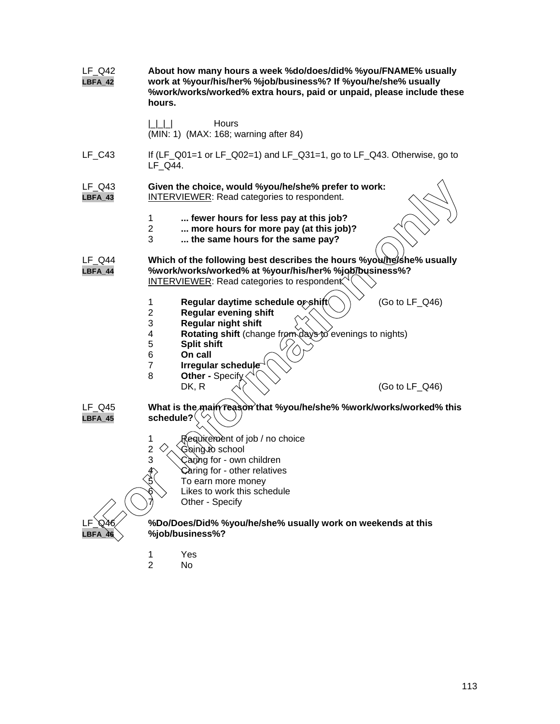| LF_Q42<br>LBFA_42   | About how many hours a week %do/does/did% %you/FNAME% usually<br>work at %your/his/her% %job/business%? If %you/he/she% usually<br>%work/works/worked% extra hours, paid or unpaid, please include these<br>hours.                                                                                                |  |  |
|---------------------|-------------------------------------------------------------------------------------------------------------------------------------------------------------------------------------------------------------------------------------------------------------------------------------------------------------------|--|--|
|                     | Hours<br>(MIN: 1) (MAX: 168; warning after 84)                                                                                                                                                                                                                                                                    |  |  |
| $LF_C43$            | If (LF_Q01=1 or LF_Q02=1) and LF_Q31=1, go to LF_Q43. Otherwise, go to<br>LF Q44.                                                                                                                                                                                                                                 |  |  |
| LF Q43<br>$LBFA_43$ | Given the choice, would %you/he/she% prefer to work:<br><b>INTERVIEWER:</b> Read categories to respondent.                                                                                                                                                                                                        |  |  |
|                     | fewer hours for less pay at this job?<br>$\mathbf 1$<br>$\overline{2}$<br>more hours for more pay (at this job)?<br>3<br>the same hours for the same pay?                                                                                                                                                         |  |  |
| LF Q44<br>LBFA_44   | Which of the following best describes the hours %you/he/she% usually<br>%work/works/worked% at %your/his/her% %job/business%?<br><b>INTERVIEWER: Read categories to respondent</b>                                                                                                                                |  |  |
|                     | Regular daytime schedule or shift<br>(Go to LF_Q46)<br>1<br><b>Regular evening shift</b><br>$\overline{2}$<br>Regular night shift<br>3<br>Rotating shift (change from days to evenings to nights)<br>4<br>5<br><b>Split shift</b><br>6<br>On call<br>$\overline{7}$<br>Irregular schedule<br>8<br>Other - Specify |  |  |
| LF Q45<br>$LBFA_45$ | DK, R<br>(Go to $LF_Q46$ )<br>What is the main reason that %you/he/she% %work/works/worked% this<br>schedule?                                                                                                                                                                                                     |  |  |
|                     | Requirement of job / no choice<br>1<br>Going to school<br>$\overline{\mathbf{c}}$<br>3<br>Caring for - own children<br>A<br>Caring for - other relatives<br>To earn more money<br>Likes to work this schedule<br>Other - Specify                                                                                  |  |  |
| O46                 | %Do/Does/Did% %you/he/she% usually work on weekends at this<br>%job/business%?                                                                                                                                                                                                                                    |  |  |
|                     | Yes<br>1<br>$\overline{2}$<br>No                                                                                                                                                                                                                                                                                  |  |  |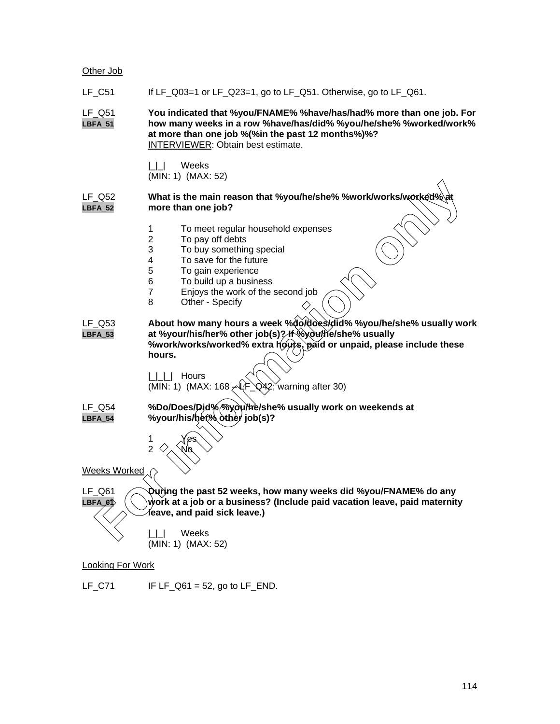#### Other Job

LF  $C51$  If LF  $Q03=1$  or LF  $Q23=1$ , go to LF  $Q51$ . Otherwise, go to LF  $Q61$ .

LF\_Q51 **You indicated that %you/FNAME% %have/has/had% more than one job. For LBFA\_51 how many weeks in a row %have/has/did% %you/he/she% %worked/work% at more than one job %(%in the past 12 months%)%?** INTERVIEWER: Obtain best estimate.

> |\_|\_| Weeks (MIN: 1) (MAX: 52)

#### LF\_Q52 **What is the main reason that %you/he/she% %work/works/worked% LBFA\_52 more than one job?**

- 1 To meet regular household expenses
- 2 To pay off debts
- 3 To buy something special
- 4 To save for the future
- 5 To gain experience<br>6 To build up a busine
- 6 To build up a business<br>7 Eniovs the work of the
- Enjoys the work of the second job
- 8 Other Specify
- LF\_Q53 **About how many hours a week %do/does/did% %you/he/she% usually work LBFA\_53 at %your/his/her% other job(s)? If %you/he/she% usually %work/works/worked% extra hours, paid or unpaid, please include these hours.** What is the main reason that %you/he/she% %work/works/works/works/<br>
more than one job?<br>
To meet regular household expenses<br>
2 To pay of relation special<br>
5 To gain experience<br>
6 To gain experience<br>
6 To gain experience<br>
6

|\_|\_|\_| Hours (MIN: 1) (MAX:  $168 \angle F$  Q42; warning after 30)

LF\_Q54 **%Do/Does/Did% %you/he/she% usually work on weekends at LBFA\_54 %your/his/her% other job(s)?**

> 1 Yes 2  $\leftrightarrow$ No

Weeks Worked

LF\_Q61 **During the past 52 weeks, how many weeks did %you/FNAME% do any LBFA\_61 work at a job or a business? (Include paid vacation leave, paid maternity leave, and paid sick leave.)**

> |\_|\_| Weeks (MIN: 1) (MAX: 52)

Looking For Work

LF $_C$ 71 IF LF $_Q$ 61 = 52, go to LF $_E$ END.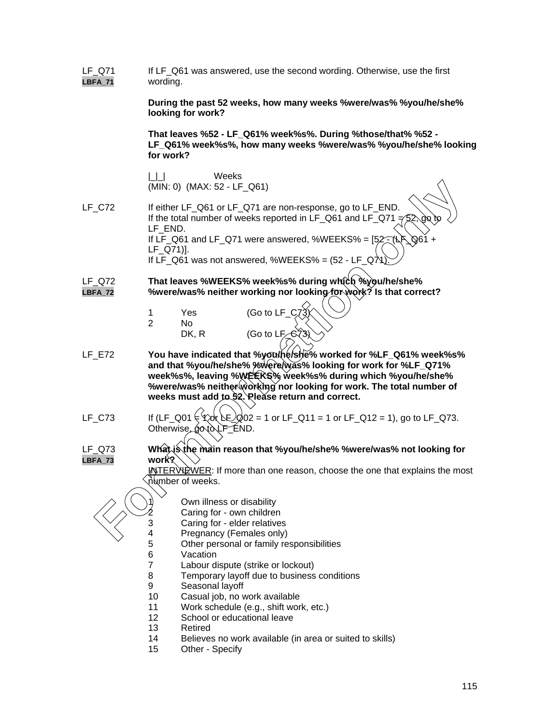| LF_Q71<br><b>LBFA_71</b> | If LF_Q61 was answered, use the second wording. Otherwise, use the first<br>wording.                                                                                                                                                                                                                                         |  |  |  |
|--------------------------|------------------------------------------------------------------------------------------------------------------------------------------------------------------------------------------------------------------------------------------------------------------------------------------------------------------------------|--|--|--|
|                          | During the past 52 weeks, how many weeks % were/was% % you/he/she%<br>looking for work?                                                                                                                                                                                                                                      |  |  |  |
|                          | That leaves %52 - LF_Q61% week%s%. During %those/that% %52 -<br>LF_Q61% week%s%, how many weeks %were/was% %you/he/she% looking<br>for work?                                                                                                                                                                                 |  |  |  |
|                          | Weeks<br>(MIN: 0) (MAX: 52 - LF_Q61)                                                                                                                                                                                                                                                                                         |  |  |  |
| <b>LF_C72</b>            | If either LF_Q61 or LF_Q71 are non-response, go to LF_END.<br>If the total number of weeks reported in LF_Q61 and LF_Q71 $\neq$ 52, go to<br>LF_END.<br>If LF_Q61 and LF_Q71 were answered, %WEEKS% = $[52-(\frac{1}{2})\sqrt{3} +$<br>$LF_Q71$ ].<br>If LF_Q61 was not answered, %WEEKS% = $(52 - LF_QX)$                   |  |  |  |
| $LF_Q72$<br>LBFA_72      | That leaves %WEEKS% week%s% during which %you/he/she%<br>%were/was% neither working nor looking for work? Is that correct?                                                                                                                                                                                                   |  |  |  |
|                          | (Go to LF_C7<br>Yes<br>1<br>$\overline{2}$<br>No<br>DK, R<br>(Go to LF_CY3)                                                                                                                                                                                                                                                  |  |  |  |
| $LF$ $E72$               | You have indicated that %you/he/she% worked for %LF_Q61% week%s%<br>and that %you/he/she% %were was% looking for work for %LF_Q71%<br>week%s%, leaving %WEERS% week%s% during which %you/he/she%<br>%were/was% neither working nor looking for work. The total number of<br>weeks must add to 52. Please return and correct. |  |  |  |
| $LF_C73$                 | If (LF_Q01 $\in$ 4xx) LE_Q02 = 1 or LF_Q11 = 1 or LF_Q12 = 1), go to LF_Q73.<br>Otherwise, go to LF END.                                                                                                                                                                                                                     |  |  |  |
| LF Q73<br>LBFA_73        | What is the main reason that %you/he/she% %were/was% not looking for                                                                                                                                                                                                                                                         |  |  |  |
|                          | work <sup>?</sup><br><u>llNTER WDWER</u> : If more than one reason, choose the one that explains the most                                                                                                                                                                                                                    |  |  |  |
|                          | ∖number of weeks.                                                                                                                                                                                                                                                                                                            |  |  |  |
|                          | Own illness or disability                                                                                                                                                                                                                                                                                                    |  |  |  |
|                          | Caring for - own children                                                                                                                                                                                                                                                                                                    |  |  |  |
|                          | 3<br>Caring for - elder relatives                                                                                                                                                                                                                                                                                            |  |  |  |
|                          | 4<br>Pregnancy (Females only)                                                                                                                                                                                                                                                                                                |  |  |  |
|                          | 5<br>Other personal or family responsibilities<br>6<br>Vacation                                                                                                                                                                                                                                                              |  |  |  |
|                          | $\overline{7}$<br>Labour dispute (strike or lockout)                                                                                                                                                                                                                                                                         |  |  |  |
|                          | 8<br>Temporary layoff due to business conditions                                                                                                                                                                                                                                                                             |  |  |  |
|                          | 9<br>Seasonal layoff                                                                                                                                                                                                                                                                                                         |  |  |  |
|                          | 10<br>Casual job, no work available                                                                                                                                                                                                                                                                                          |  |  |  |
|                          | 11<br>Work schedule (e.g., shift work, etc.)                                                                                                                                                                                                                                                                                 |  |  |  |
|                          | 12<br>School or educational leave                                                                                                                                                                                                                                                                                            |  |  |  |
|                          | 13<br>Retired                                                                                                                                                                                                                                                                                                                |  |  |  |
|                          | Believes no work available (in area or suited to skills)<br>14                                                                                                                                                                                                                                                               |  |  |  |
|                          | 15<br>Other - Specify                                                                                                                                                                                                                                                                                                        |  |  |  |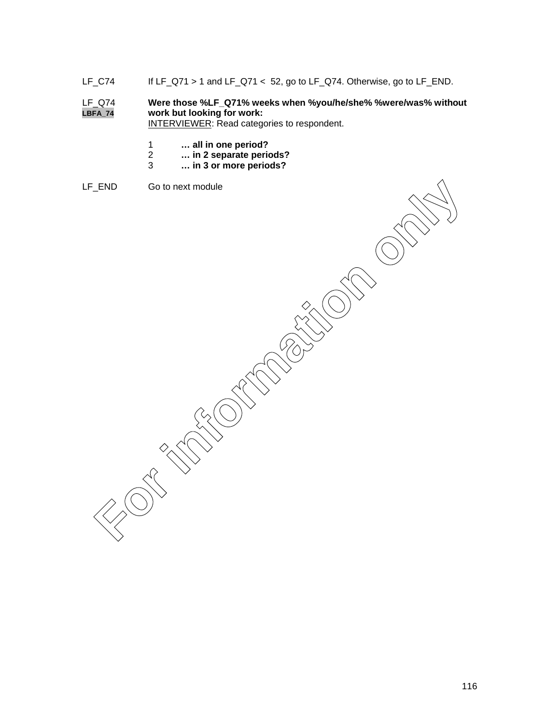LF\_C74 If LF\_Q71 > 1 and LF\_Q71 < 52, go to LF\_Q74. Otherwise, go to LF\_END.

# LF\_Q74 **Were those %LF\_Q71% weeks when %you/he/she% %were/was% without LBFA\_74 work but looking for work:**

INTERVIEWER: Read categories to respondent.

- 1 **… all in one period?**
- 2 **… in 2 separate periods?**
- 3 **… in 3 or more periods?**
- LF\_END Go to next module

Feriday Grace Intert module<br>
For information on the Contract of Contract Intertional Contract Intertional Contract Intertional Contract Intertional Contract Intertional Contract Intertional Contract Intertional Contract In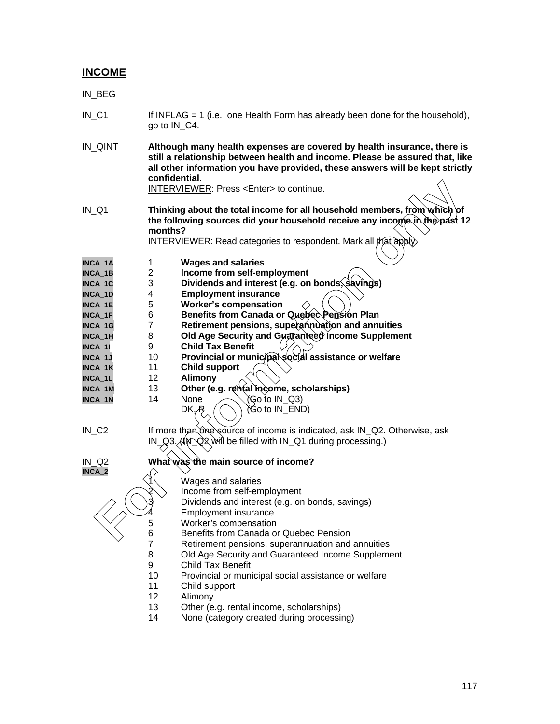## **INCOME**

IN\_BEG

- IN\_C1 If INFLAG = 1 (i.e. one Health Form has already been done for the household), go to IN\_C4.
- IN\_QINT **Although many health expenses are covered by health insurance, there is still a relationship between health and income. Please be assured that, like all other information you have provided, these answers will be kept strictly confidential.**

INTERVIEWER: Press <Enter> to continue.

IN\_Q1 **Thinking about the total income for all household members, from which of** the following sources did your household receive any income in the past 12 **months? FORMEWER:** Press <Enter> to continue.<br>
(1)<br> **For information** of the total income for all household members, from which of<br>
the following sources did your household receive any incomform.<br> **FORMEWER:** Read categories to r

INTERVIEWER: Read categories to respondent. Mark all that apply.

**INCA\_1A** 1 **Wages and salaries**

| INCA 1B |  | Income from self-employment |
|---------|--|-----------------------------|

- **INCA\_1C** 3 **Dividends and interest (e.g. on bonds, savings)**
- **INCA\_1D** 4 **Employment insurance**
- **INCA\_1E** 5 **Worker's compensation**
- **INCA\_1F** 6 **Benefits from Canada or Quebec Pension Plan**
- **INCA\_1G** 7 **Retirement pensions, superannuation and annuities**
- **INCA\_1H** 8 **Old Age Security and Guaranteed Income Supplement**<br>INCA\_1I 9 Child Tax Benefit
- **INCA\_1I** 9 **Child Tax Benefit**
- **INCA\_1J** 10 **Provincial or municipal social assistance or welfare**
- **INCA\_1K** 11 **Child support**
- **INCA\_1L** 12 **Alimony**
- **INCA\_1M** 13 **Other (e.g. rental income, scholarships)**
- **INCA\_1N** 14 None  $\bigwedge$  (Go to IN\_Q3)

$$
DK_{\text{th}}(C) \text{ (Go to IN\_END)}
$$

IN\_C2 If more than one source of income is indicated, ask IN\_Q2. Otherwise, ask  $IN_Q3$ . (IN\_Q2 will be filled with IN\_Q1 during processing.)



## IN\_Q2 **What was the main source of income?**

Wages and salaries

Income from self-employment

- Dividends and interest (e.g. on bonds, savings)
- **Employment insurance**
- 5 Worker's compensation<br>6 Benefits from Canada of
- 6 Benefits from Canada or Quebec Pension
	- Retirement pensions, superannuation and annuities
- 8 Old Age Security and Guaranteed Income Supplement
- 9 Child Tax Benefit
- 10 Provincial or municipal social assistance or welfare
- 11 Child support
- 12 Alimony
- 13 Other (e.g. rental income, scholarships)
- 14 None (category created during processing)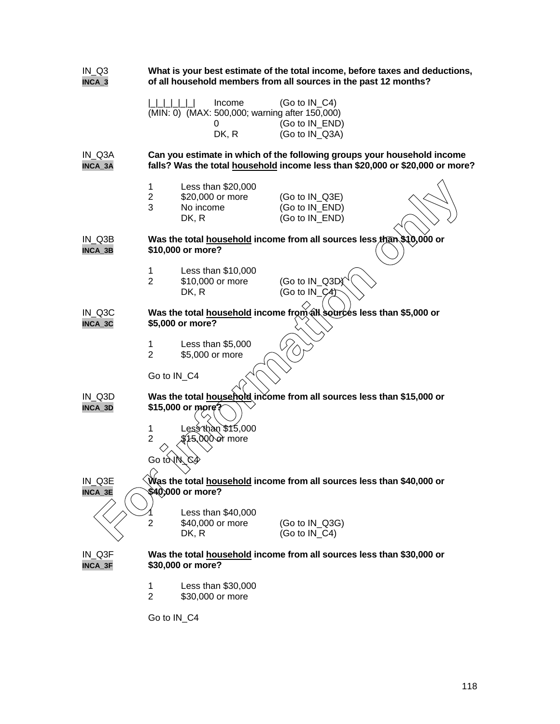| $IN_Q3$<br>INCA_3                                                                                               | What is your best estimate of the total income, before taxes and deductions,<br>of all household members from all sources in the past 12 months? |                                                               |                                                                                                                                                                            |  |
|-----------------------------------------------------------------------------------------------------------------|--------------------------------------------------------------------------------------------------------------------------------------------------|---------------------------------------------------------------|----------------------------------------------------------------------------------------------------------------------------------------------------------------------------|--|
|                                                                                                                 |                                                                                                                                                  | Income<br>(MIN: 0) (MAX: 500,000; warning after 150,000)<br>0 | (Go to $IN_C4$ )<br>(Go to IN_END)                                                                                                                                         |  |
| IN_Q3A<br>INCA_3A                                                                                               |                                                                                                                                                  | DK, R                                                         | (Go to IN_Q3A)<br>Can you estimate in which of the following groups your household income<br>falls? Was the total household income less than \$20,000 or \$20,000 or more? |  |
|                                                                                                                 | 1<br>$\overline{c}$<br>3                                                                                                                         | Less than \$20,000<br>\$20,000 or more<br>No income<br>DK, R  | (Go to IN_Q3E)<br>(Go to IN_END)<br>(Go to IN_END)                                                                                                                         |  |
| $IN_Q3B$<br>INCA_3B                                                                                             |                                                                                                                                                  | \$10,000 or more?                                             | Was the total household income from all sources less than \$10,000 or                                                                                                      |  |
|                                                                                                                 | 1<br>$\overline{2}$                                                                                                                              | Less than \$10,000<br>\$10,000 or more<br>DK, R               | (Go to IN_Q3D)<br>(Go to $IN_C4$ )                                                                                                                                         |  |
| IN Q3C<br>INCA_3C                                                                                               |                                                                                                                                                  | \$5,000 or more?                                              | Was the total household income from all sources less than \$5,000 or                                                                                                       |  |
|                                                                                                                 | 1<br>$\overline{2}$                                                                                                                              | Less than \$5,000<br>\$5,000 or more                          |                                                                                                                                                                            |  |
|                                                                                                                 | Go to IN_C4                                                                                                                                      |                                                               |                                                                                                                                                                            |  |
| IN_Q3D<br>INCA_3D                                                                                               |                                                                                                                                                  | \$15,000 or more?                                             | Was the total household income from all sources less than \$15,000 or                                                                                                      |  |
|                                                                                                                 | 1<br>$\overline{2}$                                                                                                                              | ess than \$15,000.<br>15,000 or more                          |                                                                                                                                                                            |  |
|                                                                                                                 | Go t∂∖lN                                                                                                                                         | G4                                                            |                                                                                                                                                                            |  |
| Was the total household income from all sources less than \$40,000 or<br>IN_Q3E<br>\$40,000 or more?<br>INCA_3E |                                                                                                                                                  |                                                               |                                                                                                                                                                            |  |
|                                                                                                                 | 2                                                                                                                                                | Less than \$40,000<br>\$40,000 or more<br>DK, R               | (Go to IN_Q3G)<br>(Go to IN C4)                                                                                                                                            |  |
| IN Q3F<br>INCA_3F                                                                                               |                                                                                                                                                  | \$30,000 or more?                                             | Was the total household income from all sources less than \$30,000 or                                                                                                      |  |
|                                                                                                                 | 1<br>$\overline{2}$                                                                                                                              | Less than \$30,000<br>\$30,000 or more                        |                                                                                                                                                                            |  |
|                                                                                                                 | Go to IN_C4                                                                                                                                      |                                                               |                                                                                                                                                                            |  |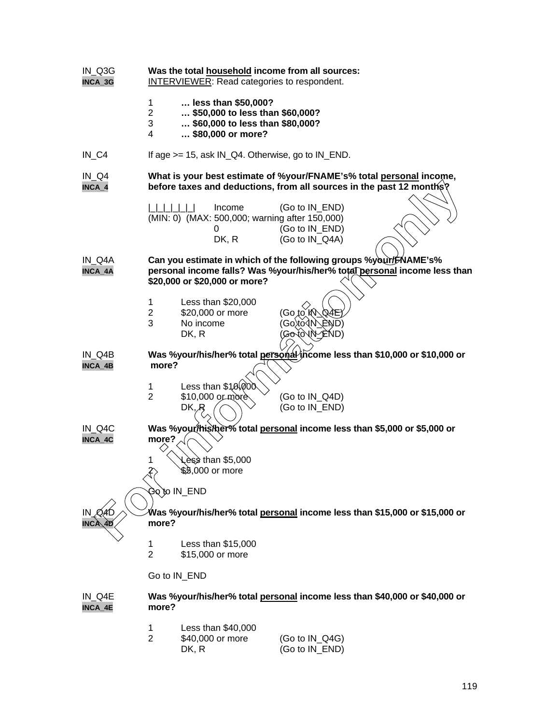| IN_Q3G<br>INCA_3G   | Was the total household income from all sources:<br>INTERVIEWER: Read categories to respondent.                                             |                                                                                                                |                                                                                                                                               |  |
|---------------------|---------------------------------------------------------------------------------------------------------------------------------------------|----------------------------------------------------------------------------------------------------------------|-----------------------------------------------------------------------------------------------------------------------------------------------|--|
|                     | 1<br>$\overline{2}$<br>3<br>4                                                                                                               | less than \$50,000?<br>\$50,000 to less than \$60,000?<br>\$60,000 to less than \$80,000?<br>\$80,000 or more? |                                                                                                                                               |  |
| $IN_C4$             |                                                                                                                                             | If age $>= 15$ , ask IN_Q4. Otherwise, go to IN_END.                                                           |                                                                                                                                               |  |
| $IN_Q4$<br>INCA_4   | What is your best estimate of %your/FNAME's% total personal income,<br>before taxes and deductions, from all sources in the past 12 months? |                                                                                                                |                                                                                                                                               |  |
|                     |                                                                                                                                             | Income<br>(MIN: 0) (MAX: 500,000; warning after 150,000)<br>0<br>DK, R                                         | (Go to IN_END)<br>(Go to IN_END)<br>(Go to IN_Q4A)                                                                                            |  |
| IN Q4A<br>INCA_4A   |                                                                                                                                             | \$20,000 or \$20,000 or more?                                                                                  | Can you estimate in which of the following groups %your/FNAME's%<br>personal income falls? Was %your/his/her% total personal income less than |  |
|                     | 1<br>$\overline{2}$<br>3                                                                                                                    | Less than \$20,000<br>\$20,000 or more<br>No income<br>DK, R                                                   | (Go,to MVQ4E<br>(Go\to`{N\_END)<br>(Gotô\N^END)                                                                                               |  |
| IN Q4B<br>INCA_4B   | more?                                                                                                                                       |                                                                                                                | Was %your/his/her% total personal income less than \$10,000 or \$10,000 or                                                                    |  |
|                     | 1<br>$\overline{2}$                                                                                                                         | Less than $$10,000$<br>\$10,000 or more<br>DK, R                                                               | (Go to IN_Q4D)<br>(Go to IN_END)                                                                                                              |  |
| $IN_Q4C$<br>INCA_4C | more?                                                                                                                                       |                                                                                                                | Was %your/his/her% total personal income less than \$5,000 or \$5,000 or                                                                      |  |
|                     | 1<br>$\overline{\mathcal{E}}$                                                                                                               | ess than \$5,000,<br>\$8,000 or more                                                                           |                                                                                                                                               |  |
|                     | more?                                                                                                                                       | Ğo`to IN_END                                                                                                   | Was %your/his/her% total <u>personal</u> income less than \$15,000 or \$15,000 or                                                             |  |
|                     | 1<br>$\overline{2}$                                                                                                                         | Less than \$15,000<br>\$15,000 or more                                                                         |                                                                                                                                               |  |
|                     | Go to IN_END                                                                                                                                |                                                                                                                |                                                                                                                                               |  |
| IN_Q4E<br>INCA_4E   | more?                                                                                                                                       |                                                                                                                | Was %your/his/her% total personal income less than \$40,000 or \$40,000 or                                                                    |  |
|                     | 1<br>$\overline{2}$                                                                                                                         | Less than \$40,000<br>\$40,000 or more<br>DK, R                                                                | (Go to IN_Q4G)<br>(Go to IN_END)                                                                                                              |  |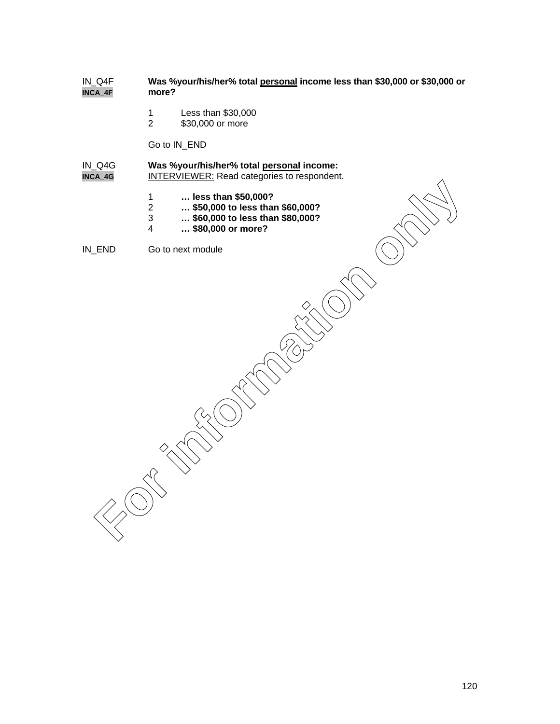### IN\_Q4F **Was %your/his/her% total personal income less than \$30,000 or \$30,000 or INCA\_4F**

- 1 Less than \$30,000<br>2 \$30,000 or more
- \$30,000 or more

Go to IN\_END

- IN\_Q4G **Was %your/his/her% total personal income: INCA\_4G** INTERVIEWER: Read categories to respondent.
	- 1 **… less than \$50,000?**
	- 2 **… \$50,000 to less than \$60,000?**
	- 3 **… \$60,000 to less than \$80,000?**
	- 4 **… \$80,000 or more?**

IN\_END Go to next module

**For information only**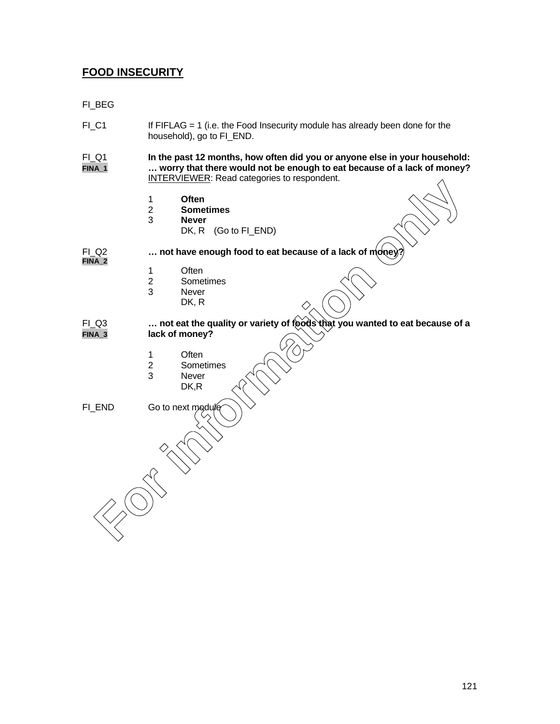# **FOOD INSECURITY**

FI\_BEG

- FI\_C1 If FIFLAG = 1 (i.e. the Food Insecurity module has already been done for the household), go to FI\_END.
- FI\_Q1 **In the past 12 months, how often did you or anyone else in your household: FINA\_1 … worry that there would not be enough to eat because of a lack of money?** INTERVIEWER: Read categories to respondent.
	- 1 **Often**
	- 2 **Sometimes**
	- 3 **Never**
		- DK, R (Go to FI\_END)
- **FINA\_2**
- FI\_Q2 **1... not have enough food to eat because of a lack of money** 
	-
	- 1 Often<br>2 Some 2 Sometimes<br>3 Never
	- **Never** 
		- DK, R
- FI\_Q3 **… not eat the quality or variety of foods that you wanted to eat because of a FINA\_3 lack of money? For Instantines**<br>
1 **Chen**<br>
2 **Sometimes**<br> **For instantines**<br>
DK, R (Go to FI\_END)<br>
.... not have enough food to eat because of a lack of money?<br>
1 Often<br>
2 Sometimes<br>
BK, R<br>
CG3<br>
.... not eat the quality or variety of fo
	- 1 Often
	-
	- 2 Sometimes<br>3 Never **Never**
	- DK,R

FI\_END Go to next mode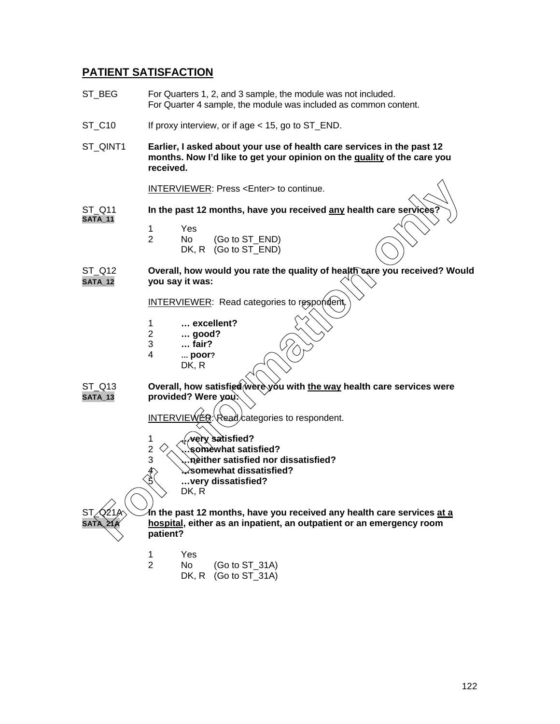## **PATIENT SATISFACTION**

- ST BEG For Quarters 1, 2, and 3 sample, the module was not included. For Quarter 4 sample, the module was included as common content.
- ST\_C10 If proxy interview, or if age < 15, go to ST\_END.
- ST\_QINT1 **Earlier, I asked about your use of health care services in the past 12 months. Now I'd like to get your opinion on the quality of the care you received.**

INTERVIEWER: Press <Enter> to continue.

ST\_Q11 **In the past 12 months, have you received any health care ser SATA\_11**

- 1 Yes
- 2 No (Go to ST\_END)
- DK, R (Go to ST\_END)

ST\_Q12 **Overall, how would you rate the quality of health care you received? Would**<br>SATA\_12 **Digity of the vast** twas: **you say it was:** 

INTERVIEWER: Read categories to respondent

- 1 **… excellent?**
- 2 **… good?**
- 3 **… fair?**
- 4 **… poor?**
	- DK, R

ST\_Q13 **Overall, how satisfied were you with the way health care services were SATA\_13 provided? Were you:**

 $INTERVIEWER: Read/categories to respondent.$ 

- 1 **…very satisfied?**
- 2 **…somewhat satisfied?**
- 3 **…neither satisfied nor dissatisfied?**
- 4 **…somewhat dissatisfied?**
	- 5 **…very dissatisfied?**

DK, R

In the past 12 months, have you received any health care services <u>at a</u> hospital, either as an inpatient, an outpatient or an emergency room **patient? FORMER:** Press <Enter> to continue.<br> **FACES**<br>
In the past 12 months, have you received any health care services?<br>
1 Yes<br>
2 No. R (Go to ST\_END)<br>
DK, R (Go to ST\_END)<br>
You say it was:<br> **FACES**<br>
2 ... tail you say it was:<br>

- 1 Yes
- 2 No (Go to ST\_31A)
	- DK, R (Go to ST\_31A)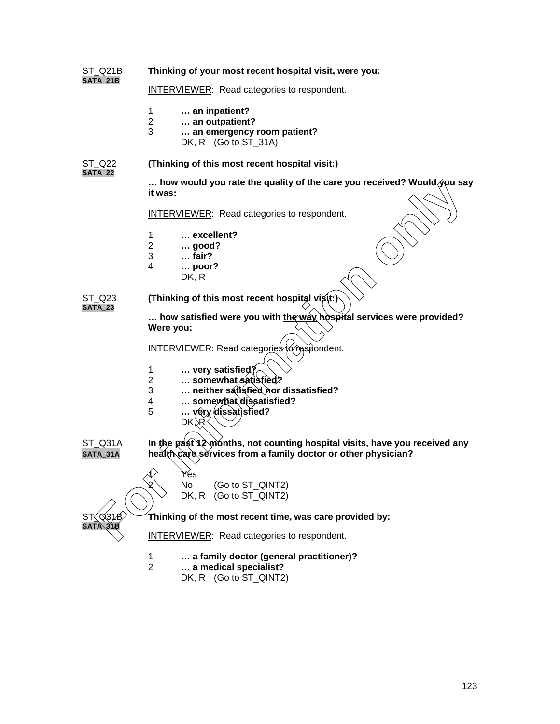| ST Q21B                  | Thinking of your most recent hospital visit, were you:                                                                                      |  |  |  |
|--------------------------|---------------------------------------------------------------------------------------------------------------------------------------------|--|--|--|
| <b>SATA_21B</b>          | <b>INTERVIEWER:</b> Read categories to respondent.                                                                                          |  |  |  |
|                          | $\mathbf{1}$<br>an inpatient?<br>$\overline{2}$<br>an outpatient?<br>3<br>an emergency room patient?<br>DK, R (Go to ST_31A)                |  |  |  |
| ST Q22<br><b>SATA 22</b> | (Thinking of this most recent hospital visit:)                                                                                              |  |  |  |
|                          | how would you rate the quality of the care you received? Would you say<br>it was:                                                           |  |  |  |
|                          | <b>INTERVIEWER:</b> Read categories to respondent.                                                                                          |  |  |  |
|                          | excellent?<br>1<br>$\overline{2}$<br>good?<br>3<br>fair?<br>4<br>$\ldots$ poor?<br>DK, R                                                    |  |  |  |
| ST Q23<br><b>SATA_23</b> | (Thinking of this most recent hospital visit.)                                                                                              |  |  |  |
|                          | how satisfied were you with the way hospital services were provided?<br>Were you:                                                           |  |  |  |
|                          | INTERVIEWER: Read categories to respondent.                                                                                                 |  |  |  |
|                          | very satisfied?<br>1<br>$\overline{2}$<br>somewhat satisfied?                                                                               |  |  |  |
|                          | neither satisfied nor dissatisfied?<br>3<br>somewhat dissatisfied?<br>4                                                                     |  |  |  |
|                          | yery dissatisfied?<br>5<br>DK, R                                                                                                            |  |  |  |
| ST_Q31A<br>SATA_31A      | In the past 12 months, not counting hospital visits, have you received any<br>health care services from a family doctor or other physician? |  |  |  |
|                          | $\curvearrowleft$<br>Yes<br>No<br>(Go to ST_QINT2)<br>(Go to ST_QINT2)<br>DK, R                                                             |  |  |  |
| ST∑Q3∕1B`                | Thinking of the most recent time, was care provided by:                                                                                     |  |  |  |
| SATA 318                 | <b>INTERVIEWER:</b> Read categories to respondent.                                                                                          |  |  |  |
|                          | $\mathbf{1}$<br>a family doctor (general practitioner)?<br>$\overline{2}$<br>a medical specialist?                                          |  |  |  |

DK, R (Go to ST\_QINT2)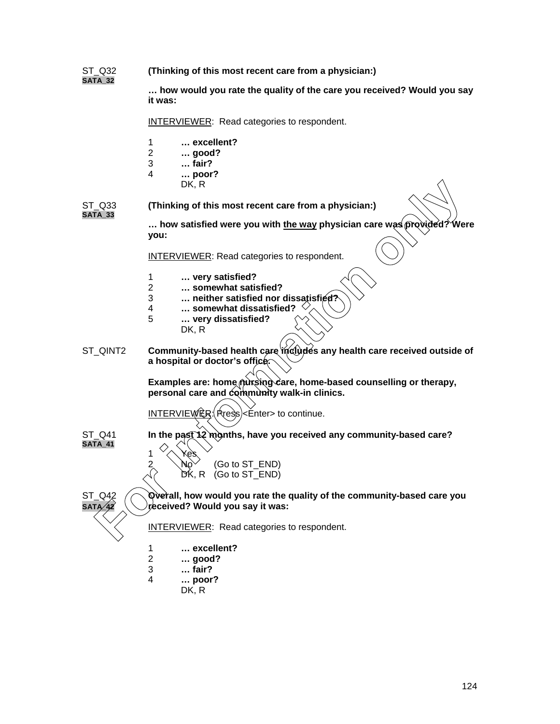ST\_Q32 **(Thinking of this most recent care from a physician:) SATA\_32**

> **… how would you rate the quality of the care you received? Would you say it was:**

INTERVIEWER: Read categories to respondent.

- 1 **… excellent?**
- 2 **… good?**
- 3 **… fair?**
- 4 **… poor?**
	- DK, R

ST\_Q33 **(Thinking of this most recent care from a physician:) SATA\_33**

> **... how satisfied were you with the way physician care was proνided? Were you:**

INTERVIEWER: Read categories to respondent.

- 1 **… very satisfied?**
- 2 **… somewhat satisfied?**
- 3 **… neither satisfied nor dissatisfied?**
- 4 **… somewhat dissatisfied?**
- 5 **… very dissatisfied?**
	- DK, R

ST\_QINT2 **Community-based health care includes any health care received outside of a hospital or doctor's office.** DK, R<br>
TA33<br> **For interval only and the state of the state of the state of the state of the state of the state of the state of the state of the state of the state of the state of the state of the state of the state of the** 

Examples are: home nursing care, home-based counselling or therapy, **personal care and community walk-in clinics.**

INTERVIEWER: (Press)<Enter> to continue.

ST\_Q41 **In the past 12 months, have you received any community-based care?**

1  $\sqrt{\left(\right)}$  Yes 2  $\mathcal{N}$  (Go to ST\_END) DK, R (Go to ST\_END)

**SATA\_41**

ST\_Q42 **Overall, how would you rate the quality of the community-based care you** received? Would you say it was:

INTERVIEWER: Read categories to respondent.

- 1 **… excellent?**
	-
- 2 **… good?** 3 **… fair?**
- 4 **… poor?**
	- DK, R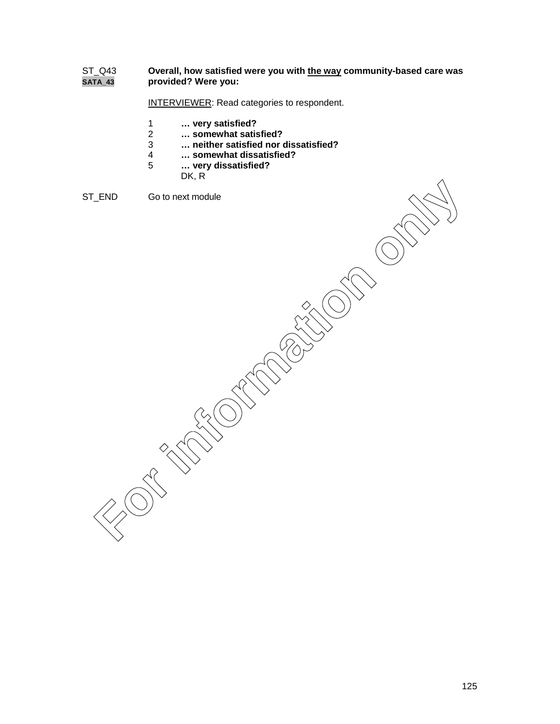## ST\_Q43 **Overall, how satisfied were you with the way community-based care was SATA\_43 provided? Were you:**

INTERVIEWER: Read categories to respondent.

- 1 **… very satisfied?**
- 2 **… somewhat satisfied?**
- 3 **… neither satisfied nor dissatisfied?**
- 4 **… somewhat dissatisfied?**
- 5 **… very dissatisfied?**
	- DK, R

```
ST_END Go to next module
```
FRID GO to heat module<br>
FORCES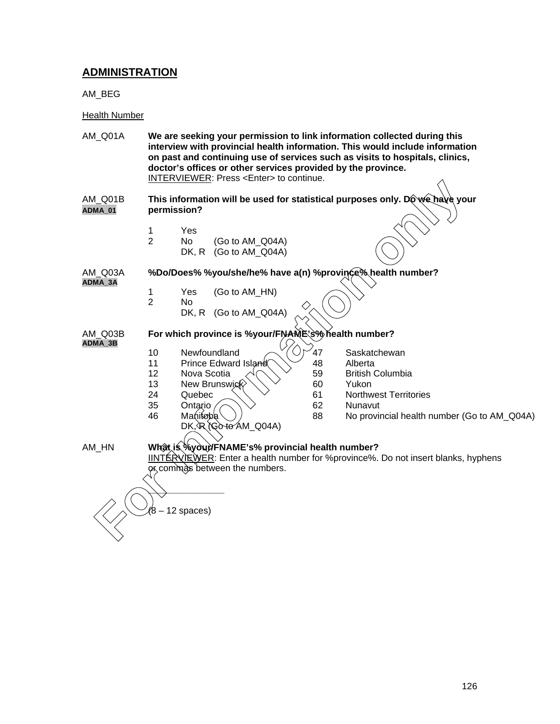# **ADMINISTRATION**

AM\_BEG

### Health Number

- AM\_Q01A **We are seeking your permission to link information collected during this interview with provincial health information. This would include information on past and continuing use of services such as visits to hospitals, clinics, doctor's offices or other services provided by the province.** INTERVIEWER: Press <Enter> to continue.
- AM\_Q01B **This information will be used for statistical purposes only. Do we have your ADMA\_01 permission?** (8 – 12 spaces)<br>
(8 – 12 spaces)<br>
(8 – 12 spaces)<br>
(8 – 12 spaces)<br>
(8 – 12 spaces)<br>
(8 – 12 spaces)<br>
(8 – 12 spaces)<br>
(8 – 12 spaces)<br>
(8 – 12 spaces)<br>
(8 – 12 spaces)<br>
(8 – 12 spaces)<br>
(8 – 12 spaces)<br>
(8 – 12 spaces)<br>
(
	- 1 Yes
	- 2 No (Go to AM\_Q04A) DK, R (Go to AM\_Q04A)

AM\_Q03A **%Do/Does% %you/she/he% have a(n) %province% health number? ADMA\_3A**

- 1 Yes (Go to AM\_HN)
- 2 No
	- DK, R (Go to AM\_Q04A)

**ADMA\_3B**

### AM\_Q03B **For which province is %your/FNAME's% health number?**

- 10 Newfoundland  $\sim$   $\sqrt{70/47}$  Saskatchewan
	- 11 Prince Edward Island 1948 Alberta
	- 12 Nova Scotia  $\sqrt{2}$  59 British Columbia
	- 13 New Brunswick  $\vee \vee$  60 Yukon
- 
- 
- $35$  Ontario  $\bigcirc$   $\searrow$  62 Nunavut<br>46 Manitaba 88 No provin
	- DK, R (Go to AM\_Q04A)
- 
- 
- 
- 24 Quebec  $\searrow\searrow\searrow$  61 Northwest Territories
	-
- A6 Manitoba  $\setminus$  / 88 No provincial health number (Go to AM\_Q04A)
- 

### AM\_HN **What is %your/FNAME's% provincial health number?**

IINTERVIEWER: Enter a health number for %province%. Do not insert blanks, hyphens or commas between the numbers.

**\_\_\_\_\_\_\_\_\_\_\_\_\_\_\_**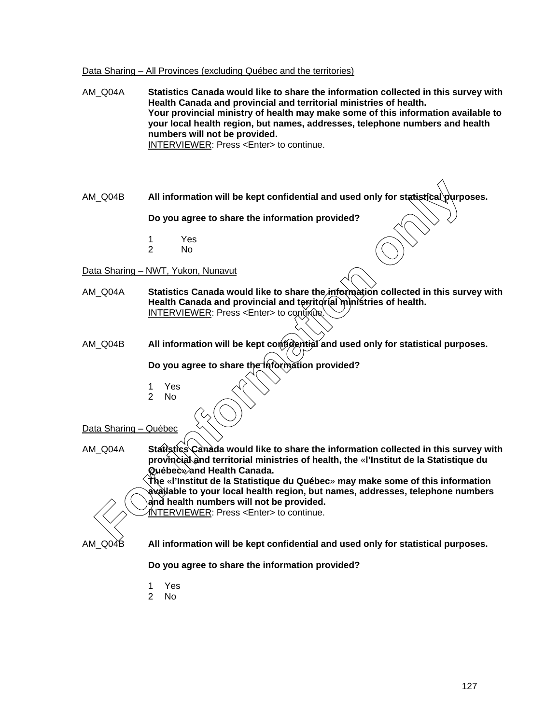# Data Sharing – All Provinces (excluding Québec and the territories)

| AM_Q04A               | Statistics Canada would like to share the information collected in this survey with<br>Health Canada and provincial and territorial ministries of health.<br>Your provincial ministry of health may make some of this information available to<br>your local health region, but names, addresses, telephone numbers and health<br>numbers will not be provided.<br>INTERVIEWER: Press <enter> to continue.</enter> |
|-----------------------|--------------------------------------------------------------------------------------------------------------------------------------------------------------------------------------------------------------------------------------------------------------------------------------------------------------------------------------------------------------------------------------------------------------------|
| AM_Q04B               | All information will be kept confidential and used only for statistical purposes.                                                                                                                                                                                                                                                                                                                                  |
|                       | Do you agree to share the information provided?                                                                                                                                                                                                                                                                                                                                                                    |
|                       | Yes<br>1<br>$\overline{2}$<br>N <sub>o</sub>                                                                                                                                                                                                                                                                                                                                                                       |
|                       | Data Sharing - NWT, Yukon, Nunavut                                                                                                                                                                                                                                                                                                                                                                                 |
| AM_Q04A               | Statistics Canada would like to share the information collected in this survey with<br>Health Canada and provincial and territorial ministries of health.<br>INTERVIEWER: Press <enter> to continue.</enter>                                                                                                                                                                                                       |
| AM_Q04B               | All information will be kept contidential and used only for statistical purposes.                                                                                                                                                                                                                                                                                                                                  |
|                       | Do you agree to share the hiformation provided?                                                                                                                                                                                                                                                                                                                                                                    |
|                       | Yes<br>1<br>$\overline{2}$<br>No                                                                                                                                                                                                                                                                                                                                                                                   |
| Data Sharing - Québec |                                                                                                                                                                                                                                                                                                                                                                                                                    |
| AM_Q04A               | Statistics Canada would like to share the information collected in this survey with<br>provincial and territorial ministries of health, the «I'Institut de la Statistique du<br>ୟuébecे <b>≫and Health Canada.</b><br>The «I'Institut de la Statistique du Québec» may make some of this information                                                                                                               |
|                       | बेvàilable to your local health region, but names, addresses, telephone numbers<br>and health numbers will not be provided.<br><b>INTERVIEWER: Press <enter> to continue.</enter></b>                                                                                                                                                                                                                              |
| AM_Q04B               | All information will be kept confidential and used only for statistical purposes.                                                                                                                                                                                                                                                                                                                                  |
|                       | Do you agree to share the information provided?                                                                                                                                                                                                                                                                                                                                                                    |
|                       | Yes<br>1                                                                                                                                                                                                                                                                                                                                                                                                           |

- 
- 2 No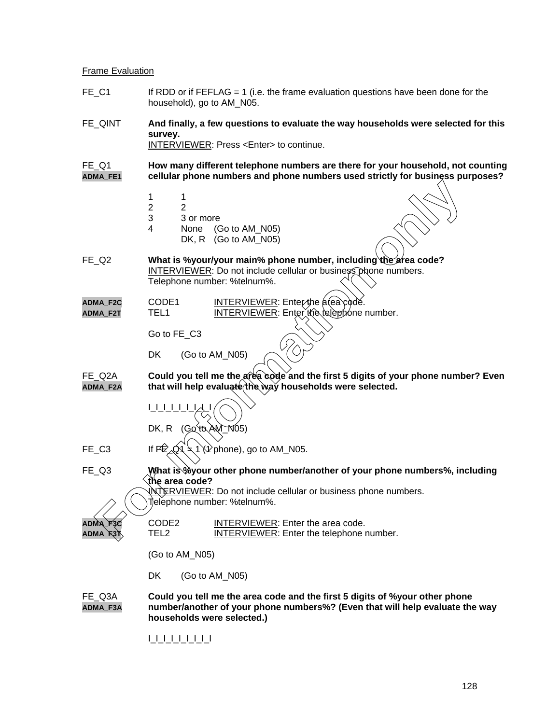#### **Frame Evaluation**

- FE C1 If RDD or if FEFLAG = 1 (i.e. the frame evaluation questions have been done for the household), go to AM\_N05.
- FE\_QINT **And finally, a few questions to evaluate the way households were selected for this survey.**

INTERVIEWER: Press <Enter> to continue.

FE\_Q1 **How many different telephone numbers are there for your household, not counting ADMA\_FE1 cellular phone numbers and phone numbers used strictly for business purposes?**

- 1 1
- 
- $\begin{array}{ccc}\n2 & 2 \\
3 & 3\n\end{array}$ 3 3 or more
- 4 None (Go to AM\_N05) DK, R (Go to AM\_N05)
- FE\_Q2 **What is %your/your main% phone number, including the area code?** INTERVIEWER: Do not include cellular or business phone numbers. Telephone number: %telnum%. For interaction of the MATRON (Go to AM\_N05)<br> **For information** on the Context of Context of Context of Context of Context of Context of Context of Context of Context of Context of Telephone number; %telnum%.<br> **For infor**
- **ADMA\_F2C** CODE1 INTERVIEWER: Enterthe area code.
	- ADMA\_F2T TEL1 INTERVIEWER: Enter the telephone number.

Go to FE\_C3

DK (Go to AM\_N05)

FE\_Q2A **Could you tell me the area code and the first 5 digits of your phone number? Even ADMA\_F2A that will help evaluate the way households were selected.**

- $1$   $1$   $1$   $1$ DK, R  $(GQ$  to  $AM_M$  105)
- FE C3 If  $F\oplus_{\alpha} Q_1 = 1 \$  if  $\oplus_{\alpha} Q_2$  if  $\oplus$  1 (1 phone), go to AM\_N05.

FE\_Q3 **What is %your other phone number/another of your phone numbers%, including the area code?**

INTERVIEWER: Do not include cellular or business phone numbers. Telephone number: %telnum%.

| ADMA F3C     | CODE <sub>2</sub> | INTERVIEWER: Enter the area code.               |
|--------------|-------------------|-------------------------------------------------|
| $ADMA$ $R3T$ | TEL 2             | <b>INTERVIEWER:</b> Enter the telephone number. |

(Go to AM\_N05)

DK (Go to AM\_N05)

FE\_Q3A **Could you tell me the area code and the first 5 digits of %your other phone ADMA\_F3A number/another of your phone numbers%? (Even that will help evaluate the way households were selected.)**

I\_I\_I\_I\_I\_I\_I\_I\_I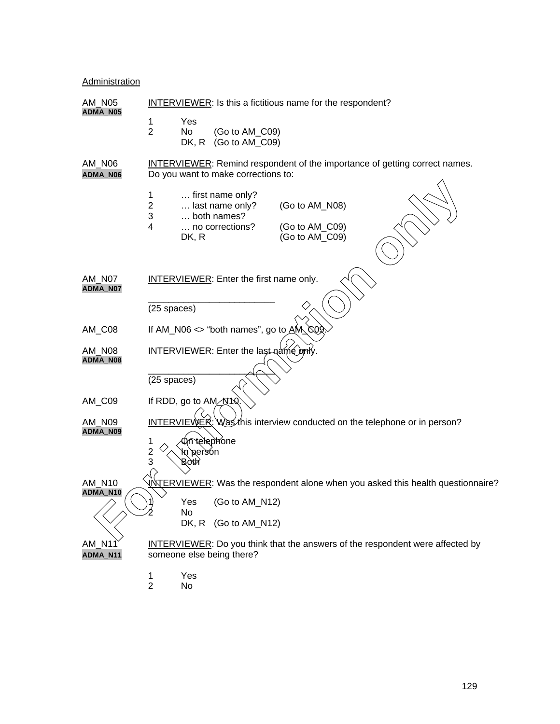# **Administration**

| AM N05                    | <b>INTERVIEWER:</b> Is this a fictitious name for the respondent?                                                                                                                |  |  |  |
|---------------------------|----------------------------------------------------------------------------------------------------------------------------------------------------------------------------------|--|--|--|
| ADMA_N05                  | Yes<br>1<br>$\overline{2}$<br>No.<br>(Go to AM_C09)<br>DK, R<br>(Go to AM_C09)                                                                                                   |  |  |  |
| AM_N06<br>ADMA_N06        | <b>INTERVIEWER:</b> Remind respondent of the importance of getting correct names.<br>Do you want to make corrections to:                                                         |  |  |  |
|                           | first name only?<br>1<br>$\overline{c}$<br>(Go to AM_N08)<br>last name only?<br>$\mathbf{3}$<br>both names?<br>4<br>no corrections?<br>(Go to AM_C09)<br>(Go to AM_C09)<br>DK, R |  |  |  |
| AM N07<br>ADMA_N07        | <b>INTERVIEWER:</b> Enter the first name only.                                                                                                                                   |  |  |  |
|                           | (25 spaces)                                                                                                                                                                      |  |  |  |
| AM_C08                    | If AM_N06 <> "both names", go to $\angle$ AM_COQ                                                                                                                                 |  |  |  |
| <b>AM_N08</b><br>ADMA_N08 | <b>INTERVIEWER:</b> Enter the last name only                                                                                                                                     |  |  |  |
|                           | (25 spaces)                                                                                                                                                                      |  |  |  |
| AM_C09                    | If RDD, go to AM N10                                                                                                                                                             |  |  |  |
| AM_N09<br>ADMA_N09        | INTERVIEWER: Was this interview conducted on the telephone or in person?                                                                                                         |  |  |  |
|                           | m telephone<br>1<br>$\frac{2}{3}$<br>kn bersou<br>Both                                                                                                                           |  |  |  |
| <b>AM N10</b>             | <b>INTERVIEWER:</b> Was the respondent alone when you asked this health questionnaire?                                                                                           |  |  |  |
| ADMA_N10                  | Yes<br>(Go to AM_N12)                                                                                                                                                            |  |  |  |
|                           | No<br>DK, R (Go to AM_N12)                                                                                                                                                       |  |  |  |
| <b>AM_N11</b><br>ADMA_N11 | <b>INTERVIEWER:</b> Do you think that the answers of the respondent were affected by<br>someone else being there?                                                                |  |  |  |
|                           | Yes<br>1<br>$\overline{2}$<br>No                                                                                                                                                 |  |  |  |